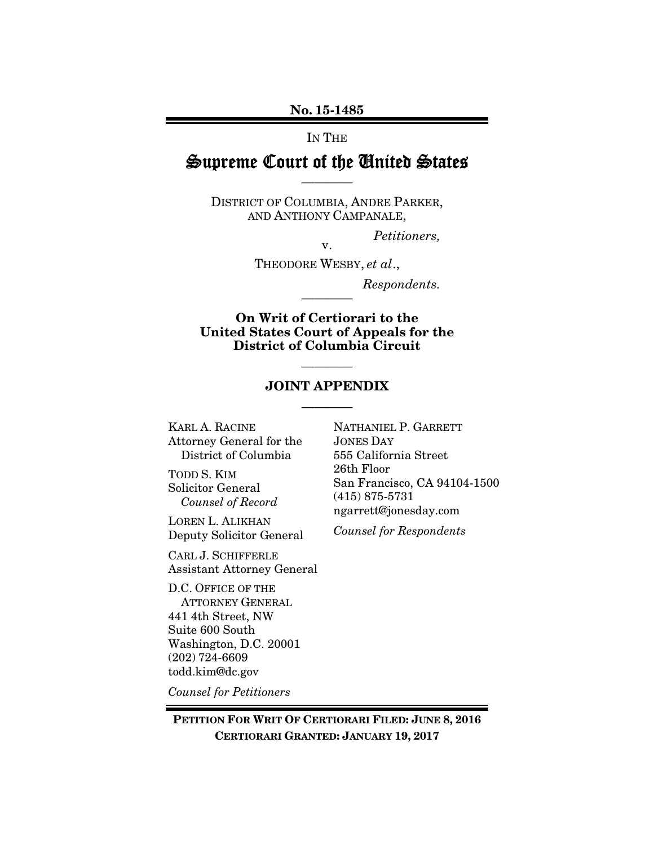No. 15-1485

IN THE

# Supreme Court of the United States ————

DISTRICT OF COLUMBIA, ANDRE PARKER, AND ANTHONY CAMPANALE,

*Petitioners,* 

v. THEODORE WESBY, *et al*.,

————

*Respondents.* 

On Writ of Certiorari to the United States Court of Appeals for the District of Columbia Circuit

## ———— JOINT APPENDIX

————

KARL A. RACINE Attorney General for the District of Columbia

TODD S. KIM Solicitor General *Counsel of Record* 

LOREN L. ALIKHAN Deputy Solicitor General

CARL J. SCHIFFERLE Assistant Attorney General

D.C. OFFICE OF THE ATTORNEY GENERAL 441 4th Street, NW Suite 600 South Washington, D.C. 20001 (202) 724-6609 todd.kim@dc.gov

*Counsel for Petitioners*

NATHANIEL P. GARRETT JONES DAY 555 California Street 26th Floor San Francisco, CA 94104-1500 (415) 875-5731 ngarrett@jonesday.com

*Counsel for Respondents*

PETITION FOR WRIT OF CERTIORARI FILED: JUNE 8, 2016 CERTIORARI GRANTED: JANUARY 19, 2017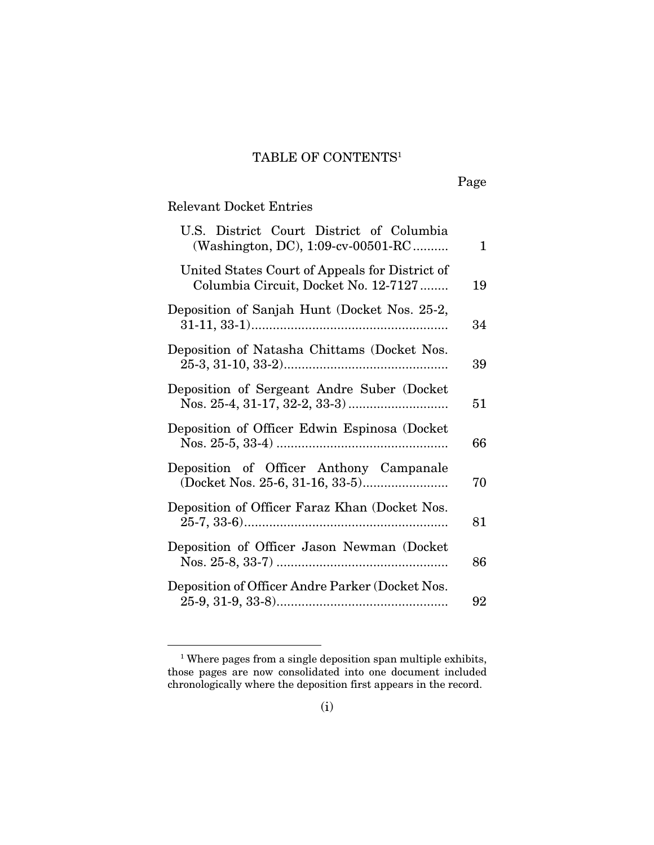## TABLE OF CONTENTS1

Page

## Relevant Docket Entries

-

| U.S. District Court District of Columbia<br>(Washington, DC), 1:09-cv-00501-RC         | $\mathbf{1}$ |
|----------------------------------------------------------------------------------------|--------------|
| United States Court of Appeals for District of<br>Columbia Circuit, Docket No. 12-7127 | 19           |
| Deposition of Sanjah Hunt (Docket Nos. 25-2,                                           | 34           |
| Deposition of Natasha Chittams (Docket Nos.                                            | 39           |
| Deposition of Sergeant Andre Suber (Docket                                             | 51           |
| Deposition of Officer Edwin Espinosa (Docket                                           | 66           |
| Deposition of Officer Anthony Campanale                                                | 70           |
| Deposition of Officer Faraz Khan (Docket Nos.                                          | 81           |
| Deposition of Officer Jason Newman (Docket                                             | 86           |
| Deposition of Officer Andre Parker (Docket Nos.                                        | 92           |

<sup>&</sup>lt;sup>1</sup> Where pages from a single deposition span multiple exhibits, those pages are now consolidated into one document included chronologically where the deposition first appears in the record.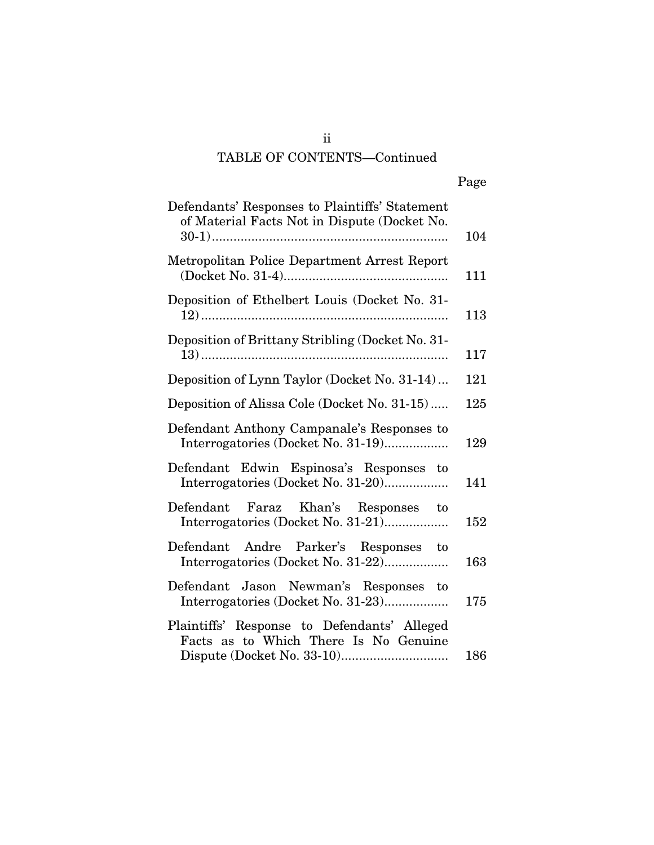# TABLE OF CONTENTS—Continued

| Page |
|------|
|      |

| Defendants' Responses to Plaintiffs' Statement<br>of Material Facts Not in Dispute (Docket No. | 104 |
|------------------------------------------------------------------------------------------------|-----|
| Metropolitan Police Department Arrest Report                                                   | 111 |
| Deposition of Ethelbert Louis (Docket No. 31-                                                  | 113 |
| Deposition of Brittany Stribling (Docket No. 31-                                               | 117 |
| Deposition of Lynn Taylor (Docket No. 31-14)                                                   | 121 |
| Deposition of Alissa Cole (Docket No. 31-15)                                                   |     |
| Defendant Anthony Campanale's Responses to<br>Interrogatories (Docket No. 31-19)               | 129 |
| Defendant Edwin Espinosa's Responses to<br>Interrogatories (Docket No. 31-20)                  | 141 |
| Defendant Faraz Khan's Responses to<br>Interrogatories (Docket No. 31-21)                      | 152 |
| Defendant Andre Parker's Responses to<br>Interrogatories (Docket No. 31-22)                    | 163 |
| Defendant Jason Newman's Responses to<br>Interrogatories (Docket No. 31-23)                    | 175 |
| Plaintiffs' Response to Defendants' Alleged<br>Facts as to Which There Is No Genuine           | 186 |

ii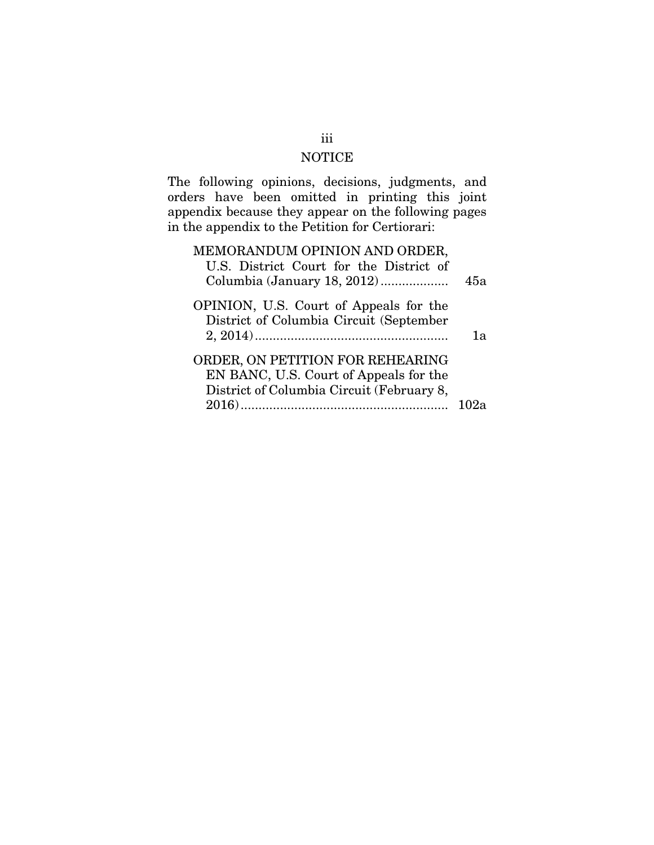#### NOTICE

The following opinions, decisions, judgments, and orders have been omitted in printing this joint appendix because they appear on the following pages in the appendix to the Petition for Certiorari:

## MEMORANDUM OPINION AND ORDER, U.S. District Court for the District of Columbia (January 18, 2012) ................... 45a OPINION, U.S. Court of Appeals for the District of Columbia Circuit (September 2, 2014) ...................................................... 1a ORDER, ON PETITION FOR REHEARING EN BANC, U.S. Court of Appeals for the District of Columbia Circuit (February 8, 2016) .......................................................... 102a

#### iii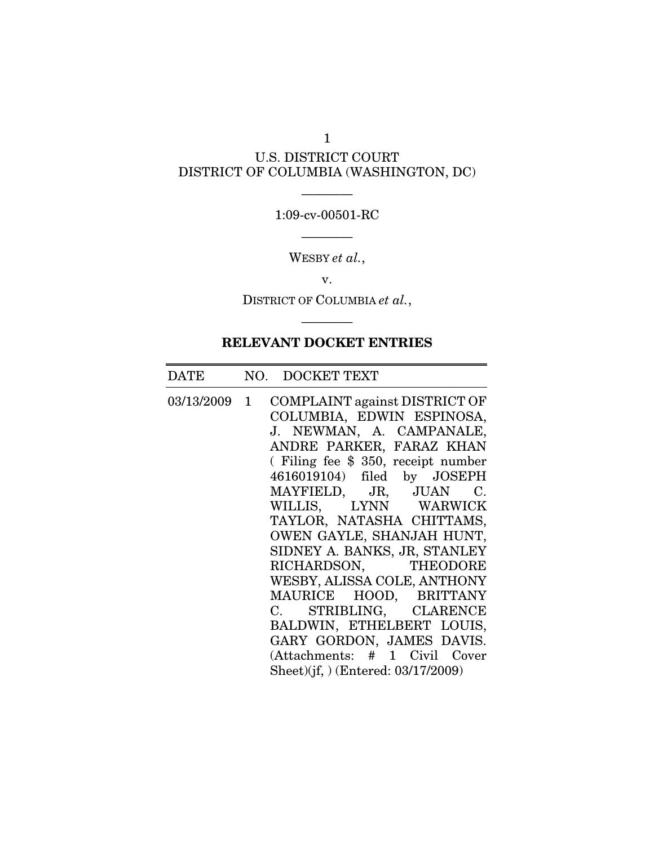## U.S. DISTRICT COURT DISTRICT OF COLUMBIA (WASHINGTON, DC)

1

## ———— 1:09-cv-00501-RC ————

WESBY *et al.*,

v.

DISTRICT OF COLUMBIA *et al.*,

————

## RELEVANT DOCKET ENTRIES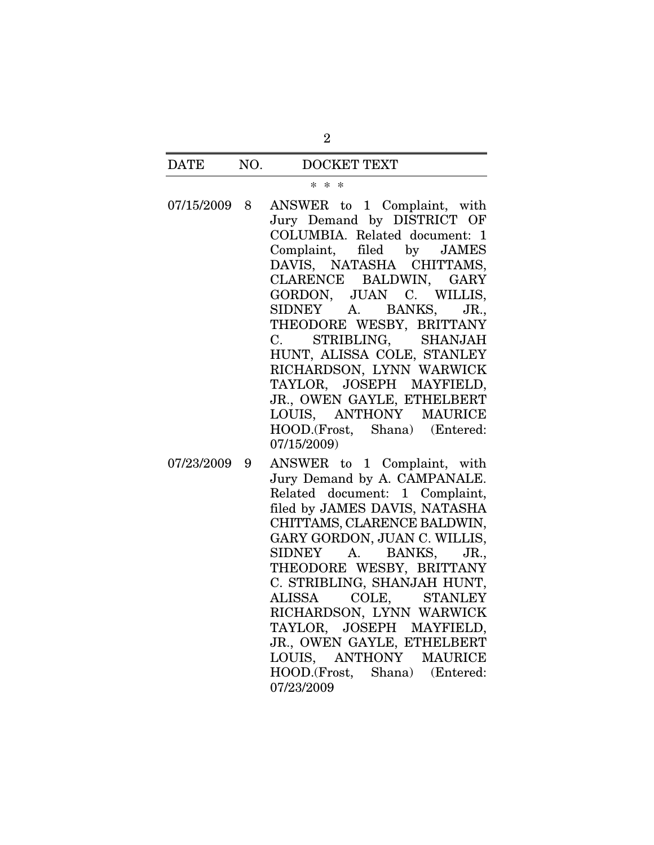#### \* \* \*

- 07/15/2009 8 ANSWER to 1 Complaint, with Jury Demand by DISTRICT OF COLUMBIA. Related document: 1 Complaint, filed by JAMES DAVIS, NATASHA CHITTAMS, CLARENCE BALDWIN, GARY GORDON, JUAN C. WILLIS, SIDNEY A. BANKS, JR., THEODORE WESBY, BRITTANY C. STRIBLING, SHANJAH HUNT, ALISSA COLE, STANLEY RICHARDSON, LYNN WARWICK TAYLOR, JOSEPH MAYFIELD, JR., OWEN GAYLE, ETHELBERT LOUIS, ANTHONY MAURICE HOOD.(Frost, Shana) (Entered: 07/15/2009)
- 07/23/2009 9 ANSWER to 1 Complaint, with Jury Demand by A. CAMPANALE. Related document: 1 Complaint, filed by JAMES DAVIS, NATASHA CHITTAMS, CLARENCE BALDWIN, GARY GORDON, JUAN C. WILLIS, SIDNEY A. BANKS, JR., THEODORE WESBY, BRITTANY C. STRIBLING, SHANJAH HUNT, ALISSA COLE, STANLEY RICHARDSON, LYNN WARWICK TAYLOR, JOSEPH MAYFIELD, JR., OWEN GAYLE, ETHELBERT LOUIS, ANTHONY MAURICE HOOD.(Frost, Shana) (Entered: 07/23/2009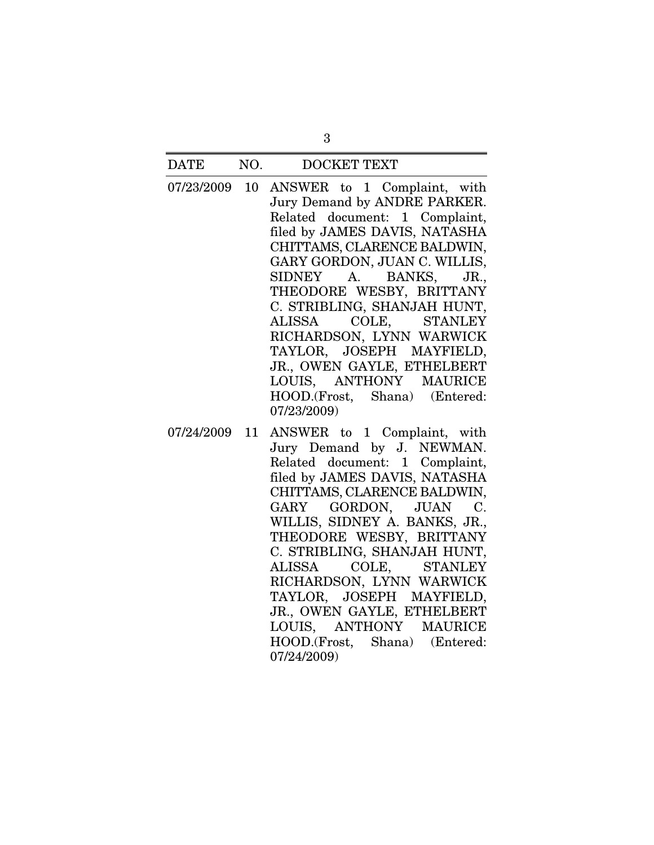- 07/23/2009 10 ANSWER to 1 Complaint, with Jury Demand by ANDRE PARKER. Related document: 1 Complaint, filed by JAMES DAVIS, NATASHA CHITTAMS, CLARENCE BALDWIN, GARY GORDON, JUAN C. WILLIS, SIDNEY A. BANKS, JR., THEODORE WESBY, BRITTANY C. STRIBLING, SHANJAH HUNT, ALISSA COLE, STANLEY RICHARDSON, LYNN WARWICK TAYLOR, JOSEPH MAYFIELD, JR., OWEN GAYLE, ETHELBERT LOUIS, ANTHONY MAURICE HOOD.(Frost, Shana) (Entered: 07/23/2009)
- 07/24/2009 11 ANSWER to 1 Complaint, with Jury Demand by J. NEWMAN. Related document: 1 Complaint, filed by JAMES DAVIS, NATASHA CHITTAMS, CLARENCE BALDWIN, GARY GORDON, JUAN C. WILLIS, SIDNEY A. BANKS, JR., THEODORE WESBY, BRITTANY C. STRIBLING, SHANJAH HUNT, ALISSA COLE, STANLEY RICHARDSON, LYNN WARWICK TAYLOR, JOSEPH MAYFIELD, JR., OWEN GAYLE, ETHELBERT LOUIS, ANTHONY MAURICE HOOD.(Frost, Shana) (Entered: 07/24/2009)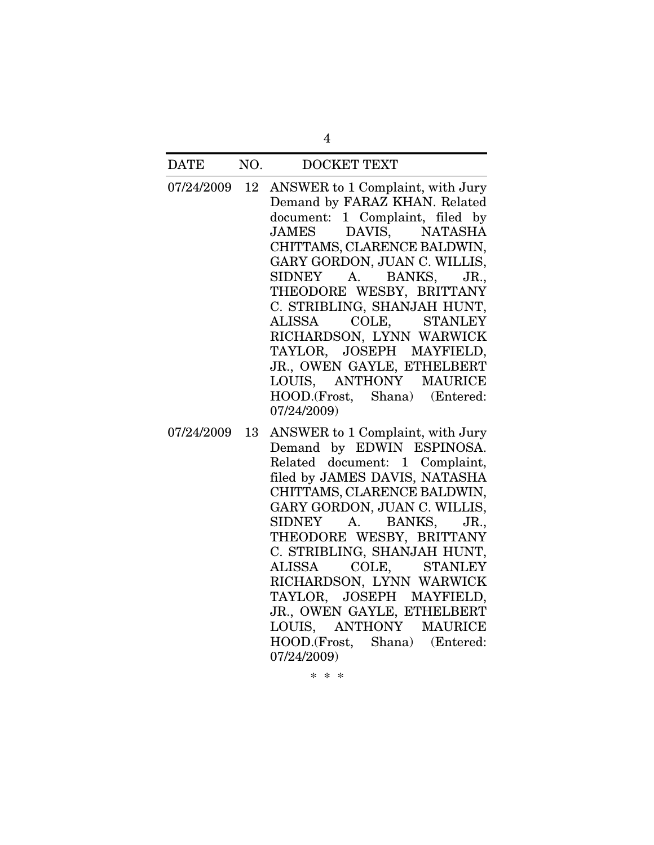07/24/2009 12 ANSWER to 1 Complaint, with Jury Demand by FARAZ KHAN. Related document: 1 Complaint, filed by JAMES DAVIS, NATASHA CHITTAMS, CLARENCE BALDWIN, GARY GORDON, JUAN C. WILLIS, SIDNEY A. BANKS, JR., THEODORE WESBY, BRITTANY C. STRIBLING, SHANJAH HUNT, ALISSA COLE, STANLEY RICHARDSON, LYNN WARWICK TAYLOR, JOSEPH MAYFIELD, JR., OWEN GAYLE, ETHELBERT LOUIS, ANTHONY MAURICE HOOD.(Frost, Shana) (Entered: 07/24/2009)

4

07/24/2009 13 ANSWER to 1 Complaint, with Jury Demand by EDWIN ESPINOSA. Related document: 1 Complaint, filed by JAMES DAVIS, NATASHA CHITTAMS, CLARENCE BALDWIN, GARY GORDON, JUAN C. WILLIS, SIDNEY A. BANKS, JR., THEODORE WESBY, BRITTANY C. STRIBLING, SHANJAH HUNT, ALISSA COLE, STANLEY RICHARDSON, LYNN WARWICK TAYLOR, JOSEPH MAYFIELD, JR., OWEN GAYLE, ETHELBERT LOUIS, ANTHONY MAURICE HOOD.(Frost, Shana) (Entered: 07/24/2009)

\* \* \*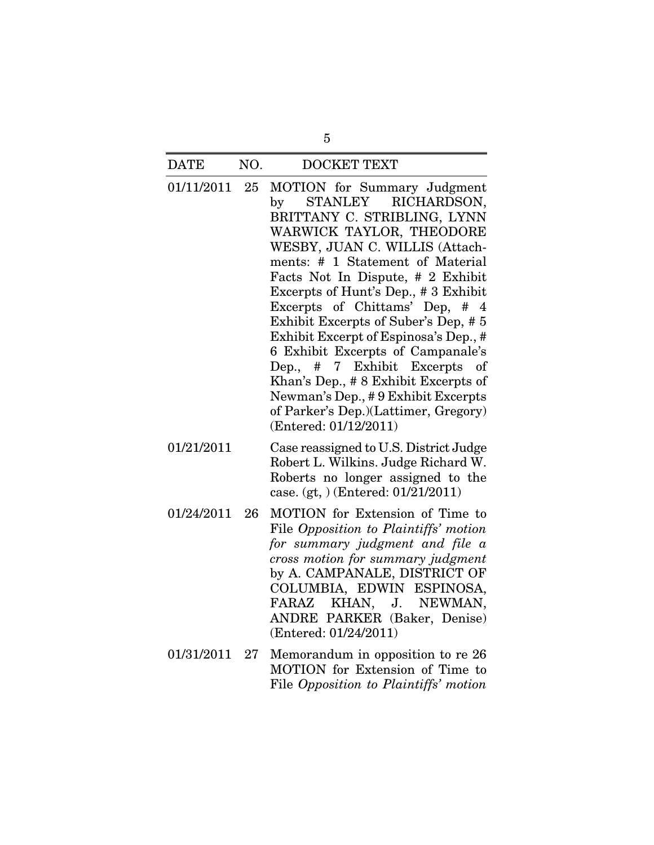- 01/11/2011 25 MOTION for Summary Judgment by STANLEY RICHARDSON, BRITTANY C. STRIBLING, LYNN WARWICK TAYLOR, THEODORE WESBY, JUAN C. WILLIS (Attachments: # 1 Statement of Material Facts Not In Dispute, # 2 Exhibit Excerpts of Hunt's Dep., # 3 Exhibit Excerpts of Chittams' Dep, # 4 Exhibit Excerpts of Suber's Dep, # 5 Exhibit Excerpt of Espinosa's Dep., # 6 Exhibit Excerpts of Campanale's Dep., # 7 Exhibit Excerpts of Khan's Dep., # 8 Exhibit Excerpts of Newman's Dep., # 9 Exhibit Excerpts of Parker's Dep.)(Lattimer, Gregory) (Entered: 01/12/2011)
- 01/21/2011 Case reassigned to U.S. District Judge Robert L. Wilkins. Judge Richard W. Roberts no longer assigned to the case. (gt, ) (Entered: 01/21/2011)
- 01/24/2011 26 MOTION for Extension of Time to File *Opposition to Plaintiffs' motion for summary judgment and file a cross motion for summary judgment* by A. CAMPANALE, DISTRICT OF COLUMBIA, EDWIN ESPINOSA, FARAZ KHAN, J. NEWMAN, ANDRE PARKER (Baker, Denise) (Entered: 01/24/2011)
- 01/31/2011 27 Memorandum in opposition to re 26 MOTION for Extension of Time to File *Opposition to Plaintiffs' motion*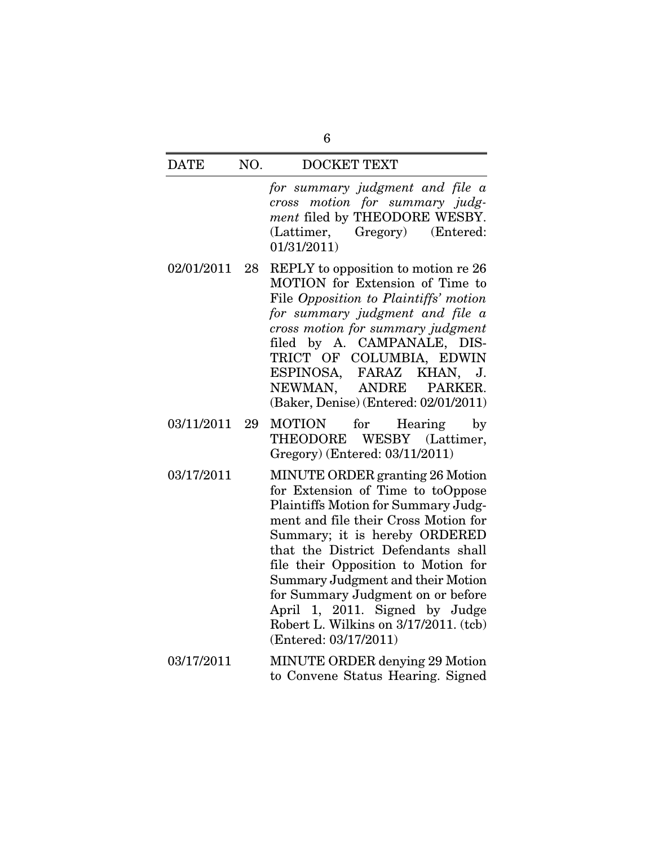*for summary judgment and file a cross motion for summary judgment* filed by THEODORE WESBY. (Lattimer, Gregory) (Entered: 01/31/2011)

- 02/01/2011 28 REPLY to opposition to motion re 26 MOTION for Extension of Time to File *Opposition to Plaintiffs' motion for summary judgment and file a cross motion for summary judgment* filed by A. CAMPANALE, DIS-TRICT OF COLUMBIA, EDWIN ESPINOSA, FARAZ KHAN, J. NEWMAN, ANDRE PARKER. (Baker, Denise) (Entered: 02/01/2011)
- 03/11/2011 29 MOTION for Hearing by THEODORE WESBY (Lattimer, Gregory) (Entered: 03/11/2011)
- 03/17/2011 MINUTE ORDER granting 26 Motion for Extension of Time to toOppose Plaintiffs Motion for Summary Judgment and file their Cross Motion for Summary; it is hereby ORDERED that the District Defendants shall file their Opposition to Motion for Summary Judgment and their Motion for Summary Judgment on or before April 1, 2011. Signed by Judge Robert L. Wilkins on 3/17/2011. (tcb) (Entered: 03/17/2011)
- 03/17/2011 MINUTE ORDER denying 29 Motion to Convene Status Hearing. Signed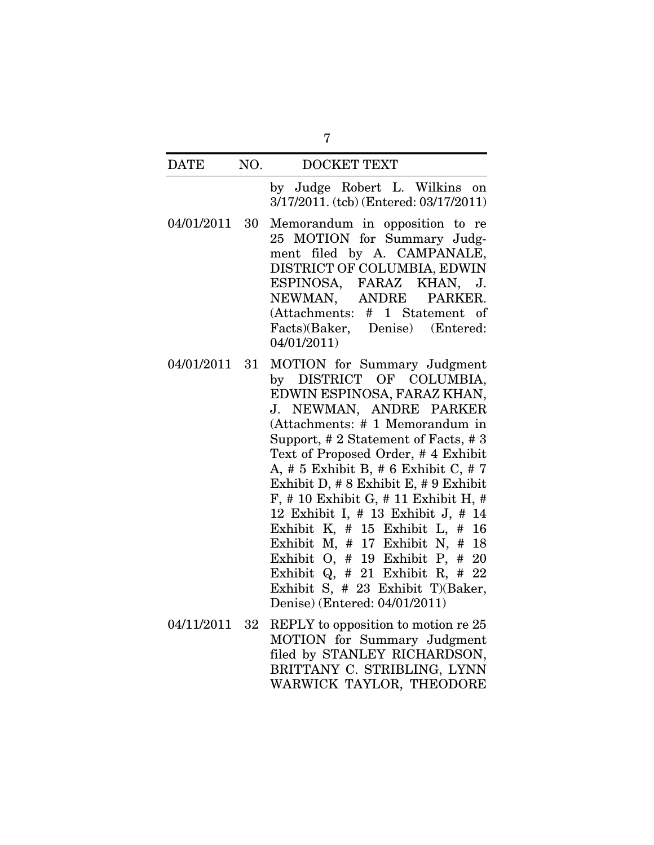by Judge Robert L. Wilkins on 3/17/2011. (tcb) (Entered: 03/17/2011)

- 04/01/2011 30 Memorandum in opposition to re 25 MOTION for Summary Judgment filed by A. CAMPANALE, DISTRICT OF COLUMBIA, EDWIN ESPINOSA, FARAZ KHAN, J. NEWMAN, ANDRE PARKER. (Attachments: # 1 Statement of Facts)(Baker, Denise) (Entered: 04/01/2011)
- 04/01/2011 31 MOTION for Summary Judgment by DISTRICT OF COLUMBIA, EDWIN ESPINOSA, FARAZ KHAN, J. NEWMAN, ANDRE PARKER (Attachments: # 1 Memorandum in Support, # 2 Statement of Facts, # 3 Text of Proposed Order, # 4 Exhibit A, # 5 Exhibit B, # 6 Exhibit C, # 7 Exhibit D, # 8 Exhibit E, # 9 Exhibit F, # 10 Exhibit G, # 11 Exhibit H, # 12 Exhibit I, # 13 Exhibit J, # 14 Exhibit K, # 15 Exhibit L, # 16 Exhibit M, # 17 Exhibit N, # 18 Exhibit O, # 19 Exhibit P, # 20 Exhibit Q, # 21 Exhibit R, # 22 Exhibit S, # 23 Exhibit T)(Baker, Denise) (Entered: 04/01/2011)
- 04/11/2011 32 REPLY to opposition to motion re 25 MOTION for Summary Judgment filed by STANLEY RICHARDSON, BRITTANY C. STRIBLING, LYNN WARWICK TAYLOR, THEODORE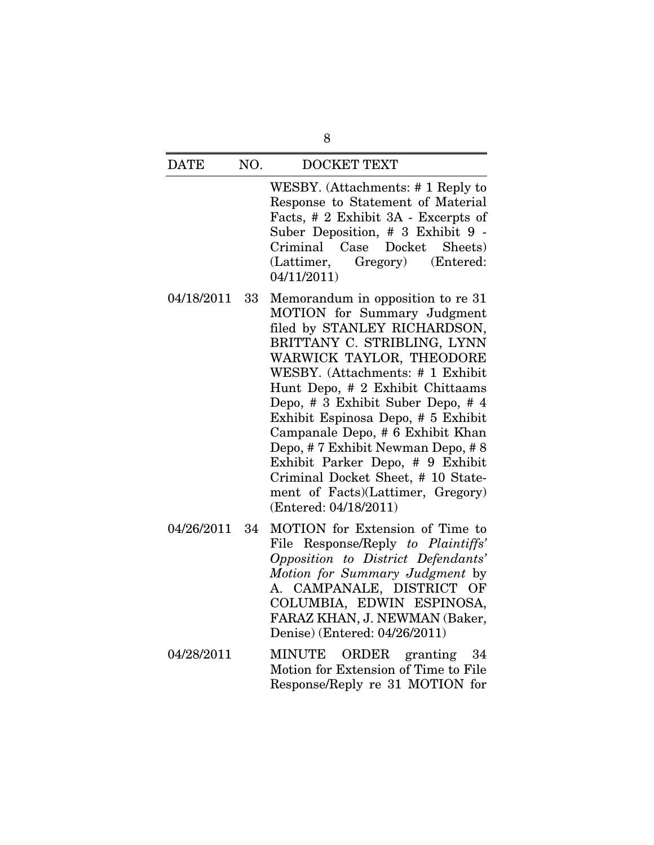WESBY. (Attachments: # 1 Reply to Response to Statement of Material Facts, # 2 Exhibit 3A - Excerpts of Suber Deposition, # 3 Exhibit 9 - Criminal Case Docket Sheets) (Lattimer, Gregory) (Entered: 04/11/2011)

- 04/18/2011 33 Memorandum in opposition to re 31 MOTION for Summary Judgment filed by STANLEY RICHARDSON, BRITTANY C. STRIBLING, LYNN WARWICK TAYLOR, THEODORE WESBY. (Attachments: # 1 Exhibit Hunt Depo, # 2 Exhibit Chittaams Depo, # 3 Exhibit Suber Depo, # 4 Exhibit Espinosa Depo, # 5 Exhibit Campanale Depo, # 6 Exhibit Khan Depo, # 7 Exhibit Newman Depo, # 8 Exhibit Parker Depo, # 9 Exhibit Criminal Docket Sheet, # 10 Statement of Facts)(Lattimer, Gregory) (Entered: 04/18/2011)
- 04/26/2011 34 MOTION for Extension of Time to File Response/Reply *to Plaintiffs' Opposition to District Defendants' Motion for Summary Judgment* by A. CAMPANALE, DISTRICT OF COLUMBIA, EDWIN ESPINOSA, FARAZ KHAN, J. NEWMAN (Baker, Denise) (Entered: 04/26/2011)
- 04/28/2011 MINUTE ORDER granting 34 Motion for Extension of Time to File Response/Reply re 31 MOTION for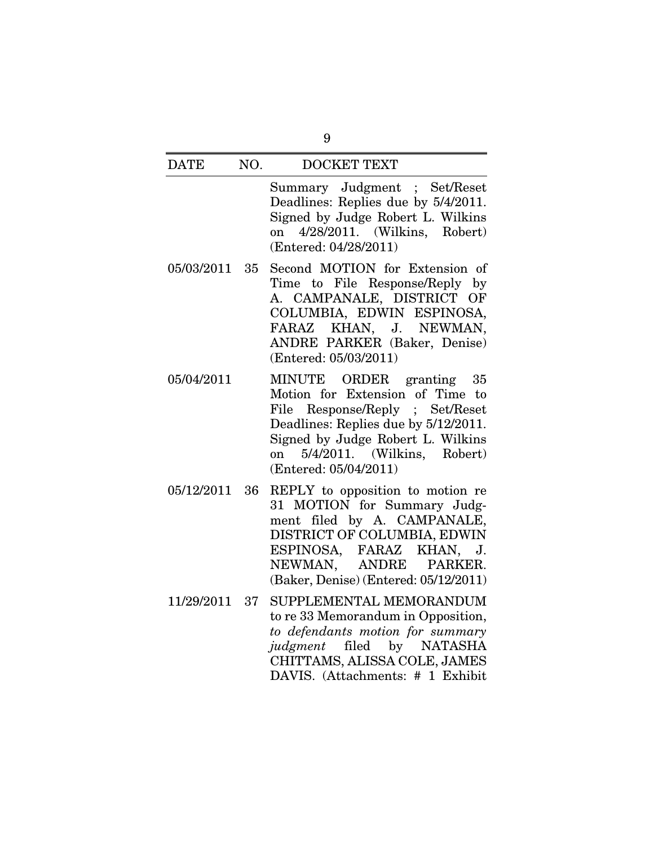Summary Judgment ; Set/Reset Deadlines: Replies due by 5/4/2011. Signed by Judge Robert L. Wilkins on 4/28/2011. (Wilkins, Robert) (Entered: 04/28/2011)

- 05/03/2011 35 Second MOTION for Extension of Time to File Response/Reply by A. CAMPANALE, DISTRICT OF COLUMBIA, EDWIN ESPINOSA, FARAZ KHAN, J. NEWMAN, ANDRE PARKER (Baker, Denise) (Entered: 05/03/2011)
- 05/04/2011 MINUTE ORDER granting 35 Motion for Extension of Time to File Response/Reply ; Set/Reset Deadlines: Replies due by 5/12/2011. Signed by Judge Robert L. Wilkins on 5/4/2011. (Wilkins, Robert) (Entered: 05/04/2011)
- 05/12/2011 36 REPLY to opposition to motion re 31 MOTION for Summary Judgment filed by A. CAMPANALE, DISTRICT OF COLUMBIA, EDWIN ESPINOSA, FARAZ KHAN, J. NEWMAN, ANDRE PARKER. (Baker, Denise) (Entered: 05/12/2011)
- 11/29/2011 37 SUPPLEMENTAL MEMORANDUM to re 33 Memorandum in Opposition, *to defendants motion for summary judgment* filed by NATASHA CHITTAMS, ALISSA COLE, JAMES DAVIS. (Attachments: # 1 Exhibit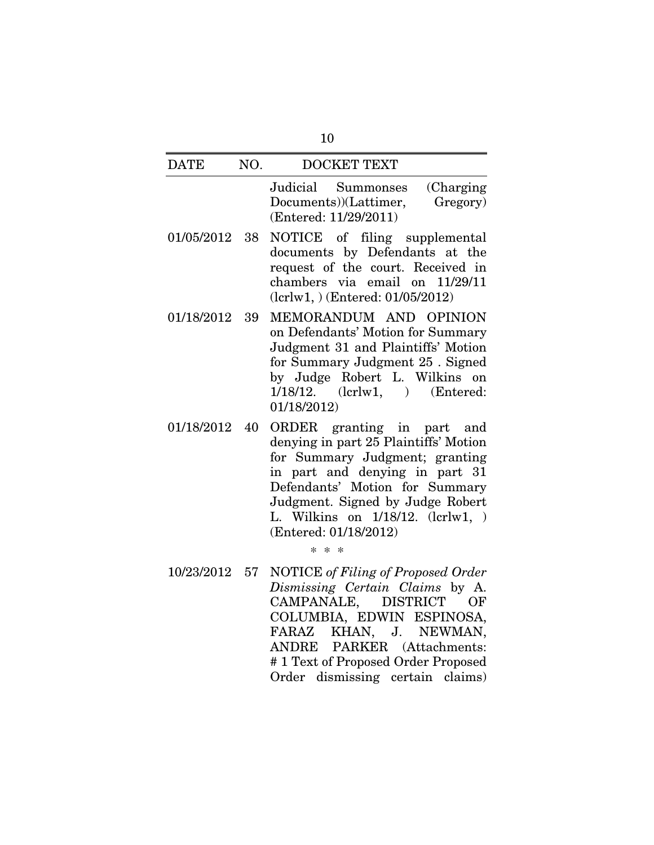| <b>DATE</b>   |    | NO.<br><b>DOCKET TEXT</b>                                                                                                                                                                                                                                                              |
|---------------|----|----------------------------------------------------------------------------------------------------------------------------------------------------------------------------------------------------------------------------------------------------------------------------------------|
|               |    | Judicial Summonses<br>(Charging)<br>Gregory)<br>Documents))(Lattimer,<br>(Entered: 11/29/2011)                                                                                                                                                                                         |
| 01/05/2012    | 38 | NOTICE of filing supplemental<br>documents by Defendants at the<br>request of the court. Received in<br>chambers via email on 11/29/11<br>$(lcrlw1, )$ (Entered: 01/05/2012)                                                                                                           |
| 01/18/2012    | 39 | MEMORANDUM AND OPINION<br>on Defendants' Motion for Summary<br>Judgment 31 and Plaintiffs' Motion<br>for Summary Judgment 25 . Signed<br>by Judge Robert L. Wilkins on<br>$1/18/12.$ (lcrlw1, ) (Entered:<br>01/18/2012)                                                               |
| 01/18/2012 40 |    | ORDER granting in part and<br>denying in part 25 Plaintiffs' Motion<br>for Summary Judgment; granting<br>in part and denying in part 31<br>Defendants' Motion for Summary<br>Judgment. Signed by Judge Robert<br>L. Wilkins on 1/18/12. (lcrlw1, )<br>(Entered: 01/18/2012)<br>$* * *$ |
| 10/23/2012 57 |    | <b>NOTICE</b> of Filing of Proposed Order<br>Dismissing Certain Claims by A.<br>CAMPANALE, DISTRICT<br>OF<br>COLUMBIA, EDWIN ESPINOSA,<br>KHAN, J. NEWMAN,<br>FARAZ<br>ANDRE PARKER (Attachments:<br>#1 Text of Proposed Order Proposed                                                |

Order dismissing certain claims)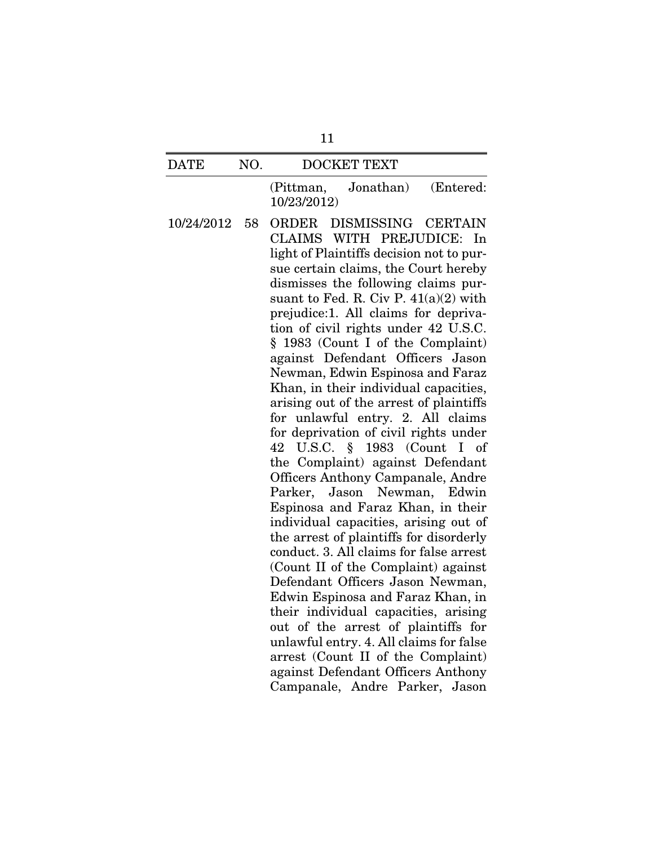(Pittman, Jonathan) (Entered: 10/23/2012)

10/24/2012 58 ORDER DISMISSING CERTAIN CLAIMS WITH PREJUDICE: In light of Plaintiffs decision not to pursue certain claims, the Court hereby dismisses the following claims pursuant to Fed. R. Civ P.  $41(a)(2)$  with prejudice:1. All claims for deprivation of civil rights under 42 U.S.C. § 1983 (Count I of the Complaint) against Defendant Officers Jason Newman, Edwin Espinosa and Faraz Khan, in their individual capacities, arising out of the arrest of plaintiffs for unlawful entry. 2. All claims for deprivation of civil rights under 42 U.S.C. § 1983 (Count I of the Complaint) against Defendant Officers Anthony Campanale, Andre Parker, Jason Newman, Edwin Espinosa and Faraz Khan, in their individual capacities, arising out of the arrest of plaintiffs for disorderly conduct. 3. All claims for false arrest (Count II of the Complaint) against Defendant Officers Jason Newman, Edwin Espinosa and Faraz Khan, in their individual capacities, arising out of the arrest of plaintiffs for unlawful entry. 4. All claims for false arrest (Count II of the Complaint) against Defendant Officers Anthony Campanale, Andre Parker, Jason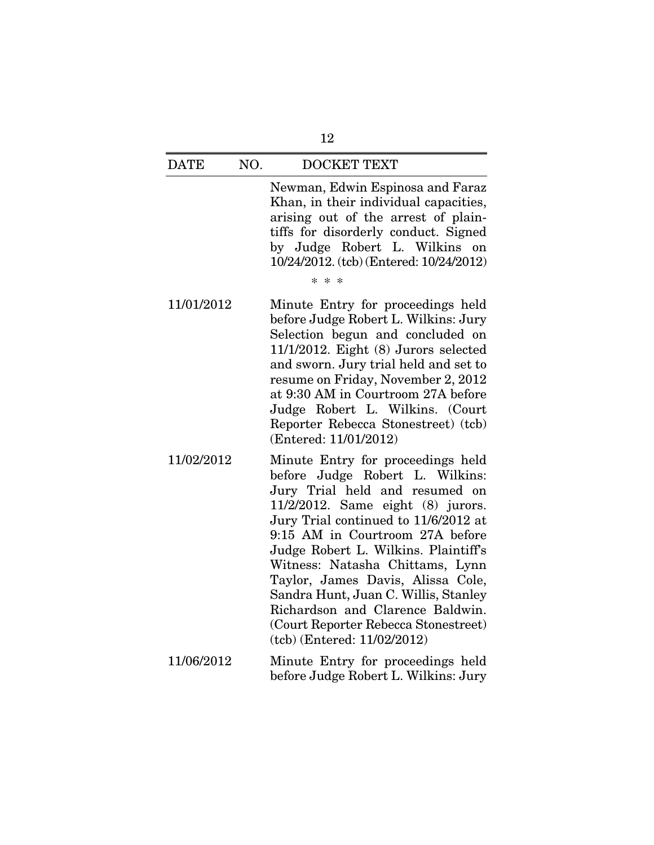Newman, Edwin Espinosa and Faraz Khan, in their individual capacities, arising out of the arrest of plaintiffs for disorderly conduct. Signed by Judge Robert L. Wilkins on 10/24/2012. (tcb) (Entered: 10/24/2012)

\* \* \*

- 11/01/2012 Minute Entry for proceedings held before Judge Robert L. Wilkins: Jury Selection begun and concluded on 11/1/2012. Eight (8) Jurors selected and sworn. Jury trial held and set to resume on Friday, November 2, 2012 at 9:30 AM in Courtroom 27A before Judge Robert L. Wilkins. (Court Reporter Rebecca Stonestreet) (tcb) (Entered: 11/01/2012)
- 11/02/2012 Minute Entry for proceedings held before Judge Robert L. Wilkins: Jury Trial held and resumed on 11/2/2012. Same eight (8) jurors. Jury Trial continued to 11/6/2012 at 9:15 AM in Courtroom 27A before Judge Robert L. Wilkins. Plaintiff's Witness: Natasha Chittams, Lynn Taylor, James Davis, Alissa Cole, Sandra Hunt, Juan C. Willis, Stanley Richardson and Clarence Baldwin. (Court Reporter Rebecca Stonestreet) (tcb) (Entered: 11/02/2012)
- 11/06/2012 Minute Entry for proceedings held before Judge Robert L. Wilkins: Jury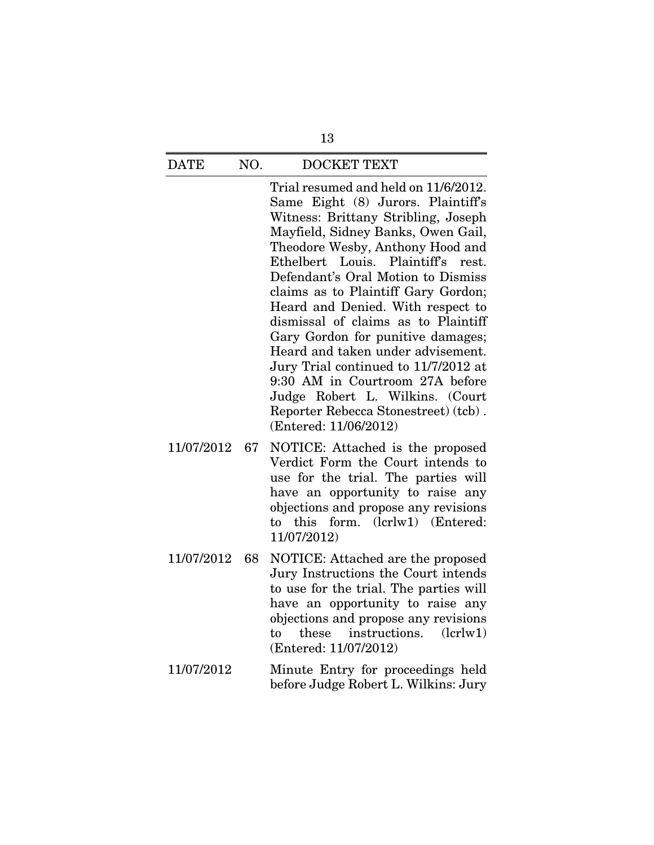Trial resumed and held on 11/6/2012. Same Eight (8) Jurors. Plaintiff's Witness: Brittany Stribling, Joseph Mayfield, Sidney Banks, Owen Gail, Theodore Wesby, Anthony Hood and Ethelbert Louis. Plaintiff's rest. Defendant's Oral Motion to Dismiss claims as to Plaintiff Gary Gordon; Heard and Denied. With respect to dismissal of claims as to Plaintiff Gary Gordon for punitive damages; Heard and taken under advisement. Jury Trial continued to 11/7/2012 at 9:30 AM in Courtroom 27A before Judge Robert L. Wilkins. (Court Reporter Rebecca Stonestreet) (tcb) . (Entered: 11/06/2012)

- 11/07/2012 67 NOTICE: Attached is the proposed Verdict Form the Court intends to use for the trial. The parties will have an opportunity to raise any objections and propose any revisions to this form. (lcrlw1) (Entered: 11/07/2012)
- 11/07/2012 68 NOTICE: Attached are the proposed Jury Instructions the Court intends to use for the trial. The parties will have an opportunity to raise any objections and propose any revisions to these instructions. (lcrlw1) (Entered: 11/07/2012)
- 11/07/2012 Minute Entry for proceedings held before Judge Robert L. Wilkins: Jury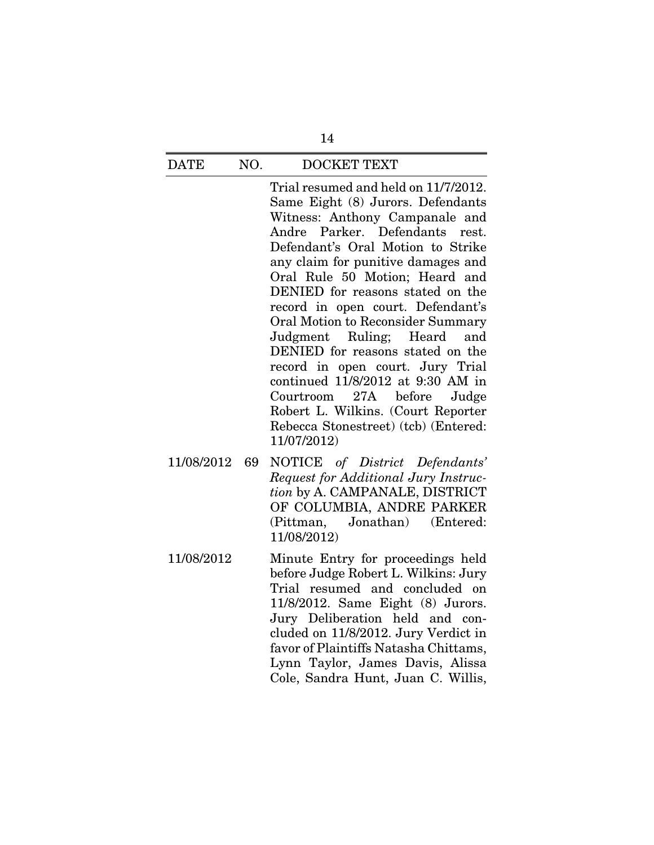Trial resumed and held on 11/7/2012. Same Eight (8) Jurors. Defendants Witness: Anthony Campanale and Andre Parker. Defendants rest. Defendant's Oral Motion to Strike any claim for punitive damages and Oral Rule 50 Motion; Heard and DENIED for reasons stated on the record in open court. Defendant's Oral Motion to Reconsider Summary Judgment Ruling; Heard and DENIED for reasons stated on the record in open court. Jury Trial continued 11/8/2012 at 9:30 AM in Courtroom 27A before Judge Robert L. Wilkins. (Court Reporter Rebecca Stonestreet) (tcb) (Entered: 11/07/2012)

- 11/08/2012 69 NOTICE *of District Defendants' Request for Additional Jury Instruction* by A. CAMPANALE, DISTRICT OF COLUMBIA, ANDRE PARKER (Pittman, Jonathan) (Entered: 11/08/2012)
- 11/08/2012 Minute Entry for proceedings held before Judge Robert L. Wilkins: Jury Trial resumed and concluded on 11/8/2012. Same Eight (8) Jurors. Jury Deliberation held and concluded on 11/8/2012. Jury Verdict in favor of Plaintiffs Natasha Chittams, Lynn Taylor, James Davis, Alissa Cole, Sandra Hunt, Juan C. Willis,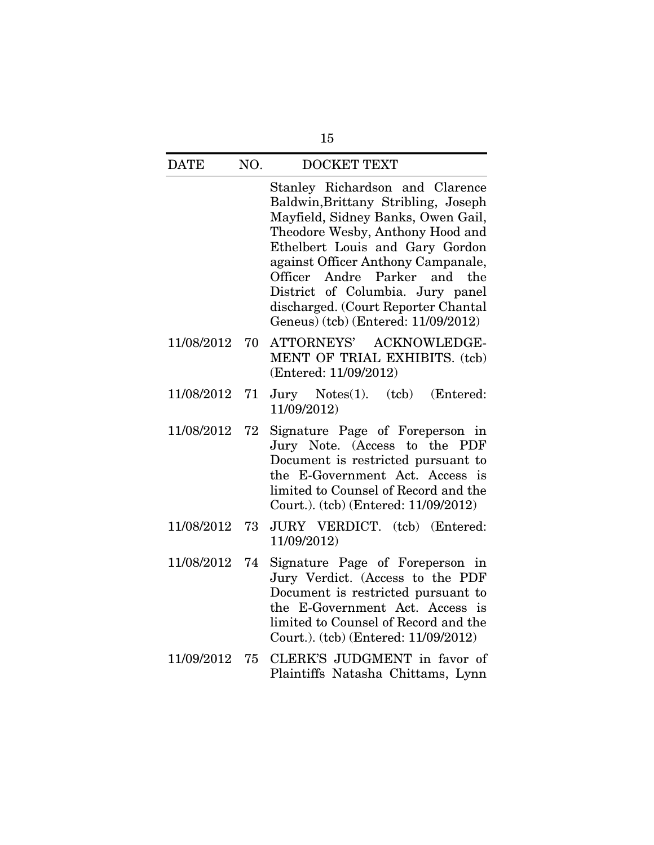Stanley Richardson and Clarence Baldwin,Brittany Stribling, Joseph Mayfield, Sidney Banks, Owen Gail, Theodore Wesby, Anthony Hood and Ethelbert Louis and Gary Gordon against Officer Anthony Campanale, Officer Andre Parker and the District of Columbia. Jury panel discharged. (Court Reporter Chantal Geneus) (tcb) (Entered: 11/09/2012)

- 11/08/2012 70 ATTORNEYS' ACKNOWLEDGE-MENT OF TRIAL EXHIBITS. (tcb) (Entered: 11/09/2012)
- 11/08/2012 71 Jury Notes(1). (tcb) (Entered: 11/09/2012)
- 11/08/2012 72 Signature Page of Foreperson in Jury Note. (Access to the PDF Document is restricted pursuant to the E-Government Act. Access is limited to Counsel of Record and the Court.). (tcb) (Entered: 11/09/2012)
- 11/08/2012 73 JURY VERDICT. (tcb) (Entered: 11/09/2012)
- 11/08/2012 74 Signature Page of Foreperson in Jury Verdict. (Access to the PDF Document is restricted pursuant to the E-Government Act. Access is limited to Counsel of Record and the Court.). (tcb) (Entered: 11/09/2012)
- 11/09/2012 75 CLERK'S JUDGMENT in favor of Plaintiffs Natasha Chittams, Lynn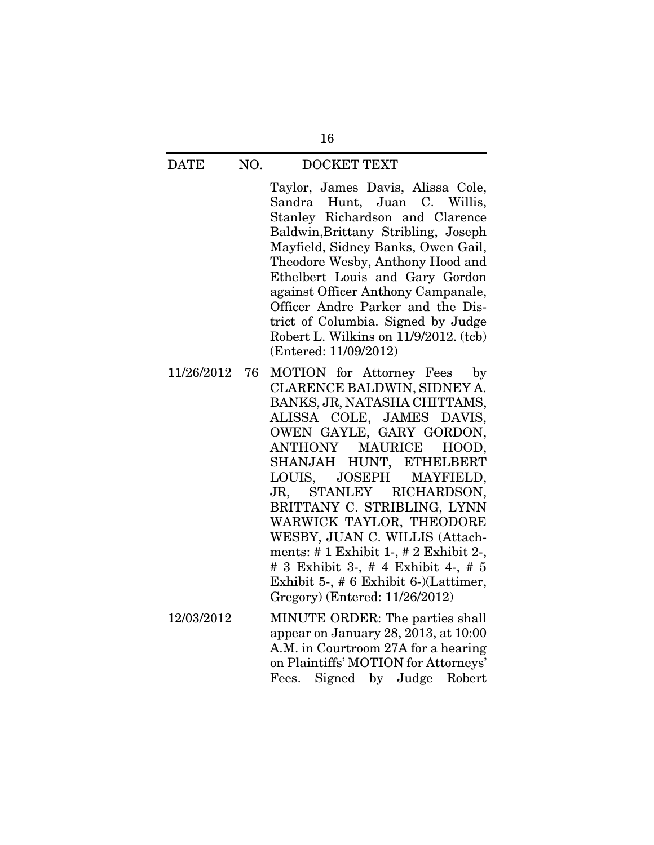Taylor, James Davis, Alissa Cole, Sandra Hunt, Juan C. Willis, Stanley Richardson and Clarence Baldwin,Brittany Stribling, Joseph Mayfield, Sidney Banks, Owen Gail, Theodore Wesby, Anthony Hood and Ethelbert Louis and Gary Gordon against Officer Anthony Campanale, Officer Andre Parker and the District of Columbia. Signed by Judge Robert L. Wilkins on 11/9/2012. (tcb) (Entered: 11/09/2012)

- 11/26/2012 76 MOTION for Attorney Fees by CLARENCE BALDWIN, SIDNEY A. BANKS, JR, NATASHA CHITTAMS, ALISSA COLE, JAMES DAVIS, OWEN GAYLE, GARY GORDON, ANTHONY MAURICE HOOD, SHANJAH HUNT, ETHELBERT LOUIS, JOSEPH MAYFIELD, JR, STANLEY RICHARDSON, BRITTANY C. STRIBLING, LYNN WARWICK TAYLOR, THEODORE WESBY, JUAN C. WILLIS (Attachments: # 1 Exhibit 1-, # 2 Exhibit 2-, # 3 Exhibit 3-, # 4 Exhibit 4-, # 5 Exhibit 5-, # 6 Exhibit 6-)(Lattimer, Gregory) (Entered: 11/26/2012)
- 12/03/2012 MINUTE ORDER: The parties shall appear on January 28, 2013, at 10:00 A.M. in Courtroom 27A for a hearing on Plaintiffs' MOTION for Attorneys' Fees. Signed by Judge Robert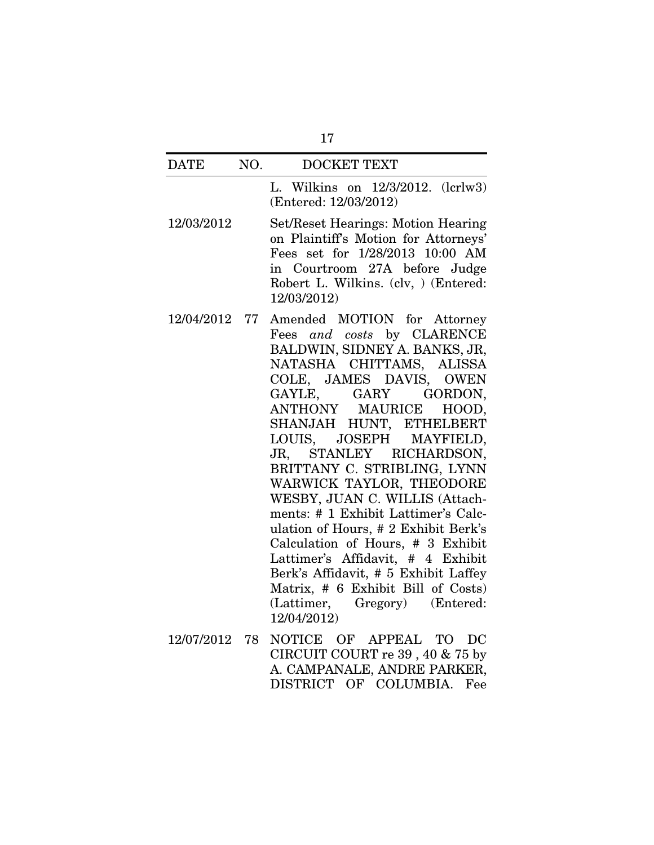## DATE NO. DOCKET TEXT L. Wilkins on 12/3/2012. (lcrlw3) (Entered: 12/03/2012) 12/03/2012 Set/Reset Hearings: Motion Hearing on Plaintiff's Motion for Attorneys' Fees set for 1/28/2013 10:00 AM in Courtroom 27A before Judge Robert L. Wilkins. (clv, ) (Entered: 12/03/2012) 12/04/2012 77 Amended MOTION for Attorney Fees *and costs* by CLARENCE BALDWIN, SIDNEY A. BANKS, JR, NATASHA CHITTAMS, ALISSA COLE, JAMES DAVIS, OWEN GAYLE, GARY GORDON, ANTHONY MAURICE HOOD,

- SHANJAH HUNT, ETHELBERT LOUIS, JOSEPH MAYFIELD, JR, STANLEY RICHARDSON, BRITTANY C. STRIBLING, LYNN WARWICK TAYLOR, THEODORE WESBY, JUAN C. WILLIS (Attachments: # 1 Exhibit Lattimer's Calculation of Hours, # 2 Exhibit Berk's Calculation of Hours, # 3 Exhibit Lattimer's Affidavit, # 4 Exhibit Berk's Affidavit, # 5 Exhibit Laffey Matrix, # 6 Exhibit Bill of Costs) (Lattimer, Gregory) (Entered: 12/04/2012)
- 12/07/2012 78 NOTICE OF APPEAL TO DC CIRCUIT COURT re 39 , 40 & 75 by A. CAMPANALE, ANDRE PARKER, DISTRICT OF COLUMBIA. Fee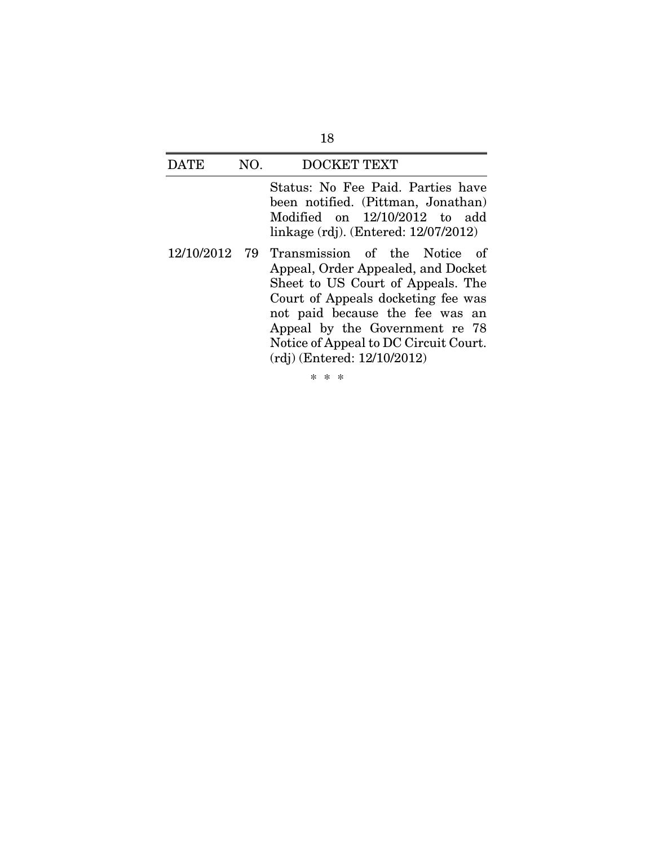Status: No Fee Paid. Parties have been notified. (Pittman, Jonathan) Modified on 12/10/2012 to add linkage (rdj). (Entered: 12/07/2012)

12/10/2012 79 Transmission of the Notice of Appeal, Order Appealed, and Docket Sheet to US Court of Appeals. The Court of Appeals docketing fee was not paid because the fee was an Appeal by the Government re 78 Notice of Appeal to DC Circuit Court. (rdj) (Entered: 12/10/2012)

\* \* \*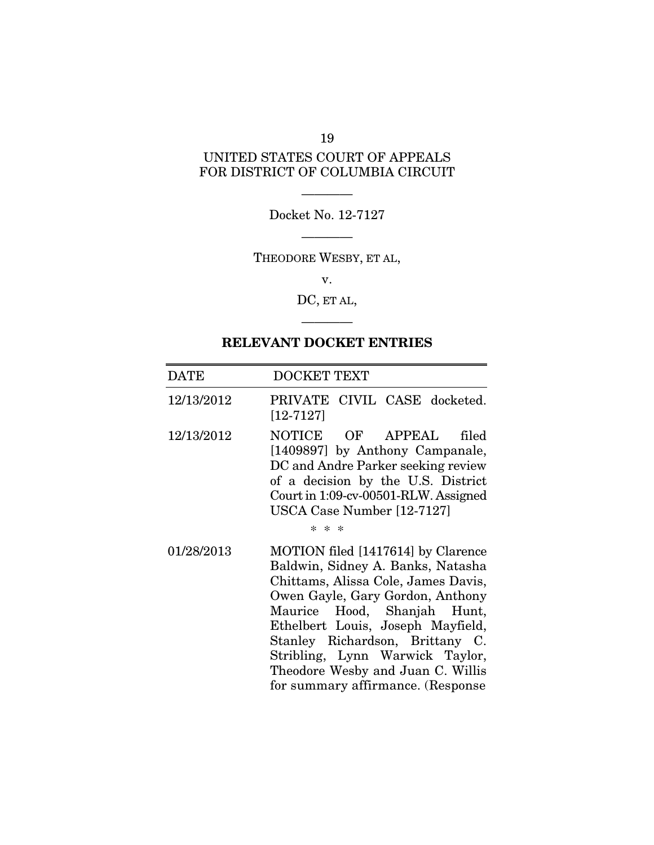## 19

## UNITED STATES COURT OF APPEALS FOR DISTRICT OF COLUMBIA CIRCUIT

———— Docket No. 12-7127 ————

THEODORE WESBY, ET AL,

v.

DC, ET AL,

————

## RELEVANT DOCKET ENTRIES

| <b>DATE</b> | DOCKET TEXT                                                                                                                                                                                                                                                                                                                                                            |
|-------------|------------------------------------------------------------------------------------------------------------------------------------------------------------------------------------------------------------------------------------------------------------------------------------------------------------------------------------------------------------------------|
| 12/13/2012  | PRIVATE CIVIL CASE docketed.<br>$[12 - 7127]$                                                                                                                                                                                                                                                                                                                          |
| 12/13/2012  | NOTICE OF APPEAL<br>filed<br>[1409897] by Anthony Campanale,<br>DC and Andre Parker seeking review<br>of a decision by the U.S. District<br>Court in 1:09-cv-00501-RLW. Assigned<br>USCA Case Number [12-7127]<br>$* * *$                                                                                                                                              |
| 01/28/2013  | MOTION filed [1417614] by Clarence<br>Baldwin, Sidney A. Banks, Natasha<br>Chittams, Alissa Cole, James Davis,<br>Owen Gayle, Gary Gordon, Anthony<br>Maurice Hood, Shanjah Hunt,<br>Ethelbert Louis, Joseph Mayfield,<br>Stanley Richardson, Brittany C.<br>Stribling, Lynn Warwick Taylor,<br>Theodore Wesby and Juan C. Willis<br>for summary affirmance. (Response |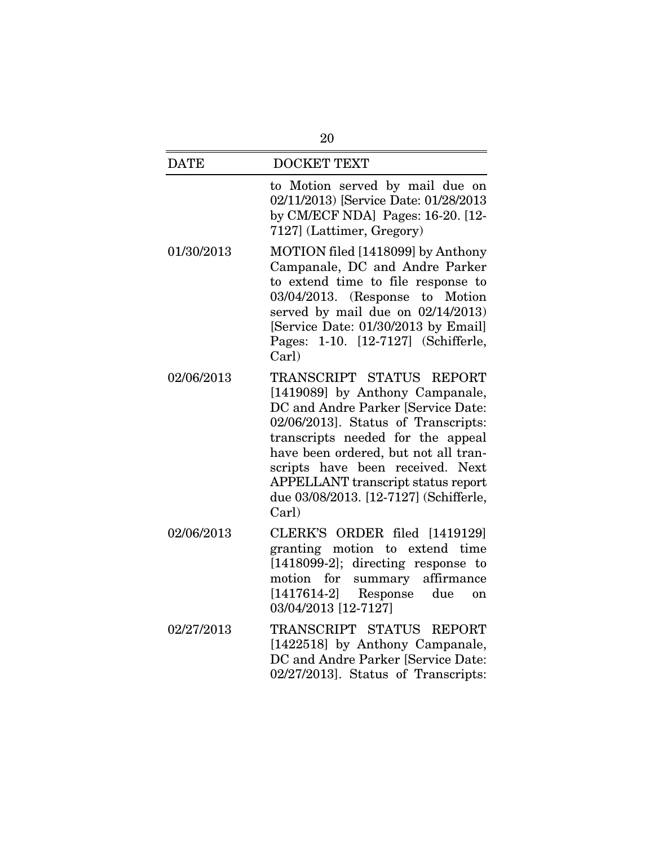| <b>DATE</b> | <b>DOCKET TEXT</b>                                                                                                                                                                                                                                                                                                                                        |
|-------------|-----------------------------------------------------------------------------------------------------------------------------------------------------------------------------------------------------------------------------------------------------------------------------------------------------------------------------------------------------------|
|             | to Motion served by mail due on<br>02/11/2013) [Service Date: 01/28/2013<br>by CM/ECF NDA] Pages: 16-20. [12-<br>7127] (Lattimer, Gregory)                                                                                                                                                                                                                |
| 01/30/2013  | MOTION filed [1418099] by Anthony<br>Campanale, DC and Andre Parker<br>to extend time to file response to<br>03/04/2013. (Response to Motion<br>served by mail due on $02/14/2013$ )<br>[Service Date: 01/30/2013 by Email]<br>1-10. [12-7127] (Schifferle,<br>Pages:<br>Carl)                                                                            |
| 02/06/2013  | TRANSCRIPT STATUS REPORT<br>[1419089] by Anthony Campanale,<br>DC and Andre Parker [Service Date:<br>02/06/2013]. Status of Transcripts:<br>transcripts needed for the appeal<br>have been ordered, but not all tran-<br>scripts have been received. Next<br><b>APPELLANT</b> transcript status report<br>due 03/08/2013. [12-7127] (Schifferle,<br>Carl) |
| 02/06/2013  | CLERK'S ORDER filed [1419129]<br>granting motion to<br>extend time<br>$[1418099-2]$ ; directing response to<br>affirmance<br>motion<br>for<br>summary<br>$[1417614-2]$ Response<br>due<br>on<br>03/04/2013 [12-7127]                                                                                                                                      |
| 02/27/2013  | TRANSCRIPT STATUS REPORT<br>[1422518] by Anthony Campanale,<br>DC and Andre Parker [Service Date:<br>02/27/2013]. Status of Transcripts:                                                                                                                                                                                                                  |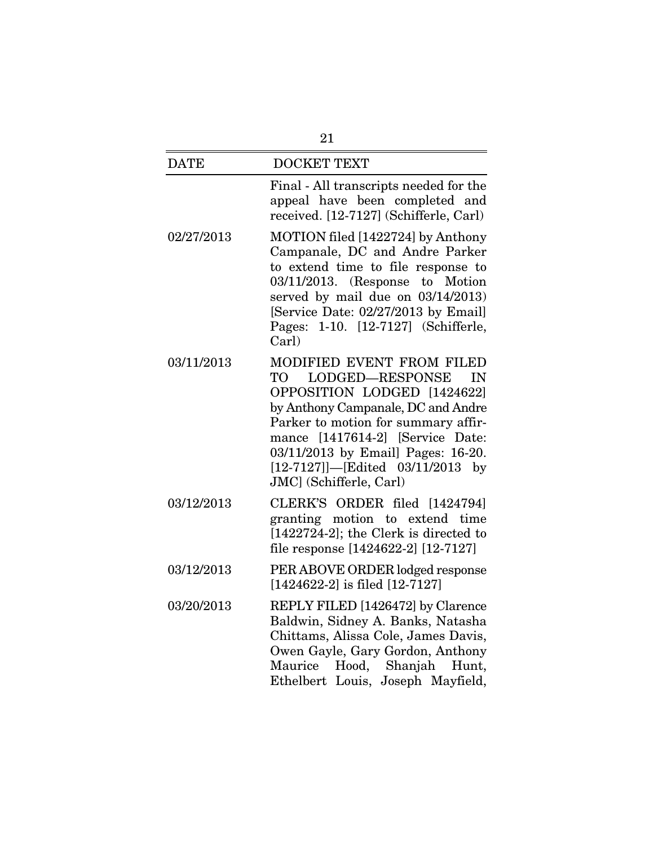| 21          |                                                                                                                                                                                                                                                                                                                         |
|-------------|-------------------------------------------------------------------------------------------------------------------------------------------------------------------------------------------------------------------------------------------------------------------------------------------------------------------------|
| <b>DATE</b> | <b>DOCKET TEXT</b>                                                                                                                                                                                                                                                                                                      |
|             | Final - All transcripts needed for the<br>appeal have been completed and<br>received. [12-7127] (Schifferle, Carl)                                                                                                                                                                                                      |
| 02/27/2013  | MOTION filed [1422724] by Anthony<br>Campanale, DC and Andre Parker<br>to extend time to file response to<br>03/11/2013. (Response to Motion<br>served by mail due on 03/14/2013)<br>[Service Date: 02/27/2013 by Email]<br>Pages: 1-10. [12-7127] (Schifferle,<br>Carl)                                                |
| 03/11/2013  | MODIFIED EVENT FROM FILED<br><b>LODGED-RESPONSE</b><br>TO<br>IN<br>OPPOSITION LODGED [1424622]<br>by Anthony Campanale, DC and Andre<br>Parker to motion for summary affir-<br>mance [1417614-2] [Service Date:<br>03/11/2013 by Email] Pages: 16-20.<br>$[12-7127]$ - [Edited 03/11/2013 by<br>JMC] (Schifferle, Carl) |
| 03/12/2013  | CLERK'S ORDER filed [1424794]<br>granting motion to extend time<br>$[1422724-2]$ ; the Clerk is directed to<br>file response [1424622-2] [12-7127]                                                                                                                                                                      |
| 03/12/2013  | PER ABOVE ORDER lodged response<br>$[1424622-2]$ is filed $[12-7127]$                                                                                                                                                                                                                                                   |
| 03/20/2013  | REPLY FILED [1426472] by Clarence<br>Baldwin, Sidney A. Banks, Natasha<br>Chittams, Alissa Cole, James Davis,<br>Owen Gayle, Gary Gordon, Anthony<br>$\rm{Maurice}$<br>Hood, Shanjah Hunt,<br>Ethelbert Louis, Joseph Mayfield,                                                                                         |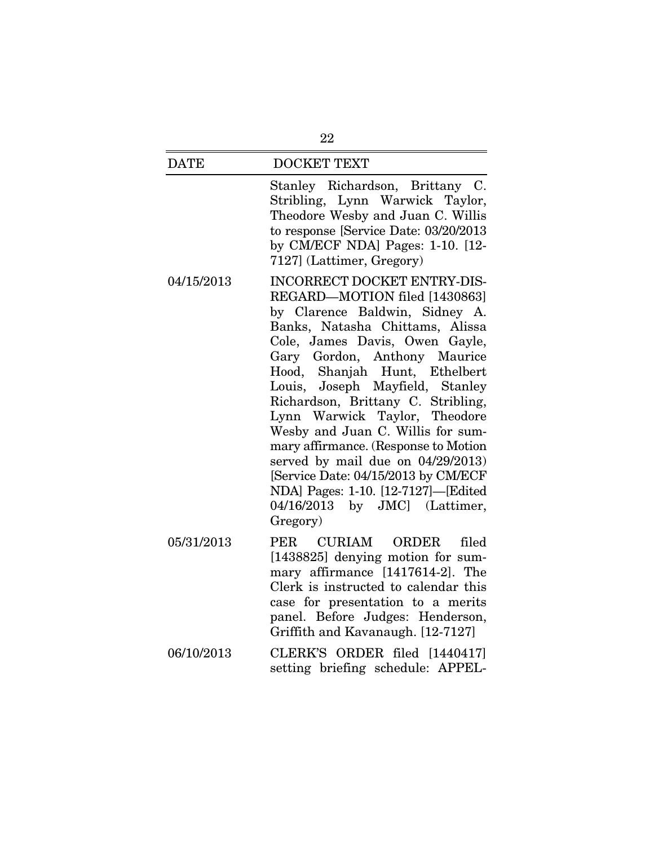#### DATE DOCKET TEXT

Stanley Richardson, Brittany C. Stribling, Lynn Warwick Taylor, Theodore Wesby and Juan C. Willis to response [Service Date: 03/20/2013 by CM/ECF NDA] Pages: 1-10. [12- 7127] (Lattimer, Gregory)

- 04/15/2013 INCORRECT DOCKET ENTRY-DIS-REGARD—MOTION filed [1430863] by Clarence Baldwin, Sidney A. Banks, Natasha Chittams, Alissa Cole, James Davis, Owen Gayle, Gary Gordon, Anthony Maurice Hood, Shanjah Hunt, Ethelbert Louis, Joseph Mayfield, Stanley Richardson, Brittany C. Stribling, Lynn Warwick Taylor, Theodore Wesby and Juan C. Willis for summary affirmance. (Response to Motion served by mail due on 04/29/2013) [Service Date: 04/15/2013 by CM/ECF NDA] Pages: 1-10. [12-7127]—[Edited 04/16/2013 by JMC] (Lattimer, Gregory)
- 05/31/2013 PER CURIAM ORDER filed [1438825] denying motion for summary affirmance [1417614-2]. The Clerk is instructed to calendar this case for presentation to a merits panel. Before Judges: Henderson, Griffith and Kavanaugh. [12-7127]
- 06/10/2013 CLERK'S ORDER filed [1440417] setting briefing schedule: APPEL-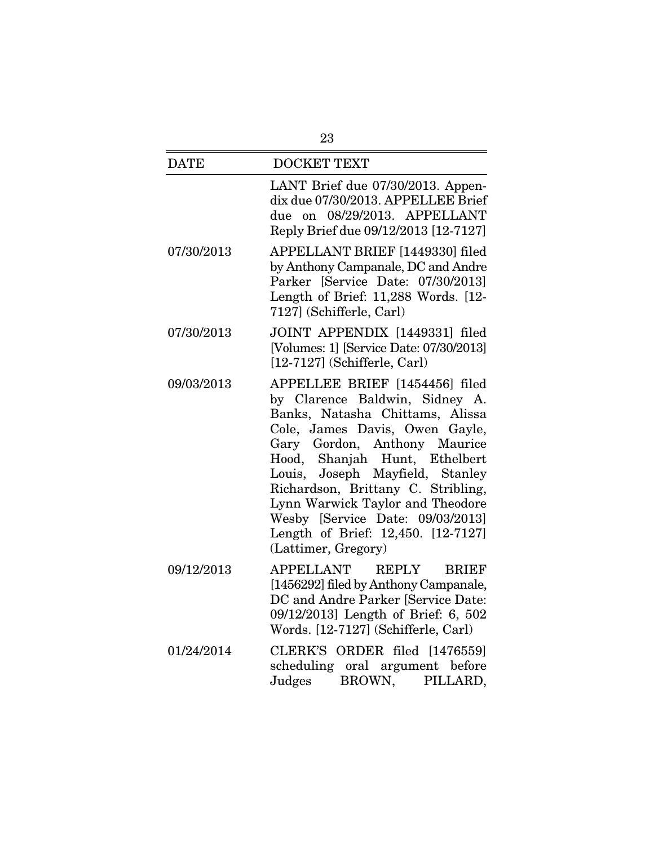| 23          |                                                                                                                                                                                                                                                                                                                                                                                                                      |
|-------------|----------------------------------------------------------------------------------------------------------------------------------------------------------------------------------------------------------------------------------------------------------------------------------------------------------------------------------------------------------------------------------------------------------------------|
| <b>DATE</b> | <b>DOCKET TEXT</b>                                                                                                                                                                                                                                                                                                                                                                                                   |
|             | LANT Brief due 07/30/2013. Appen-<br>dix due 07/30/2013. APPELLEE Brief<br>on 08/29/2013. APPELLANT<br>due<br>Reply Brief due 09/12/2013 [12-7127]                                                                                                                                                                                                                                                                   |
| 07/30/2013  | APPELLANT BRIEF [1449330] filed<br>by Anthony Campanale, DC and Andre<br>Parker [Service Date: 07/30/2013]<br>Length of Brief: 11,288 Words. [12-<br>7127] (Schifferle, Carl)                                                                                                                                                                                                                                        |
| 07/30/2013  | JOINT APPENDIX [1449331] filed<br>[Volumes: 1] [Service Date: 07/30/2013]<br>$[12-7127]$ (Schifferle, Carl)                                                                                                                                                                                                                                                                                                          |
| 09/03/2013  | APPELLEE BRIEF [1454456] filed<br>by Clarence Baldwin, Sidney A.<br>Banks, Natasha Chittams, Alissa<br>Cole, James Davis, Owen Gayle,<br>Gary Gordon, Anthony Maurice<br>Hood, Shanjah Hunt, Ethelbert<br>Louis, Joseph Mayfield, Stanley<br>Richardson, Brittany C. Stribling,<br>Lynn Warwick Taylor and Theodore<br>Wesby [Service Date: 09/03/2013]<br>Length of Brief: 12,450. [12-7127]<br>(Lattimer, Gregory) |
| 09/12/2013  | APPELLANT<br>REPLY<br><b>BRIEF</b><br>[1456292] filed by Anthony Campanale,<br>DC and Andre Parker [Service Date:<br>09/12/2013] Length of Brief: 6, 502<br>Words. [12-7127] (Schifferle, Carl)                                                                                                                                                                                                                      |
| 01/24/2014  | CLERK'S ORDER filed [1476559]<br>scheduling oral argument before<br>Judges<br>BROWN,<br>PILLARD,                                                                                                                                                                                                                                                                                                                     |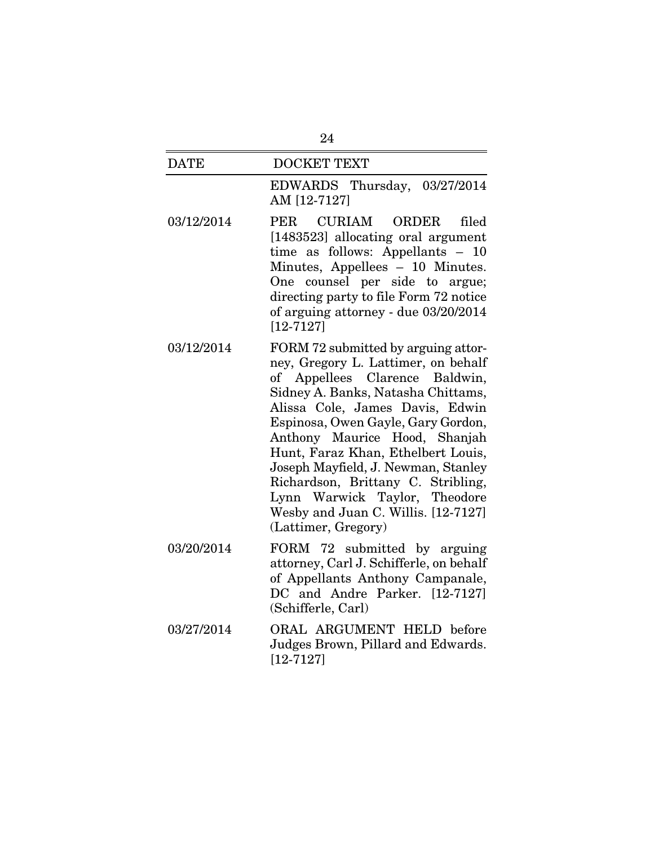| <b>DATE</b> | <b>DOCKET TEXT</b>                                                                                                                                                                                                                                                                                                                                                                                                                                                             |
|-------------|--------------------------------------------------------------------------------------------------------------------------------------------------------------------------------------------------------------------------------------------------------------------------------------------------------------------------------------------------------------------------------------------------------------------------------------------------------------------------------|
|             | EDWARDS Thursday, 03/27/2014<br>AM [12-7127]                                                                                                                                                                                                                                                                                                                                                                                                                                   |
| 03/12/2014  | CURIAM ORDER<br><b>PER</b><br>filed<br>[1483523] allocating oral argument<br>time as follows: Appellants $-$<br>10<br>Minutes, Appellees - 10 Minutes.<br>counsel per side to argue;<br>One<br>directing party to file Form 72 notice<br>of arguing attorney - due 03/20/2014<br>$[12 - 7127]$                                                                                                                                                                                 |
| 03/12/2014  | FORM 72 submitted by arguing attor-<br>ney, Gregory L. Lattimer, on behalf<br>of Appellees Clarence Baldwin,<br>Sidney A. Banks, Natasha Chittams,<br>Alissa Cole, James Davis, Edwin<br>Espinosa, Owen Gayle, Gary Gordon,<br>Anthony Maurice Hood, Shanjah<br>Hunt, Faraz Khan, Ethelbert Louis,<br>Joseph Mayfield, J. Newman, Stanley<br>Richardson, Brittany C. Stribling,<br>Lynn Warwick Taylor, Theodore<br>Wesby and Juan C. Willis. [12-7127]<br>(Lattimer, Gregory) |
| 03/20/2014  | FORM 72 submitted by arguing<br>attorney, Carl J. Schifferle, on behalf<br>of Appellants Anthony Campanale,<br>DC and Andre Parker. [12-7127]<br>(Schifferle, Carl)                                                                                                                                                                                                                                                                                                            |
| 03/27/2014  | ORAL ARGUMENT HELD before<br>Judges Brown, Pillard and Edwards.<br>$[12 - 7127]$                                                                                                                                                                                                                                                                                                                                                                                               |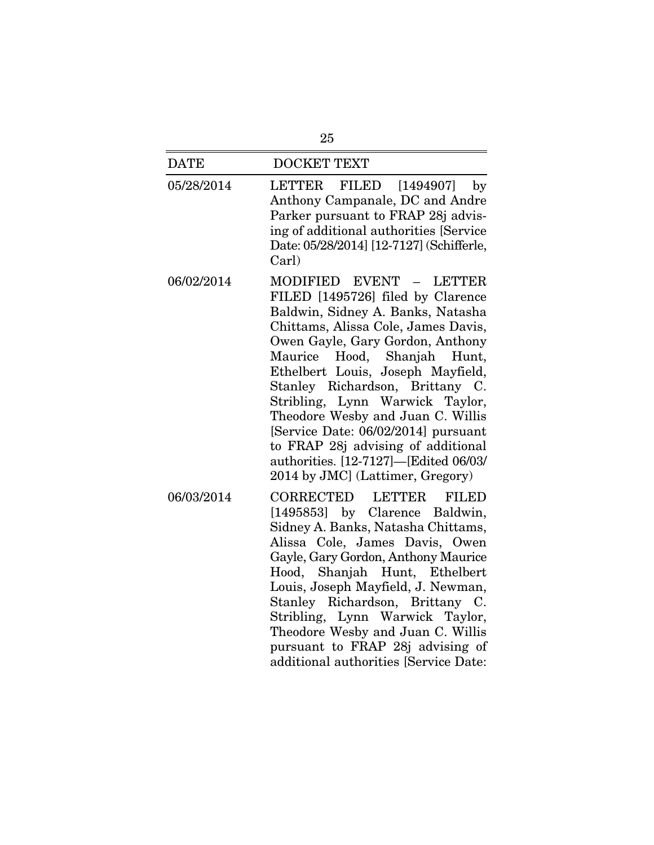| 25          |                                                                                                                                                                                                                                                                                                                                                                                                                                                                                                                          |  |
|-------------|--------------------------------------------------------------------------------------------------------------------------------------------------------------------------------------------------------------------------------------------------------------------------------------------------------------------------------------------------------------------------------------------------------------------------------------------------------------------------------------------------------------------------|--|
| <b>DATE</b> | <b>DOCKET TEXT</b>                                                                                                                                                                                                                                                                                                                                                                                                                                                                                                       |  |
| 05/28/2014  | <b>LETTER</b><br>FILED<br>$\left[1494907\right]$<br>by<br>Anthony Campanale, DC and Andre<br>Parker pursuant to FRAP 28j advis-<br>ing of additional authorities [Service<br>Date: 05/28/2014] [12-7127] (Schifferle,<br>Carl)                                                                                                                                                                                                                                                                                           |  |
| 06/02/2014  | MODIFIED EVENT - LETTER<br>FILED [1495726] filed by Clarence<br>Baldwin, Sidney A. Banks, Natasha<br>Chittams, Alissa Cole, James Davis,<br>Owen Gayle, Gary Gordon, Anthony<br>Hood, Shanjah Hunt,<br>Maurice<br>Ethelbert Louis, Joseph Mayfield,<br>Stanley Richardson, Brittany C.<br>Stribling, Lynn Warwick Taylor,<br>Theodore Wesby and Juan C. Willis<br>[Service Date: 06/02/2014] pursuant<br>to FRAP 28j advising of additional<br>authorities. [12-7127]-[Edited 06/03/<br>2014 by JMC] (Lattimer, Gregory) |  |
| 06/03/2014  | <b>CORRECTED</b><br><b>LETTER</b><br><b>FILED</b><br>[1495853] by Clarence Baldwin,<br>Sidney A. Banks, Natasha Chittams,<br>Alissa Cole, James Davis, Owen<br>Gayle, Gary Gordon, Anthony Maurice<br>Hood, Shanjah Hunt, Ethelbert<br>Louis, Joseph Mayfield, J. Newman,<br>Stanley Richardson, Brittany C.<br>Stribling, Lynn Warwick Taylor,<br>Theodore Wesby and Juan C. Willis<br>pursuant to FRAP 28j advising of<br>additional authorities [Service Date:                                                        |  |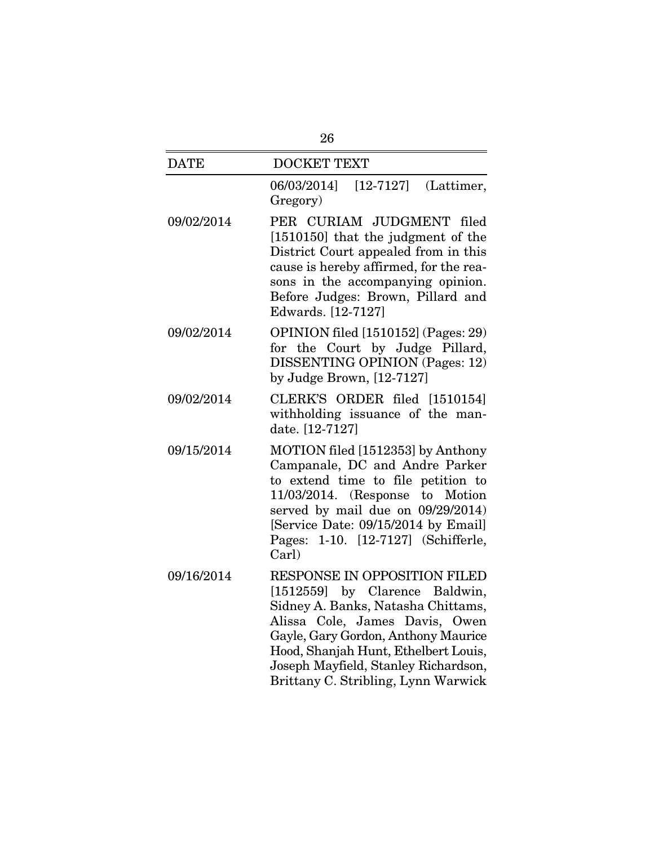| 26          |                                                                                                                                                                                                                                                                                                      |  |
|-------------|------------------------------------------------------------------------------------------------------------------------------------------------------------------------------------------------------------------------------------------------------------------------------------------------------|--|
| <b>DATE</b> | <b>DOCKET TEXT</b>                                                                                                                                                                                                                                                                                   |  |
|             | 06/03/2014]<br>$[12-7127]$ (Lattimer,<br>Gregory)                                                                                                                                                                                                                                                    |  |
| 09/02/2014  | PER CURIAM JUDGMENT filed<br>[1510150] that the judgment of the<br>District Court appealed from in this<br>cause is hereby affirmed, for the rea-<br>sons in the accompanying opinion.<br>Before Judges: Brown, Pillard and<br>Edwards. [12-7127]                                                    |  |
| 09/02/2014  | OPINION filed [1510152] (Pages: 29)<br>for the Court by Judge Pillard,<br><b>DISSENTING OPINION (Pages: 12)</b><br>by Judge Brown, [12-7127]                                                                                                                                                         |  |
| 09/02/2014  | CLERK'S ORDER filed [1510154]<br>withholding issuance of the man-<br>date. [12-7127]                                                                                                                                                                                                                 |  |
| 09/15/2014  | MOTION filed [1512353] by Anthony<br>Campanale, DC and Andre Parker<br>to extend time to file petition to<br>$11/03/2014$ . (Response to Motion<br>served by mail due on $09/29/2014$ )<br>[Service Date: 09/15/2014 by Email]<br>Pages: 1-10. [12-7127] (Schifferle,<br>Carl)                       |  |
| 09/16/2014  | RESPONSE IN OPPOSITION FILED<br>[1512559] by Clarence Baldwin,<br>Sidney A. Banks, Natasha Chittams,<br>Alissa Cole, James Davis, Owen<br>Gayle, Gary Gordon, Anthony Maurice<br>Hood, Shanjah Hunt, Ethelbert Louis,<br>Joseph Mayfield, Stanley Richardson,<br>Brittany C. Stribling, Lynn Warwick |  |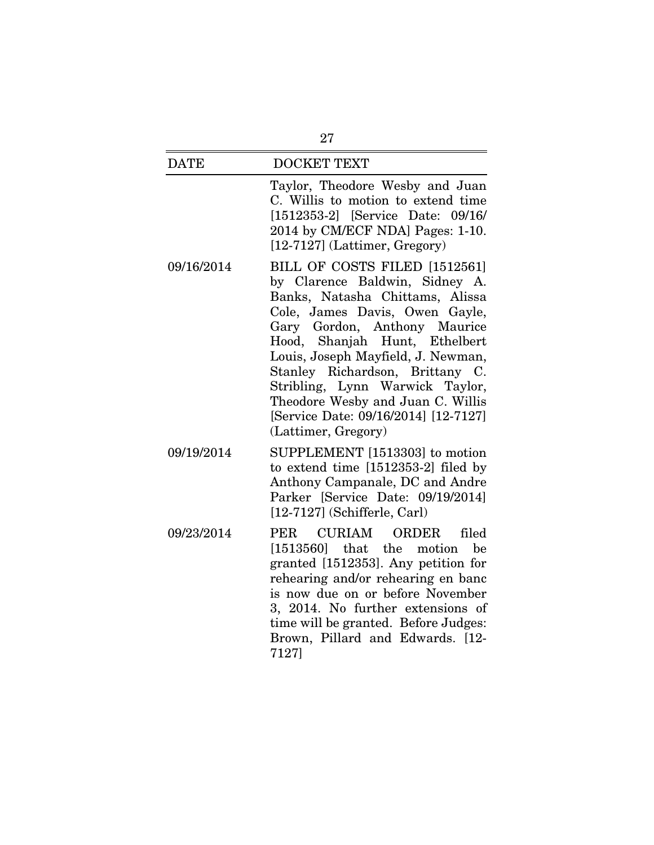| <b>DATE</b> | <b>DOCKET TEXT</b>                                                                                                                                                                                                                                                                                                                                                                                                    |
|-------------|-----------------------------------------------------------------------------------------------------------------------------------------------------------------------------------------------------------------------------------------------------------------------------------------------------------------------------------------------------------------------------------------------------------------------|
|             | Taylor, Theodore Wesby and Juan<br>C. Willis to motion to extend time<br>[1512353-2] [Service Date: 09/16/<br>2014 by CM/ECF NDA] Pages: 1-10.<br>$[12-7127]$ (Lattimer, Gregory)                                                                                                                                                                                                                                     |
| 09/16/2014  | BILL OF COSTS FILED [1512561]<br>by Clarence Baldwin, Sidney A.<br>Banks, Natasha Chittams, Alissa<br>Cole, James Davis, Owen Gayle,<br>Gary Gordon, Anthony Maurice<br>Hood, Shanjah Hunt, Ethelbert<br>Louis, Joseph Mayfield, J. Newman,<br>Stanley Richardson, Brittany C.<br>Stribling, Lynn Warwick Taylor,<br>Theodore Wesby and Juan C. Willis<br>[Service Date: 09/16/2014] [12-7127]<br>(Lattimer, Gregory) |
| 09/19/2014  | SUPPLEMENT [1513303] to motion<br>to extend time [1512353-2] filed by<br>Anthony Campanale, DC and Andre<br>Parker [Service Date: 09/19/2014]<br>$[12-7127]$ (Schifferle, Carl)                                                                                                                                                                                                                                       |
| 09/23/2014  | CURIAM<br>ORDER<br>PER<br>filed<br>$[1513560]$ that the<br>motion<br>be<br>granted [1512353]. Any petition for<br>rehearing and/or rehearing en banc<br>is now due on or before November<br>3, 2014. No further extensions of<br>time will be granted. Before Judges:<br>Brown, Pillard and Edwards. [12-<br>7127]                                                                                                    |

27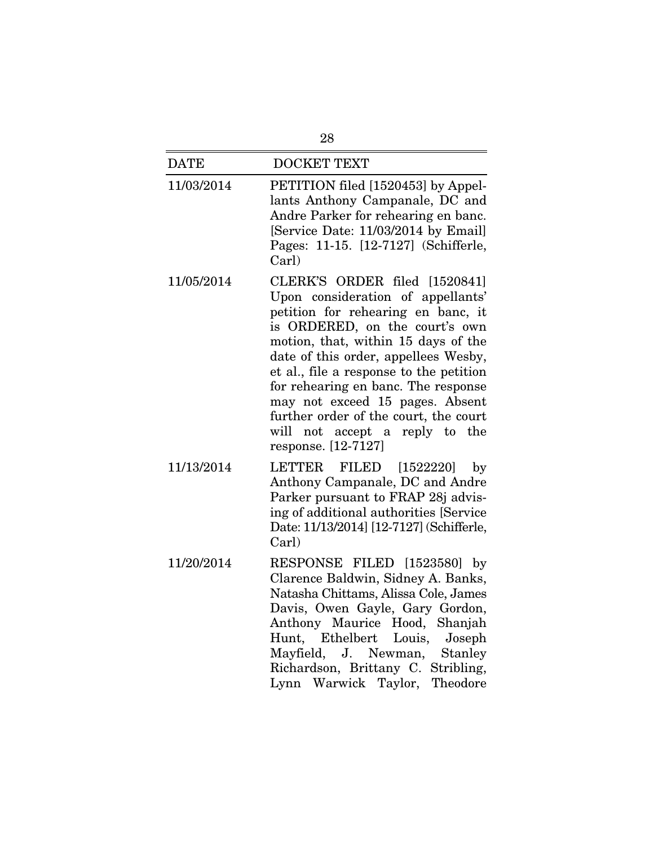| 28          |                                                                                                                                                                                                                                                                                                                                                                                                                                                     |  |
|-------------|-----------------------------------------------------------------------------------------------------------------------------------------------------------------------------------------------------------------------------------------------------------------------------------------------------------------------------------------------------------------------------------------------------------------------------------------------------|--|
| <b>DATE</b> | <b>DOCKET TEXT</b>                                                                                                                                                                                                                                                                                                                                                                                                                                  |  |
| 11/03/2014  | PETITION filed [1520453] by Appel-<br>lants Anthony Campanale, DC and<br>Andre Parker for rehearing en banc.<br>[Service Date: 11/03/2014 by Email]<br>Pages: 11-15. [12-7127] (Schifferle,<br>Carl)                                                                                                                                                                                                                                                |  |
| 11/05/2014  | CLERK'S ORDER filed [1520841]<br>Upon consideration of appellants'<br>petition for rehearing en banc, it<br>is ORDERED, on the court's own<br>motion, that, within 15 days of the<br>date of this order, appellees Wesby,<br>et al., file a response to the petition<br>for rehearing en banc. The response<br>may not exceed 15 pages. Absent<br>further order of the court, the court<br>will not accept a<br>reply to the<br>response. [12-7127] |  |
| 11/13/2014  | LETTER FILED [1522220]<br>by<br>Anthony Campanale, DC and Andre<br>Parker pursuant to FRAP 28j advis-<br>ing of additional authorities [Service<br>Date: 11/13/2014] [12-7127] (Schifferle,<br>Carl)                                                                                                                                                                                                                                                |  |
| 11/20/2014  | RESPONSE FILED [1523580] by<br>Clarence Baldwin, Sidney A. Banks,<br>Natasha Chittams, Alissa Cole, James<br>Davis, Owen Gayle, Gary Gordon,<br>Anthony Maurice Hood, Shanjah<br>Hunt, Ethelbert Louis,<br>Joseph<br>Mayfield, J. Newman, Stanley<br>Richardson, Brittany C. Stribling,<br>Lynn Warwick Taylor, Theodore                                                                                                                            |  |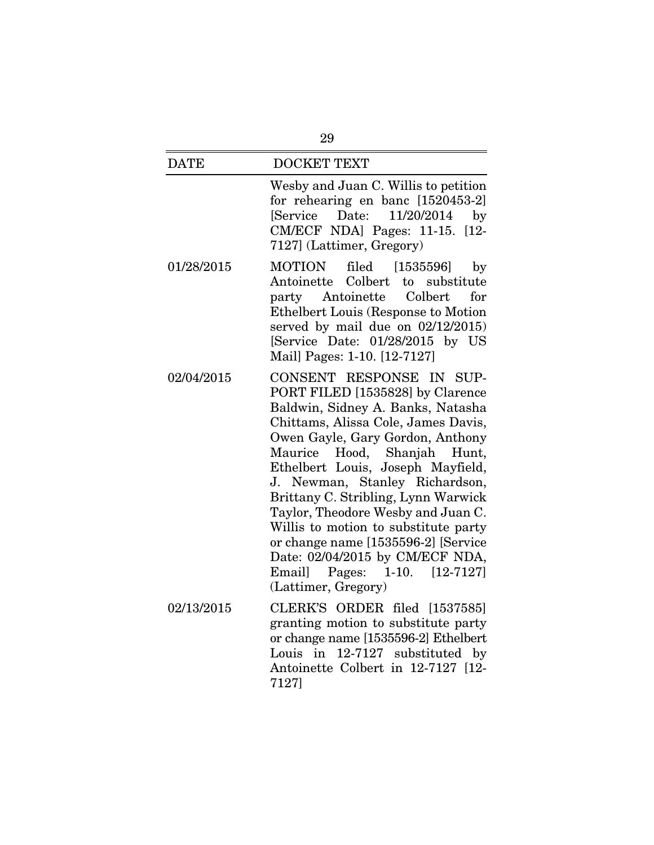## DATE DOCKET TEXT Wesby and Juan C. Willis to petition for rehearing en banc [1520453-2] [Service Date: 11/20/2014 by CM/ECF NDA] Pages: 11-15. [12- 7127] (Lattimer, Gregory) 01/28/2015 MOTION filed [1535596] by Antoinette Colbert to substitute party Antoinette Colbert for Ethelbert Louis (Response to Motion served by mail due on 02/12/2015) [Service Date: 01/28/2015 by US Mail] Pages: 1-10. [12-7127] 02/04/2015 CONSENT RESPONSE IN SUP-PORT FILED [1535828] by Clarence Baldwin, Sidney A. Banks, Natasha Chittams, Alissa Cole, James Davis, Owen Gayle, Gary Gordon, Anthony Maurice Hood, Shanjah Hunt, Ethelbert Louis, Joseph Mayfield, J. Newman, Stanley Richardson, Brittany C. Stribling, Lynn Warwick Taylor, Theodore Wesby and Juan C. Willis to motion to substitute party or change name [1535596-2] [Service Date: 02/04/2015 by CM/ECF NDA, Email] Pages: 1-10. [12-7127] (Lattimer, Gregory)

02/13/2015 CLERK'S ORDER filed [1537585] granting motion to substitute party or change name [1535596-2] Ethelbert Louis in 12-7127 substituted by Antoinette Colbert in 12-7127 [12- 7127]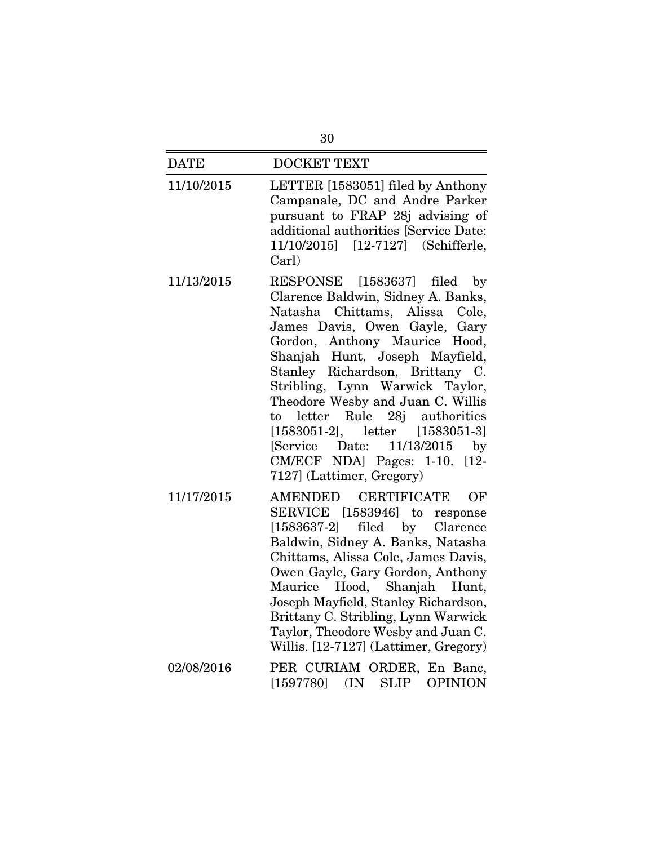| <b>DATE</b> | <b>DOCKET TEXT</b>                                                                                                                                                                                                                                                                                                                                                                                                                                                                                                 |
|-------------|--------------------------------------------------------------------------------------------------------------------------------------------------------------------------------------------------------------------------------------------------------------------------------------------------------------------------------------------------------------------------------------------------------------------------------------------------------------------------------------------------------------------|
| 11/10/2015  | LETTER [1583051] filed by Anthony<br>Campanale, DC and Andre Parker<br>pursuant to FRAP 28j advising of<br>additional authorities [Service Date:<br>11/10/2015] [12-7127] (Schifferle,<br>Carl)                                                                                                                                                                                                                                                                                                                    |
| 11/13/2015  | RESPONSE<br>[1583637]<br>filed<br>by<br>Clarence Baldwin, Sidney A. Banks,<br>Chittams, Alissa Cole,<br>Natasha<br>James Davis, Owen Gayle, Gary<br>Anthony Maurice Hood,<br>Gordon,<br>Shanjah Hunt, Joseph Mayfield,<br>Stanley Richardson, Brittany C.<br>Stribling, Lynn Warwick Taylor,<br>Theodore Wesby and Juan C. Willis<br>to letter Rule 28j authorities<br>$[1583051-2],$<br>letter [1583051-3]<br>[Service Date: 11/13/2015]<br>by<br>CM/ECF NDA] Pages: 1-10.<br>$[12-$<br>7127] (Lattimer, Gregory) |
| 11/17/2015  | <b>CERTIFICATE</b><br>AMENDED<br>OF<br>SERVICE [1583946] to<br>response<br>filed by Clarence<br>$[1583637-2]$<br>Baldwin, Sidney A. Banks, Natasha<br>Chittams, Alissa Cole, James Davis,<br>Owen Gayle, Gary Gordon, Anthony<br>Hood, Shanjah Hunt,<br>Maurice<br>Joseph Mayfield, Stanley Richardson,<br>Brittany C. Stribling, Lynn Warwick<br>Taylor, Theodore Wesby and Juan C.<br>Willis. [12-7127] (Lattimer, Gregory)                                                                                      |
| 02/08/2016  | PER CURIAM ORDER, En Banc,<br><b>SLIP</b><br>[1597780]<br>(IN)<br><b>OPINION</b>                                                                                                                                                                                                                                                                                                                                                                                                                                   |

30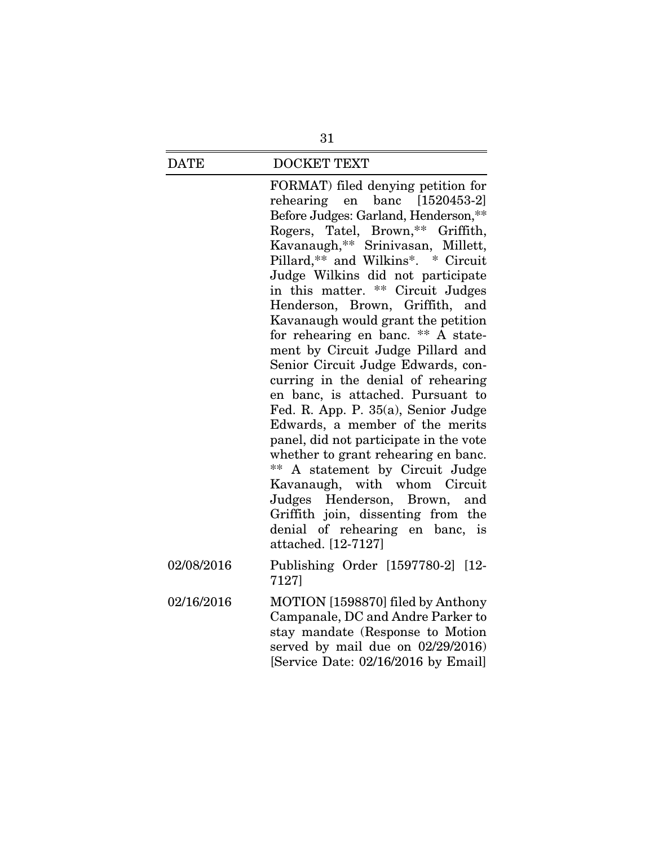#### DATE DOCKET TEXT

FORMAT) filed denying petition for rehearing en banc [1520453-2] Before Judges: Garland, Henderson,\*\* Rogers, Tatel, Brown,\*\* Griffith, Kavanaugh,\*\* Srinivasan, Millett, Pillard,\*\* and Wilkins\*. \* Circuit Judge Wilkins did not participate in this matter. \*\* Circuit Judges Henderson, Brown, Griffith, and Kavanaugh would grant the petition for rehearing en banc. \*\* A statement by Circuit Judge Pillard and Senior Circuit Judge Edwards, concurring in the denial of rehearing en banc, is attached. Pursuant to Fed. R. App. P. 35(a), Senior Judge Edwards, a member of the merits panel, did not participate in the vote whether to grant rehearing en banc. \*\* A statement by Circuit Judge Kavanaugh, with whom Circuit Judges Henderson, Brown, and Griffith join, dissenting from the denial of rehearing en banc, is attached. [12-7127]

- 02/08/2016 Publishing Order [1597780-2] [12- 7127]
- 02/16/2016 MOTION [1598870] filed by Anthony Campanale, DC and Andre Parker to stay mandate (Response to Motion served by mail due on 02/29/2016) [Service Date: 02/16/2016 by Email]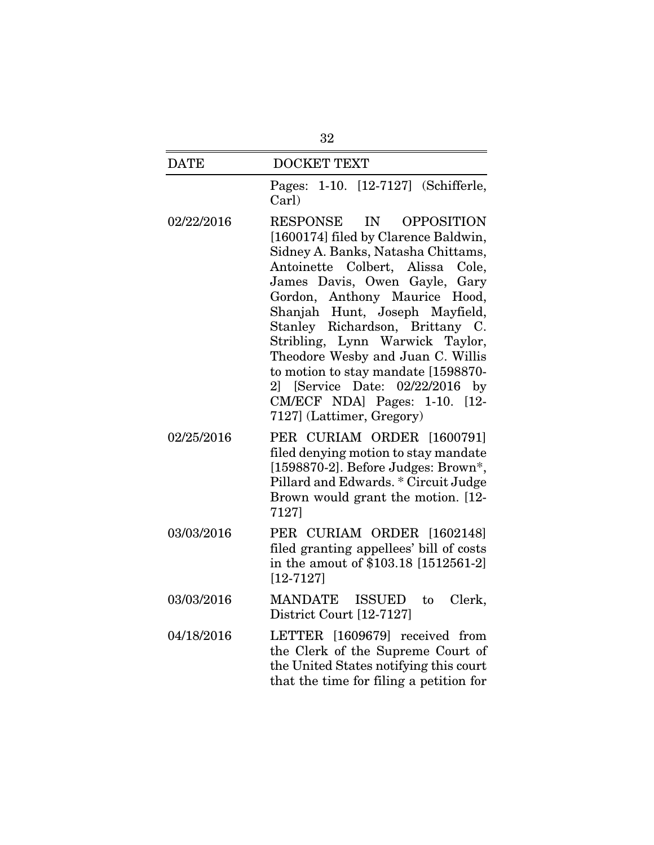| <b>DATE</b> | <b>DOCKET TEXT</b>                                                                                                                                                                                                                                                                                                                                                                                                                                                                                                                 |
|-------------|------------------------------------------------------------------------------------------------------------------------------------------------------------------------------------------------------------------------------------------------------------------------------------------------------------------------------------------------------------------------------------------------------------------------------------------------------------------------------------------------------------------------------------|
|             | 1-10. [12-7127] (Schifferle,<br>Pages:<br>Carl)                                                                                                                                                                                                                                                                                                                                                                                                                                                                                    |
| 02/22/2016  | <b>RESPONSE</b><br>IN<br><b>OPPOSITION</b><br>[1600174] filed by Clarence Baldwin,<br>Sidney A. Banks, Natasha Chittams,<br>Antoinette Colbert, Alissa<br>Cole.<br>James Davis, Owen Gayle,<br>Gary<br>Gordon, Anthony Maurice Hood,<br>Shanjah Hunt, Joseph Mayfield,<br>Stanley Richardson, Brittany C.<br>Stribling, Lynn Warwick Taylor,<br>Theodore Wesby and Juan C. Willis<br>to motion to stay mandate [1598870-<br>02/22/2016<br>[Service Date:<br>21<br>by<br>CM/ECF NDA] Pages: 1-10. [12-<br>7127] (Lattimer, Gregory) |
| 02/25/2016  | PER CURIAM ORDER [1600791]<br>filed denying motion to stay mandate<br>[1598870-2]. Before Judges: Brown*,<br>Pillard and Edwards. * Circuit Judge<br>Brown would grant the motion. [12-<br>7127]                                                                                                                                                                                                                                                                                                                                   |
| 03/03/2016  | PER CURIAM ORDER [1602148]<br>filed granting appellees' bill of costs<br>in the amout of \$103.18 [1512561-2]<br>$[12 - 7127]$                                                                                                                                                                                                                                                                                                                                                                                                     |
| 03/03/2016  | MANDATE<br>ISSUED<br>Clerk,<br>to<br>District Court [12-7127]                                                                                                                                                                                                                                                                                                                                                                                                                                                                      |
| 04/18/2016  | LETTER [1609679] received from<br>the Clerk of the Supreme Court of<br>the United States notifying this court<br>that the time for filing a petition for                                                                                                                                                                                                                                                                                                                                                                           |

32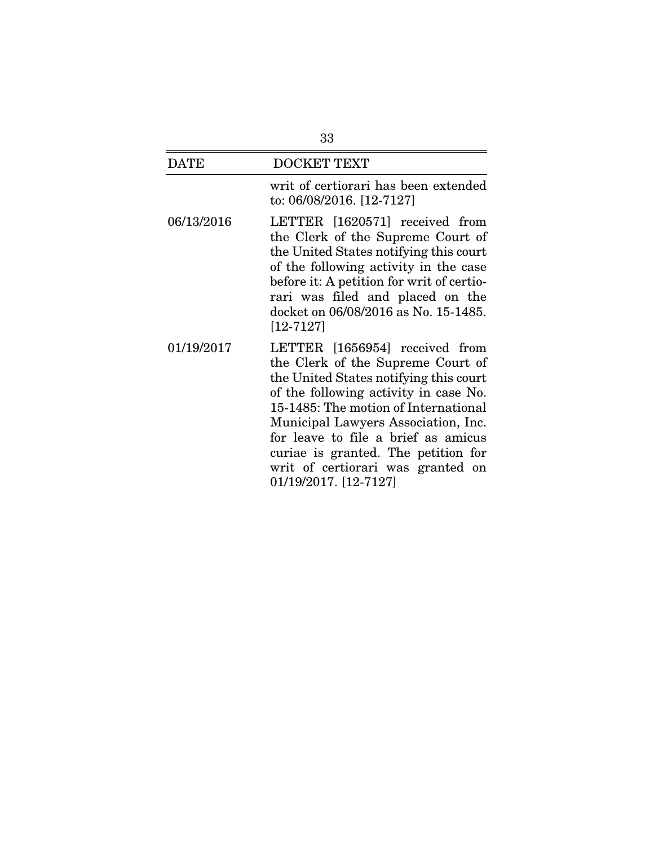| 33         |                                                                                                                                                                                                                                                                                                                                                                                   |
|------------|-----------------------------------------------------------------------------------------------------------------------------------------------------------------------------------------------------------------------------------------------------------------------------------------------------------------------------------------------------------------------------------|
| DATE       | <b>DOCKET TEXT</b>                                                                                                                                                                                                                                                                                                                                                                |
|            | writ of certiorari has been extended<br>to: 06/08/2016. [12-7127]                                                                                                                                                                                                                                                                                                                 |
| 06/13/2016 | LETTER [1620571] received from<br>the Clerk of the Supreme Court of<br>the United States notifying this court<br>of the following activity in the case<br>before it: A petition for writ of certio-<br>rari was filed and placed on the<br>docket on 06/08/2016 as No. 15-1485.<br>$[12 - 7127]$                                                                                  |
| 01/19/2017 | LETTER [1656954] received from<br>the Clerk of the Supreme Court of<br>the United States notifying this court<br>of the following activity in case No.<br>15-1485: The motion of International<br>Municipal Lawyers Association, Inc.<br>for leave to file a brief as amicus<br>curiae is granted. The petition for<br>writ of certiorari was granted on<br>01/19/2017. [12-7127] |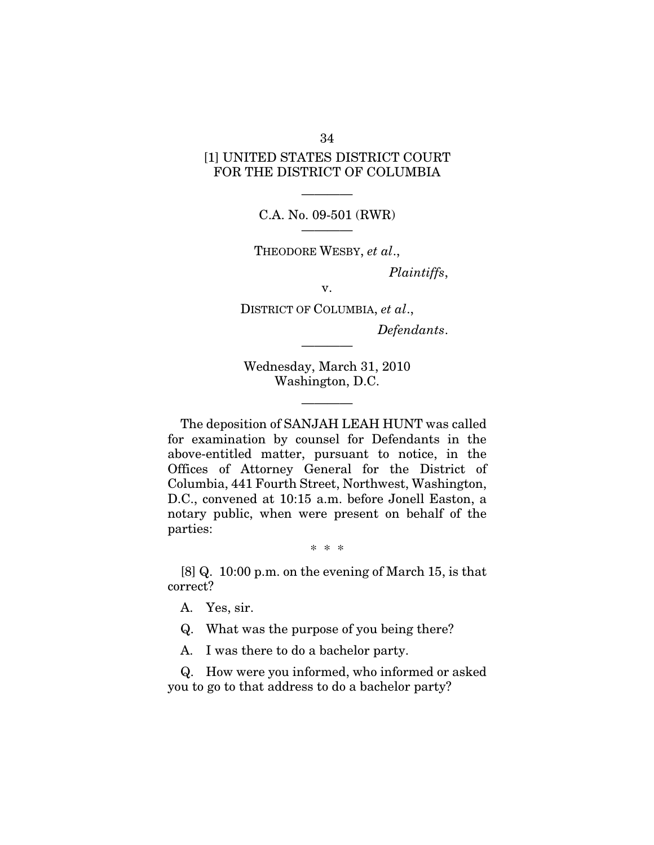# [1] UNITED STATES DISTRICT COURT FOR THE DISTRICT OF COLUMBIA

———— C.A. No. 09-501 (RWR) ————

THEODORE WESBY, *et al*.,

*Plaintiffs*,

v.

DISTRICT OF COLUMBIA, *et al*.,

*Defendants*.

Wednesday, March 31, 2010 Washington, D.C.

————

————

The deposition of SANJAH LEAH HUNT was called for examination by counsel for Defendants in the above-entitled matter, pursuant to notice, in the Offices of Attorney General for the District of Columbia, 441 Fourth Street, Northwest, Washington, D.C., convened at 10:15 a.m. before Jonell Easton, a notary public, when were present on behalf of the parties:

#### \* \* \*

[8] Q. 10:00 p.m. on the evening of March 15, is that correct?

A. Yes, sir.

Q. What was the purpose of you being there?

A. I was there to do a bachelor party.

Q. How were you informed, who informed or asked you to go to that address to do a bachelor party?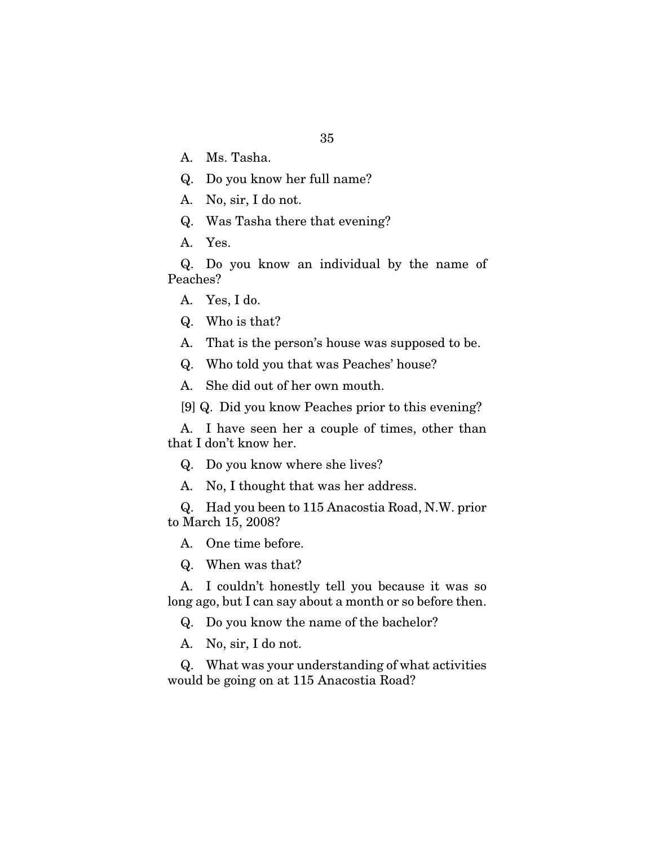- A. Ms. Tasha.
- Q. Do you know her full name?
- A. No, sir, I do not.
- Q. Was Tasha there that evening?
- A. Yes.

Q. Do you know an individual by the name of Peaches?

A. Yes, I do.

Q. Who is that?

A. That is the person's house was supposed to be.

Q. Who told you that was Peaches' house?

A. She did out of her own mouth.

[9] Q. Did you know Peaches prior to this evening?

A. I have seen her a couple of times, other than that I don't know her.

Q. Do you know where she lives?

A. No, I thought that was her address.

Q. Had you been to 115 Anacostia Road, N.W. prior to March 15, 2008?

A. One time before.

Q. When was that?

A. I couldn't honestly tell you because it was so long ago, but I can say about a month or so before then.

Q. Do you know the name of the bachelor?

A. No, sir, I do not.

Q. What was your understanding of what activities would be going on at 115 Anacostia Road?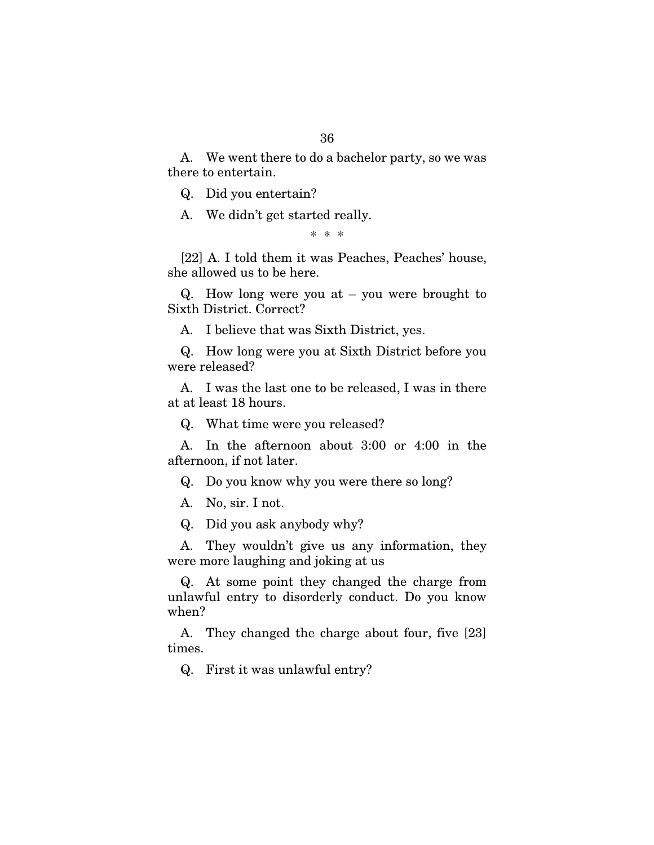A. We went there to do a bachelor party, so we was there to entertain.

Q. Did you entertain?

A. We didn't get started really.

\* \* \*

[22] A. I told them it was Peaches, Peaches' house, she allowed us to be here.

Q. How long were you at – you were brought to Sixth District. Correct?

A. I believe that was Sixth District, yes.

Q. How long were you at Sixth District before you were released?

A. I was the last one to be released, I was in there at at least 18 hours.

Q. What time were you released?

A. In the afternoon about 3:00 or 4:00 in the afternoon, if not later.

Q. Do you know why you were there so long?

A. No, sir. I not.

Q. Did you ask anybody why?

A. They wouldn't give us any information, they were more laughing and joking at us

Q. At some point they changed the charge from unlawful entry to disorderly conduct. Do you know when?

A. They changed the charge about four, five [23] times.

Q. First it was unlawful entry?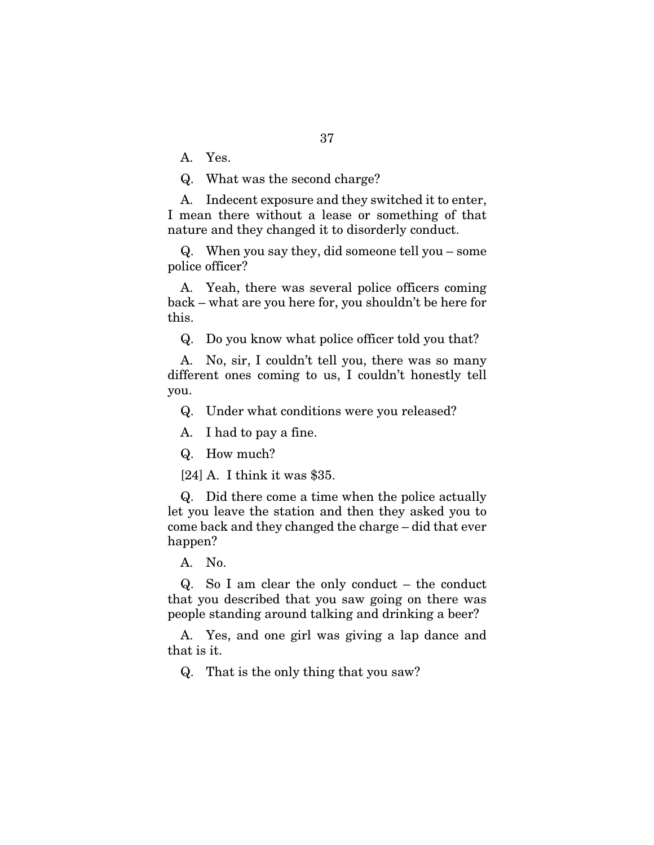A. Yes.

Q. What was the second charge?

A. Indecent exposure and they switched it to enter, I mean there without a lease or something of that nature and they changed it to disorderly conduct.

Q. When you say they, did someone tell you – some police officer?

A. Yeah, there was several police officers coming back – what are you here for, you shouldn't be here for this.

Q. Do you know what police officer told you that?

A. No, sir, I couldn't tell you, there was so many different ones coming to us, I couldn't honestly tell you.

Q. Under what conditions were you released?

A. I had to pay a fine.

Q. How much?

[24] A. I think it was \$35.

Q. Did there come a time when the police actually let you leave the station and then they asked you to come back and they changed the charge – did that ever happen?

A. No.

Q. So I am clear the only conduct – the conduct that you described that you saw going on there was people standing around talking and drinking a beer?

A. Yes, and one girl was giving a lap dance and that is it.

Q. That is the only thing that you saw?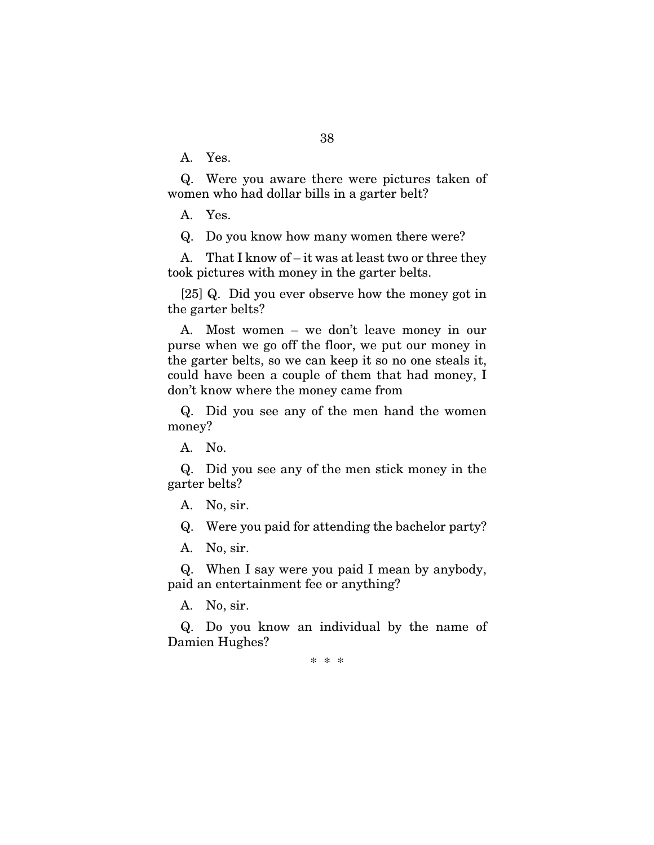38

A. Yes.

Q. Were you aware there were pictures taken of women who had dollar bills in a garter belt?

A. Yes.

Q. Do you know how many women there were?

A. That I know of – it was at least two or three they took pictures with money in the garter belts.

[25] Q. Did you ever observe how the money got in the garter belts?

A. Most women – we don't leave money in our purse when we go off the floor, we put our money in the garter belts, so we can keep it so no one steals it, could have been a couple of them that had money, I don't know where the money came from

Q. Did you see any of the men hand the women money?

A. No.

Q. Did you see any of the men stick money in the garter belts?

A. No, sir.

Q. Were you paid for attending the bachelor party?

A. No, sir.

Q. When I say were you paid I mean by anybody, paid an entertainment fee or anything?

A. No, sir.

Q. Do you know an individual by the name of Damien Hughes?

\* \* \*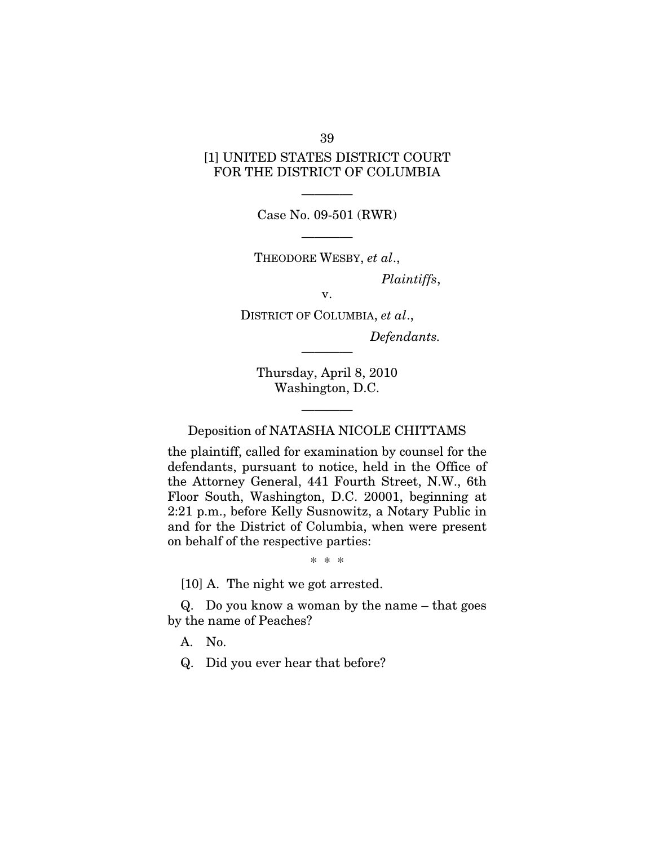# [1] UNITED STATES DISTRICT COURT FOR THE DISTRICT OF COLUMBIA

———— Case No. 09-501 (RWR)

————

THEODORE WESBY, *et al*.,

*Plaintiffs*,

v.

DISTRICT OF COLUMBIA, *et al*., *Defendants.* 

Thursday, April 8, 2010 Washington, D.C.

————

———— Deposition of NATASHA NICOLE CHITTAMS

the plaintiff, called for examination by counsel for the defendants, pursuant to notice, held in the Office of the Attorney General, 441 Fourth Street, N.W., 6th Floor South, Washington, D.C. 20001, beginning at 2:21 p.m., before Kelly Susnowitz, a Notary Public in and for the District of Columbia, when were present on behalf of the respective parties:

\* \* \*

[10] A. The night we got arrested.

Q. Do you know a woman by the name – that goes by the name of Peaches?

A. No.

Q. Did you ever hear that before?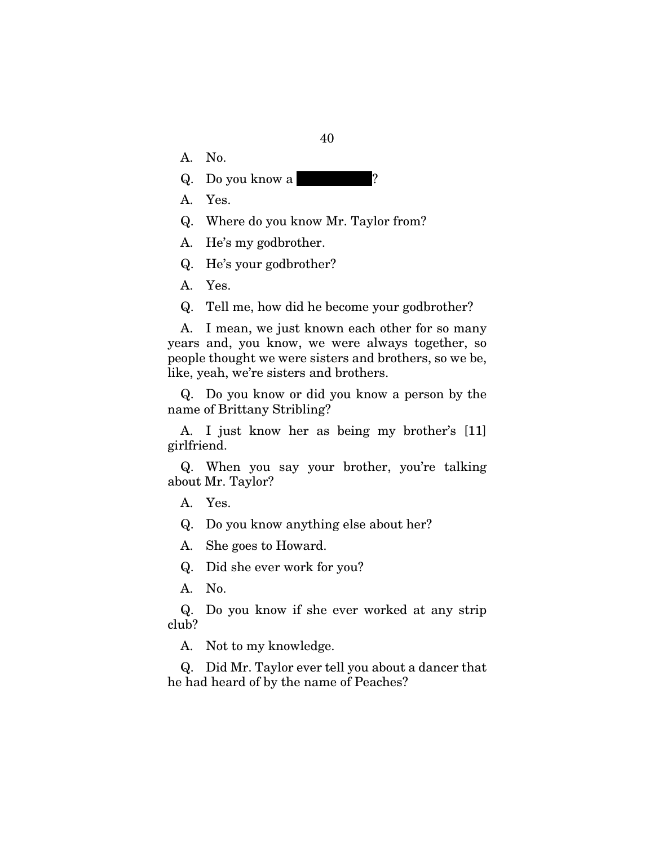- A. No.
- $Q.$  Do you know a
- A. Yes.
- Q. Where do you know Mr. Taylor from?
- A. He's my godbrother.
- Q. He's your godbrother?
- A. Yes.
- Q. Tell me, how did he become your godbrother?

A. I mean, we just known each other for so many years and, you know, we were always together, so people thought we were sisters and brothers, so we be, like, yeah, we're sisters and brothers.

Q. Do you know or did you know a person by the name of Brittany Stribling?

A. I just know her as being my brother's [11] girlfriend.

Q. When you say your brother, you're talking about Mr. Taylor?

A. Yes.

Q. Do you know anything else about her?

A. She goes to Howard.

Q. Did she ever work for you?

A. No.

Q. Do you know if she ever worked at any strip club?

A. Not to my knowledge.

Q. Did Mr. Taylor ever tell you about a dancer that he had heard of by the name of Peaches?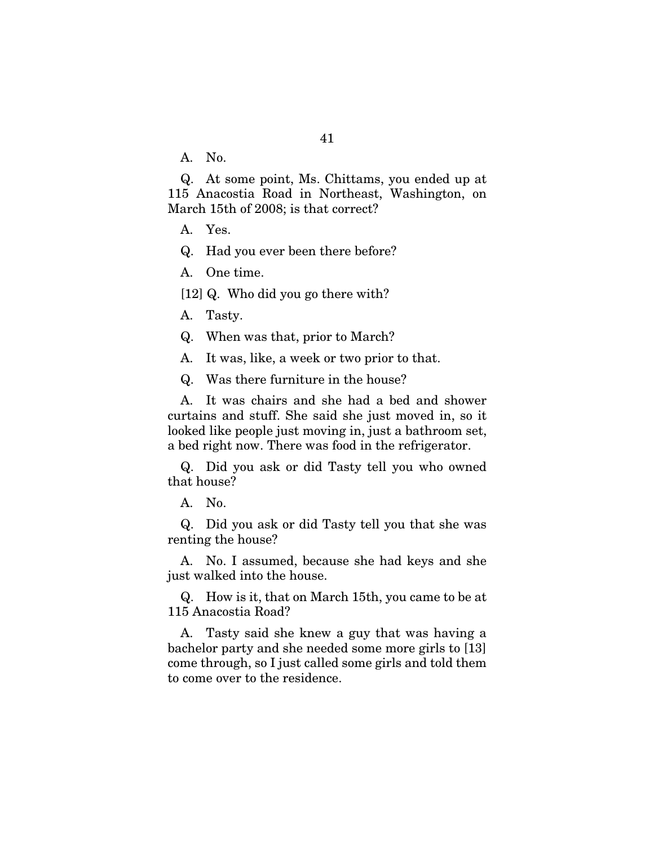A. No.

Q. At some point, Ms. Chittams, you ended up at 115 Anacostia Road in Northeast, Washington, on March 15th of 2008; is that correct?

A. Yes.

Q. Had you ever been there before?

A. One time.

[12] Q. Who did you go there with?

A. Tasty.

Q. When was that, prior to March?

A. It was, like, a week or two prior to that.

Q. Was there furniture in the house?

A. It was chairs and she had a bed and shower curtains and stuff. She said she just moved in, so it looked like people just moving in, just a bathroom set, a bed right now. There was food in the refrigerator.

Q. Did you ask or did Tasty tell you who owned that house?

A. No.

Q. Did you ask or did Tasty tell you that she was renting the house?

A. No. I assumed, because she had keys and she just walked into the house.

Q. How is it, that on March 15th, you came to be at 115 Anacostia Road?

A. Tasty said she knew a guy that was having a bachelor party and she needed some more girls to [13] come through, so I just called some girls and told them to come over to the residence.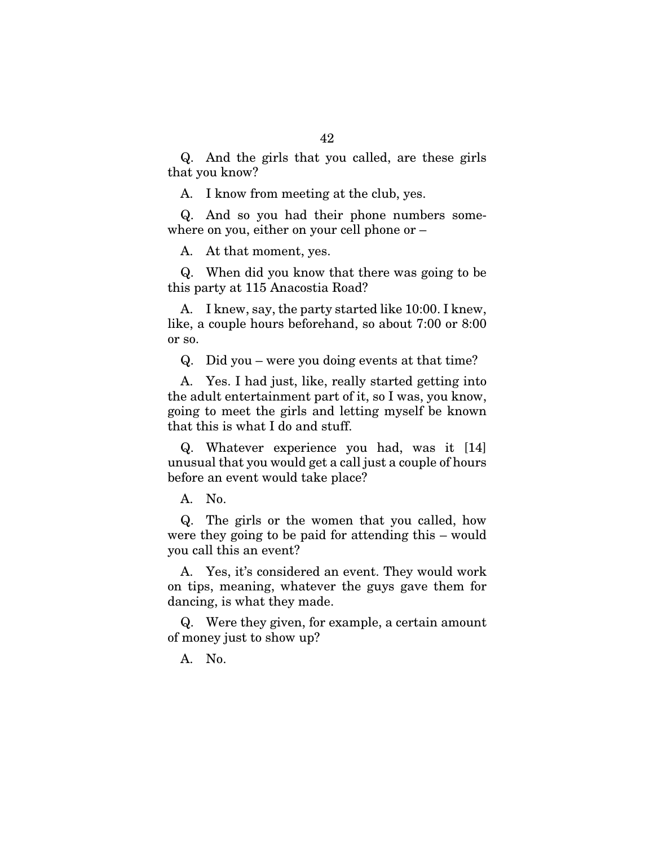Q. And the girls that you called, are these girls that you know?

A. I know from meeting at the club, yes.

Q. And so you had their phone numbers somewhere on you, either on your cell phone or –

A. At that moment, yes.

Q. When did you know that there was going to be this party at 115 Anacostia Road?

A. I knew, say, the party started like 10:00. I knew, like, a couple hours beforehand, so about 7:00 or 8:00 or so.

Q. Did you – were you doing events at that time?

A. Yes. I had just, like, really started getting into the adult entertainment part of it, so I was, you know, going to meet the girls and letting myself be known that this is what I do and stuff.

Q. Whatever experience you had, was it [14] unusual that you would get a call just a couple of hours before an event would take place?

A. No.

Q. The girls or the women that you called, how were they going to be paid for attending this – would you call this an event?

A. Yes, it's considered an event. They would work on tips, meaning, whatever the guys gave them for dancing, is what they made.

Q. Were they given, for example, a certain amount of money just to show up?

A. No.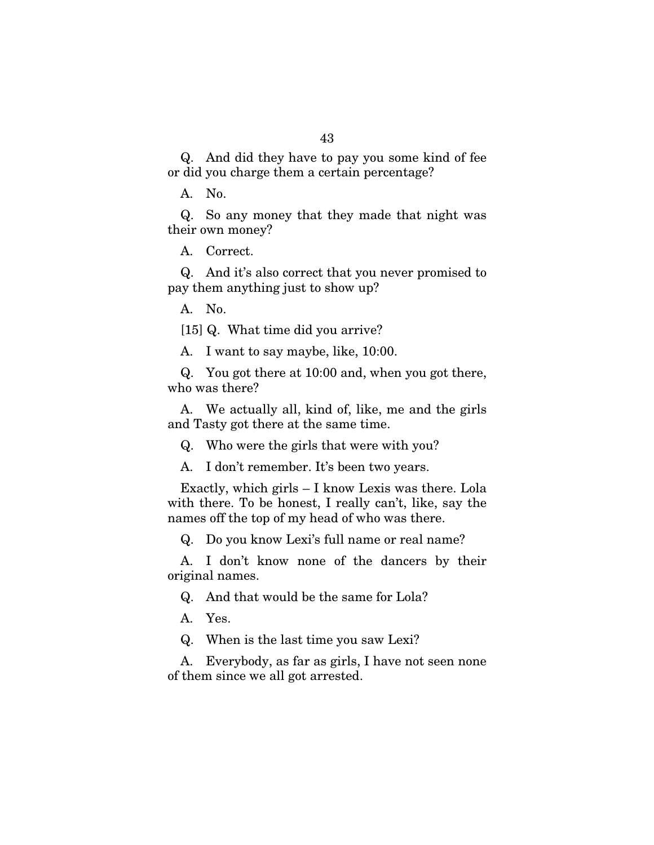Q. And did they have to pay you some kind of fee or did you charge them a certain percentage?

A. No.

Q. So any money that they made that night was their own money?

A. Correct.

Q. And it's also correct that you never promised to pay them anything just to show up?

A. No.

[15] Q. What time did you arrive?

A. I want to say maybe, like, 10:00.

Q. You got there at 10:00 and, when you got there, who was there?

A. We actually all, kind of, like, me and the girls and Tasty got there at the same time.

Q. Who were the girls that were with you?

A. I don't remember. It's been two years.

Exactly, which girls – I know Lexis was there. Lola with there. To be honest, I really can't, like, say the names off the top of my head of who was there.

Q. Do you know Lexi's full name or real name?

A. I don't know none of the dancers by their original names.

Q. And that would be the same for Lola?

A. Yes.

Q. When is the last time you saw Lexi?

A. Everybody, as far as girls, I have not seen none of them since we all got arrested.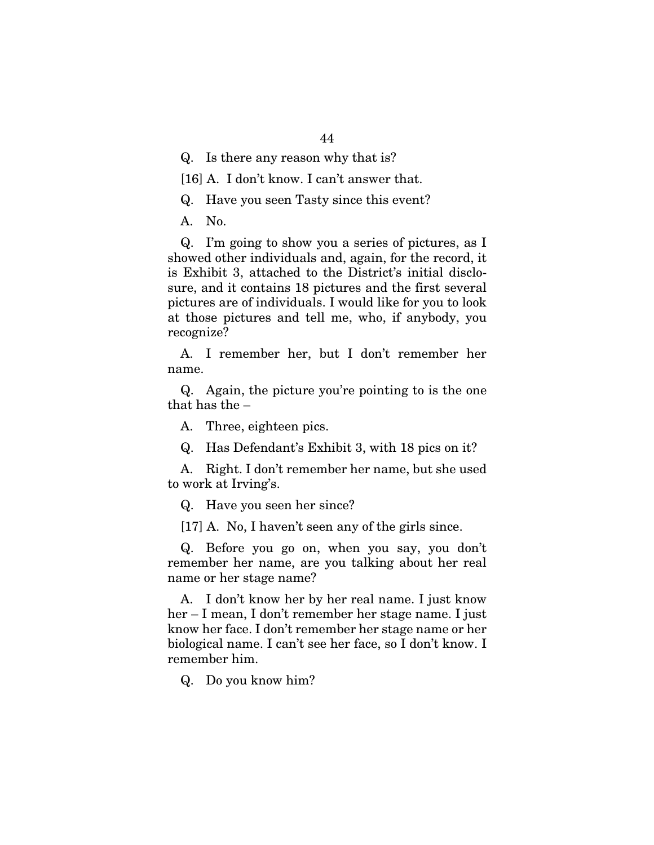Q. Is there any reason why that is?

[16] A. I don't know. I can't answer that.

Q. Have you seen Tasty since this event?

A. No.

Q. I'm going to show you a series of pictures, as I showed other individuals and, again, for the record, it is Exhibit 3, attached to the District's initial disclosure, and it contains 18 pictures and the first several pictures are of individuals. I would like for you to look at those pictures and tell me, who, if anybody, you recognize?

A. I remember her, but I don't remember her name.

Q. Again, the picture you're pointing to is the one that has the –

A. Three, eighteen pics.

Q. Has Defendant's Exhibit 3, with 18 pics on it?

A. Right. I don't remember her name, but she used to work at Irving's.

Q. Have you seen her since?

[17] A. No, I haven't seen any of the girls since.

Q. Before you go on, when you say, you don't remember her name, are you talking about her real name or her stage name?

A. I don't know her by her real name. I just know her – I mean, I don't remember her stage name. I just know her face. I don't remember her stage name or her biological name. I can't see her face, so I don't know. I remember him.

Q. Do you know him?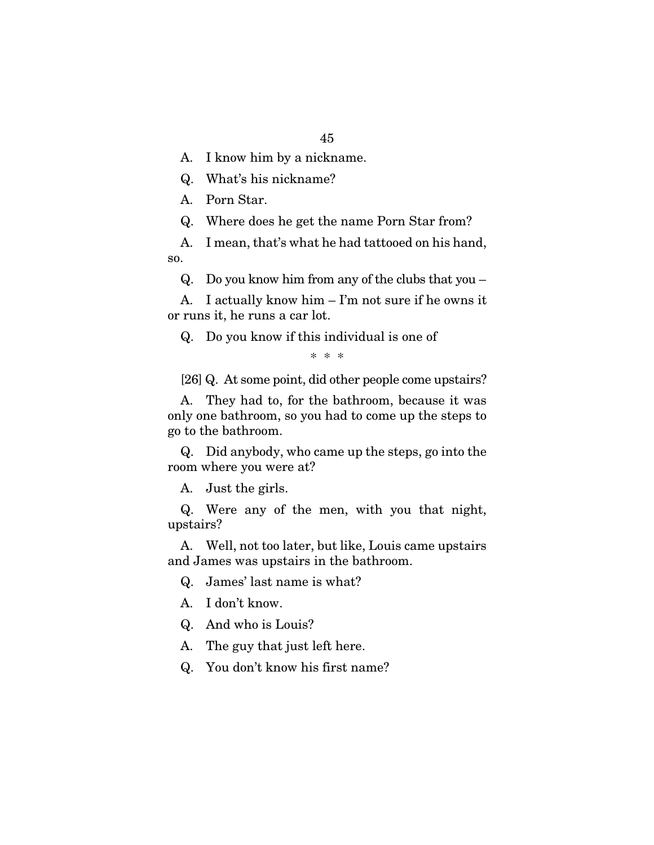A. I know him by a nickname.

Q. What's his nickname?

A. Porn Star.

Q. Where does he get the name Porn Star from?

A. I mean, that's what he had tattooed on his hand, so.

Q. Do you know him from any of the clubs that you –

A. I actually know him – I'm not sure if he owns it or runs it, he runs a car lot.

Q. Do you know if this individual is one of

\* \* \*

[26] Q. At some point, did other people come upstairs?

A. They had to, for the bathroom, because it was only one bathroom, so you had to come up the steps to go to the bathroom.

Q. Did anybody, who came up the steps, go into the room where you were at?

A. Just the girls.

Q. Were any of the men, with you that night, upstairs?

A. Well, not too later, but like, Louis came upstairs and James was upstairs in the bathroom.

Q. James' last name is what?

A. I don't know.

Q. And who is Louis?

A. The guy that just left here.

Q. You don't know his first name?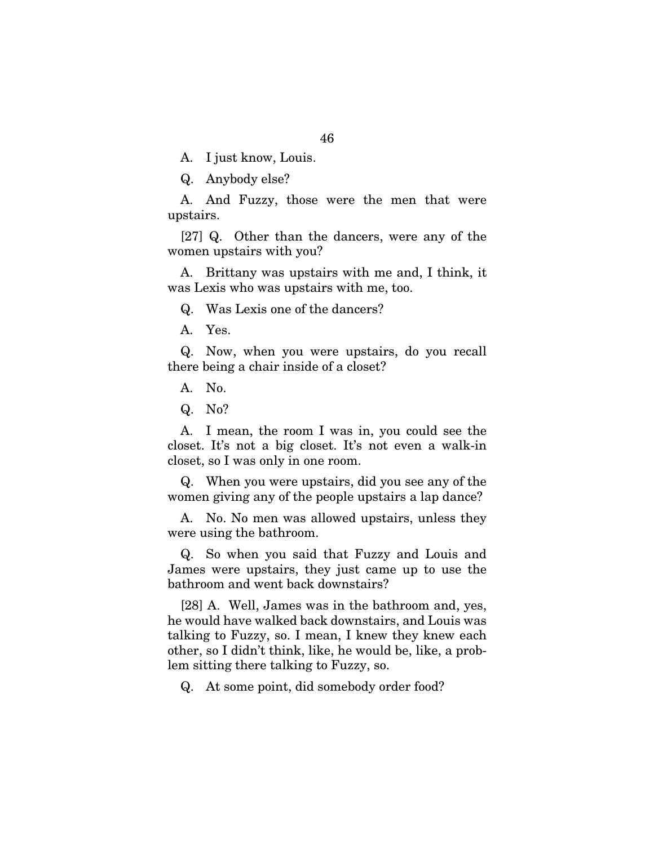A. I just know, Louis.

Q. Anybody else?

A. And Fuzzy, those were the men that were upstairs.

[27] Q. Other than the dancers, were any of the women upstairs with you?

A. Brittany was upstairs with me and, I think, it was Lexis who was upstairs with me, too.

Q. Was Lexis one of the dancers?

A. Yes.

Q. Now, when you were upstairs, do you recall there being a chair inside of a closet?

A. No.

Q. No?

A. I mean, the room I was in, you could see the closet. It's not a big closet. It's not even a walk-in closet, so I was only in one room.

Q. When you were upstairs, did you see any of the women giving any of the people upstairs a lap dance?

A. No. No men was allowed upstairs, unless they were using the bathroom.

Q. So when you said that Fuzzy and Louis and James were upstairs, they just came up to use the bathroom and went back downstairs?

[28] A. Well, James was in the bathroom and, yes, he would have walked back downstairs, and Louis was talking to Fuzzy, so. I mean, I knew they knew each other, so I didn't think, like, he would be, like, a problem sitting there talking to Fuzzy, so.

Q. At some point, did somebody order food?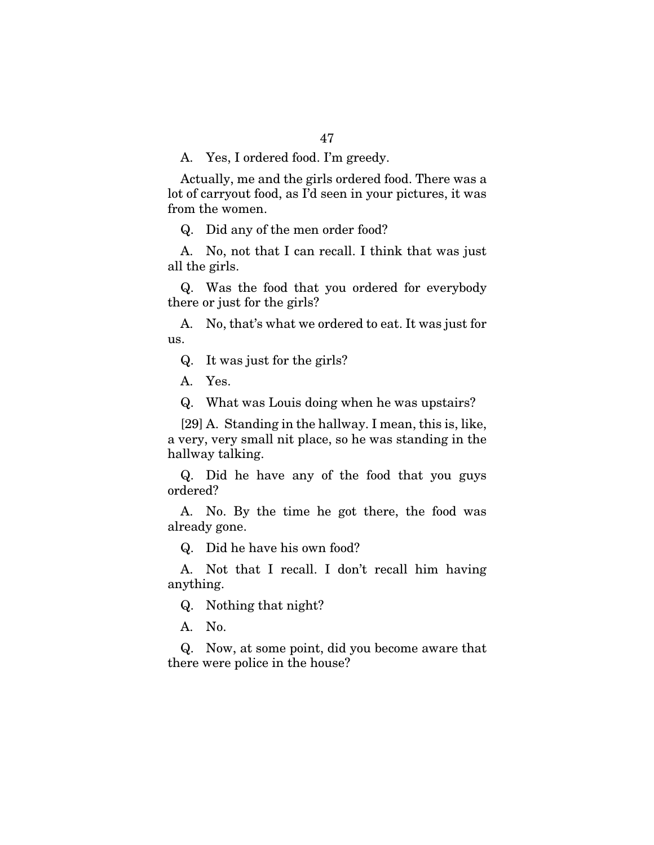Actually, me and the girls ordered food. There was a lot of carryout food, as I'd seen in your pictures, it was from the women.

Q. Did any of the men order food?

A. No, not that I can recall. I think that was just all the girls.

Q. Was the food that you ordered for everybody there or just for the girls?

A. No, that's what we ordered to eat. It was just for us.

Q. It was just for the girls?

A. Yes.

Q. What was Louis doing when he was upstairs?

[29] A. Standing in the hallway. I mean, this is, like, a very, very small nit place, so he was standing in the hallway talking.

Q. Did he have any of the food that you guys ordered?

A. No. By the time he got there, the food was already gone.

Q. Did he have his own food?

A. Not that I recall. I don't recall him having anything.

Q. Nothing that night?

A. No.

Q. Now, at some point, did you become aware that there were police in the house?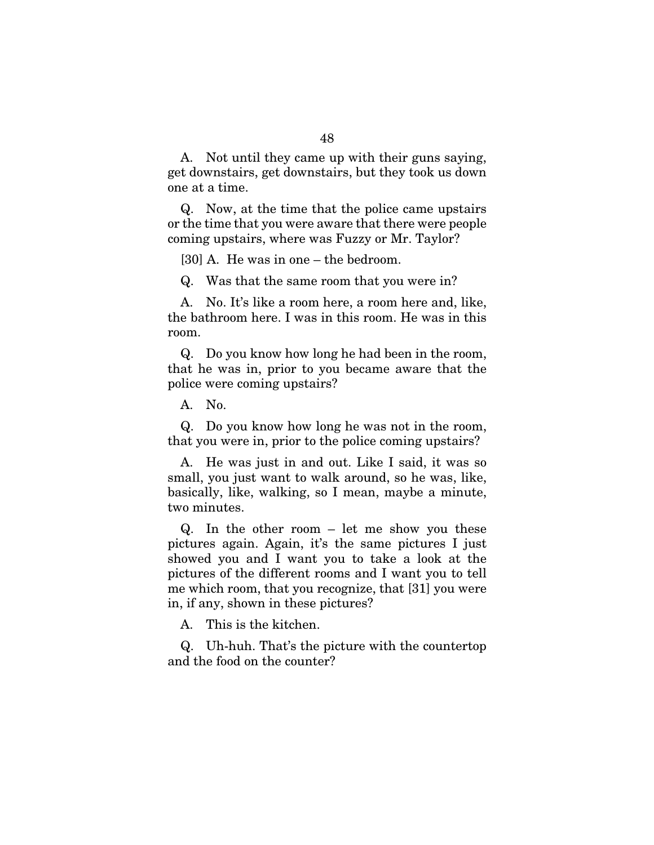A. Not until they came up with their guns saying, get downstairs, get downstairs, but they took us down one at a time.

Q. Now, at the time that the police came upstairs or the time that you were aware that there were people coming upstairs, where was Fuzzy or Mr. Taylor?

[30] A. He was in one – the bedroom.

Q. Was that the same room that you were in?

A. No. It's like a room here, a room here and, like, the bathroom here. I was in this room. He was in this room.

Q. Do you know how long he had been in the room, that he was in, prior to you became aware that the police were coming upstairs?

A. No.

Q. Do you know how long he was not in the room, that you were in, prior to the police coming upstairs?

A. He was just in and out. Like I said, it was so small, you just want to walk around, so he was, like, basically, like, walking, so I mean, maybe a minute, two minutes.

Q. In the other room – let me show you these pictures again. Again, it's the same pictures I just showed you and I want you to take a look at the pictures of the different rooms and I want you to tell me which room, that you recognize, that [31] you were in, if any, shown in these pictures?

A. This is the kitchen.

Q. Uh-huh. That's the picture with the countertop and the food on the counter?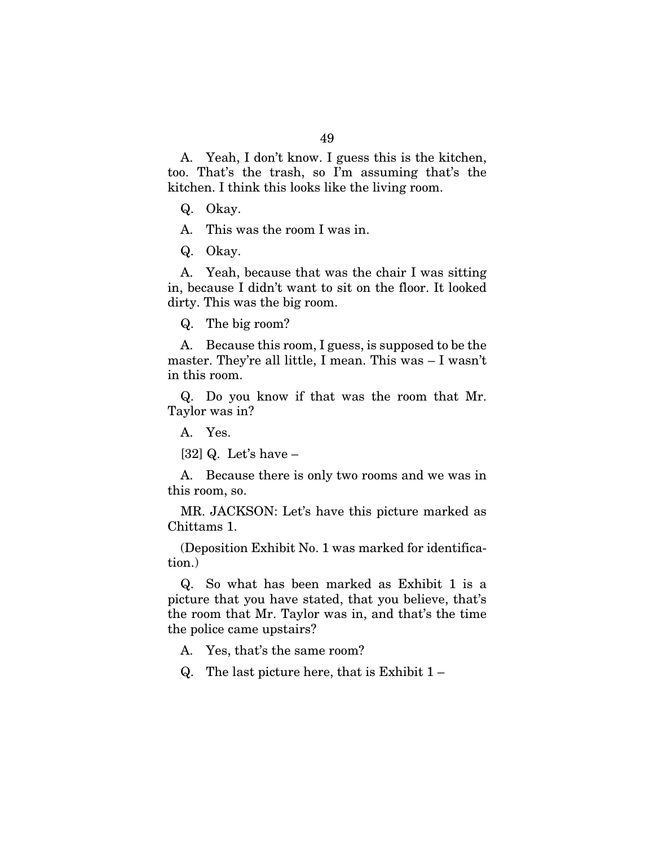A. Yeah, I don't know. I guess this is the kitchen, too. That's the trash, so I'm assuming that's the kitchen. I think this looks like the living room.

Q. Okay.

A. This was the room I was in.

Q. Okay.

A. Yeah, because that was the chair I was sitting in, because I didn't want to sit on the floor. It looked dirty. This was the big room.

Q. The big room?

A. Because this room, I guess, is supposed to be the master. They're all little, I mean. This was – I wasn't in this room.

Q. Do you know if that was the room that Mr. Taylor was in?

A. Yes.

 $[32]$  Q. Let's have  $-$ 

A. Because there is only two rooms and we was in this room, so.

MR. JACKSON: Let's have this picture marked as Chittams 1.

(Deposition Exhibit No. 1 was marked for identification.)

Q. So what has been marked as Exhibit 1 is a picture that you have stated, that you believe, that's the room that Mr. Taylor was in, and that's the time the police came upstairs?

A. Yes, that's the same room?

Q. The last picture here, that is Exhibit 1 –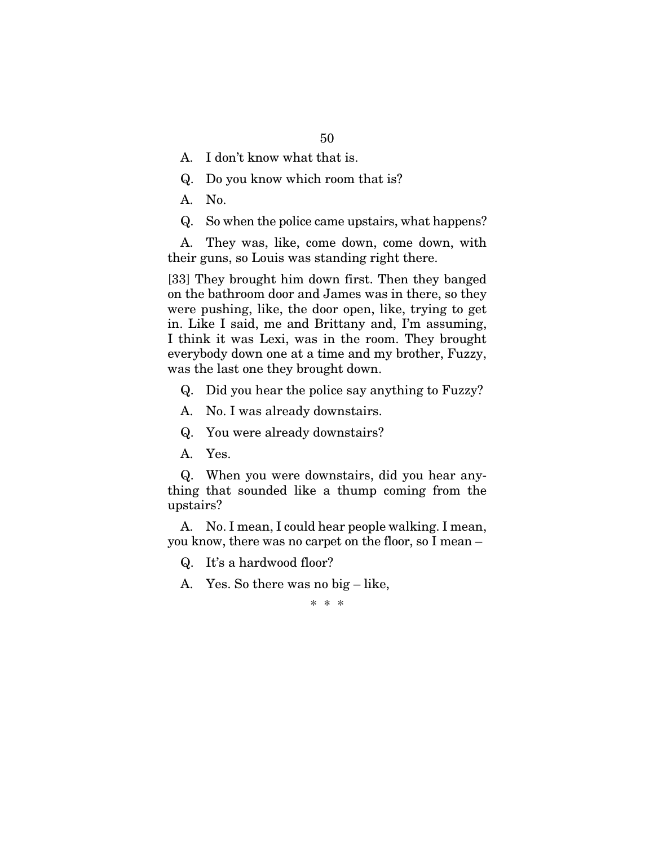- A. I don't know what that is.
- Q. Do you know which room that is?
- A. No.
- Q. So when the police came upstairs, what happens?

A. They was, like, come down, come down, with their guns, so Louis was standing right there.

[33] They brought him down first. Then they banged on the bathroom door and James was in there, so they were pushing, like, the door open, like, trying to get in. Like I said, me and Brittany and, I'm assuming, I think it was Lexi, was in the room. They brought everybody down one at a time and my brother, Fuzzy, was the last one they brought down.

- Q. Did you hear the police say anything to Fuzzy?
- A. No. I was already downstairs.
- Q. You were already downstairs?
- A. Yes.

Q. When you were downstairs, did you hear anything that sounded like a thump coming from the upstairs?

A. No. I mean, I could hear people walking. I mean, you know, there was no carpet on the floor, so I mean –

- Q. It's a hardwood floor?
- A. Yes. So there was no big like,

\* \* \*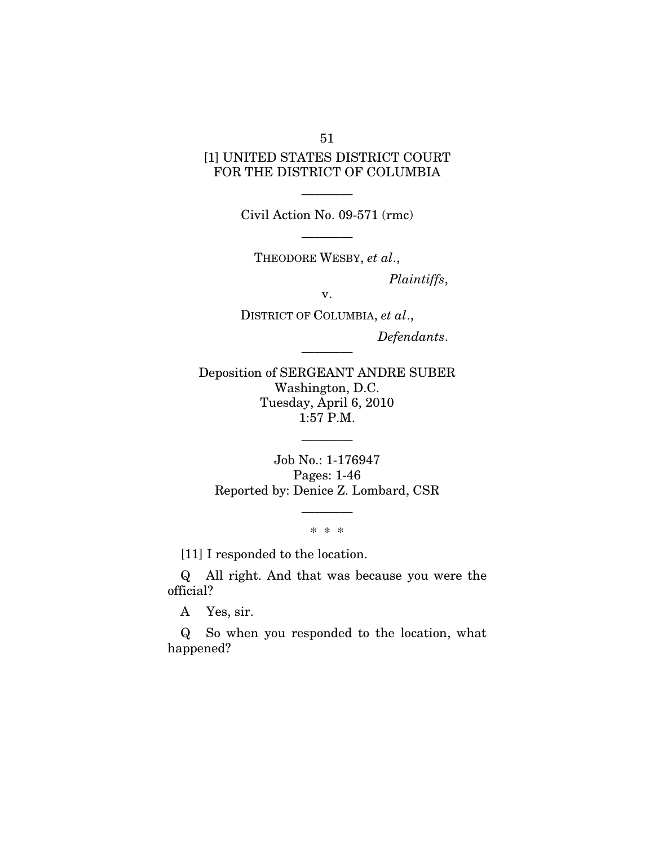51

## [1] UNITED STATES DISTRICT COURT FOR THE DISTRICT OF COLUMBIA

———— Civil Action No. 09-571 (rmc)

————

THEODORE WESBY, *et al*.,

*Plaintiffs*,

v.

DISTRICT OF COLUMBIA, *et al*., *Defendants*.

Deposition of SERGEANT ANDRE SUBER Washington, D.C. Tuesday, April 6, 2010 1:57 P.M.

————

Job No.: 1-176947 Pages: 1-46 Reported by: Denice Z. Lombard, CSR

————

\* \* \*

————

[11] I responded to the location.

Q All right. And that was because you were the official?

A Yes, sir.

Q So when you responded to the location, what happened?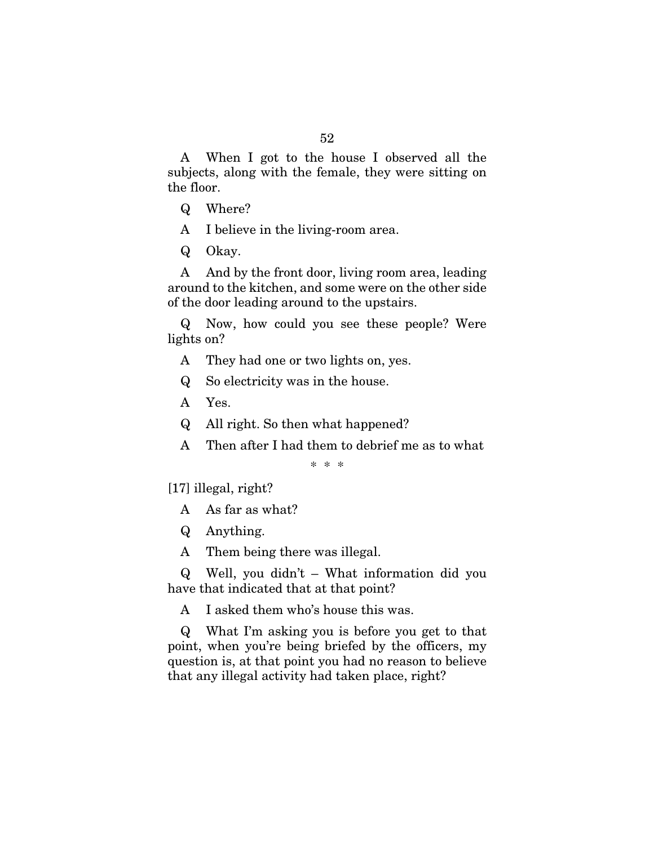A When I got to the house I observed all the subjects, along with the female, they were sitting on the floor.

- Q Where?
- A I believe in the living-room area.
- Q Okay.

A And by the front door, living room area, leading around to the kitchen, and some were on the other side of the door leading around to the upstairs.

Q Now, how could you see these people? Were lights on?

- A They had one or two lights on, yes.
- Q So electricity was in the house.
- A Yes.
- Q All right. So then what happened?
- A Then after I had them to debrief me as to what

\* \* \*

[17] illegal, right?

- A As far as what?
- Q Anything.
- A Them being there was illegal.

Q Well, you didn't – What information did you have that indicated that at that point?

A I asked them who's house this was.

Q What I'm asking you is before you get to that point, when you're being briefed by the officers, my question is, at that point you had no reason to believe that any illegal activity had taken place, right?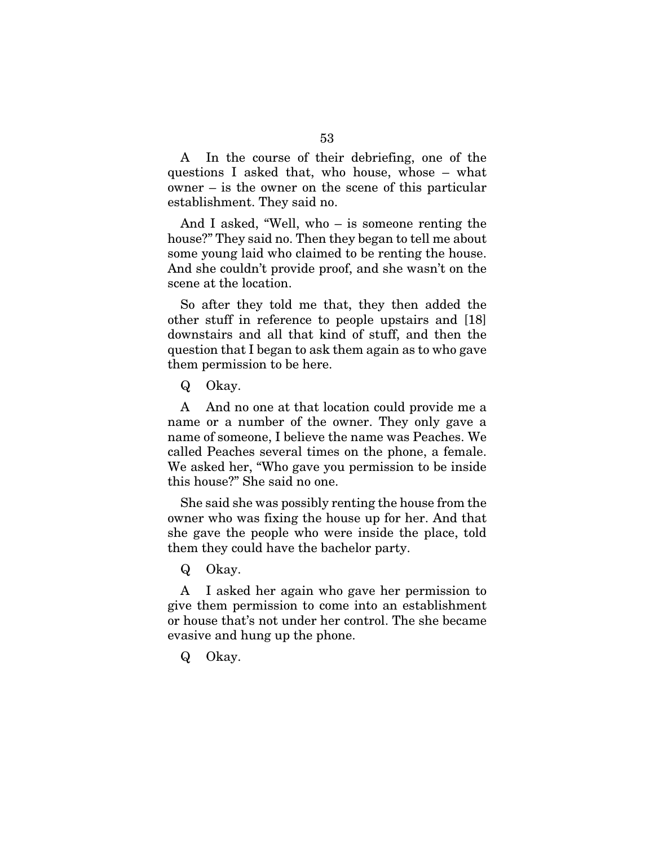A In the course of their debriefing, one of the questions I asked that, who house, whose – what owner – is the owner on the scene of this particular establishment. They said no.

And I asked, "Well, who – is someone renting the house?" They said no. Then they began to tell me about some young laid who claimed to be renting the house. And she couldn't provide proof, and she wasn't on the scene at the location.

So after they told me that, they then added the other stuff in reference to people upstairs and [18] downstairs and all that kind of stuff, and then the question that I began to ask them again as to who gave them permission to be here.

Q Okay.

A And no one at that location could provide me a name or a number of the owner. They only gave a name of someone, I believe the name was Peaches. We called Peaches several times on the phone, a female. We asked her, "Who gave you permission to be inside this house?" She said no one.

She said she was possibly renting the house from the owner who was fixing the house up for her. And that she gave the people who were inside the place, told them they could have the bachelor party.

Q Okay.

A I asked her again who gave her permission to give them permission to come into an establishment or house that's not under her control. The she became evasive and hung up the phone.

Q Okay.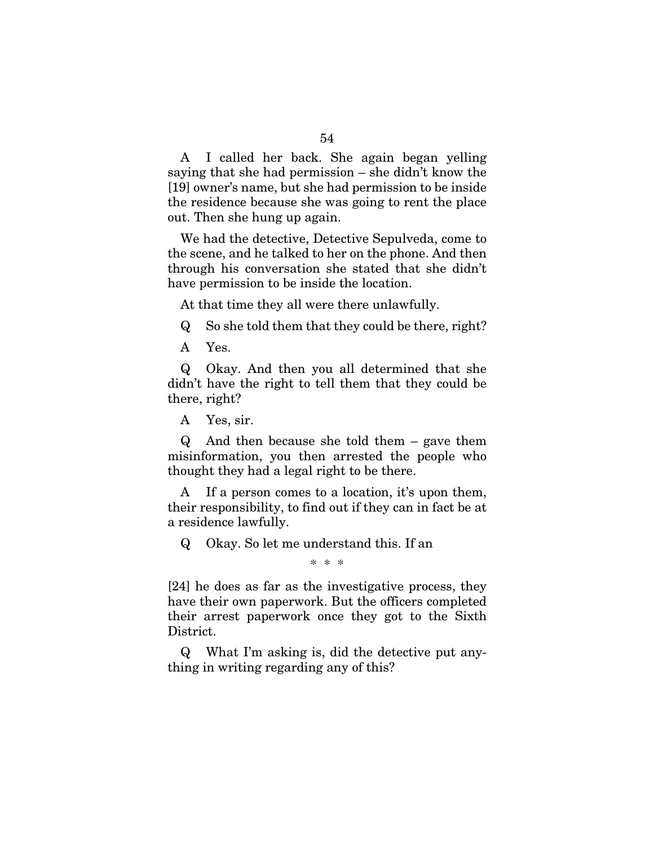A I called her back. She again began yelling saying that she had permission – she didn't know the [19] owner's name, but she had permission to be inside the residence because she was going to rent the place out. Then she hung up again.

We had the detective, Detective Sepulveda, come to the scene, and he talked to her on the phone. And then through his conversation she stated that she didn't have permission to be inside the location.

At that time they all were there unlawfully.

Q So she told them that they could be there, right?

A Yes.

Q Okay. And then you all determined that she didn't have the right to tell them that they could be there, right?

A Yes, sir.

Q And then because she told them – gave them misinformation, you then arrested the people who thought they had a legal right to be there.

A If a person comes to a location, it's upon them, their responsibility, to find out if they can in fact be at a residence lawfully.

Q Okay. So let me understand this. If an

\* \* \*

[24] he does as far as the investigative process, they have their own paperwork. But the officers completed their arrest paperwork once they got to the Sixth District.

Q What I'm asking is, did the detective put anything in writing regarding any of this?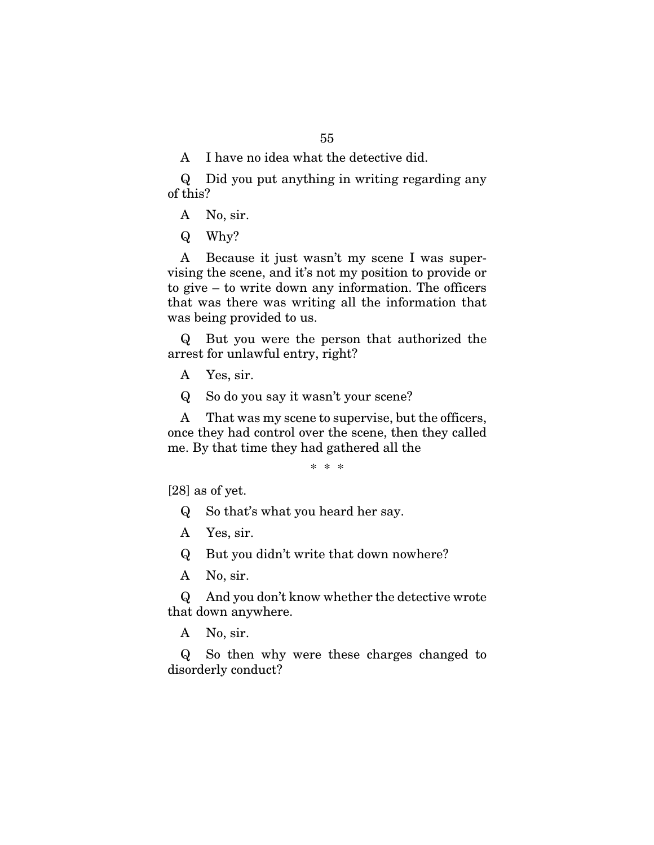A I have no idea what the detective did.

Q Did you put anything in writing regarding any of this?

A No, sir.

Q Why?

A Because it just wasn't my scene I was supervising the scene, and it's not my position to provide or to give – to write down any information. The officers that was there was writing all the information that was being provided to us.

Q But you were the person that authorized the arrest for unlawful entry, right?

A Yes, sir.

Q So do you say it wasn't your scene?

A That was my scene to supervise, but the officers, once they had control over the scene, then they called me. By that time they had gathered all the

\* \* \*

[28] as of yet.

Q So that's what you heard her say.

A Yes, sir.

Q But you didn't write that down nowhere?

A No, sir.

Q And you don't know whether the detective wrote that down anywhere.

A No, sir.

Q So then why were these charges changed to disorderly conduct?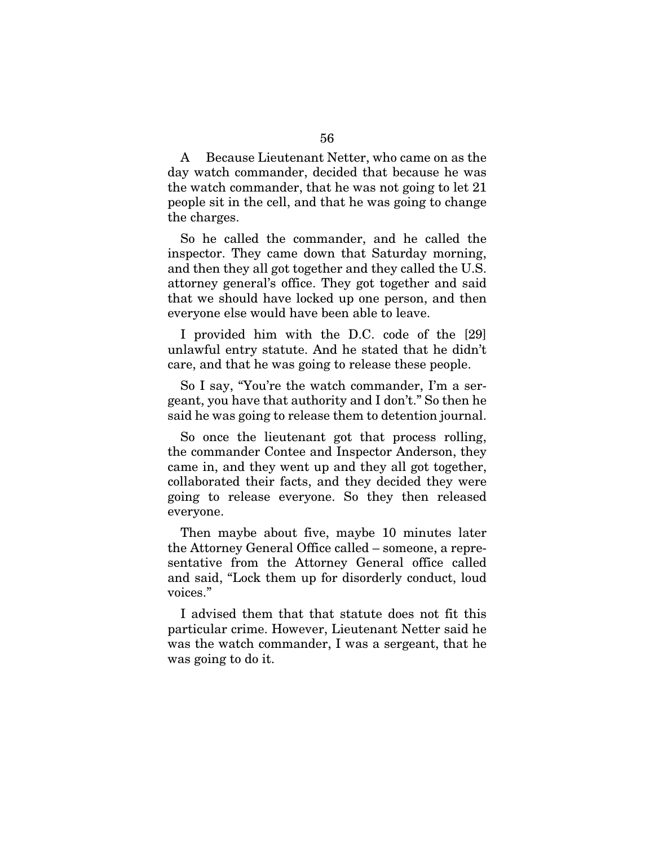A Because Lieutenant Netter, who came on as the day watch commander, decided that because he was the watch commander, that he was not going to let 21 people sit in the cell, and that he was going to change the charges.

So he called the commander, and he called the inspector. They came down that Saturday morning, and then they all got together and they called the U.S. attorney general's office. They got together and said that we should have locked up one person, and then everyone else would have been able to leave.

I provided him with the D.C. code of the [29] unlawful entry statute. And he stated that he didn't care, and that he was going to release these people.

So I say, "You're the watch commander, I'm a sergeant, you have that authority and I don't." So then he said he was going to release them to detention journal.

So once the lieutenant got that process rolling, the commander Contee and Inspector Anderson, they came in, and they went up and they all got together, collaborated their facts, and they decided they were going to release everyone. So they then released everyone.

Then maybe about five, maybe 10 minutes later the Attorney General Office called – someone, a representative from the Attorney General office called and said, "Lock them up for disorderly conduct, loud voices."

I advised them that that statute does not fit this particular crime. However, Lieutenant Netter said he was the watch commander, I was a sergeant, that he was going to do it.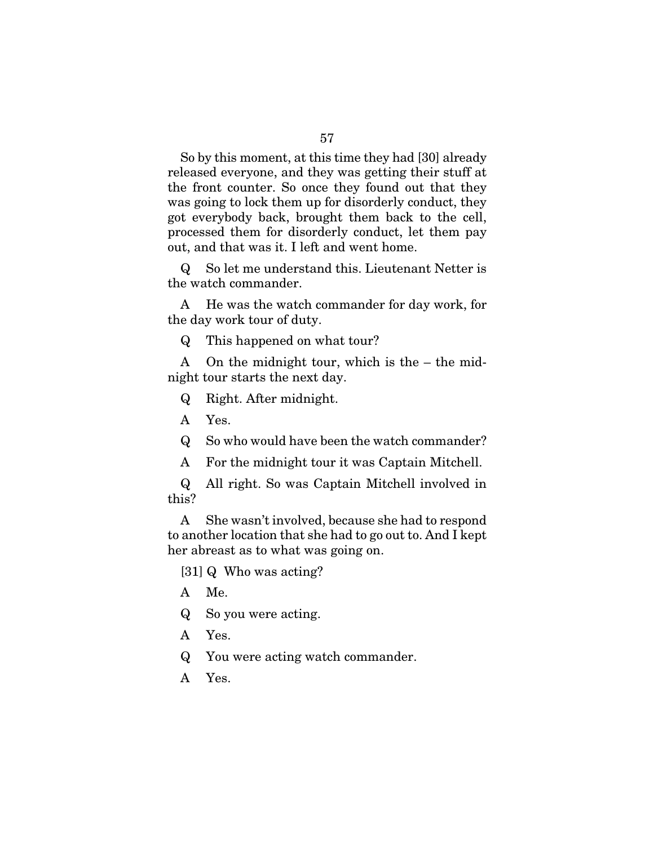So by this moment, at this time they had [30] already released everyone, and they was getting their stuff at the front counter. So once they found out that they was going to lock them up for disorderly conduct, they got everybody back, brought them back to the cell, processed them for disorderly conduct, let them pay out, and that was it. I left and went home.

Q So let me understand this. Lieutenant Netter is the watch commander.

A He was the watch commander for day work, for the day work tour of duty.

Q This happened on what tour?

A On the midnight tour, which is the – the midnight tour starts the next day.

Q Right. After midnight.

A Yes.

Q So who would have been the watch commander?

A For the midnight tour it was Captain Mitchell.

Q All right. So was Captain Mitchell involved in this?

A She wasn't involved, because she had to respond to another location that she had to go out to. And I kept her abreast as to what was going on.

[31] Q Who was acting?

- A Me.
- Q So you were acting.
- A Yes.
- Q You were acting watch commander.
- A Yes.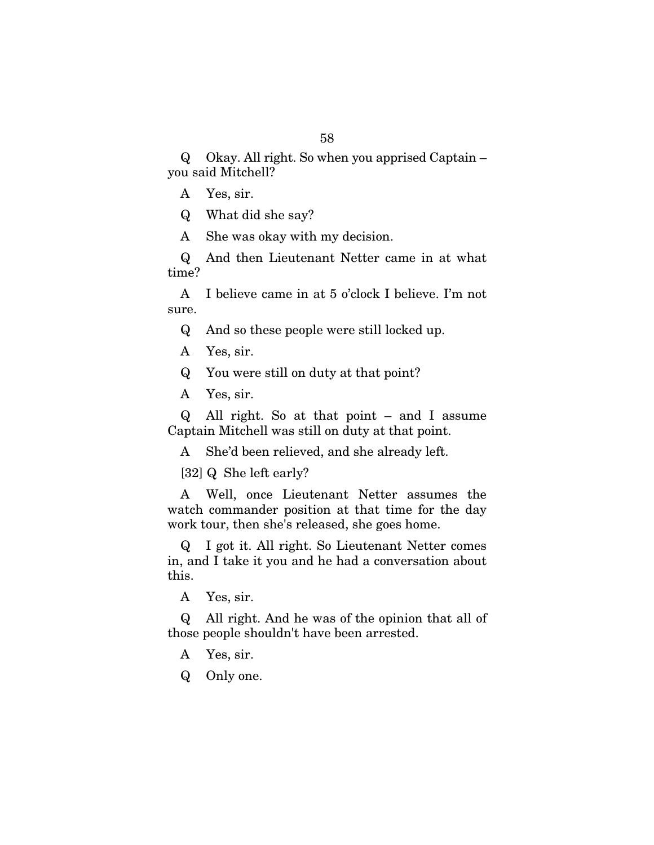Q Okay. All right. So when you apprised Captain – you said Mitchell?

- A Yes, sir.
- Q What did she say?
- A She was okay with my decision.

Q And then Lieutenant Netter came in at what time?

A I believe came in at 5 o'clock I believe. I'm not sure.

Q And so these people were still locked up.

- A Yes, sir.
- Q You were still on duty at that point?
- A Yes, sir.

Q All right. So at that point – and I assume Captain Mitchell was still on duty at that point.

A She'd been relieved, and she already left.

[32] Q She left early?

A Well, once Lieutenant Netter assumes the watch commander position at that time for the day work tour, then she's released, she goes home.

Q I got it. All right. So Lieutenant Netter comes in, and I take it you and he had a conversation about this.

A Yes, sir.

Q All right. And he was of the opinion that all of those people shouldn't have been arrested.

- A Yes, sir.
- Q Only one.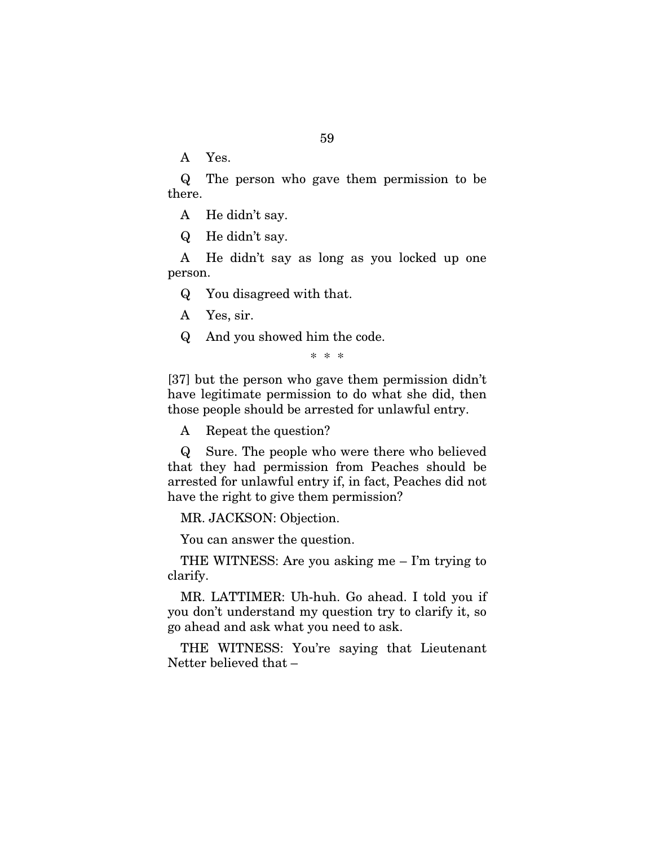A Yes.

Q The person who gave them permission to be there.

A He didn't say.

Q He didn't say.

A He didn't say as long as you locked up one person.

Q You disagreed with that.

A Yes, sir.

Q And you showed him the code.

\* \* \*

[37] but the person who gave them permission didn't have legitimate permission to do what she did, then those people should be arrested for unlawful entry.

A Repeat the question?

Q Sure. The people who were there who believed that they had permission from Peaches should be arrested for unlawful entry if, in fact, Peaches did not have the right to give them permission?

MR. JACKSON: Objection.

You can answer the question.

THE WITNESS: Are you asking me – I'm trying to clarify.

MR. LATTIMER: Uh-huh. Go ahead. I told you if you don't understand my question try to clarify it, so go ahead and ask what you need to ask.

THE WITNESS: You're saying that Lieutenant Netter believed that –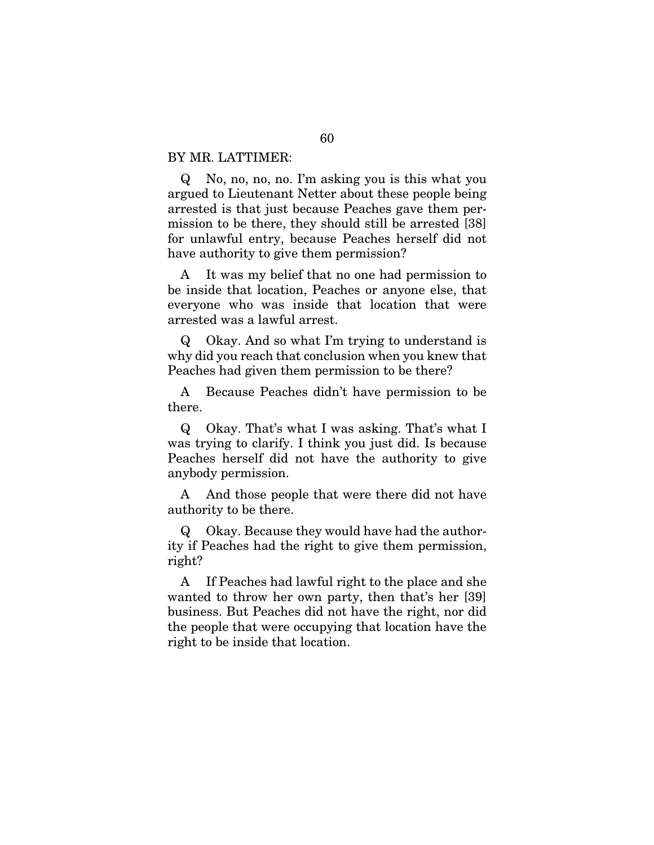#### BY MR. LATTIMER:

Q No, no, no, no. I'm asking you is this what you argued to Lieutenant Netter about these people being arrested is that just because Peaches gave them permission to be there, they should still be arrested [38] for unlawful entry, because Peaches herself did not have authority to give them permission?

A It was my belief that no one had permission to be inside that location, Peaches or anyone else, that everyone who was inside that location that were arrested was a lawful arrest.

Q Okay. And so what I'm trying to understand is why did you reach that conclusion when you knew that Peaches had given them permission to be there?

A Because Peaches didn't have permission to be there.

Q Okay. That's what I was asking. That's what I was trying to clarify. I think you just did. Is because Peaches herself did not have the authority to give anybody permission.

A And those people that were there did not have authority to be there.

Q Okay. Because they would have had the authority if Peaches had the right to give them permission, right?

A If Peaches had lawful right to the place and she wanted to throw her own party, then that's her [39] business. But Peaches did not have the right, nor did the people that were occupying that location have the right to be inside that location.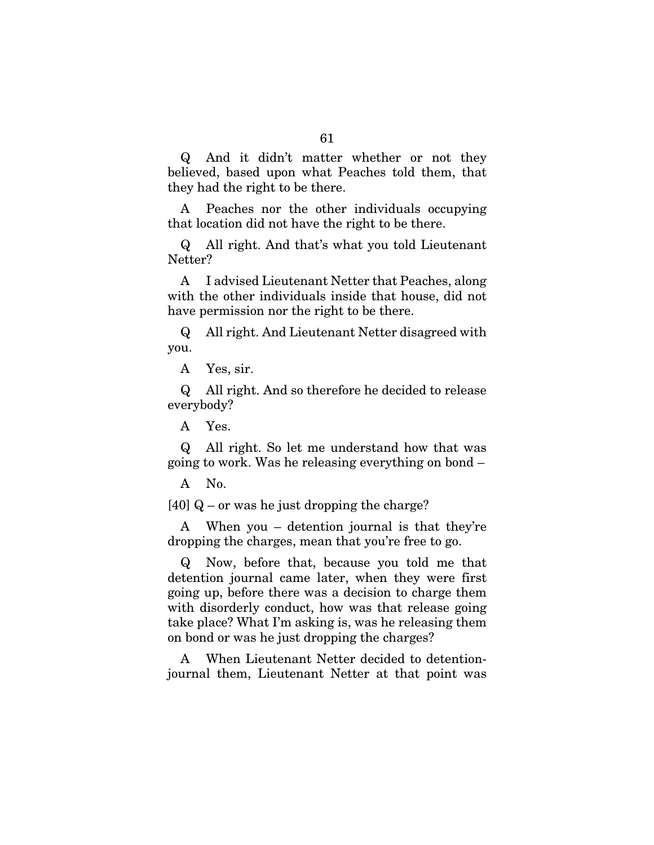Q And it didn't matter whether or not they believed, based upon what Peaches told them, that they had the right to be there.

A Peaches nor the other individuals occupying that location did not have the right to be there.

Q All right. And that's what you told Lieutenant Netter?

A I advised Lieutenant Netter that Peaches, along with the other individuals inside that house, did not have permission nor the right to be there.

Q All right. And Lieutenant Netter disagreed with you.

A Yes, sir.

Q All right. And so therefore he decided to release everybody?

A Yes.

Q All right. So let me understand how that was going to work. Was he releasing everything on bond –

A No.

[40] Q – or was he just dropping the charge?

A When you – detention journal is that they're dropping the charges, mean that you're free to go.

Q Now, before that, because you told me that detention journal came later, when they were first going up, before there was a decision to charge them with disorderly conduct, how was that release going take place? What I'm asking is, was he releasing them on bond or was he just dropping the charges?

A When Lieutenant Netter decided to detentionjournal them, Lieutenant Netter at that point was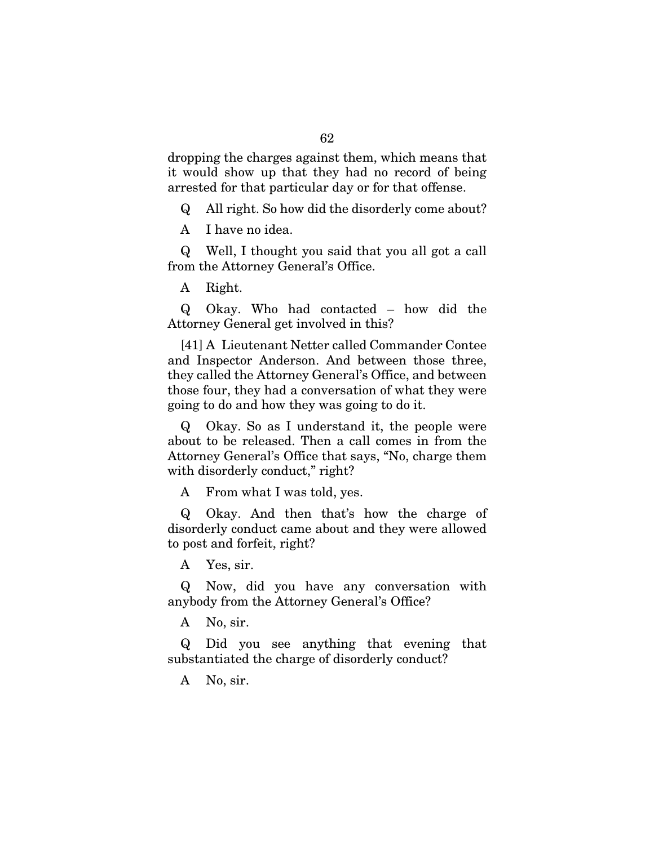dropping the charges against them, which means that it would show up that they had no record of being arrested for that particular day or for that offense.

Q All right. So how did the disorderly come about?

A I have no idea.

Q Well, I thought you said that you all got a call from the Attorney General's Office.

A Right.

Q Okay. Who had contacted – how did the Attorney General get involved in this?

[41] A Lieutenant Netter called Commander Contee and Inspector Anderson. And between those three, they called the Attorney General's Office, and between those four, they had a conversation of what they were going to do and how they was going to do it.

Q Okay. So as I understand it, the people were about to be released. Then a call comes in from the Attorney General's Office that says, "No, charge them with disorderly conduct," right?

A From what I was told, yes.

Q Okay. And then that's how the charge of disorderly conduct came about and they were allowed to post and forfeit, right?

A Yes, sir.

Q Now, did you have any conversation with anybody from the Attorney General's Office?

A No, sir.

Q Did you see anything that evening that substantiated the charge of disorderly conduct?

A No, sir.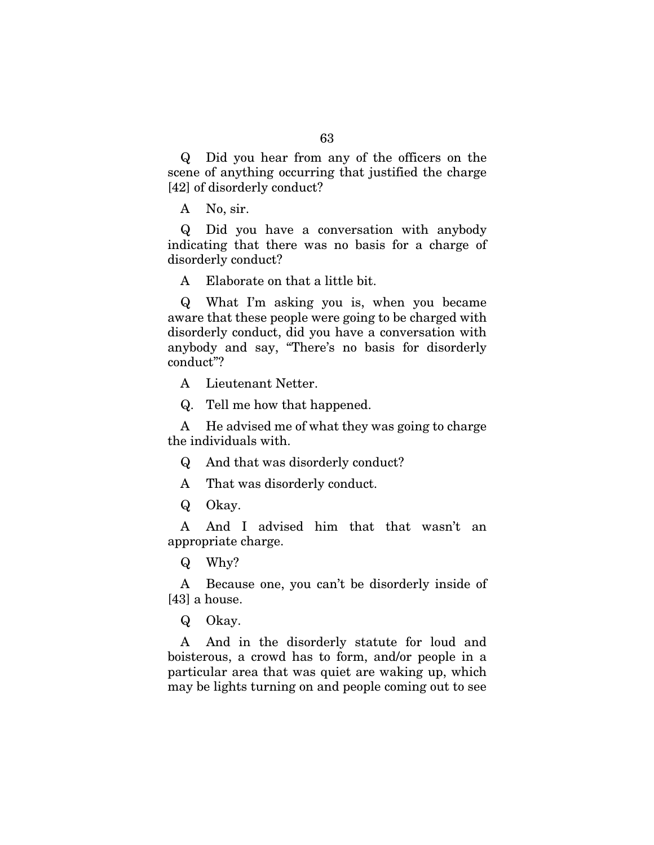Q Did you hear from any of the officers on the scene of anything occurring that justified the charge [42] of disorderly conduct?

A No, sir.

Q Did you have a conversation with anybody indicating that there was no basis for a charge of disorderly conduct?

A Elaborate on that a little bit.

Q What I'm asking you is, when you became aware that these people were going to be charged with disorderly conduct, did you have a conversation with anybody and say, "There's no basis for disorderly conduct"?

A Lieutenant Netter.

Q. Tell me how that happened.

A He advised me of what they was going to charge the individuals with.

Q And that was disorderly conduct?

A That was disorderly conduct.

Q Okay.

A And I advised him that that wasn't an appropriate charge.

Q Why?

A Because one, you can't be disorderly inside of [43] a house.

Q Okay.

A And in the disorderly statute for loud and boisterous, a crowd has to form, and/or people in a particular area that was quiet are waking up, which may be lights turning on and people coming out to see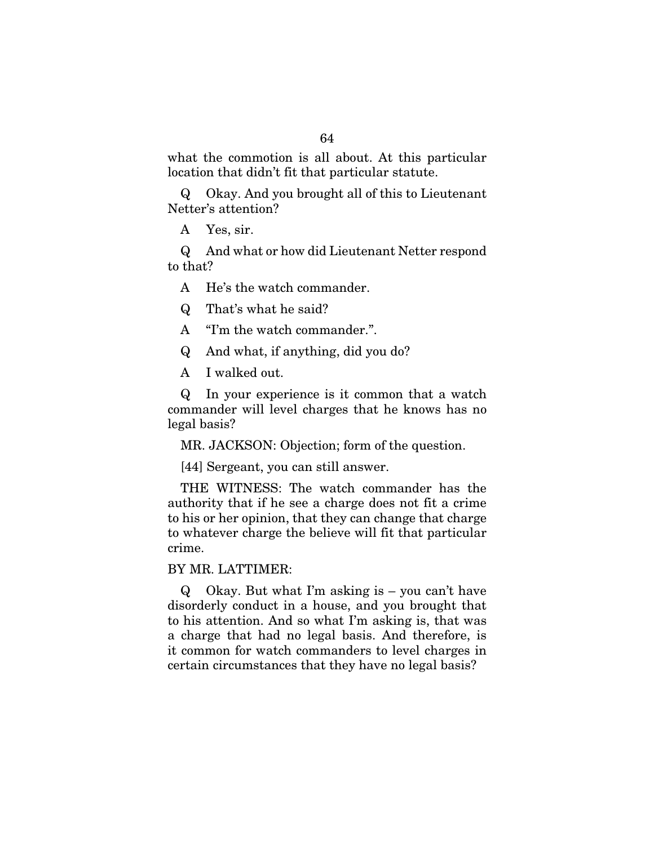what the commotion is all about. At this particular location that didn't fit that particular statute.

Q Okay. And you brought all of this to Lieutenant Netter's attention?

A Yes, sir.

Q And what or how did Lieutenant Netter respond to that?

A He's the watch commander.

Q That's what he said?

A "I'm the watch commander.".

Q And what, if anything, did you do?

A I walked out.

Q In your experience is it common that a watch commander will level charges that he knows has no legal basis?

MR. JACKSON: Objection; form of the question.

[44] Sergeant, you can still answer.

THE WITNESS: The watch commander has the authority that if he see a charge does not fit a crime to his or her opinion, that they can change that charge to whatever charge the believe will fit that particular crime.

#### BY MR. LATTIMER:

Q Okay. But what I'm asking is – you can't have disorderly conduct in a house, and you brought that to his attention. And so what I'm asking is, that was a charge that had no legal basis. And therefore, is it common for watch commanders to level charges in certain circumstances that they have no legal basis?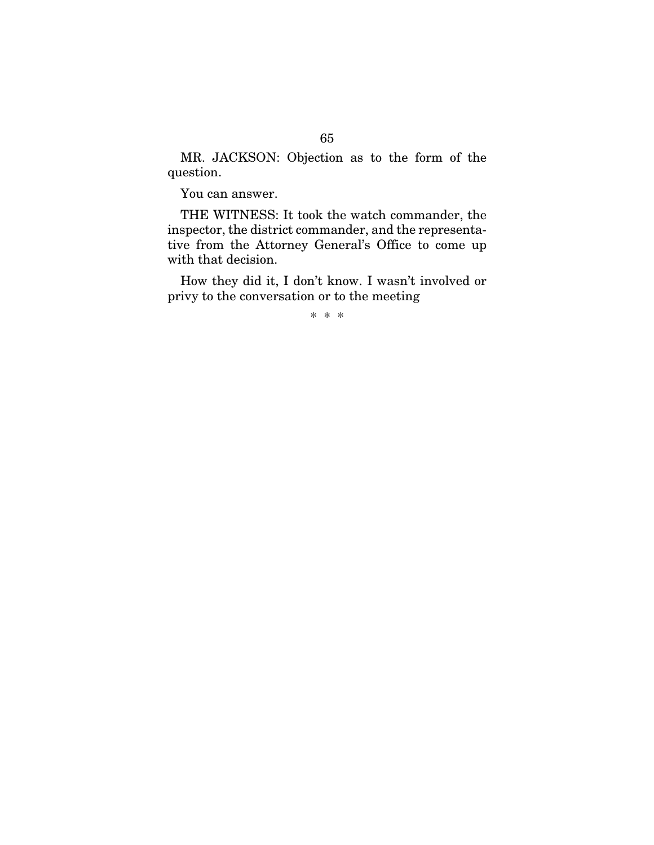MR. JACKSON: Objection as to the form of the question.

You can answer.

THE WITNESS: It took the watch commander, the inspector, the district commander, and the representative from the Attorney General's Office to come up with that decision.

How they did it, I don't know. I wasn't involved or privy to the conversation or to the meeting

\* \* \*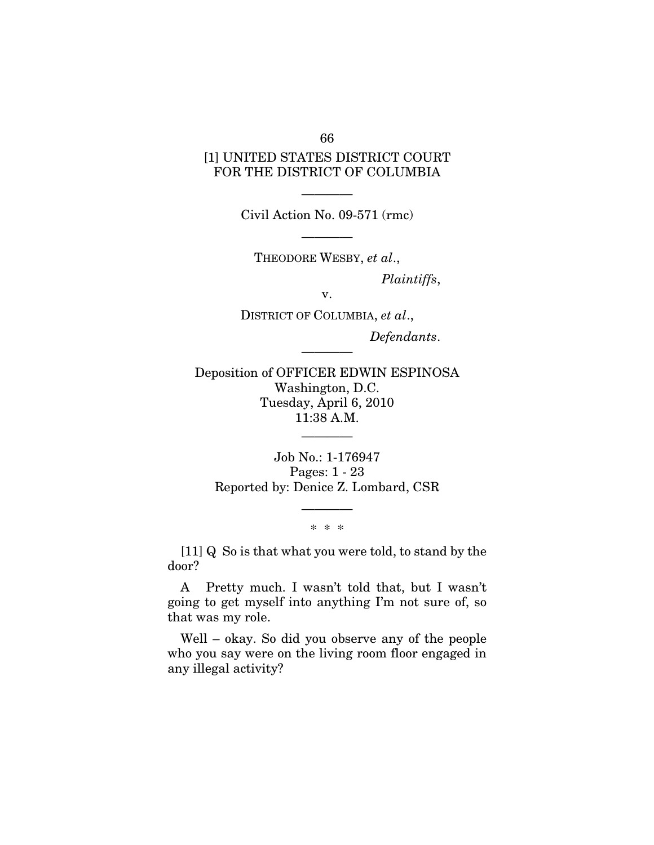66

### [1] UNITED STATES DISTRICT COURT FOR THE DISTRICT OF COLUMBIA

———— Civil Action No. 09-571 (rmc)

————

THEODORE WESBY, *et al*., *Plaintiffs*,

v.

DISTRICT OF COLUMBIA, *et al*., *Defendants*.

Deposition of OFFICER EDWIN ESPINOSA Washington, D.C. Tuesday, April 6, 2010 11:38 A.M.

————

Job No.: 1-176947 Pages: 1 - 23 Reported by: Denice Z. Lombard, CSR

> ———— \* \* \*

[11] Q So is that what you were told, to stand by the door?

A Pretty much. I wasn't told that, but I wasn't going to get myself into anything I'm not sure of, so that was my role.

Well – okay. So did you observe any of the people who you say were on the living room floor engaged in any illegal activity?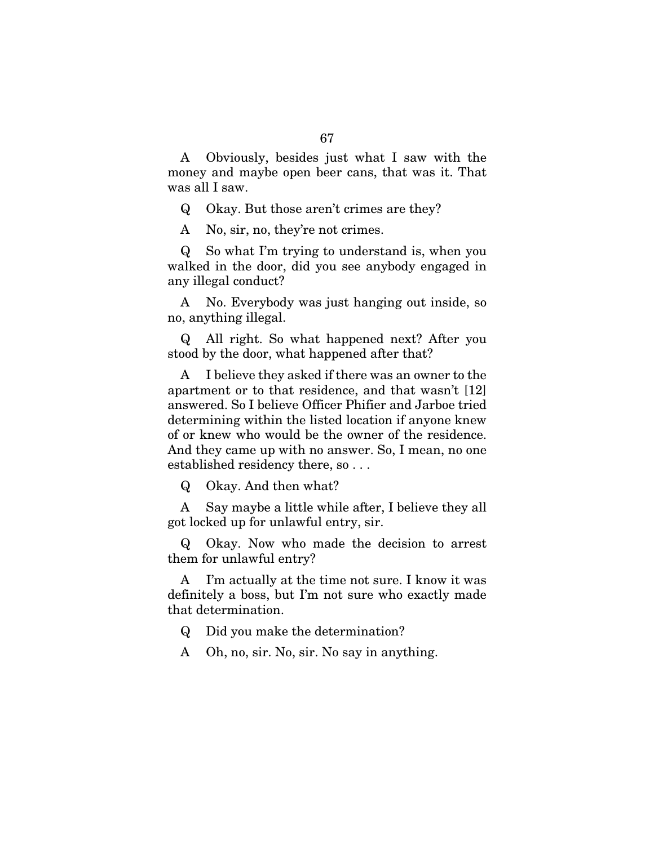A Obviously, besides just what I saw with the money and maybe open beer cans, that was it. That was all I saw.

Q Okay. But those aren't crimes are they?

A No, sir, no, they're not crimes.

Q So what I'm trying to understand is, when you walked in the door, did you see anybody engaged in any illegal conduct?

A No. Everybody was just hanging out inside, so no, anything illegal.

Q All right. So what happened next? After you stood by the door, what happened after that?

A I believe they asked if there was an owner to the apartment or to that residence, and that wasn't [12] answered. So I believe Officer Phifier and Jarboe tried determining within the listed location if anyone knew of or knew who would be the owner of the residence. And they came up with no answer. So, I mean, no one established residency there, so . . .

Q Okay. And then what?

A Say maybe a little while after, I believe they all got locked up for unlawful entry, sir.

Q Okay. Now who made the decision to arrest them for unlawful entry?

A I'm actually at the time not sure. I know it was definitely a boss, but I'm not sure who exactly made that determination.

Q Did you make the determination?

A Oh, no, sir. No, sir. No say in anything.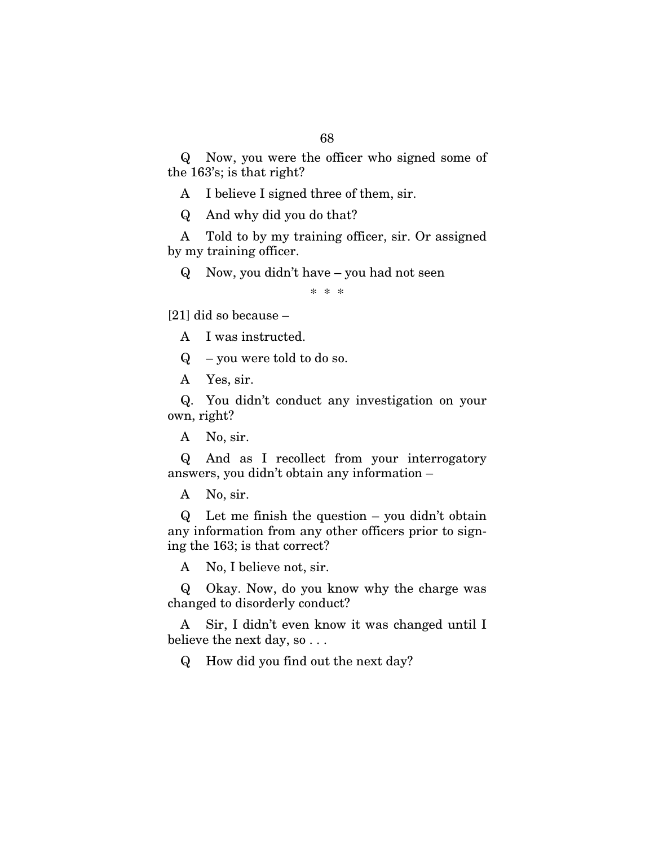Q Now, you were the officer who signed some of the 163's; is that right?

A I believe I signed three of them, sir.

Q And why did you do that?

A Told to by my training officer, sir. Or assigned by my training officer.

Q Now, you didn't have – you had not seen

\* \* \*

[21] did so because –

A I was instructed.

 $Q$  – you were told to do so.

A Yes, sir.

Q. You didn't conduct any investigation on your own, right?

A No, sir.

Q And as I recollect from your interrogatory answers, you didn't obtain any information –

A No, sir.

Q Let me finish the question – you didn't obtain any information from any other officers prior to signing the 163; is that correct?

A No, I believe not, sir.

Q Okay. Now, do you know why the charge was changed to disorderly conduct?

A Sir, I didn't even know it was changed until I believe the next day, so . . .

Q How did you find out the next day?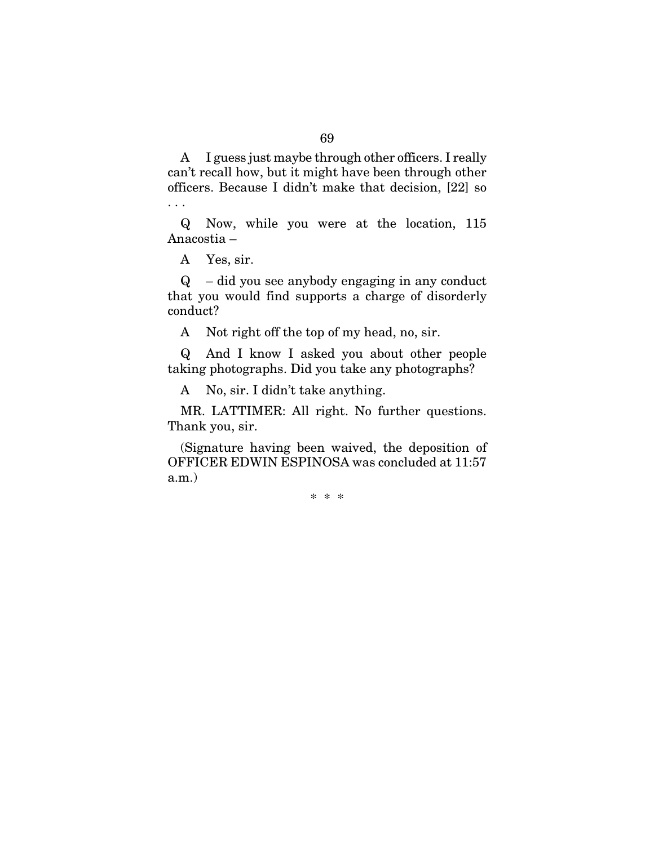A I guess just maybe through other officers. I really can't recall how, but it might have been through other officers. Because I didn't make that decision, [22] so . . .

Q Now, while you were at the location, 115 Anacostia –

A Yes, sir.

Q – did you see anybody engaging in any conduct that you would find supports a charge of disorderly conduct?

A Not right off the top of my head, no, sir.

Q And I know I asked you about other people taking photographs. Did you take any photographs?

A No, sir. I didn't take anything.

MR. LATTIMER: All right. No further questions. Thank you, sir.

(Signature having been waived, the deposition of OFFICER EDWIN ESPINOSA was concluded at 11:57 a.m.)

\* \* \*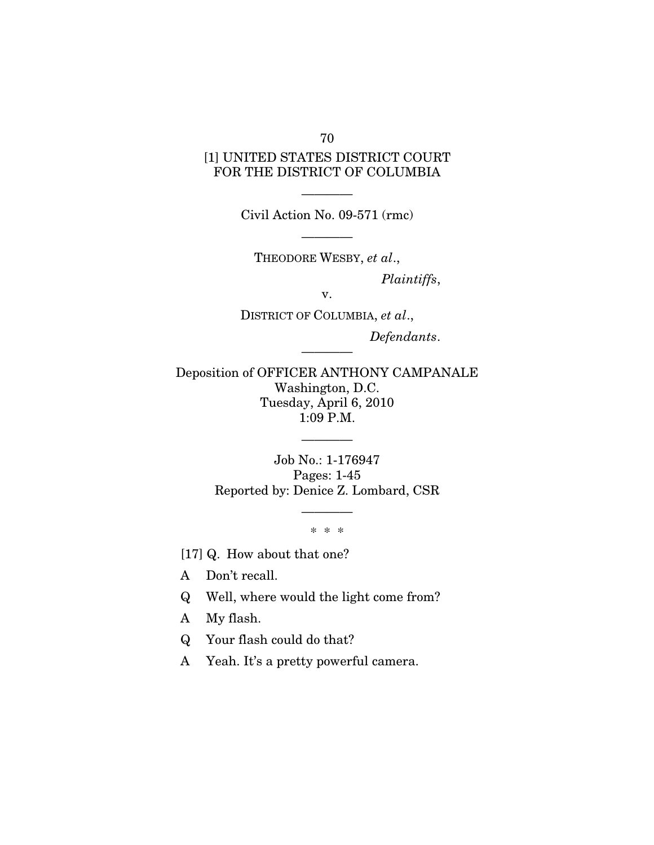[1] UNITED STATES DISTRICT COURT FOR THE DISTRICT OF COLUMBIA

> ———— Civil Action No. 09-571 (rmc)

> > ————

THEODORE WESBY, *et al*., *Plaintiffs*,

v.

DISTRICT OF COLUMBIA, *et al*., *Defendants*.

Deposition of OFFICER ANTHONY CAMPANALE Washington, D.C. Tuesday, April 6, 2010 1:09 P.M.

————

Job No.: 1-176947 Pages: 1-45 Reported by: Denice Z. Lombard, CSR

————

\* \* \*

————

[17] Q. How about that one?

A Don't recall.

Q Well, where would the light come from?

A My flash.

Q Your flash could do that?

A Yeah. It's a pretty powerful camera.

70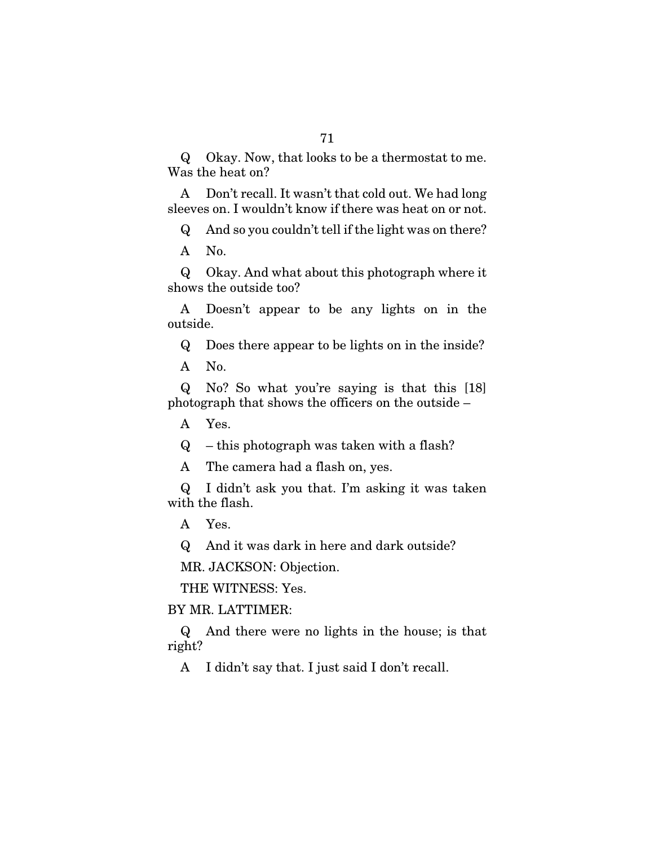Q Okay. Now, that looks to be a thermostat to me. Was the heat on?

A Don't recall. It wasn't that cold out. We had long sleeves on. I wouldn't know if there was heat on or not.

Q And so you couldn't tell if the light was on there?

A No.

Q Okay. And what about this photograph where it shows the outside too?

A Doesn't appear to be any lights on in the outside.

Q Does there appear to be lights on in the inside?

A No.

Q No? So what you're saying is that this [18] photograph that shows the officers on the outside –

A Yes.

 $Q$  – this photograph was taken with a flash?

A The camera had a flash on, yes.

Q I didn't ask you that. I'm asking it was taken with the flash.

A Yes.

Q And it was dark in here and dark outside?

MR. JACKSON: Objection.

THE WITNESS: Yes.

BY MR. LATTIMER:

Q And there were no lights in the house; is that right?

A I didn't say that. I just said I don't recall.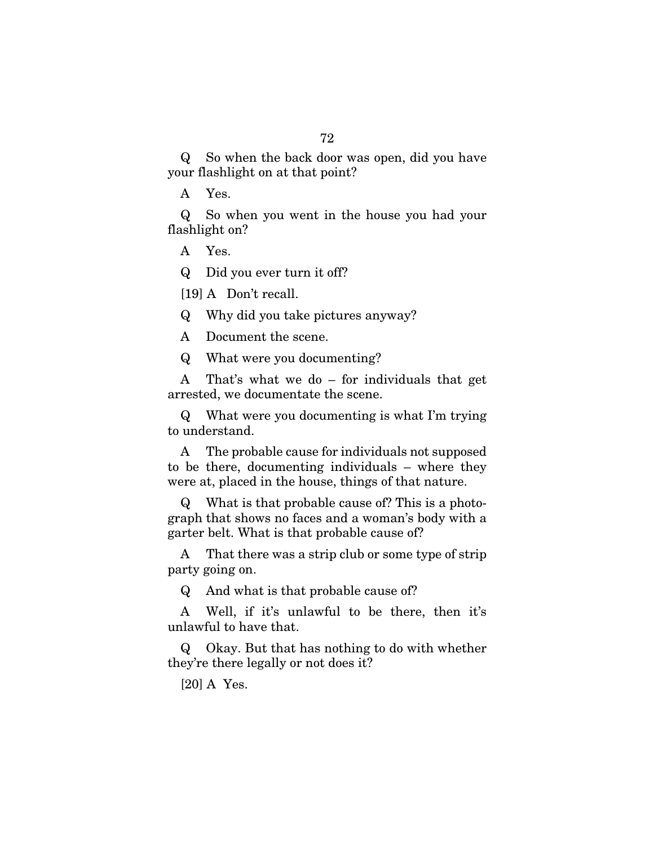Q So when the back door was open, did you have your flashlight on at that point?

A Yes.

Q So when you went in the house you had your flashlight on?

A Yes.

Q Did you ever turn it off?

[19] A Don't recall.

Q Why did you take pictures anyway?

A Document the scene.

Q What were you documenting?

A That's what we do – for individuals that get arrested, we documentate the scene.

Q What were you documenting is what I'm trying to understand.

A The probable cause for individuals not supposed to be there, documenting individuals – where they were at, placed in the house, things of that nature.

Q What is that probable cause of? This is a photograph that shows no faces and a woman's body with a garter belt. What is that probable cause of?

A That there was a strip club or some type of strip party going on.

Q And what is that probable cause of?

A Well, if it's unlawful to be there, then it's unlawful to have that.

Q Okay. But that has nothing to do with whether they're there legally or not does it?

[20] A Yes.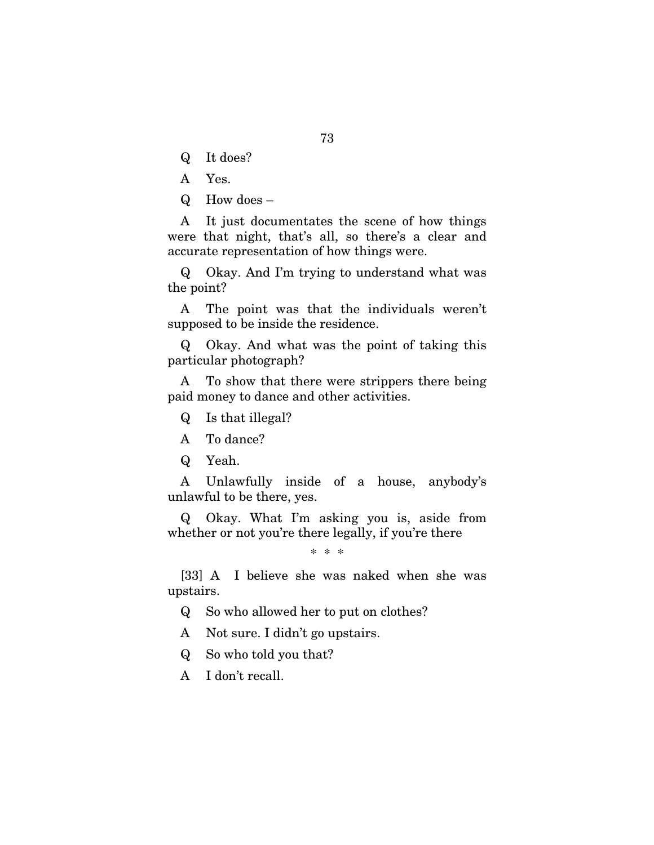Q It does?

A Yes.

Q How does –

A It just documentates the scene of how things were that night, that's all, so there's a clear and accurate representation of how things were.

Q Okay. And I'm trying to understand what was the point?

A The point was that the individuals weren't supposed to be inside the residence.

Q Okay. And what was the point of taking this particular photograph?

A To show that there were strippers there being paid money to dance and other activities.

Q Is that illegal?

A To dance?

Q Yeah.

A Unlawfully inside of a house, anybody's unlawful to be there, yes.

Q Okay. What I'm asking you is, aside from whether or not you're there legally, if you're there

\* \* \*

[33] A I believe she was naked when she was upstairs.

Q So who allowed her to put on clothes?

A Not sure. I didn't go upstairs.

Q So who told you that?

A I don't recall.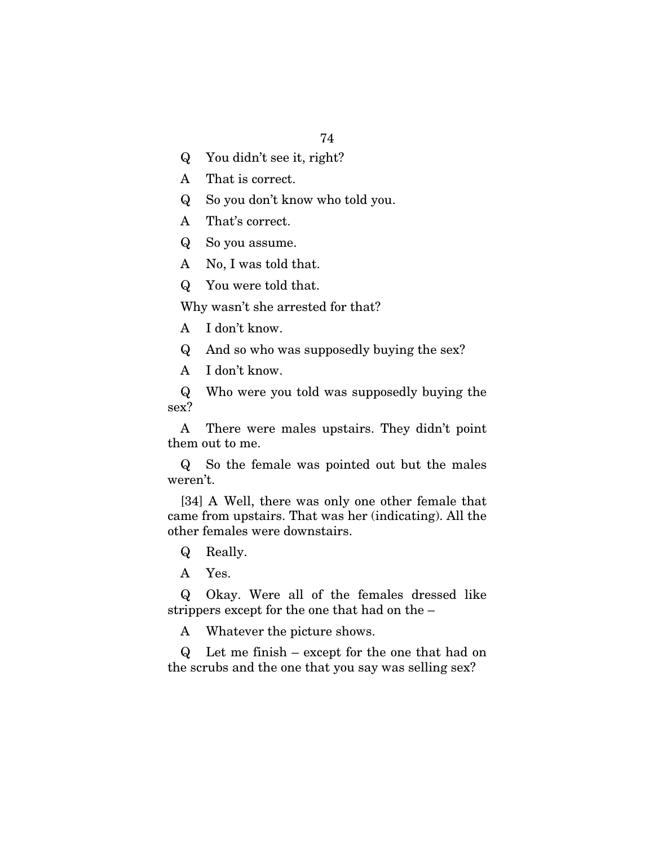Q You didn't see it, right?

A That is correct.

Q So you don't know who told you.

A That's correct.

Q So you assume.

A No, I was told that.

Q You were told that.

Why wasn't she arrested for that?

A I don't know.

Q And so who was supposedly buying the sex?

A I don't know.

Q Who were you told was supposedly buying the sex?

A There were males upstairs. They didn't point them out to me.

Q So the female was pointed out but the males weren't.

[34] A Well, there was only one other female that came from upstairs. That was her (indicating). All the other females were downstairs.

Q Really.

A Yes.

Q Okay. Were all of the females dressed like strippers except for the one that had on the –

A Whatever the picture shows.

Q Let me finish – except for the one that had on the scrubs and the one that you say was selling sex?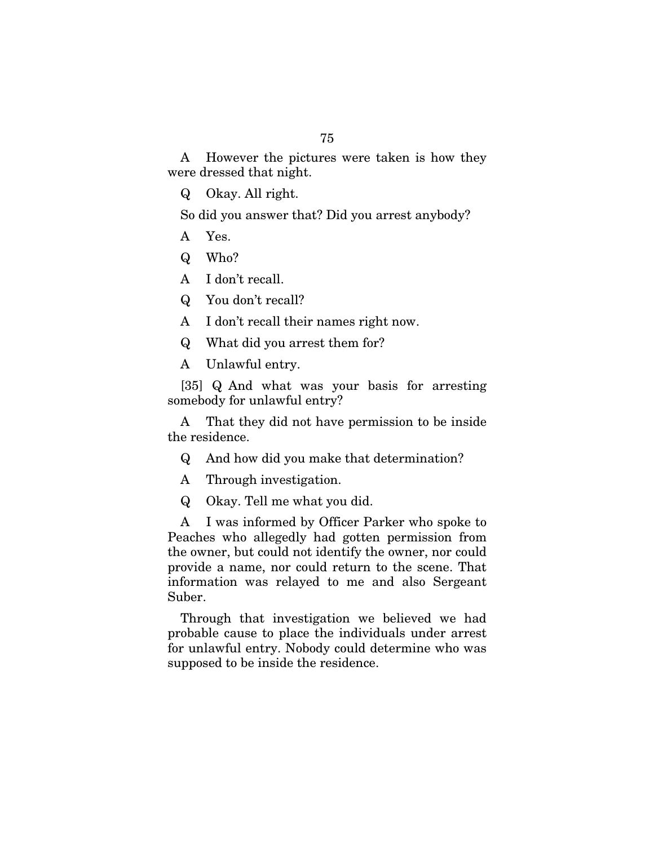A However the pictures were taken is how they were dressed that night.

Q Okay. All right.

So did you answer that? Did you arrest anybody?

- A Yes.
- Q Who?

A I don't recall.

Q You don't recall?

A I don't recall their names right now.

Q What did you arrest them for?

A Unlawful entry.

[35] Q And what was your basis for arresting somebody for unlawful entry?

A That they did not have permission to be inside the residence.

- Q And how did you make that determination?
- A Through investigation.
- Q Okay. Tell me what you did.

A I was informed by Officer Parker who spoke to Peaches who allegedly had gotten permission from the owner, but could not identify the owner, nor could provide a name, nor could return to the scene. That information was relayed to me and also Sergeant Suber.

Through that investigation we believed we had probable cause to place the individuals under arrest for unlawful entry. Nobody could determine who was supposed to be inside the residence.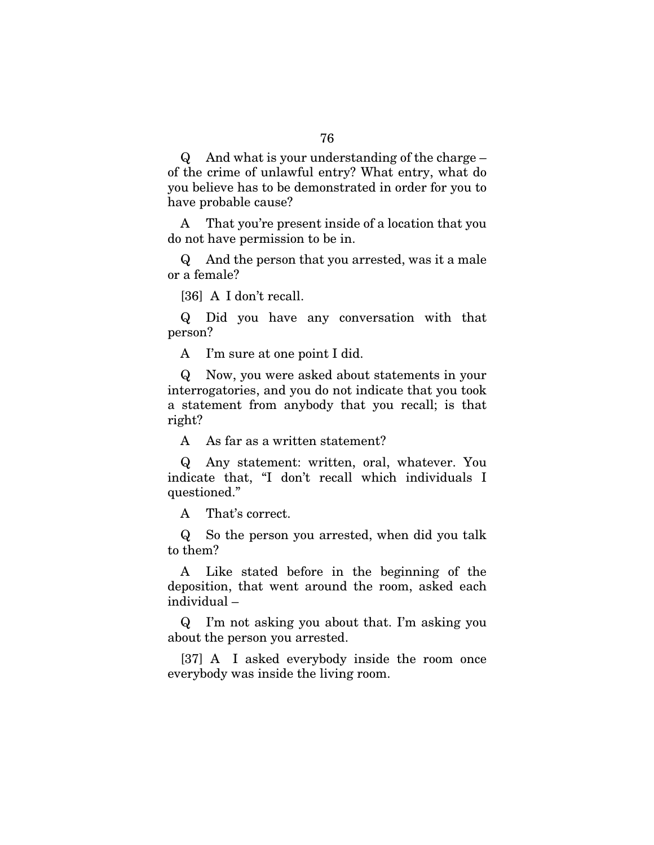Q And what is your understanding of the charge – of the crime of unlawful entry? What entry, what do you believe has to be demonstrated in order for you to have probable cause?

A That you're present inside of a location that you do not have permission to be in.

Q And the person that you arrested, was it a male or a female?

[36] A I don't recall.

Q Did you have any conversation with that person?

A I'm sure at one point I did.

Q Now, you were asked about statements in your interrogatories, and you do not indicate that you took a statement from anybody that you recall; is that right?

A As far as a written statement?

Q Any statement: written, oral, whatever. You indicate that, "I don't recall which individuals I questioned."

A That's correct.

Q So the person you arrested, when did you talk to them?

A Like stated before in the beginning of the deposition, that went around the room, asked each individual –

Q I'm not asking you about that. I'm asking you about the person you arrested.

[37] A I asked everybody inside the room once everybody was inside the living room.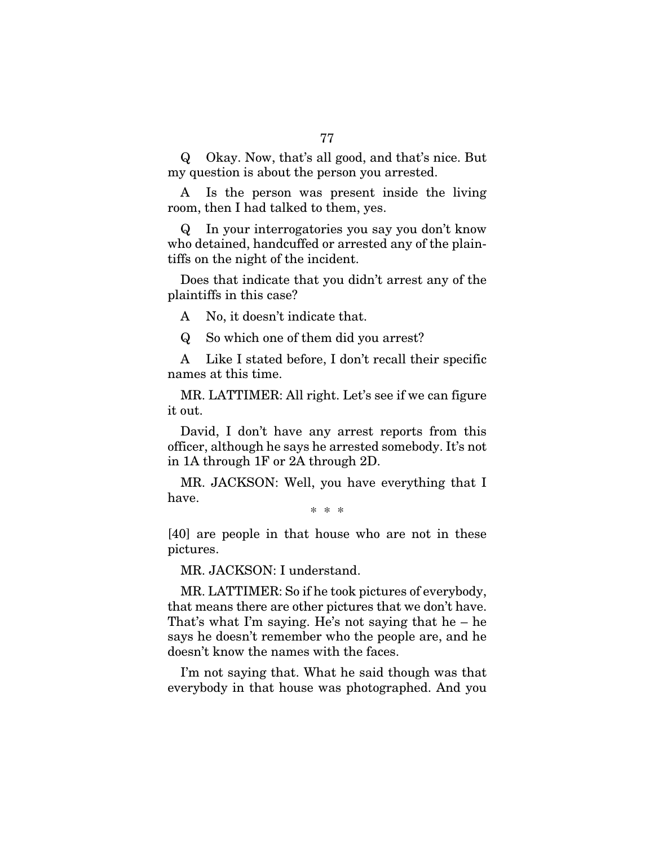Q Okay. Now, that's all good, and that's nice. But my question is about the person you arrested.

A Is the person was present inside the living room, then I had talked to them, yes.

Q In your interrogatories you say you don't know who detained, handcuffed or arrested any of the plaintiffs on the night of the incident.

Does that indicate that you didn't arrest any of the plaintiffs in this case?

A No, it doesn't indicate that.

Q So which one of them did you arrest?

A Like I stated before, I don't recall their specific names at this time.

MR. LATTIMER: All right. Let's see if we can figure it out.

David, I don't have any arrest reports from this officer, although he says he arrested somebody. It's not in 1A through 1F or 2A through 2D.

MR. JACKSON: Well, you have everything that I have.

\* \* \*

[40] are people in that house who are not in these pictures.

MR. JACKSON: I understand.

MR. LATTIMER: So if he took pictures of everybody, that means there are other pictures that we don't have. That's what I'm saying. He's not saying that he – he says he doesn't remember who the people are, and he doesn't know the names with the faces.

I'm not saying that. What he said though was that everybody in that house was photographed. And you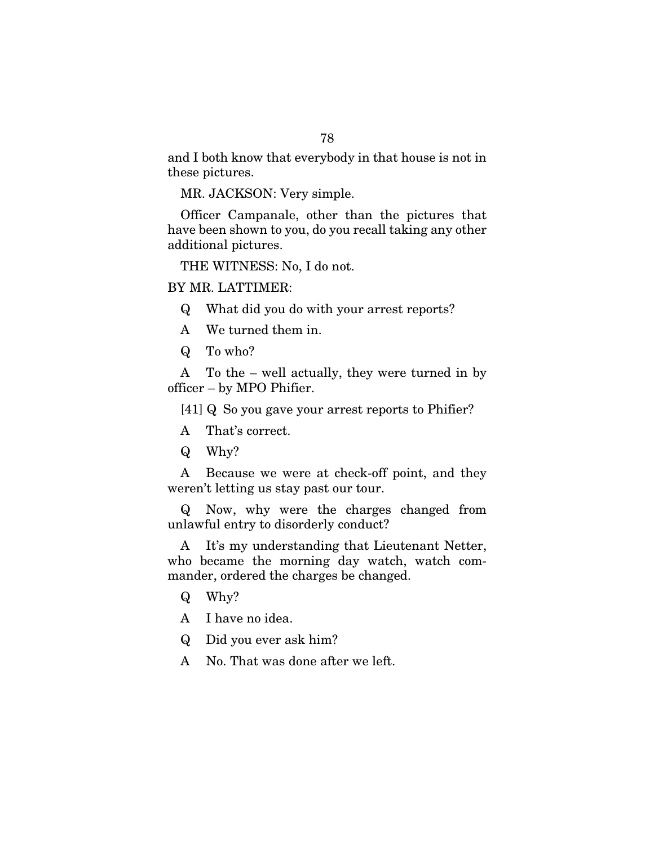and I both know that everybody in that house is not in these pictures.

MR. JACKSON: Very simple.

Officer Campanale, other than the pictures that have been shown to you, do you recall taking any other additional pictures.

THE WITNESS: No, I do not.

#### BY MR. LATTIMER:

- Q What did you do with your arrest reports?
- A We turned them in.
- Q To who?

A To the – well actually, they were turned in by officer – by MPO Phifier.

[41] Q So you gave your arrest reports to Phifier?

- A That's correct.
- Q Why?

A Because we were at check-off point, and they weren't letting us stay past our tour.

Q Now, why were the charges changed from unlawful entry to disorderly conduct?

A It's my understanding that Lieutenant Netter, who became the morning day watch, watch commander, ordered the charges be changed.

- Q Why?
- A I have no idea.
- Q Did you ever ask him?
- A No. That was done after we left.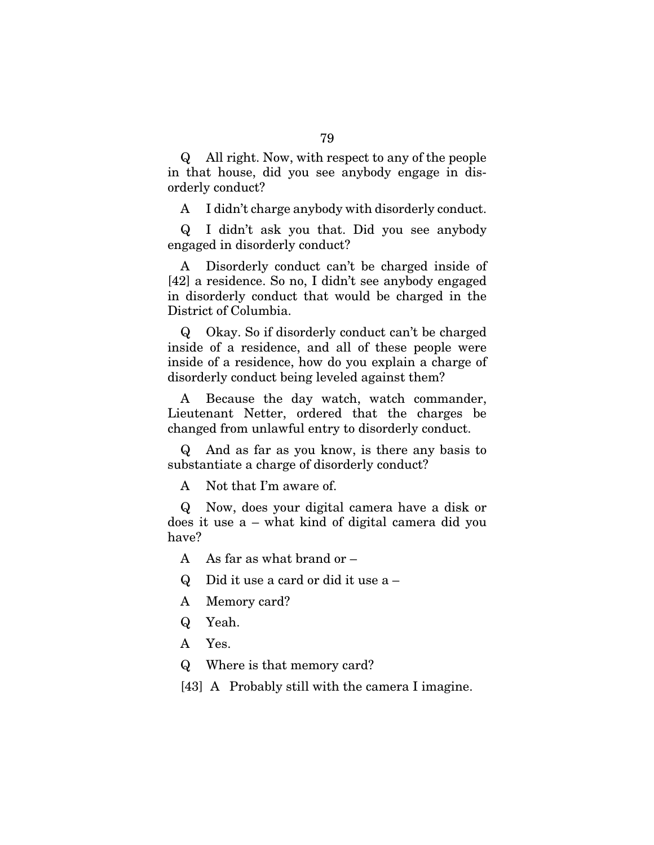Q All right. Now, with respect to any of the people in that house, did you see anybody engage in disorderly conduct?

A I didn't charge anybody with disorderly conduct.

Q I didn't ask you that. Did you see anybody engaged in disorderly conduct?

A Disorderly conduct can't be charged inside of [42] a residence. So no, I didn't see anybody engaged in disorderly conduct that would be charged in the District of Columbia.

Q Okay. So if disorderly conduct can't be charged inside of a residence, and all of these people were inside of a residence, how do you explain a charge of disorderly conduct being leveled against them?

A Because the day watch, watch commander, Lieutenant Netter, ordered that the charges be changed from unlawful entry to disorderly conduct.

Q And as far as you know, is there any basis to substantiate a charge of disorderly conduct?

A Not that I'm aware of.

Q Now, does your digital camera have a disk or does it use a – what kind of digital camera did you have?

A As far as what brand or  $-$ 

- Q Did it use a card or did it use a –
- A Memory card?
- Q Yeah.
- A Yes.
- Q Where is that memory card?

[43] A Probably still with the camera I imagine.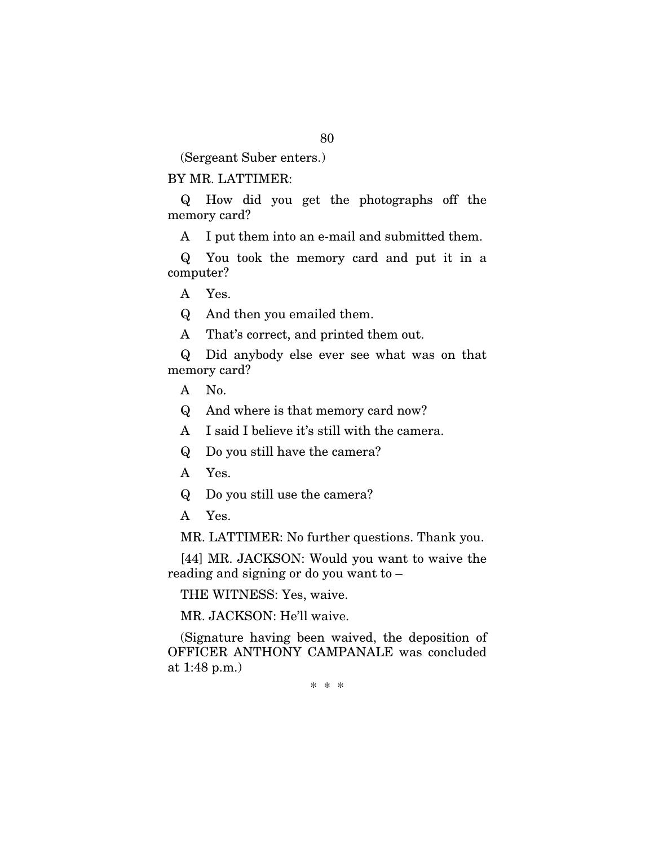(Sergeant Suber enters.)

### BY MR. LATTIMER:

Q How did you get the photographs off the memory card?

A I put them into an e-mail and submitted them.

Q You took the memory card and put it in a computer?

A Yes.

Q And then you emailed them.

A That's correct, and printed them out.

Q Did anybody else ever see what was on that memory card?

A No.

Q And where is that memory card now?

A I said I believe it's still with the camera.

Q Do you still have the camera?

A Yes.

Q Do you still use the camera?

A Yes.

MR. LATTIMER: No further questions. Thank you.

[44] MR. JACKSON: Would you want to waive the reading and signing or do you want to –

THE WITNESS: Yes, waive.

MR. JACKSON: He'll waive.

(Signature having been waived, the deposition of OFFICER ANTHONY CAMPANALE was concluded at 1:48 p.m.)

\* \* \*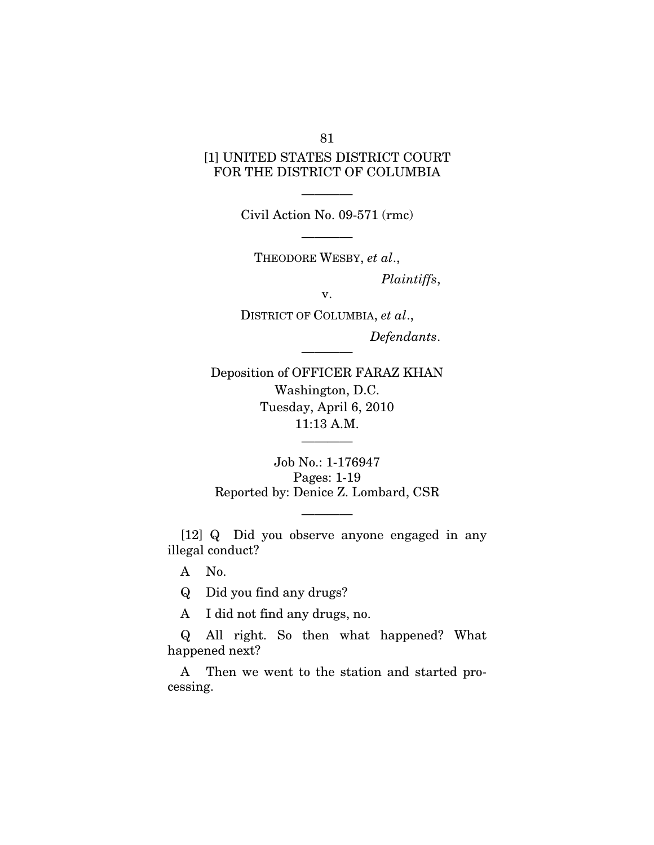# [1] UNITED STATES DISTRICT COURT FOR THE DISTRICT OF COLUMBIA

———— Civil Action No. 09-571 (rmc)

————

THEODORE WESBY, *et al*., *Plaintiffs*,

v.

————

DISTRICT OF COLUMBIA, *et al*., *Defendants*.

Deposition of OFFICER FARAZ KHAN Washington, D.C. Tuesday, April 6, 2010 11:13 A.M.

Job No.: 1-176947 Pages: 1-19 Reported by: Denice Z. Lombard, CSR

————

[12] Q Did you observe anyone engaged in any illegal conduct?

————

A No.

Q Did you find any drugs?

A I did not find any drugs, no.

Q All right. So then what happened? What happened next?

A Then we went to the station and started processing.

81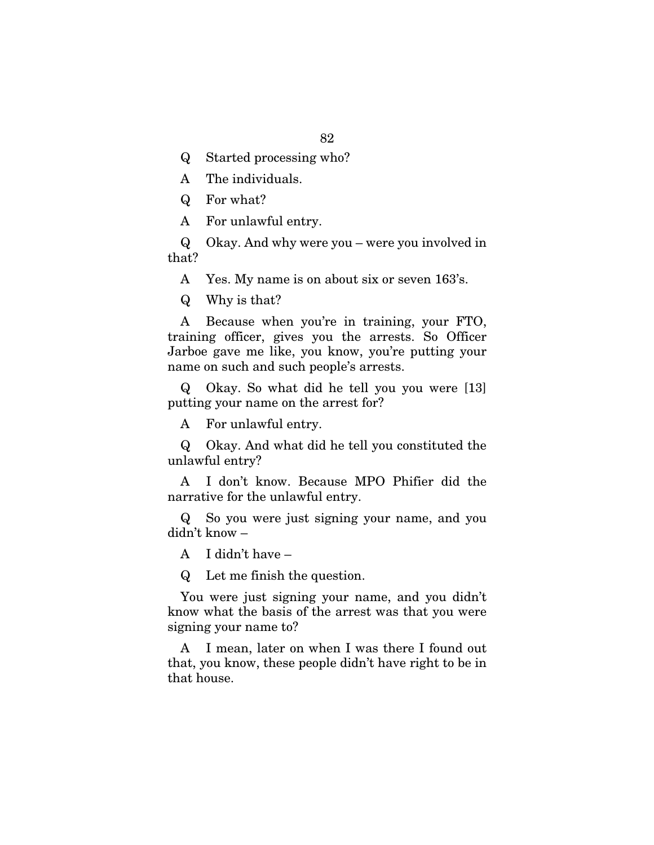- Q Started processing who?
- A The individuals.
- Q For what?
- A For unlawful entry.

Q Okay. And why were you – were you involved in that?

A Yes. My name is on about six or seven 163's.

Q Why is that?

A Because when you're in training, your FTO, training officer, gives you the arrests. So Officer Jarboe gave me like, you know, you're putting your name on such and such people's arrests.

Q Okay. So what did he tell you you were [13] putting your name on the arrest for?

A For unlawful entry.

Q Okay. And what did he tell you constituted the unlawful entry?

A I don't know. Because MPO Phifier did the narrative for the unlawful entry.

Q So you were just signing your name, and you didn't know –

A I didn't have –

Q Let me finish the question.

You were just signing your name, and you didn't know what the basis of the arrest was that you were signing your name to?

A I mean, later on when I was there I found out that, you know, these people didn't have right to be in that house.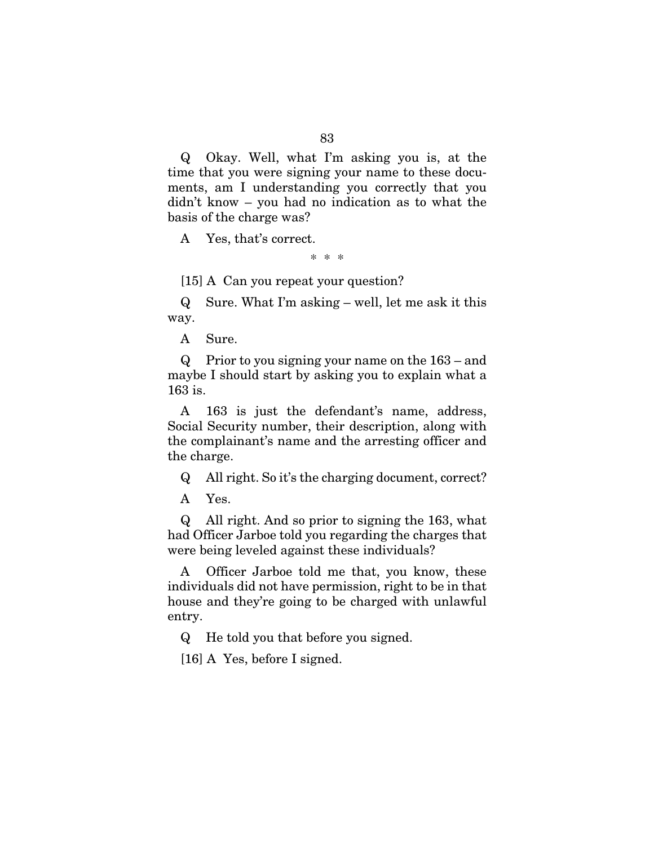Q Okay. Well, what I'm asking you is, at the time that you were signing your name to these documents, am I understanding you correctly that you didn't know – you had no indication as to what the basis of the charge was?

A Yes, that's correct.

\* \* \*

[15] A Can you repeat your question?

Q Sure. What I'm asking – well, let me ask it this way.

A Sure.

Q Prior to you signing your name on the 163 – and maybe I should start by asking you to explain what a 163 is.

A 163 is just the defendant's name, address, Social Security number, their description, along with the complainant's name and the arresting officer and the charge.

Q All right. So it's the charging document, correct?

A Yes.

Q All right. And so prior to signing the 163, what had Officer Jarboe told you regarding the charges that were being leveled against these individuals?

A Officer Jarboe told me that, you know, these individuals did not have permission, right to be in that house and they're going to be charged with unlawful entry.

Q He told you that before you signed.

[16] A Yes, before I signed.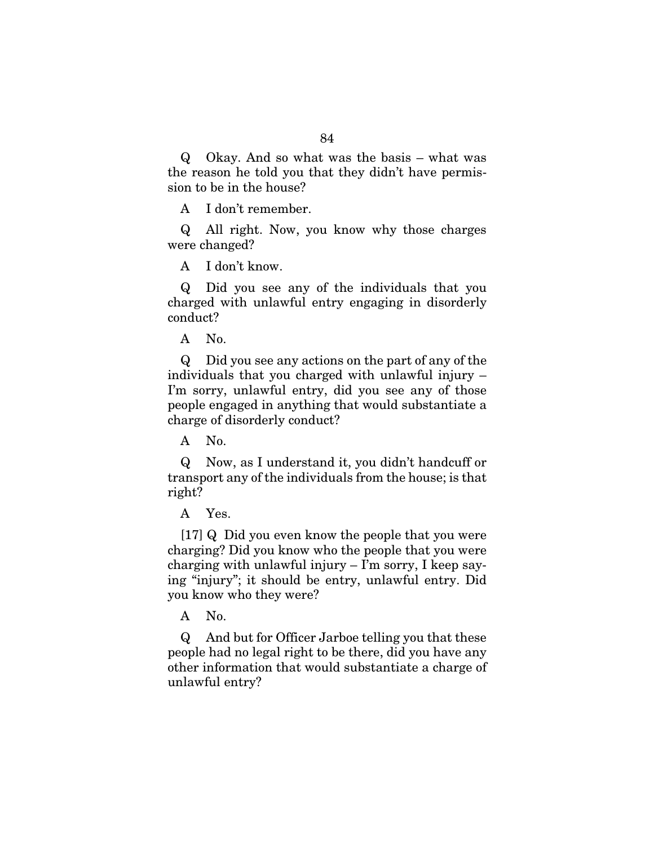Q Okay. And so what was the basis – what was the reason he told you that they didn't have permission to be in the house?

A I don't remember.

Q All right. Now, you know why those charges were changed?

A I don't know.

Q Did you see any of the individuals that you charged with unlawful entry engaging in disorderly conduct?

A No.

Q Did you see any actions on the part of any of the individuals that you charged with unlawful injury – I'm sorry, unlawful entry, did you see any of those people engaged in anything that would substantiate a charge of disorderly conduct?

A No.

Q Now, as I understand it, you didn't handcuff or transport any of the individuals from the house; is that right?

A Yes.

[17] Q Did you even know the people that you were charging? Did you know who the people that you were charging with unlawful injury  $-$  I'm sorry, I keep saying "injury"; it should be entry, unlawful entry. Did you know who they were?

A No.

Q And but for Officer Jarboe telling you that these people had no legal right to be there, did you have any other information that would substantiate a charge of unlawful entry?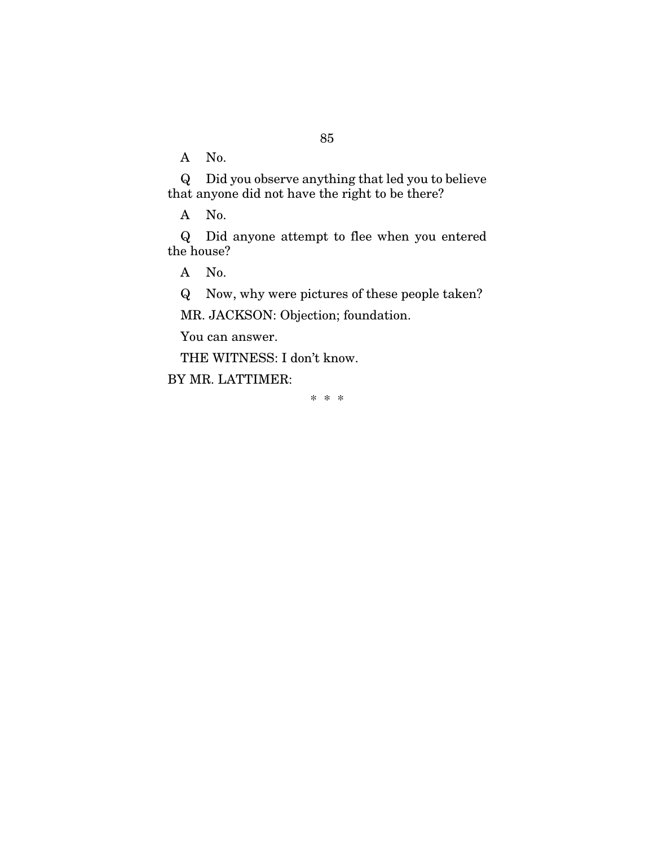A No.

Q Did you observe anything that led you to believe that anyone did not have the right to be there?

A No.

Q Did anyone attempt to flee when you entered the house?

A No.

Q Now, why were pictures of these people taken?

MR. JACKSON: Objection; foundation.

You can answer.

THE WITNESS: I don't know.

BY MR. LATTIMER:

\* \* \*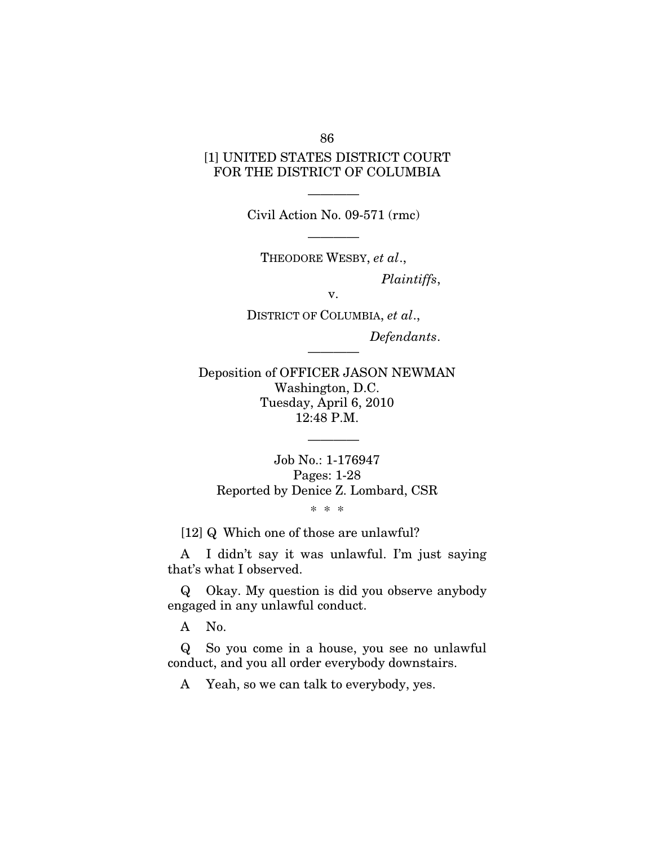# [1] UNITED STATES DISTRICT COURT FOR THE DISTRICT OF COLUMBIA

Civil Action No. 09-571 (rmc)

————

————

THEODORE WESBY, *et al*., *Plaintiffs*,

v.

DISTRICT OF COLUMBIA, *et al*., *Defendants*.

————

Deposition of OFFICER JASON NEWMAN Washington, D.C. Tuesday, April 6, 2010 12:48 P.M.

Job No.: 1-176947 Pages: 1-28 Reported by Denice Z. Lombard, CSR

————

\* \* \*

[12] Q Which one of those are unlawful?

A I didn't say it was unlawful. I'm just saying that's what I observed.

Q Okay. My question is did you observe anybody engaged in any unlawful conduct.

A No.

Q So you come in a house, you see no unlawful conduct, and you all order everybody downstairs.

A Yeah, so we can talk to everybody, yes.

86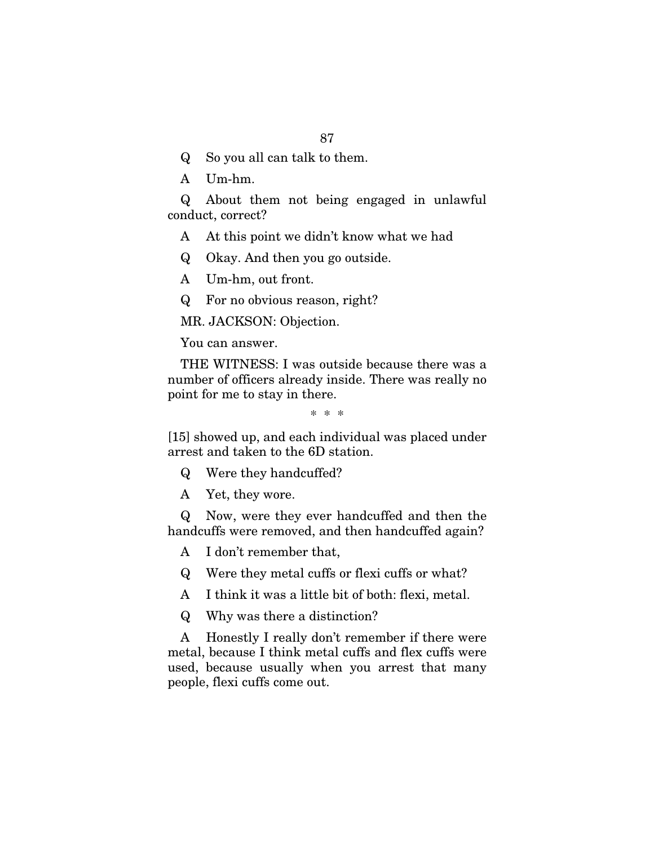- Q So you all can talk to them.
- A Um-hm.

Q About them not being engaged in unlawful conduct, correct?

- A At this point we didn't know what we had
- Q Okay. And then you go outside.
- A Um-hm, out front.
- Q For no obvious reason, right?

MR. JACKSON: Objection.

You can answer.

THE WITNESS: I was outside because there was a number of officers already inside. There was really no point for me to stay in there.

\* \* \*

[15] showed up, and each individual was placed under arrest and taken to the 6D station.

Q Were they handcuffed?

A Yet, they wore.

Q Now, were they ever handcuffed and then the handcuffs were removed, and then handcuffed again?

A I don't remember that,

Q Were they metal cuffs or flexi cuffs or what?

A I think it was a little bit of both: flexi, metal.

Q Why was there a distinction?

A Honestly I really don't remember if there were metal, because I think metal cuffs and flex cuffs were used, because usually when you arrest that many people, flexi cuffs come out.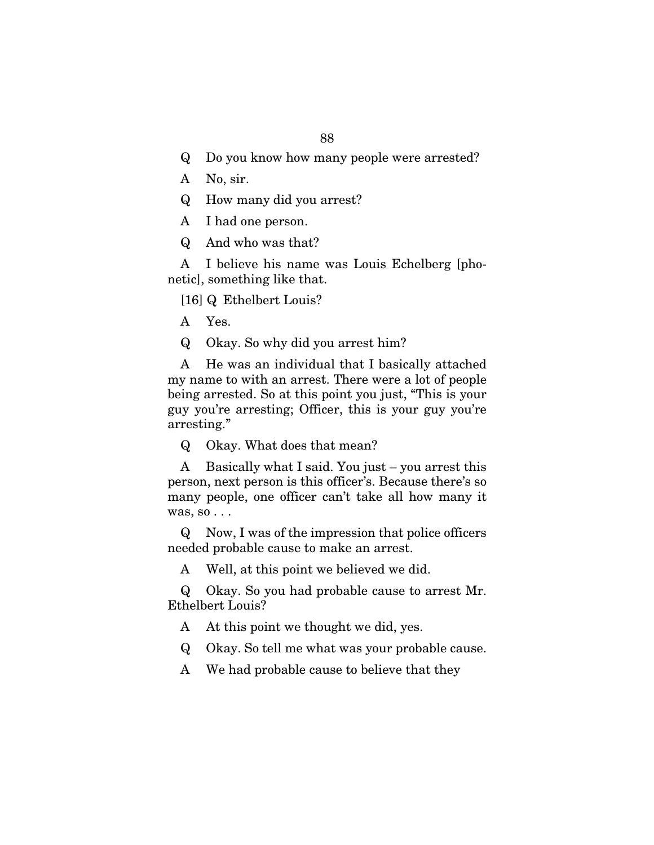- Q Do you know how many people were arrested?
- A No, sir.
- Q How many did you arrest?
- A I had one person.
- Q And who was that?

A I believe his name was Louis Echelberg [phonetic], something like that.

[16] Q Ethelbert Louis?

- A Yes.
- Q Okay. So why did you arrest him?

A He was an individual that I basically attached my name to with an arrest. There were a lot of people being arrested. So at this point you just, "This is your guy you're arresting; Officer, this is your guy you're arresting."

Q Okay. What does that mean?

A Basically what I said. You just – you arrest this person, next person is this officer's. Because there's so many people, one officer can't take all how many it was, so . . .

Q Now, I was of the impression that police officers needed probable cause to make an arrest.

A Well, at this point we believed we did.

Q Okay. So you had probable cause to arrest Mr. Ethelbert Louis?

A At this point we thought we did, yes.

Q Okay. So tell me what was your probable cause.

A We had probable cause to believe that they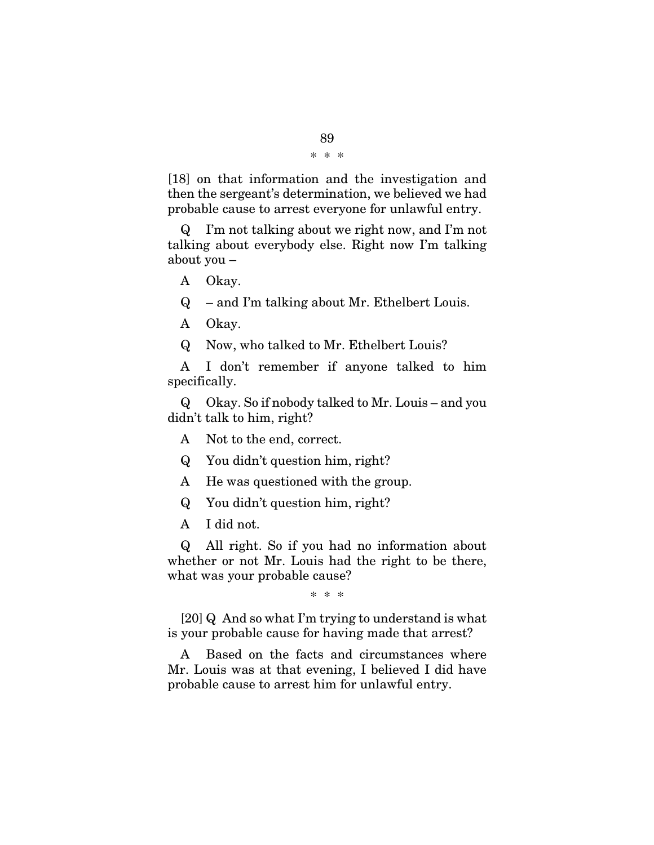[18] on that information and the investigation and then the sergeant's determination, we believed we had probable cause to arrest everyone for unlawful entry.

Q I'm not talking about we right now, and I'm not talking about everybody else. Right now I'm talking about you –

A Okay.

Q – and I'm talking about Mr. Ethelbert Louis.

A Okay.

Q Now, who talked to Mr. Ethelbert Louis?

A I don't remember if anyone talked to him specifically.

Q Okay. So if nobody talked to Mr. Louis – and you didn't talk to him, right?

A Not to the end, correct.

Q You didn't question him, right?

A He was questioned with the group.

Q You didn't question him, right?

A I did not.

Q All right. So if you had no information about whether or not Mr. Louis had the right to be there, what was your probable cause?

\* \* \*

[20] Q And so what I'm trying to understand is what is your probable cause for having made that arrest?

A Based on the facts and circumstances where Mr. Louis was at that evening, I believed I did have probable cause to arrest him for unlawful entry.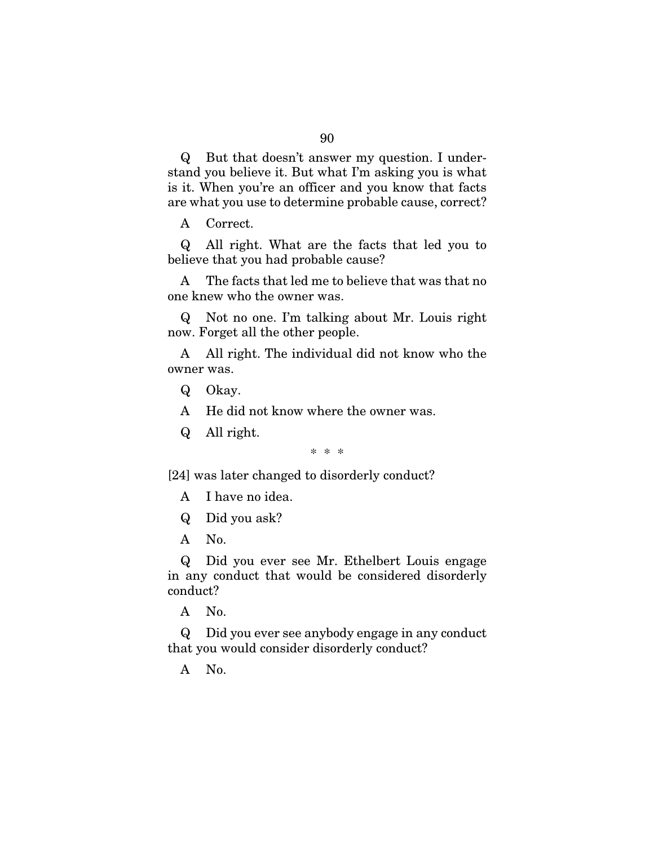Q But that doesn't answer my question. I understand you believe it. But what I'm asking you is what is it. When you're an officer and you know that facts are what you use to determine probable cause, correct?

A Correct.

Q All right. What are the facts that led you to believe that you had probable cause?

A The facts that led me to believe that was that no one knew who the owner was.

Q Not no one. I'm talking about Mr. Louis right now. Forget all the other people.

A All right. The individual did not know who the owner was.

- Q Okay.
- A He did not know where the owner was.
- Q All right.

\* \* \*

[24] was later changed to disorderly conduct?

- A I have no idea.
- Q Did you ask?
- A No.

Q Did you ever see Mr. Ethelbert Louis engage in any conduct that would be considered disorderly conduct?

A No.

Q Did you ever see anybody engage in any conduct that you would consider disorderly conduct?

A No.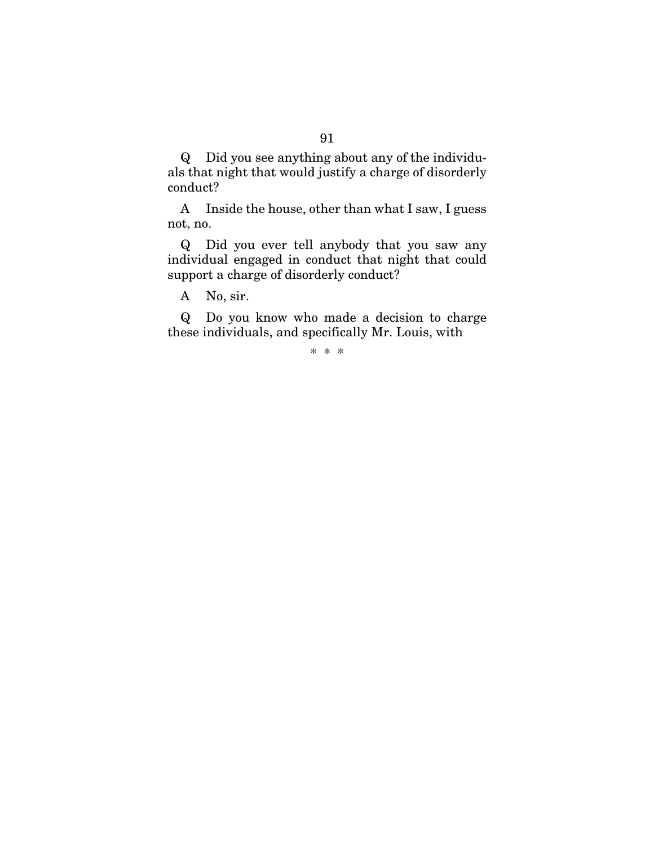Q Did you see anything about any of the individuals that night that would justify a charge of disorderly conduct?

A Inside the house, other than what I saw, I guess not, no.

Q Did you ever tell anybody that you saw any individual engaged in conduct that night that could support a charge of disorderly conduct?

A No, sir.

Q Do you know who made a decision to charge these individuals, and specifically Mr. Louis, with

\* \* \*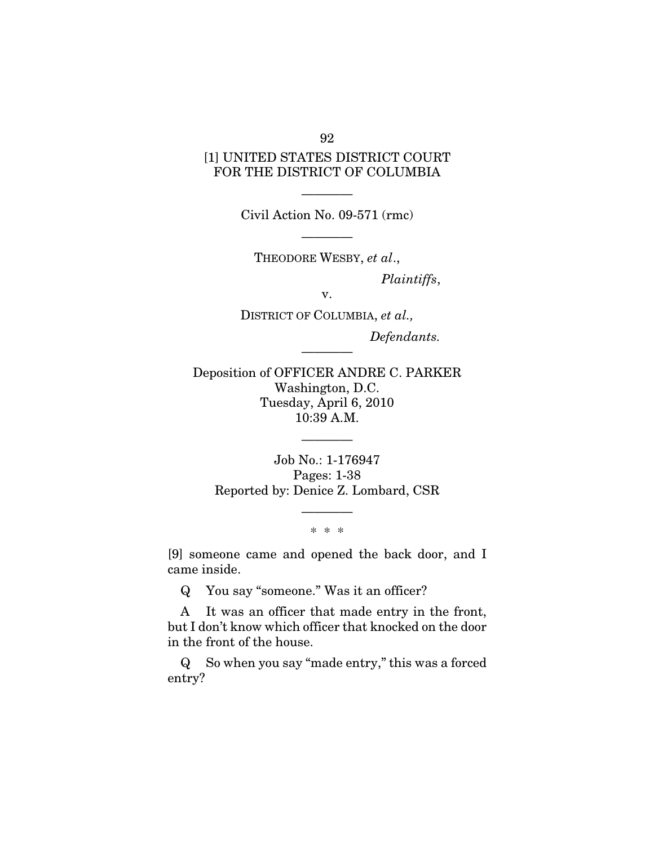# [1] UNITED STATES DISTRICT COURT FOR THE DISTRICT OF COLUMBIA

———— Civil Action No. 09-571 (rmc)

————

THEODORE WESBY, *et al*., *Plaintiffs*,

v.

DISTRICT OF COLUMBIA, *et al., Defendants.* 

Deposition of OFFICER ANDRE C. PARKER Washington, D.C. Tuesday, April 6, 2010 10:39 A.M.

————

Job No.: 1-176947 Pages: 1-38 Reported by: Denice Z. Lombard, CSR

————

### ———— \* \* \*

[9] someone came and opened the back door, and I came inside.

Q You say "someone." Was it an officer?

A It was an officer that made entry in the front, but I don't know which officer that knocked on the door in the front of the house.

Q So when you say "made entry," this was a forced entry?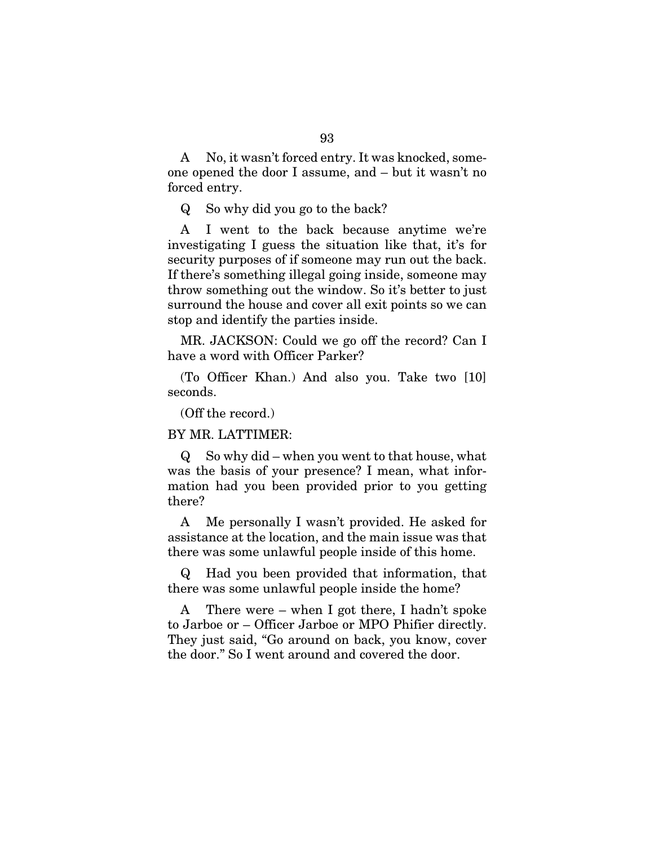A No, it wasn't forced entry. It was knocked, someone opened the door I assume, and – but it wasn't no forced entry.

Q So why did you go to the back?

A I went to the back because anytime we're investigating I guess the situation like that, it's for security purposes of if someone may run out the back. If there's something illegal going inside, someone may throw something out the window. So it's better to just surround the house and cover all exit points so we can stop and identify the parties inside.

MR. JACKSON: Could we go off the record? Can I have a word with Officer Parker?

(To Officer Khan.) And also you. Take two [10] seconds.

(Off the record.)

BY MR. LATTIMER:

Q So why did – when you went to that house, what was the basis of your presence? I mean, what information had you been provided prior to you getting there?

A Me personally I wasn't provided. He asked for assistance at the location, and the main issue was that there was some unlawful people inside of this home.

Q Had you been provided that information, that there was some unlawful people inside the home?

A There were – when I got there, I hadn't spoke to Jarboe or – Officer Jarboe or MPO Phifier directly. They just said, "Go around on back, you know, cover the door." So I went around and covered the door.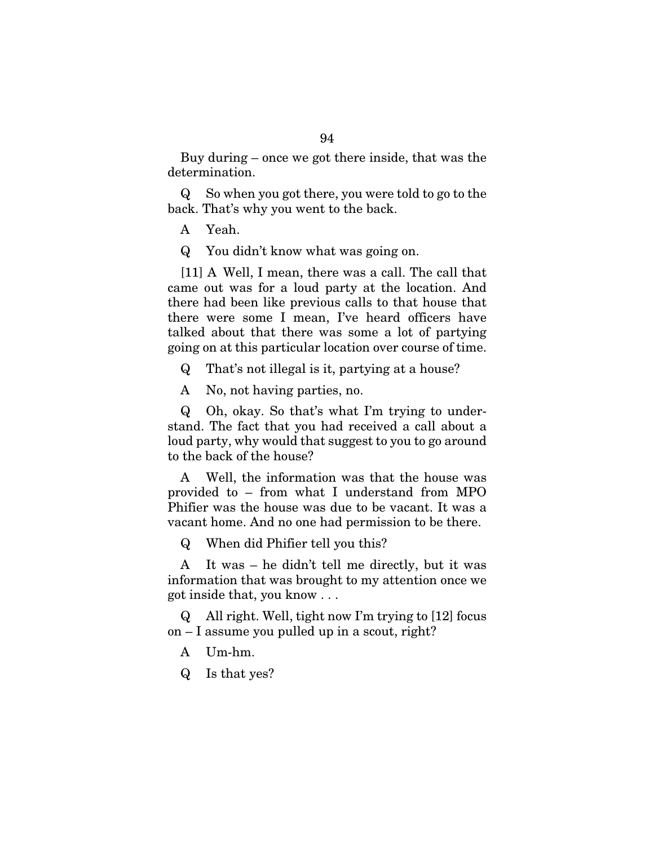Buy during – once we got there inside, that was the determination.

Q So when you got there, you were told to go to the back. That's why you went to the back.

A Yeah.

Q You didn't know what was going on.

[11] A Well, I mean, there was a call. The call that came out was for a loud party at the location. And there had been like previous calls to that house that there were some I mean, I've heard officers have talked about that there was some a lot of partying going on at this particular location over course of time.

Q That's not illegal is it, partying at a house?

A No, not having parties, no.

Q Oh, okay. So that's what I'm trying to understand. The fact that you had received a call about a loud party, why would that suggest to you to go around to the back of the house?

A Well, the information was that the house was provided to – from what I understand from MPO Phifier was the house was due to be vacant. It was a vacant home. And no one had permission to be there.

Q When did Phifier tell you this?

A It was – he didn't tell me directly, but it was information that was brought to my attention once we got inside that, you know . . .

Q All right. Well, tight now I'm trying to [12] focus on – I assume you pulled up in a scout, right?

- A Um-hm.
- Q Is that yes?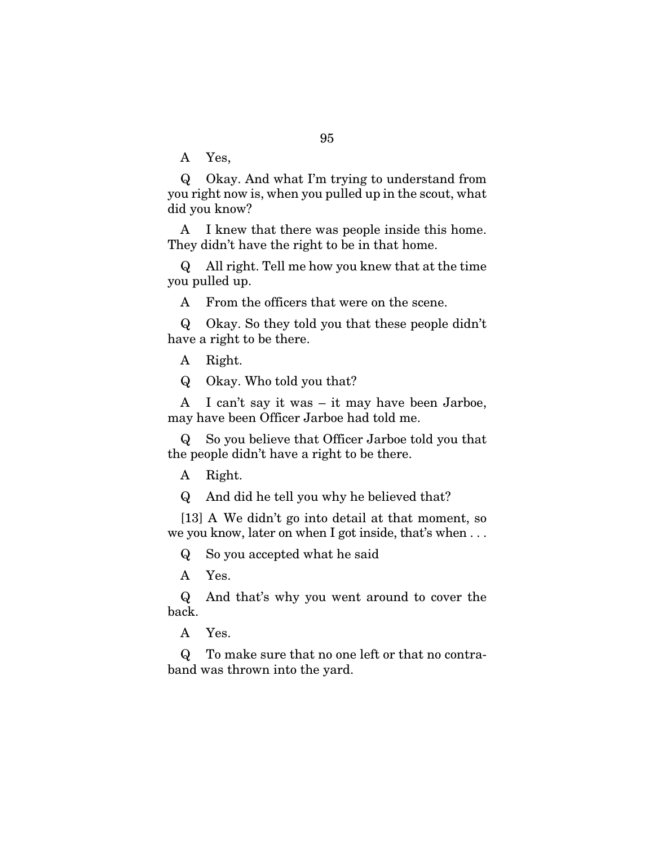A Yes,

Q Okay. And what I'm trying to understand from you right now is, when you pulled up in the scout, what did you know?

A I knew that there was people inside this home. They didn't have the right to be in that home.

Q All right. Tell me how you knew that at the time you pulled up.

A From the officers that were on the scene.

Q Okay. So they told you that these people didn't have a right to be there.

A Right.

Q Okay. Who told you that?

A I can't say it was – it may have been Jarboe, may have been Officer Jarboe had told me.

Q So you believe that Officer Jarboe told you that the people didn't have a right to be there.

A Right.

Q And did he tell you why he believed that?

[13] A We didn't go into detail at that moment, so we you know, later on when I got inside, that's when . . .

Q So you accepted what he said

A Yes.

Q And that's why you went around to cover the back.

A Yes.

Q To make sure that no one left or that no contraband was thrown into the yard.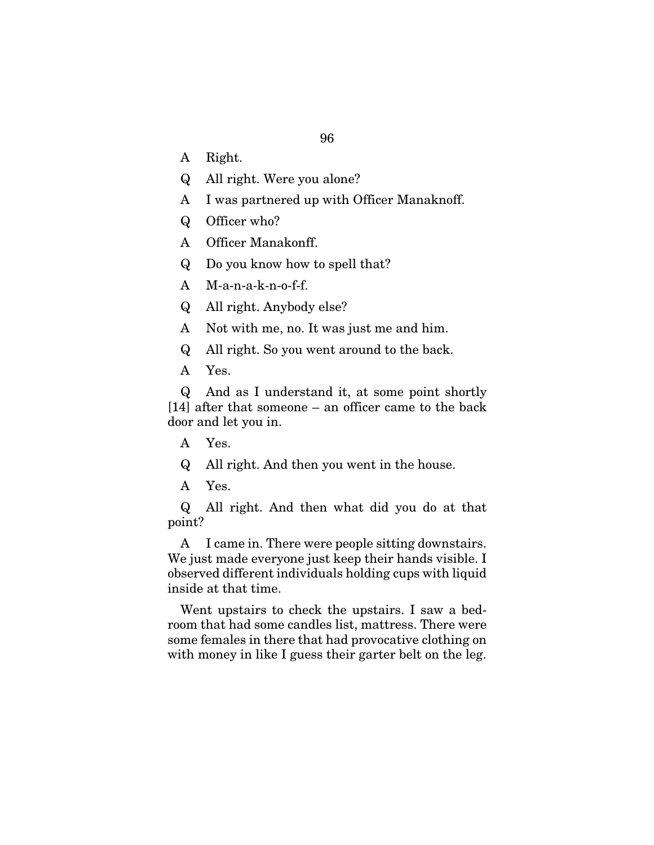- A Right.
- Q All right. Were you alone?
- A I was partnered up with Officer Manaknoff.
- Q Officer who?
- A Officer Manakonff.
- Q Do you know how to spell that?
- A M-a-n-a-k-n-o-f-f.
- Q All right. Anybody else?
- A Not with me, no. It was just me and him.
- Q All right. So you went around to the back.
- A Yes.

Q And as I understand it, at some point shortly [14] after that someone – an officer came to the back door and let you in.

- A Yes.
- Q All right. And then you went in the house.
- A Yes.

Q All right. And then what did you do at that point?

A I came in. There were people sitting downstairs. We just made everyone just keep their hands visible. I observed different individuals holding cups with liquid inside at that time.

Went upstairs to check the upstairs. I saw a bedroom that had some candles list, mattress. There were some females in there that had provocative clothing on with money in like I guess their garter belt on the leg.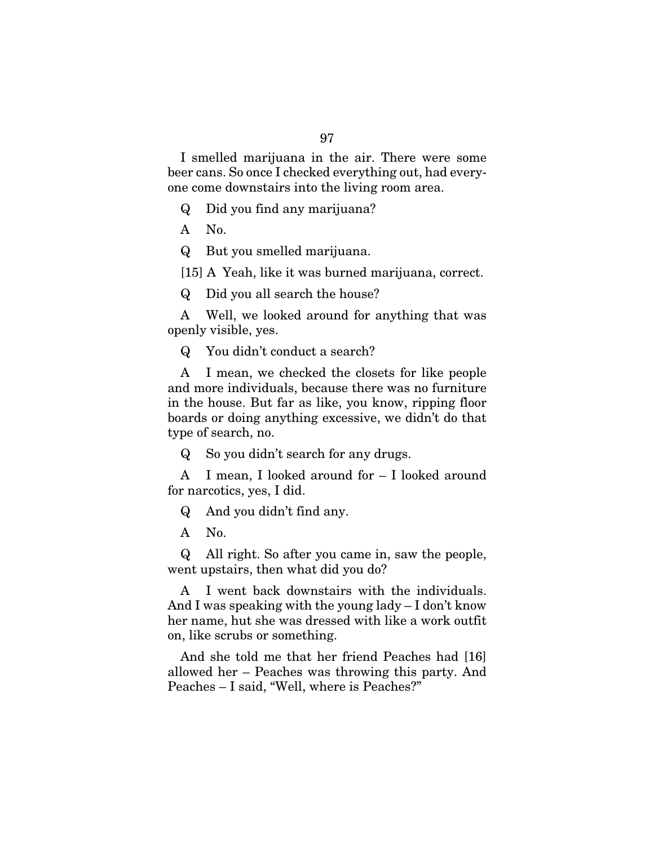I smelled marijuana in the air. There were some beer cans. So once I checked everything out, had everyone come downstairs into the living room area.

Q Did you find any marijuana?

A No.

Q But you smelled marijuana.

[15] A Yeah, like it was burned marijuana, correct.

Q Did you all search the house?

A Well, we looked around for anything that was openly visible, yes.

Q You didn't conduct a search?

A I mean, we checked the closets for like people and more individuals, because there was no furniture in the house. But far as like, you know, ripping floor boards or doing anything excessive, we didn't do that type of search, no.

Q So you didn't search for any drugs.

A I mean, I looked around for – I looked around for narcotics, yes, I did.

Q And you didn't find any.

A No.

Q All right. So after you came in, saw the people, went upstairs, then what did you do?

A I went back downstairs with the individuals. And I was speaking with the young lady – I don't know her name, hut she was dressed with like a work outfit on, like scrubs or something.

And she told me that her friend Peaches had [16] allowed her – Peaches was throwing this party. And Peaches – I said, "Well, where is Peaches?"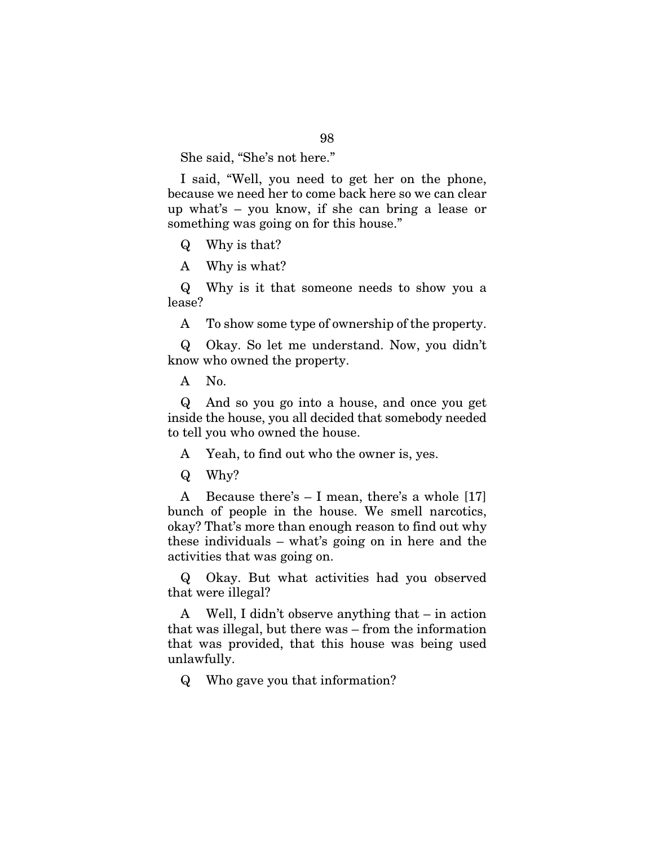She said, "She's not here."

I said, "Well, you need to get her on the phone, because we need her to come back here so we can clear up what's – you know, if she can bring a lease or something was going on for this house."

Q Why is that?

A Why is what?

Q Why is it that someone needs to show you a lease?

A To show some type of ownership of the property.

Q Okay. So let me understand. Now, you didn't know who owned the property.

A No.

Q And so you go into a house, and once you get inside the house, you all decided that somebody needed to tell you who owned the house.

A Yeah, to find out who the owner is, yes.

Q Why?

A Because there's – I mean, there's a whole [17] bunch of people in the house. We smell narcotics, okay? That's more than enough reason to find out why these individuals – what's going on in here and the activities that was going on.

Q Okay. But what activities had you observed that were illegal?

A Well, I didn't observe anything that – in action that was illegal, but there was – from the information that was provided, that this house was being used unlawfully.

Q Who gave you that information?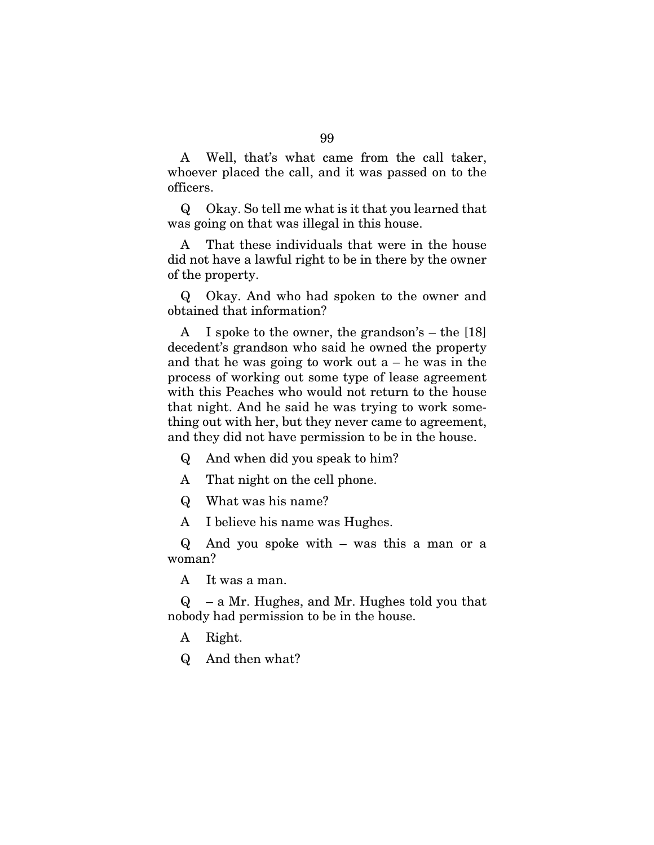A Well, that's what came from the call taker, whoever placed the call, and it was passed on to the officers.

Q Okay. So tell me what is it that you learned that was going on that was illegal in this house.

A That these individuals that were in the house did not have a lawful right to be in there by the owner of the property.

Q Okay. And who had spoken to the owner and obtained that information?

A I spoke to the owner, the grandson's – the [18] decedent's grandson who said he owned the property and that he was going to work out  $a - he$  was in the process of working out some type of lease agreement with this Peaches who would not return to the house that night. And he said he was trying to work something out with her, but they never came to agreement, and they did not have permission to be in the house.

Q And when did you speak to him?

A That night on the cell phone.

Q What was his name?

A I believe his name was Hughes.

Q And you spoke with – was this a man or a woman?

A It was a man.

Q – a Mr. Hughes, and Mr. Hughes told you that nobody had permission to be in the house.

A Right.

Q And then what?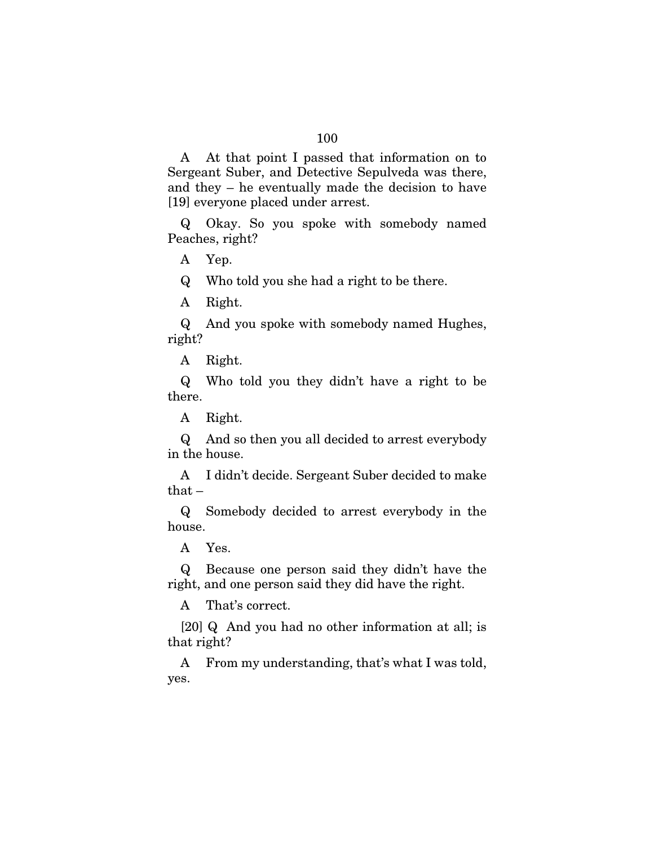A At that point I passed that information on to Sergeant Suber, and Detective Sepulveda was there, and they – he eventually made the decision to have [19] everyone placed under arrest.

Q Okay. So you spoke with somebody named Peaches, right?

A Yep.

Q Who told you she had a right to be there.

A Right.

Q And you spoke with somebody named Hughes, right?

A Right.

Q Who told you they didn't have a right to be there.

A Right.

Q And so then you all decided to arrest everybody in the house.

A I didn't decide. Sergeant Suber decided to make that  $-$ 

Q Somebody decided to arrest everybody in the house.

A Yes.

Q Because one person said they didn't have the right, and one person said they did have the right.

A That's correct.

[20] Q And you had no other information at all; is that right?

A From my understanding, that's what I was told, yes.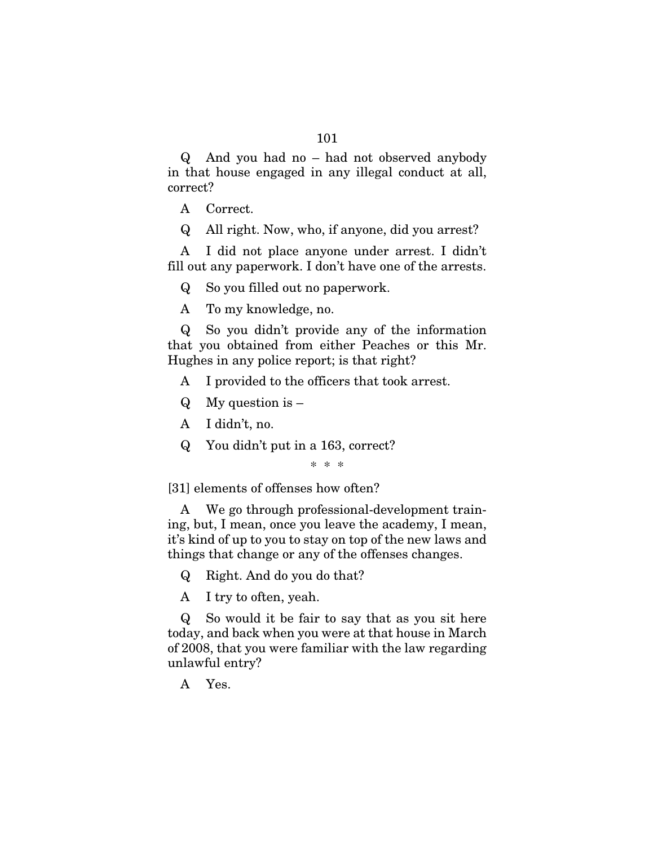Q And you had no – had not observed anybody in that house engaged in any illegal conduct at all, correct?

- A Correct.
- Q All right. Now, who, if anyone, did you arrest?

A I did not place anyone under arrest. I didn't fill out any paperwork. I don't have one of the arrests.

Q So you filled out no paperwork.

A To my knowledge, no.

Q So you didn't provide any of the information that you obtained from either Peaches or this Mr. Hughes in any police report; is that right?

- A I provided to the officers that took arrest.
- $Q$  My question is  $-$
- A I didn't, no.
- Q You didn't put in a 163, correct?

\* \* \*

[31] elements of offenses how often?

A We go through professional-development training, but, I mean, once you leave the academy, I mean, it's kind of up to you to stay on top of the new laws and things that change or any of the offenses changes.

Q Right. And do you do that?

A I try to often, yeah.

Q So would it be fair to say that as you sit here today, and back when you were at that house in March of 2008, that you were familiar with the law regarding unlawful entry?

A Yes.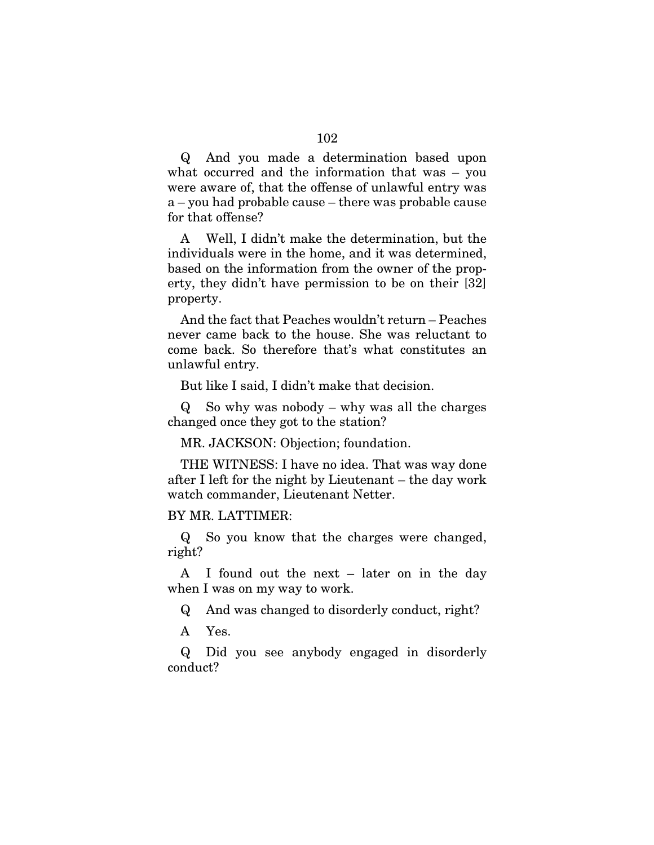Q And you made a determination based upon what occurred and the information that was – you were aware of, that the offense of unlawful entry was a – you had probable cause – there was probable cause for that offense?

A Well, I didn't make the determination, but the individuals were in the home, and it was determined, based on the information from the owner of the property, they didn't have permission to be on their [32] property.

And the fact that Peaches wouldn't return – Peaches never came back to the house. She was reluctant to come back. So therefore that's what constitutes an unlawful entry.

But like I said, I didn't make that decision.

Q So why was nobody – why was all the charges changed once they got to the station?

MR. JACKSON: Objection; foundation.

THE WITNESS: I have no idea. That was way done after I left for the night by Lieutenant – the day work watch commander, Lieutenant Netter.

#### BY MR. LATTIMER:

Q So you know that the charges were changed, right?

A I found out the next – later on in the day when I was on my way to work.

Q And was changed to disorderly conduct, right?

A Yes.

Q Did you see anybody engaged in disorderly conduct?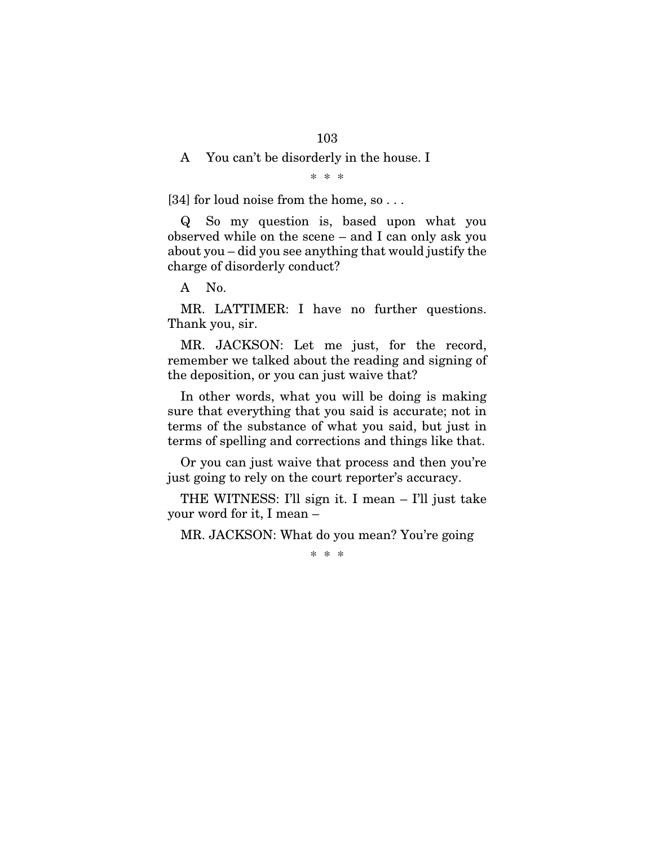#### A You can't be disorderly in the house. I

\* \* \*

[34] for loud noise from the home, so...

Q So my question is, based upon what you observed while on the scene – and I can only ask you about you – did you see anything that would justify the charge of disorderly conduct?

A No.

MR. LATTIMER: I have no further questions. Thank you, sir.

MR. JACKSON: Let me just, for the record, remember we talked about the reading and signing of the deposition, or you can just waive that?

In other words, what you will be doing is making sure that everything that you said is accurate; not in terms of the substance of what you said, but just in terms of spelling and corrections and things like that.

Or you can just waive that process and then you're just going to rely on the court reporter's accuracy.

THE WITNESS: I'll sign it. I mean – I'll just take your word for it, I mean –

MR. JACKSON: What do you mean? You're going

\* \* \*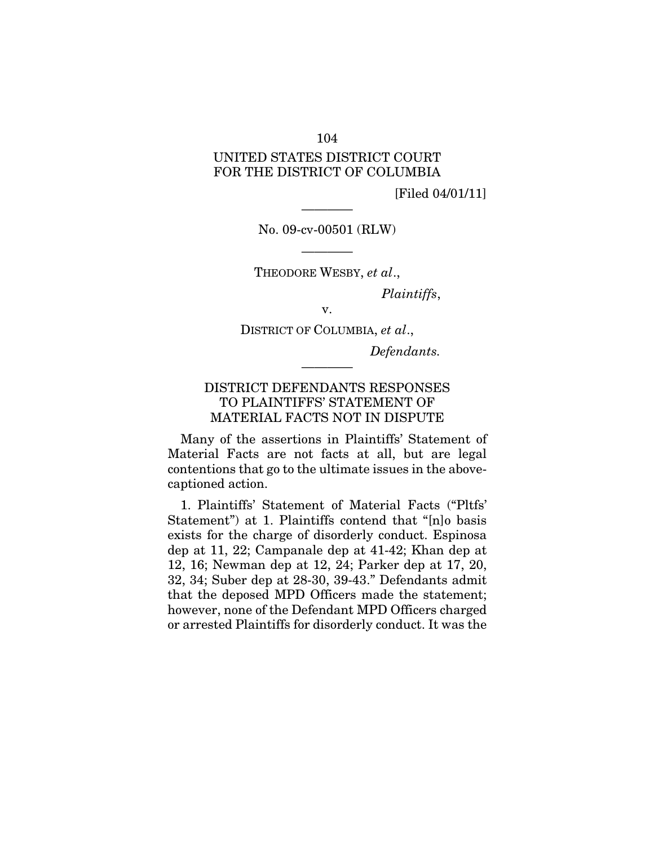#### 104

### UNITED STATES DISTRICT COURT FOR THE DISTRICT OF COLUMBIA

[Filed 04/01/11]

———— No. 09-cv-00501 (RLW)

———— THEODORE WESBY, *et al*.,

*Plaintiffs*,

v. DISTRICT OF COLUMBIA, *et al*.,

*Defendants.* 

### DISTRICT DEFENDANTS RESPONSES TO PLAINTIFFS' STATEMENT OF MATERIAL FACTS NOT IN DISPUTE

————

Many of the assertions in Plaintiffs' Statement of Material Facts are not facts at all, but are legal contentions that go to the ultimate issues in the abovecaptioned action.

1. Plaintiffs' Statement of Material Facts ("Pltfs' Statement") at 1. Plaintiffs contend that "[n]o basis exists for the charge of disorderly conduct. Espinosa dep at 11, 22; Campanale dep at 41-42; Khan dep at 12, 16; Newman dep at 12, 24; Parker dep at 17, 20, 32, 34; Suber dep at 28-30, 39-43." Defendants admit that the deposed MPD Officers made the statement; however, none of the Defendant MPD Officers charged or arrested Plaintiffs for disorderly conduct. It was the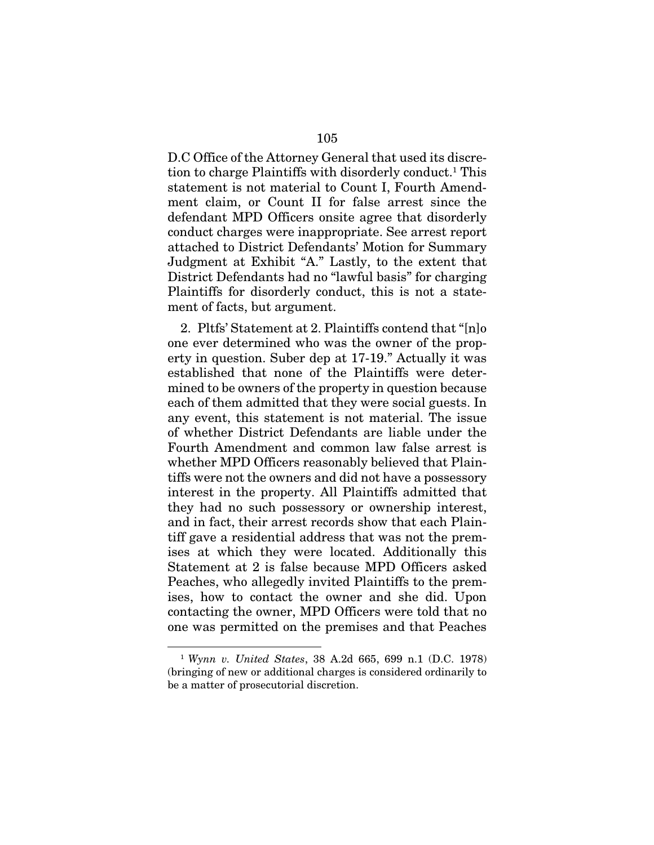D.C Office of the Attorney General that used its discretion to charge Plaintiffs with disorderly conduct.1 This statement is not material to Count I, Fourth Amendment claim, or Count II for false arrest since the defendant MPD Officers onsite agree that disorderly conduct charges were inappropriate. See arrest report attached to District Defendants' Motion for Summary Judgment at Exhibit "A." Lastly, to the extent that District Defendants had no "lawful basis" for charging Plaintiffs for disorderly conduct, this is not a statement of facts, but argument.

2. Pltfs' Statement at 2. Plaintiffs contend that "[n]o one ever determined who was the owner of the property in question. Suber dep at 17-19." Actually it was established that none of the Plaintiffs were determined to be owners of the property in question because each of them admitted that they were social guests. In any event, this statement is not material. The issue of whether District Defendants are liable under the Fourth Amendment and common law false arrest is whether MPD Officers reasonably believed that Plaintiffs were not the owners and did not have a possessory interest in the property. All Plaintiffs admitted that they had no such possessory or ownership interest, and in fact, their arrest records show that each Plaintiff gave a residential address that was not the premises at which they were located. Additionally this Statement at 2 is false because MPD Officers asked Peaches, who allegedly invited Plaintiffs to the premises, how to contact the owner and she did. Upon contacting the owner, MPD Officers were told that no one was permitted on the premises and that Peaches

<sup>1</sup> *Wynn v. United States*, 38 A.2d 665, 699 n.1 (D.C. 1978) (bringing of new or additional charges is considered ordinarily to be a matter of prosecutorial discretion.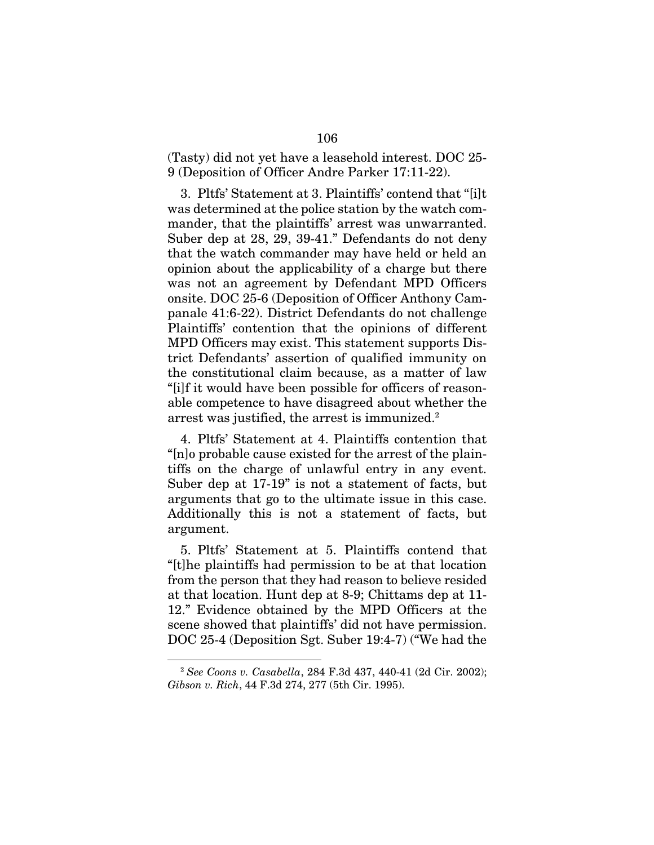(Tasty) did not yet have a leasehold interest. DOC 25- 9 (Deposition of Officer Andre Parker 17:11-22).

3. Pltfs' Statement at 3. Plaintiffs' contend that "[i]t was determined at the police station by the watch commander, that the plaintiffs' arrest was unwarranted. Suber dep at 28, 29, 39-41." Defendants do not deny that the watch commander may have held or held an opinion about the applicability of a charge but there was not an agreement by Defendant MPD Officers onsite. DOC 25-6 (Deposition of Officer Anthony Campanale 41:6-22). District Defendants do not challenge Plaintiffs' contention that the opinions of different MPD Officers may exist. This statement supports District Defendants' assertion of qualified immunity on the constitutional claim because, as a matter of law "[i]f it would have been possible for officers of reasonable competence to have disagreed about whether the arrest was justified, the arrest is immunized.<sup>2</sup>

4. Pltfs' Statement at 4. Plaintiffs contention that "[n]o probable cause existed for the arrest of the plaintiffs on the charge of unlawful entry in any event. Suber dep at 17-19" is not a statement of facts, but arguments that go to the ultimate issue in this case. Additionally this is not a statement of facts, but argument.

5. Pltfs' Statement at 5. Plaintiffs contend that "[t]he plaintiffs had permission to be at that location from the person that they had reason to believe resided at that location. Hunt dep at 8-9; Chittams dep at 11- 12." Evidence obtained by the MPD Officers at the scene showed that plaintiffs' did not have permission. DOC 25-4 (Deposition Sgt. Suber 19:4-7) ("We had the

<sup>2</sup> *See Coons v. Casabella*, 284 F.3d 437, 440-41 (2d Cir. 2002); *Gibson v. Rich*, 44 F.3d 274, 277 (5th Cir. 1995).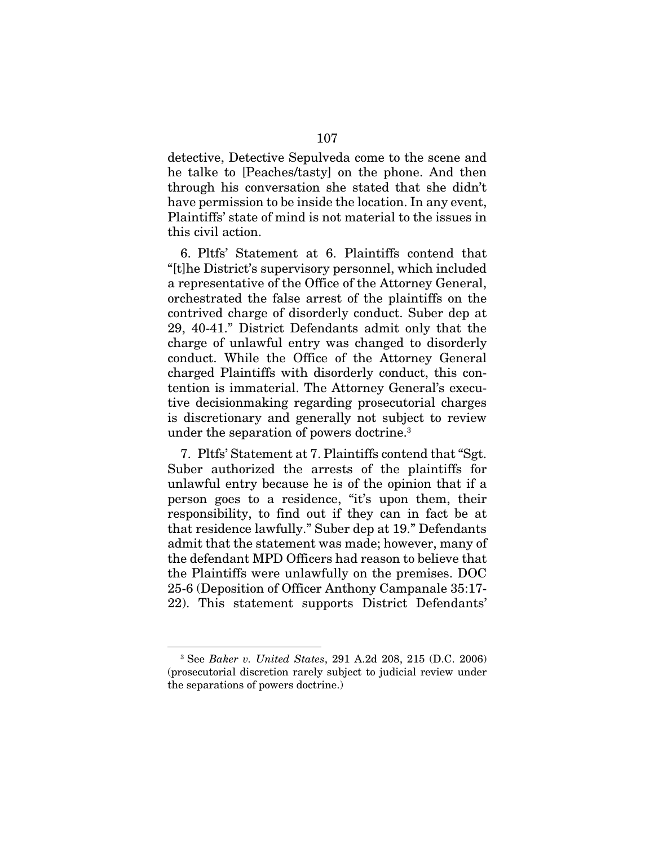detective, Detective Sepulveda come to the scene and he talke to [Peaches/tasty] on the phone. And then through his conversation she stated that she didn't have permission to be inside the location. In any event, Plaintiffs' state of mind is not material to the issues in this civil action.

6. Pltfs' Statement at 6. Plaintiffs contend that "[t]he District's supervisory personnel, which included a representative of the Office of the Attorney General, orchestrated the false arrest of the plaintiffs on the contrived charge of disorderly conduct. Suber dep at 29, 40-41." District Defendants admit only that the charge of unlawful entry was changed to disorderly conduct. While the Office of the Attorney General charged Plaintiffs with disorderly conduct, this contention is immaterial. The Attorney General's executive decisionmaking regarding prosecutorial charges is discretionary and generally not subject to review under the separation of powers doctrine.3

7. Pltfs' Statement at 7. Plaintiffs contend that "Sgt. Suber authorized the arrests of the plaintiffs for unlawful entry because he is of the opinion that if a person goes to a residence, "it's upon them, their responsibility, to find out if they can in fact be at that residence lawfully." Suber dep at 19." Defendants admit that the statement was made; however, many of the defendant MPD Officers had reason to believe that the Plaintiffs were unlawfully on the premises. DOC 25-6 (Deposition of Officer Anthony Campanale 35:17- 22). This statement supports District Defendants'

<sup>3</sup> See *Baker v. United States*, 291 A.2d 208, 215 (D.C. 2006) (prosecutorial discretion rarely subject to judicial review under the separations of powers doctrine.)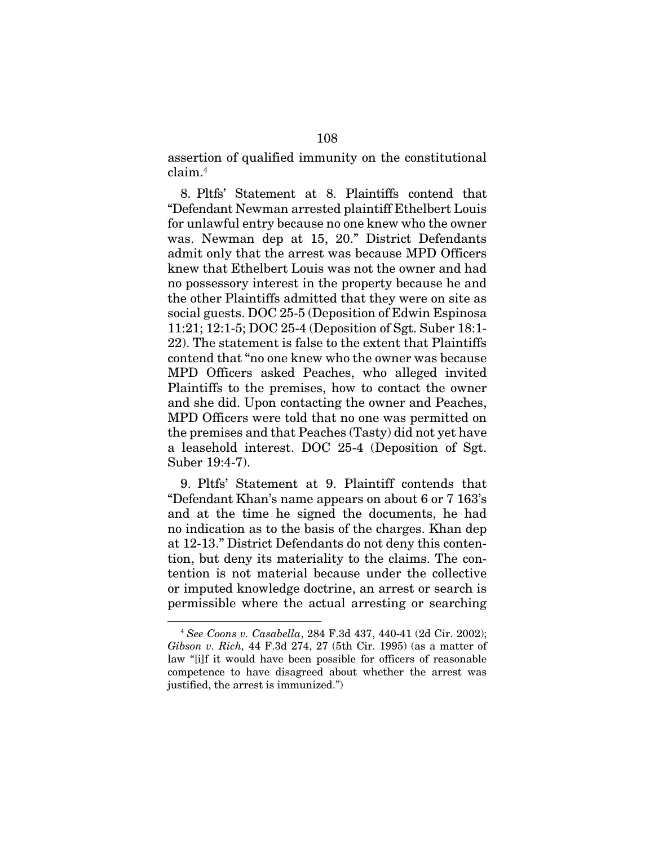assertion of qualified immunity on the constitutional claim.4

8. Pltfs' Statement at 8. Plaintiffs contend that "Defendant Newman arrested plaintiff Ethelbert Louis for unlawful entry because no one knew who the owner was. Newman dep at 15, 20." District Defendants admit only that the arrest was because MPD Officers knew that Ethelbert Louis was not the owner and had no possessory interest in the property because he and the other Plaintiffs admitted that they were on site as social guests. DOC 25-5 (Deposition of Edwin Espinosa 11:21; 12:1-5; DOC 25-4 (Deposition of Sgt. Suber 18:1- 22). The statement is false to the extent that Plaintiffs contend that "no one knew who the owner was because MPD Officers asked Peaches, who alleged invited Plaintiffs to the premises, how to contact the owner and she did. Upon contacting the owner and Peaches, MPD Officers were told that no one was permitted on the premises and that Peaches (Tasty) did not yet have a leasehold interest. DOC 25-4 (Deposition of Sgt. Suber 19:4-7).

9. Pltfs' Statement at 9. Plaintiff contends that "Defendant Khan's name appears on about 6 or 7 163's and at the time he signed the documents, he had no indication as to the basis of the charges. Khan dep at 12-13." District Defendants do not deny this contention, but deny its materiality to the claims. The contention is not material because under the collective or imputed knowledge doctrine, an arrest or search is permissible where the actual arresting or searching

<sup>4</sup> *See Coons v. Casabella*, 284 F.3d 437, 440-41 (2d Cir. 2002); *Gibson v. Rich,* 44 F.3d 274, 27 (5th Cir. 1995) (as a matter of law "[i]f it would have been possible for officers of reasonable competence to have disagreed about whether the arrest was justified, the arrest is immunized.")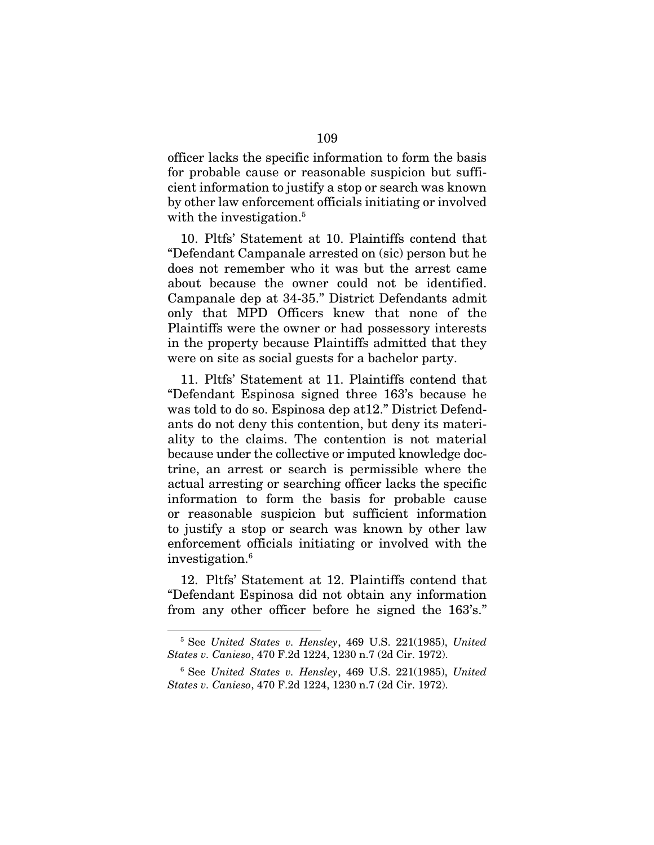officer lacks the specific information to form the basis for probable cause or reasonable suspicion but sufficient information to justify a stop or search was known by other law enforcement officials initiating or involved with the investigation.<sup>5</sup>

10. Pltfs' Statement at 10. Plaintiffs contend that "Defendant Campanale arrested on (sic) person but he does not remember who it was but the arrest came about because the owner could not be identified. Campanale dep at 34-35." District Defendants admit only that MPD Officers knew that none of the Plaintiffs were the owner or had possessory interests in the property because Plaintiffs admitted that they were on site as social guests for a bachelor party.

11. Pltfs' Statement at 11. Plaintiffs contend that "Defendant Espinosa signed three 163's because he was told to do so. Espinosa dep at12." District Defendants do not deny this contention, but deny its materiality to the claims. The contention is not material because under the collective or imputed knowledge doctrine, an arrest or search is permissible where the actual arresting or searching officer lacks the specific information to form the basis for probable cause or reasonable suspicion but sufficient information to justify a stop or search was known by other law enforcement officials initiating or involved with the investigation.6

12. Pltfs' Statement at 12. Plaintiffs contend that "Defendant Espinosa did not obtain any information from any other officer before he signed the 163's."

<u>.</u>

<sup>5</sup> See *United States v. Hensley*, 469 U.S. 221(1985), *United States v. Canieso*, 470 F.2d 1224, 1230 n.7 (2d Cir. 1972).

<sup>6</sup> See *United States v. Hensley*, 469 U.S. 221(1985), *United States v. Canieso*, 470 F.2d 1224, 1230 n.7 (2d Cir. 1972).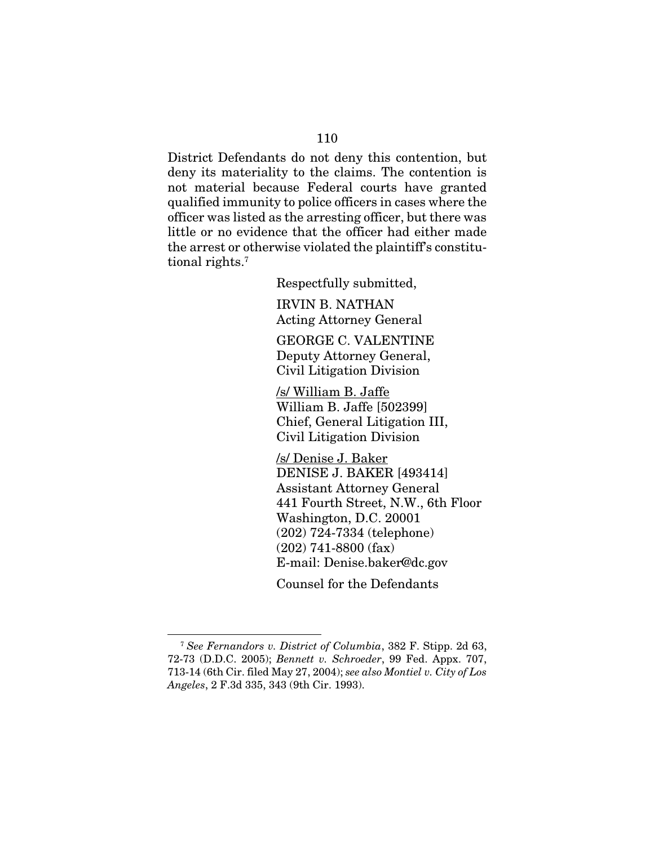District Defendants do not deny this contention, but deny its materiality to the claims. The contention is not material because Federal courts have granted qualified immunity to police officers in cases where the officer was listed as the arresting officer, but there was little or no evidence that the officer had either made the arrest or otherwise violated the plaintiff's constitutional rights.7

Respectfully submitted,

IRVIN B. NATHAN Acting Attorney General

GEORGE C. VALENTINE Deputy Attorney General, Civil Litigation Division

/s/ William B. Jaffe William B. Jaffe [502399] Chief, General Litigation III, Civil Litigation Division

/s/ Denise J. Baker DENISE J. BAKER [493414] Assistant Attorney General 441 Fourth Street, N.W., 6th Floor Washington, D.C. 20001 (202) 724-7334 (telephone) (202) 741-8800 (fax) E-mail: Denise.baker@dc.gov

Counsel for the Defendants

<sup>7</sup> *See Fernandors v. District of Columbia*, 382 F. Stipp. 2d 63, 72-73 (D.D.C. 2005); *Bennett v. Schroeder*, 99 Fed. Appx. 707, 713-14 (6th Cir. filed May 27, 2004); *see also Montiel v. City of Los Angeles*, 2 F.3d 335, 343 (9th Cir. 1993).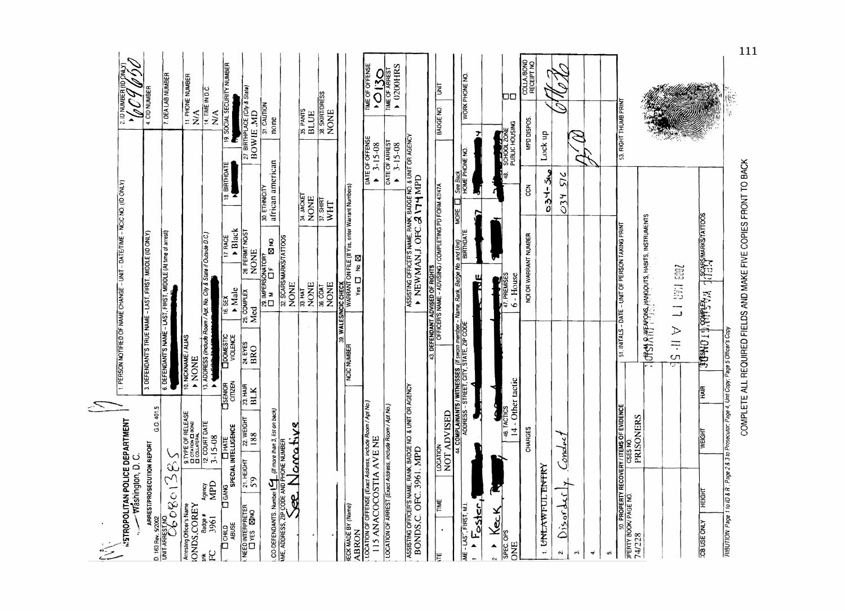| $\begin{picture}(20,20) \put(0,0){\line(1,0){15}} \put(15,0){\line(1,0){15}} \put(15,0){\line(1,0){15}} \put(15,0){\line(1,0){15}} \put(15,0){\line(1,0){15}} \put(15,0){\line(1,0){15}} \put(15,0){\line(1,0){15}} \put(15,0){\line(1,0){15}} \put(15,0){\line(1,0){15}} \put(15,0){\line(1,0){15}} \put(15,0){\line(1,0){15}} \put(15,0){\line(1$ |                                  |                                       |                                             |                                              |                                                                                                                                                                                               |                            |                                                          |                                            |                                        |  |
|-----------------------------------------------------------------------------------------------------------------------------------------------------------------------------------------------------------------------------------------------------------------------------------------------------------------------------------------------------|----------------------------------|---------------------------------------|---------------------------------------------|----------------------------------------------|-----------------------------------------------------------------------------------------------------------------------------------------------------------------------------------------------|----------------------------|----------------------------------------------------------|--------------------------------------------|----------------------------------------|--|
| <b>INSTROPOLITAN POLICE DEPARTMENT</b><br><b>Washington, D.C.</b>                                                                                                                                                                                                                                                                                   |                                  |                                       |                                             |                                              | 1. PERSON NOTIFIED OF NAME CHANGE - UNIT - DATE/TIME - NCIC NO. (ID ONLY)                                                                                                                     |                            |                                                          | ∽                                          | 2.10 NUMBER (ID ONLY)<br>Z             |  |
|                                                                                                                                                                                                                                                                                                                                                     | G.O. 401.5                       |                                       |                                             |                                              | 3. DEFENDANT'S TRUE NAME - LAST, FIRST, MIDDLE (ID ONLY)                                                                                                                                      |                            |                                                          |                                            | 4. CID NUMBER                          |  |
|                                                                                                                                                                                                                                                                                                                                                     |                                  |                                       |                                             |                                              | 6. DEFENDANT'S NAME - LAST, FIRST, MIDDLE (At time of arrest)                                                                                                                                 |                            |                                                          |                                            | 7. DEA LAB NUMBER                      |  |
|                                                                                                                                                                                                                                                                                                                                                     |                                  |                                       | 10. NICKNAME / ALIAS<br>A NONE              |                                              |                                                                                                                                                                                               |                            |                                                          | $\sum_{\mathbf{X}}$                        | 11. PHONE NUMBER                       |  |
|                                                                                                                                                                                                                                                                                                                                                     |                                  | $\tilde{\mathbf{z}}$                  |                                             |                                              | 13. ADDRESS (Include Room / Apt. No. City & State if Outside D.C.)                                                                                                                            |                            |                                                          | $\sum_{i=1}^{n}$                           | 14. TIME IN D.C.                       |  |
| <b>DONID</b><br>ABUSE                                                                                                                                                                                                                                                                                                                               | <b>G</b><br>SPECIAL INTELLIGENCE | CITIZEN<br><b>CISENIOR</b>            | <b>LOOMESTIC</b><br>VIOLENCE                | Male<br>16.SEX                               | $\blacktriangleright$ Black<br>17. RACE                                                                                                                                                       |                            | 18. BIRTHDATE                                            | Б                                          | 19. SOCIAL SECURITY NUMBER             |  |
| $\frac{21. HECHT}{5.9}$<br>NEED INTERPRETER                                                                                                                                                                                                                                                                                                         | $22$ WEIGHT<br>188               | $\frac{23 \text{ HAR}}{81 \text{ K}}$ | 24.EYES<br>BRO                              | COMPLEX<br>Med                               | 26. PERMIT NO/ST<br><b>NONE</b>                                                                                                                                                               |                            |                                                          | 27. BIRTHPLACE (City & State)<br>BOW IE MD |                                        |  |
|                                                                                                                                                                                                                                                                                                                                                     | than 3, list on back)            |                                       |                                             | 29. IMPERSONATOR?<br>$\square$ M $\square$ F | <b>ន</b>                                                                                                                                                                                      | 30. ETHNICITY              | african american                                         | 31 CAUTION<br>none                         |                                        |  |
| CO-DEFENDANTS. Number $\frac{1}{2}$ ( <i>if more han 3</i> , NE, ADDRESS, ZIP CODE AND PHONE NUMBER                                                                                                                                                                                                                                                 | Norrative                        |                                       |                                             | <b>NONE</b>                                  | 32. SCARSMARKS/TATTOOS                                                                                                                                                                        |                            |                                                          |                                            |                                        |  |
|                                                                                                                                                                                                                                                                                                                                                     |                                  |                                       |                                             | 33 HAT<br>NONE                               |                                                                                                                                                                                               | <b>M.JACKET</b><br>NONE    |                                                          | 35. PANTS<br><b>BLUE</b>                   |                                        |  |
|                                                                                                                                                                                                                                                                                                                                                     |                                  |                                       |                                             | <b>NONE</b><br>36. COAT                      |                                                                                                                                                                                               | $\frac{37.5HRT}{n}$<br>WHT |                                                          | 38. SKIRT/DRESS<br><b>NONE</b>             |                                        |  |
| <b>IECK MADE BY (Name)</b>                                                                                                                                                                                                                                                                                                                          |                                  |                                       | <b>NCIC NUMBER</b>                          |                                              | 39. WALESWOC CHECK<br>TWARRANT ON FILE (II Yes, enter Warrant Numbers)                                                                                                                        |                            |                                                          |                                            |                                        |  |
| ABRON                                                                                                                                                                                                                                                                                                                                               |                                  |                                       |                                             | $V$ es $\Box$                                |                                                                                                                                                                                               |                            |                                                          |                                            |                                        |  |
| LOCATION OF OFFENSE (Exect Address, include Room / Apt No.)<br>115 ANACOCOSTIA AVE NE                                                                                                                                                                                                                                                               |                                  |                                       |                                             |                                              |                                                                                                                                                                                               |                            | DATE OF OFFENSE<br>$3 - 15 - 08$<br>$\ddot{\phantom{1}}$ |                                            | TIME OF OFFENSE<br>$^{12}$ O $^{13}$ O |  |
| LOCATION OF ARREST (Exact Address, include Room / Apt No.)                                                                                                                                                                                                                                                                                          |                                  |                                       |                                             |                                              |                                                                                                                                                                                               |                            | DATE OF ARREST<br><b>15-08</b>                           |                                            | 0200HRS                                |  |
| ASSISTING OFFICER'S WANE, RAW, BADGE NO. & UNIT OR AGENCY<br>BONDS, C. OFC. 3961. MPD                                                                                                                                                                                                                                                               |                                  |                                       |                                             |                                              | ASSISTING OFFICER'S NAME, FANK, BADGE NO. 8 UNIT OR AGENCY<br>• NEW MAN, J. OFC. <b>A 174</b> MPD                                                                                             |                            |                                                          |                                            |                                        |  |
| E<br>١Ë                                                                                                                                                                                                                                                                                                                                             | ļξ<br>LOCATI                     |                                       |                                             |                                              | 43. DEFENDANT ADVISED OF RIGHTS<br> -<br>  CFFICER'S NAME - ADVISING / COMPLETING PD FORM 47/47A                                                                                              |                            |                                                          | <b>BADGE NO</b>                            | E                                      |  |
|                                                                                                                                                                                                                                                                                                                                                     | <b>S</b>                         |                                       |                                             |                                              |                                                                                                                                                                                               |                            |                                                          |                                            |                                        |  |
| $F_{\text{cster}}$<br>ME - LAS", FIRST, M.I.                                                                                                                                                                                                                                                                                                        |                                  |                                       |                                             | Ĕ                                            | $\frac{1}{44. \text{COMPLANKATS} }$ WINESSES <i>(II sworn member - Name, Rank, Badge No. and Unit)</i><br>44. COMPLANANTS/ WINESSES <i>(II</i> sworn member - Name, Rank, Badge No. and Unit) | <b>L</b> BHOM              | See Back<br>HOME PHONE NO.                               | ァ                                          | WORK PHONE NO                          |  |
|                                                                                                                                                                                                                                                                                                                                                     |                                  |                                       |                                             |                                              |                                                                                                                                                                                               |                            |                                                          |                                            |                                        |  |
| <b>SPEC OPS</b><br>SPEC OPS<br>ONE B<br>DIE                                                                                                                                                                                                                                                                                                         | 46. TACTICS                      | 14 - Other tactic                     |                                             | $\frac{1}{47}$ , PREMISES<br>$-$ House<br>G  |                                                                                                                                                                                               |                            | 18.                                                      | <b>PERIODE</b><br>SCHOOL ZONE              | 00                                     |  |
|                                                                                                                                                                                                                                                                                                                                                     | <b>CHARGES</b>                   |                                       |                                             |                                              | NOI OR WARRANT NUMBER                                                                                                                                                                         |                            | $\tilde{\mathrm{g}}$                                     | MPD DISPOS                                 | COLLA, BOND                            |  |
| 1. UNLAWFUL ENTRY                                                                                                                                                                                                                                                                                                                                   |                                  |                                       |                                             |                                              |                                                                                                                                                                                               |                            | صنڌ -⊦خ⊙                                                 | Lock up                                    |                                        |  |
| শ্ৰ<br>Disord<br>$\dot{\mathbf{N}}$                                                                                                                                                                                                                                                                                                                 | $\widetilde{\mathcal{E}}$        |                                       |                                             |                                              |                                                                                                                                                                                               | 234                        | v<br>$\overline{G}$                                      |                                            | C                                      |  |
| $\vec{m}$                                                                                                                                                                                                                                                                                                                                           |                                  |                                       |                                             |                                              |                                                                                                                                                                                               |                            |                                                          |                                            |                                        |  |
| $\vec{\mathbf{v}}$                                                                                                                                                                                                                                                                                                                                  |                                  |                                       |                                             |                                              |                                                                                                                                                                                               |                            |                                                          |                                            |                                        |  |
| <b>SOLE AND ARREST ARROUGHY ITEMS OF EVIDENCE</b><br><b>PERTY BOOK PAGE NO.</b> CSES NO.<br>24/228                                                                                                                                                                                                                                                  |                                  |                                       |                                             |                                              | 51. INITALS - DATE - UNIT OF PERSON TAKING PRINT                                                                                                                                              |                            |                                                          | 53. RIGHT THUMB PRINT                      |                                        |  |
|                                                                                                                                                                                                                                                                                                                                                     |                                  |                                       |                                             |                                              |                                                                                                                                                                                               |                            |                                                          |                                            |                                        |  |
|                                                                                                                                                                                                                                                                                                                                                     |                                  |                                       |                                             |                                              | TOPSY AILT (1) S. MARQUIS, HABITS, INSTRUMENTS                                                                                                                                                |                            |                                                          |                                            |                                        |  |
|                                                                                                                                                                                                                                                                                                                                                     |                                  |                                       | $\leq$ $\frac{1}{2}$<br>$\overline{C}$<br>ᠳ | L1 UFI 600                                   |                                                                                                                                                                                               |                            |                                                          |                                            |                                        |  |
| <b>HEIGHT</b><br><b>ZDB USE ONLY</b>                                                                                                                                                                                                                                                                                                                | <b>WEIGHT</b>                    | E                                     | MABAND TO PLEAT                             |                                              | JUSCAPSMARKSTATTOOS                                                                                                                                                                           |                            |                                                          |                                            |                                        |  |
| RIBUTION: Page 1101D & R ; Page 2 & 3 to Prosecutor: Page 4, Unit Copy: Page 5 Officer's Copy                                                                                                                                                                                                                                                       |                                  |                                       |                                             |                                              |                                                                                                                                                                                               |                            |                                                          |                                            |                                        |  |

COMPLETE ALL REQUIRED FIELDS AND MAKE FIVE COPIES FRONT TO BACK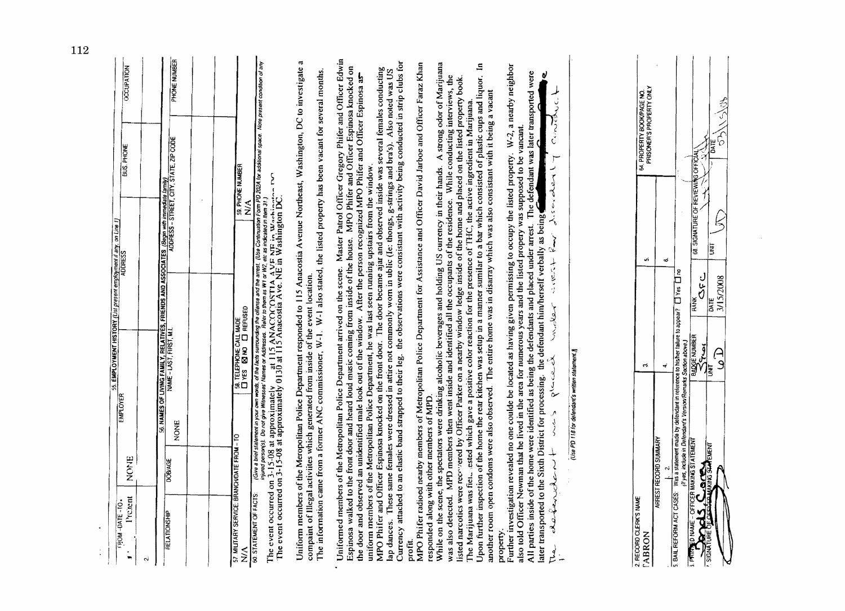| NOME<br>Pretent<br>OI-31YO-MOG3<br>$\bullet$<br>$\blacksquare$<br>ςú                 | EMPLOYER                                        | S5. EMPLOYMENT HISTORY (List present employment if any, on Line 1)                                                                                                                                                                                                                | <b>BUS. PHONE</b>                                                                                                                                                                                                                                                                                                                                                                                                                                                                                                                                                                                                                                                                                                                                                                                                                                                                                                                                                                                                           | <b>OCCUPATION</b>       |
|--------------------------------------------------------------------------------------|-------------------------------------------------|-----------------------------------------------------------------------------------------------------------------------------------------------------------------------------------------------------------------------------------------------------------------------------------|-----------------------------------------------------------------------------------------------------------------------------------------------------------------------------------------------------------------------------------------------------------------------------------------------------------------------------------------------------------------------------------------------------------------------------------------------------------------------------------------------------------------------------------------------------------------------------------------------------------------------------------------------------------------------------------------------------------------------------------------------------------------------------------------------------------------------------------------------------------------------------------------------------------------------------------------------------------------------------------------------------------------------------|-------------------------|
| DOBAGE<br>RELATIONSHIP                                                               | <b>NONE</b>                                     |                                                                                                                                                                                                                                                                                   | 56. NAMES OF LYVING FAMILY, RELATIVES, FRIENDS AND ASSOCIATES (Begin with introducted family)<br>WAME - LAST, FIRST, M.I.                                                                                                                                                                                                                                                                                                                                                                                                                                                                                                                                                                                                                                                                                                                                                                                                                                                                                                   | PHONE NUMBER            |
| 57. MILITARY SERVICE: BRANCHOATE FROM - TO<br>$\tilde{\ge}$                          |                                                 | SA TELEPHONE CALL MADE                                                                                                                                                                                                                                                            | 59. PHONE NUMBER<br>$\sum_{i=1}^{n}$                                                                                                                                                                                                                                                                                                                                                                                                                                                                                                                                                                                                                                                                                                                                                                                                                                                                                                                                                                                        |                         |
| Give a brie<br>injured pers<br>60. STATEMENT OF FACTS:                               |                                                 | The event occurred on 3-15-08 at approximately at 115 ANACOCOSTIA AVE NE in Washington DC.<br>The event occurred on 3-15-08 at approximately 0130 at 115 Anacostia Ave. NE in Washington DC.<br>compaint of Illegal activities which generated from inside of the event location. | Uniform members of the Meropolitan Police Department responded to 115 Anacostia Avenue Northeast, Washington, DC to investigate a<br>el sialement in your own words, of the lacts sumounding the offense and the arrest. (Use Continuation Form PD 202A for additional space. Note present condition of any<br>son(s). Do not give Witnesses' Names or Addresses. Rafe<br>The information came from a former ANC commissioner, $W-1$ . $W-1$ also stated, the listed property has been vacant for several months.<br>Š                                                                                                                                                                                                                                                                                                                                                                                                                                                                                                      |                         |
| responded along with other members of MPD<br>Espinosa walked to the front<br>profit. |                                                 |                                                                                                                                                                                                                                                                                   | Uniformed members of the Metropolitan Police Department arrived on the scene. Master Patrol Officer Gregory Phifer and Officer Edwin<br>Currency attached to an elastic band strapped to their leg. the observations were consistant with activity being conducted in strip clubs for<br>MPO Phifer radioed nearby members of Metropolitan Police Department for Assistance and Officer David Jarboe and Officer Faraz Khan<br>door and heard loud music coming from inside of the house. MPO Phifer and Officer Espinosa knocked on<br>MPO Phifer and Officer Espinosa knocked on the front door. The door became ajar and observed inside was several females conducting<br>lap dances. These same females were dressed in attire not commonly wom in ublic (le: thongs<br>the door and observed an unidentified male look out of the window. After the person recognized MPO Phifer and Officer Espinosa as<br>uniform members of the Metropolitan Police Department, he was last seen running upstairs from the window. |                         |
| another room open condoms                                                            |                                                 |                                                                                                                                                                                                                                                                                   | While on the scene, the spectators were drinking alcoholic beverages and holding US currency in their hands. A strong odor of Marijuana<br>Upon further inspection of the home the rear kitchen was setup in a manner sumilar to a bar which consisted of plastic cups and liquor. In<br>was also detected. MPD members then went inside and identified all the occupants of the residence. While conducting interviews, the<br>listed narcotics were recovered by Officer Parker on a nearby window ledge inside of the h<br>were also observed. The entire home was in disarray which was also consistant with it being a vacant<br>The Marijuana was fiet ested which gave a positive color reaction for the presence of THC, the active ingredient in Marijuana.                                                                                                                                                                                                                                                        |                         |
| later transported to the Sixth<br>derfancte<br>property<br>لو<br>سر                  | م<br>په                                         | District for processing. the defendant him/herself verbally as being<br>moler<br>placed                                                                                                                                                                                           | Further investigation revealed no one coulde be located as having given permissing to occupy the listed property. W-2, a nearby neighbor<br>All parties inside of the home were identified as being the defendants and placed under arrest. The defendant was later transported were<br>パミご<br>also told Officer Newman that he lived in the area for numerous years and the listed propery was supposed to be vancant.<br>پ<br>discreter<br>$\sim$<br>$+5.0024$                                                                                                                                                                                                                                                                                                                                                                                                                                                                                                                                                            | ني                      |
|                                                                                      | (Use PD 118 for defendant's written statement.) |                                                                                                                                                                                                                                                                                   |                                                                                                                                                                                                                                                                                                                                                                                                                                                                                                                                                                                                                                                                                                                                                                                                                                                                                                                                                                                                                             |                         |
| 2. RECORD CLERK'S WAME<br><b>TABRON</b>                                              |                                                 | 6                                                                                                                                                                                                                                                                                 | 64. PROPERTY BOOKPAGE NO.<br>PRISONER'S PROPERTY ONLY<br>νń                                                                                                                                                                                                                                                                                                                                                                                                                                                                                                                                                                                                                                                                                                                                                                                                                                                                                                                                                                 |                         |
| 5. BAIL REFORM ACT CASES:                                                            |                                                 | T CASES: Was a statement made by defendant in reference to hisher failure to appear? [1] Yes [1] no<br>OFFICER MAKING STATEMENT                                                                                                                                                   | ۰ó                                                                                                                                                                                                                                                                                                                                                                                                                                                                                                                                                                                                                                                                                                                                                                                                                                                                                                                                                                                                                          |                         |
| JOIN STATEMENT<br>A<br>SIGNATURE OF C<br><b>S. PRINTED MAME</b>                      |                                                 | しし<br>3/15/2008<br>DATE<br><b>BADGE NUMBER</b><br>$\mathcal{L}$<br>信                                                                                                                                                                                                              | $\zeta$<br>信<br>68. SIGNATURE OF REVIEWING OFFICIAL<br>E                                                                                                                                                                                                                                                                                                                                                                                                                                                                                                                                                                                                                                                                                                                                                                                                                                                                                                                                                                    | 参<br>$\hat{J}^{\prime}$ |
|                                                                                      |                                                 |                                                                                                                                                                                                                                                                                   |                                                                                                                                                                                                                                                                                                                                                                                                                                                                                                                                                                                                                                                                                                                                                                                                                                                                                                                                                                                                                             |                         |
|                                                                                      |                                                 |                                                                                                                                                                                                                                                                                   |                                                                                                                                                                                                                                                                                                                                                                                                                                                                                                                                                                                                                                                                                                                                                                                                                                                                                                                                                                                                                             |                         |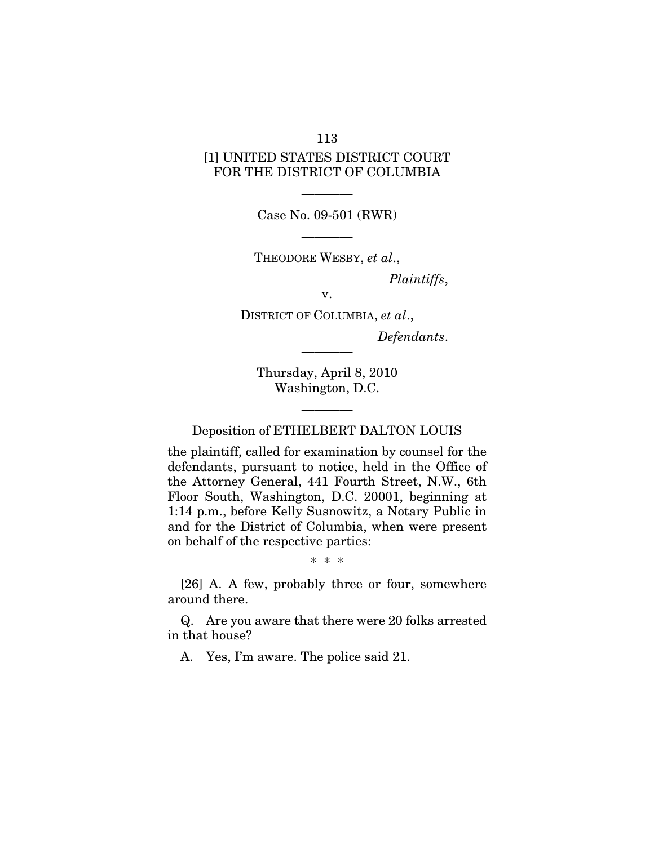## [1] UNITED STATES DISTRICT COURT FOR THE DISTRICT OF COLUMBIA

———— Case No. 09-501 (RWR)

———— THEODORE WESBY, *et al*.,

*Plaintiffs*,

v.

DISTRICT OF COLUMBIA, *et al*., *Defendants*.

Thursday, April 8, 2010 Washington, D.C.

————

Deposition of ETHELBERT DALTON LOUIS

————

the plaintiff, called for examination by counsel for the defendants, pursuant to notice, held in the Office of the Attorney General, 441 Fourth Street, N.W., 6th Floor South, Washington, D.C. 20001, beginning at 1:14 p.m., before Kelly Susnowitz, a Notary Public in and for the District of Columbia, when were present on behalf of the respective parties:

\* \* \*

[26] A. A few, probably three or four, somewhere around there.

Q. Are you aware that there were 20 folks arrested in that house?

A. Yes, I'm aware. The police said 21.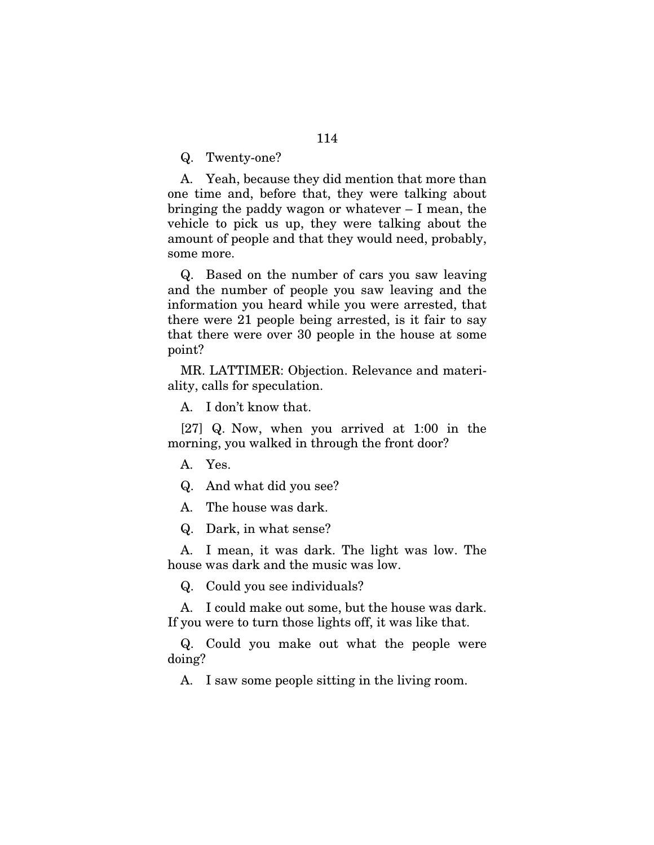Q. Twenty-one?

A. Yeah, because they did mention that more than one time and, before that, they were talking about bringing the paddy wagon or whatever – I mean, the vehicle to pick us up, they were talking about the amount of people and that they would need, probably, some more.

Q. Based on the number of cars you saw leaving and the number of people you saw leaving and the information you heard while you were arrested, that there were 21 people being arrested, is it fair to say that there were over 30 people in the house at some point?

MR. LATTIMER: Objection. Relevance and materiality, calls for speculation.

A. I don't know that.

[27] Q. Now, when you arrived at 1:00 in the morning, you walked in through the front door?

A. Yes.

Q. And what did you see?

A. The house was dark.

Q. Dark, in what sense?

A. I mean, it was dark. The light was low. The house was dark and the music was low.

Q. Could you see individuals?

A. I could make out some, but the house was dark. If you were to turn those lights off, it was like that.

Q. Could you make out what the people were doing?

A. I saw some people sitting in the living room.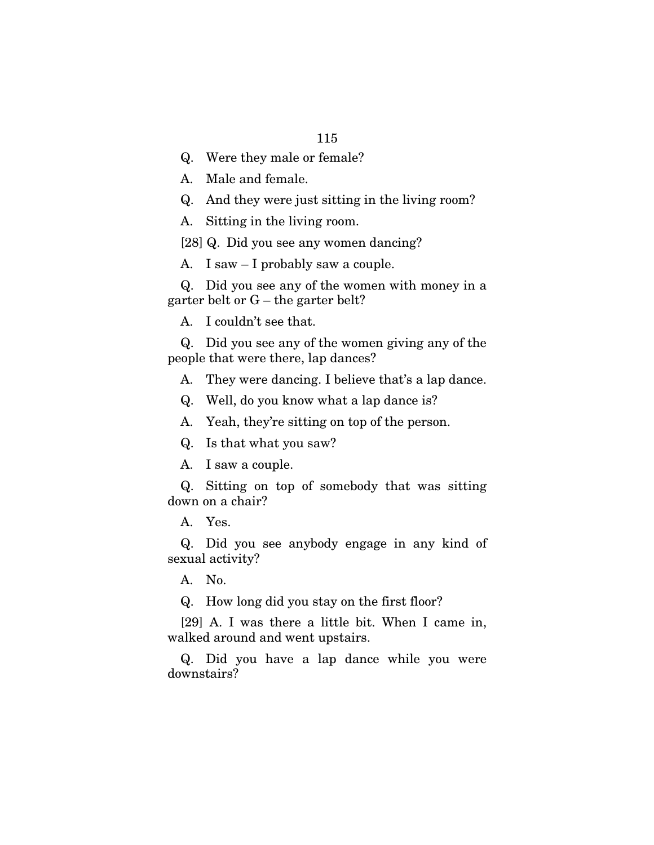Q. Were they male or female?

A. Male and female.

Q. And they were just sitting in the living room?

A. Sitting in the living room.

[28] Q. Did you see any women dancing?

A. I saw – I probably saw a couple.

Q. Did you see any of the women with money in a garter belt or G – the garter belt?

A. I couldn't see that.

Q. Did you see any of the women giving any of the people that were there, lap dances?

A. They were dancing. I believe that's a lap dance.

Q. Well, do you know what a lap dance is?

A. Yeah, they're sitting on top of the person.

Q. Is that what you saw?

A. I saw a couple.

Q. Sitting on top of somebody that was sitting down on a chair?

A. Yes.

Q. Did you see anybody engage in any kind of sexual activity?

A. No.

Q. How long did you stay on the first floor?

[29] A. I was there a little bit. When I came in, walked around and went upstairs.

Q. Did you have a lap dance while you were downstairs?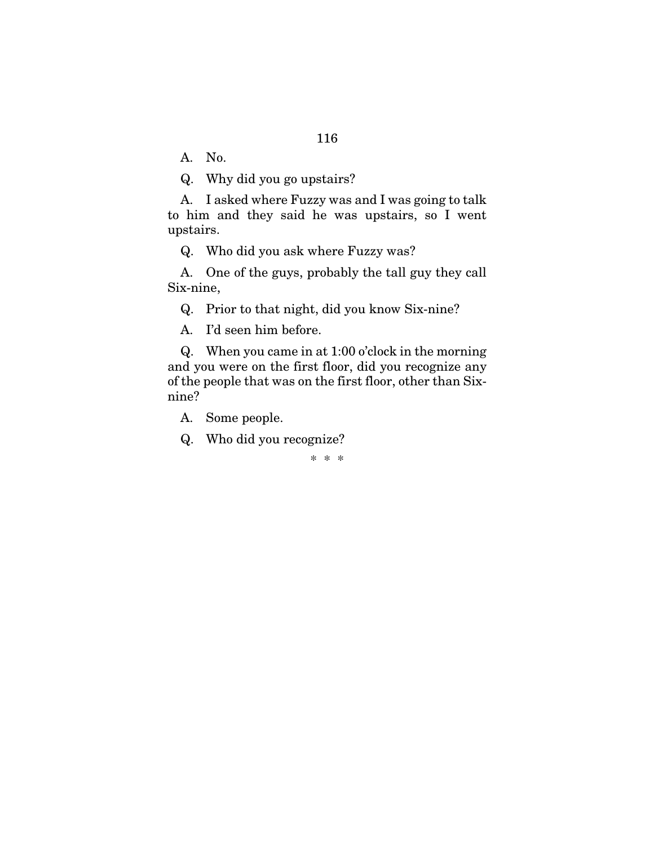A. No.

Q. Why did you go upstairs?

A. I asked where Fuzzy was and I was going to talk to him and they said he was upstairs, so I went upstairs.

Q. Who did you ask where Fuzzy was?

A. One of the guys, probably the tall guy they call Six-nine,

Q. Prior to that night, did you know Six-nine?

A. I'd seen him before.

Q. When you came in at 1:00 o'clock in the morning and you were on the first floor, did you recognize any of the people that was on the first floor, other than Sixnine?

A. Some people.

Q. Who did you recognize?

\* \* \*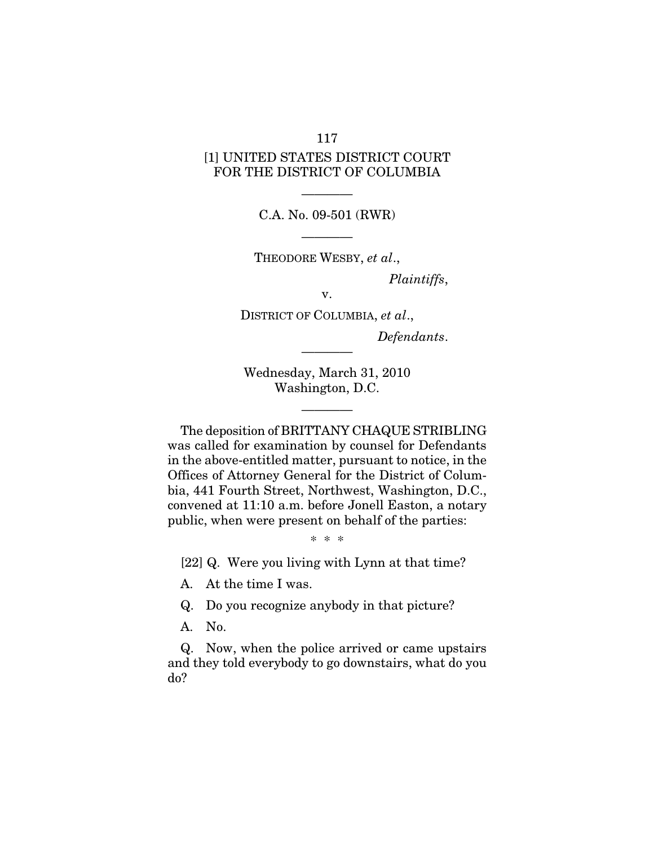## [1] UNITED STATES DISTRICT COURT FOR THE DISTRICT OF COLUMBIA

———— C.A. No. 09-501 (RWR)

———— THEODORE WESBY, *et al*.,

*Plaintiffs*,

v.

DISTRICT OF COLUMBIA, *et al*., *Defendants*.

Wednesday, March 31, 2010 Washington, D.C.

————

————

The deposition of BRITTANY CHAQUE STRIBLING was called for examination by counsel for Defendants in the above-entitled matter, pursuant to notice, in the Offices of Attorney General for the District of Columbia, 441 Fourth Street, Northwest, Washington, D.C., convened at 11:10 a.m. before Jonell Easton, a notary public, when were present on behalf of the parties:

\* \* \*

[22] Q. Were you living with Lynn at that time?

A. At the time I was.

Q. Do you recognize anybody in that picture?

A. No.

Q. Now, when the police arrived or came upstairs and they told everybody to go downstairs, what do you do?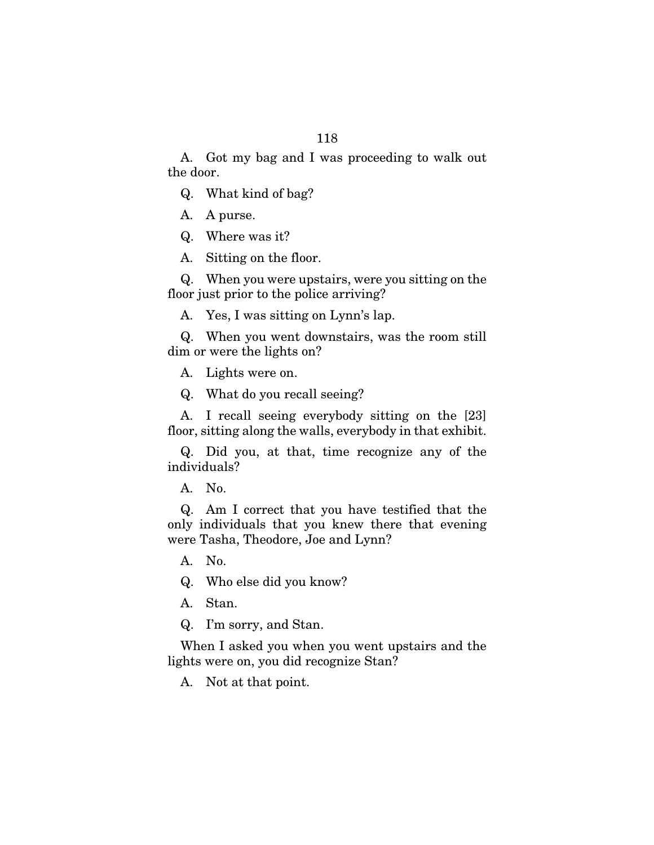A. Got my bag and I was proceeding to walk out the door.

Q. What kind of bag?

- A. A purse.
- Q. Where was it?
- A. Sitting on the floor.

Q. When you were upstairs, were you sitting on the floor just prior to the police arriving?

A. Yes, I was sitting on Lynn's lap.

Q. When you went downstairs, was the room still dim or were the lights on?

A. Lights were on.

Q. What do you recall seeing?

A. I recall seeing everybody sitting on the [23] floor, sitting along the walls, everybody in that exhibit.

Q. Did you, at that, time recognize any of the individuals?

A. No.

Q. Am I correct that you have testified that the only individuals that you knew there that evening were Tasha, Theodore, Joe and Lynn?

A. No.

Q. Who else did you know?

A. Stan.

Q. I'm sorry, and Stan.

When I asked you when you went upstairs and the lights were on, you did recognize Stan?

A. Not at that point.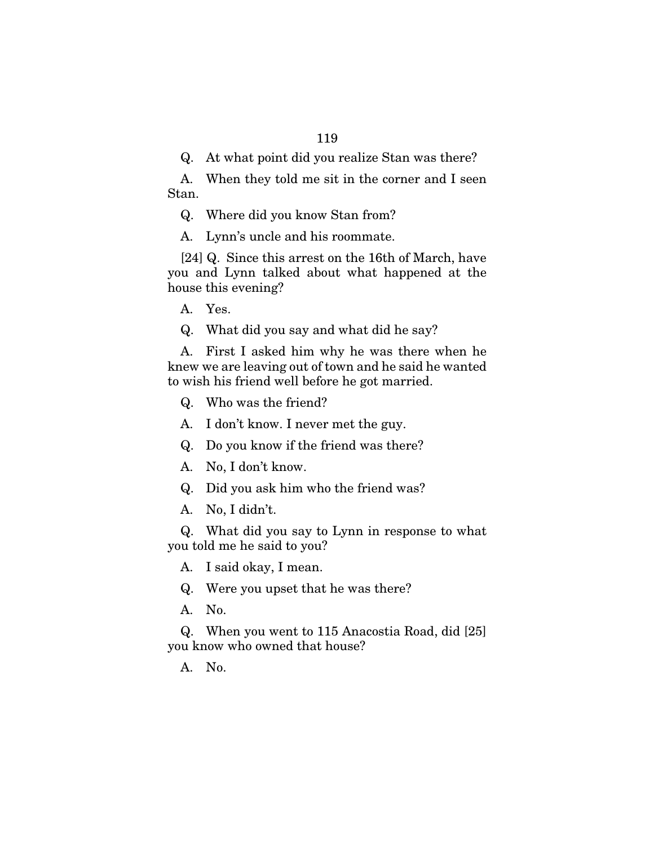Q. At what point did you realize Stan was there?

A. When they told me sit in the corner and I seen Stan.

Q. Where did you know Stan from?

A. Lynn's uncle and his roommate.

[24] Q. Since this arrest on the 16th of March, have you and Lynn talked about what happened at the house this evening?

A. Yes.

Q. What did you say and what did he say?

A. First I asked him why he was there when he knew we are leaving out of town and he said he wanted to wish his friend well before he got married.

Q. Who was the friend?

A. I don't know. I never met the guy.

Q. Do you know if the friend was there?

A. No, I don't know.

Q. Did you ask him who the friend was?

A. No, I didn't.

Q. What did you say to Lynn in response to what you told me he said to you?

A. I said okay, I mean.

Q. Were you upset that he was there?

A. No.

Q. When you went to 115 Anacostia Road, did [25] you know who owned that house?

A. No.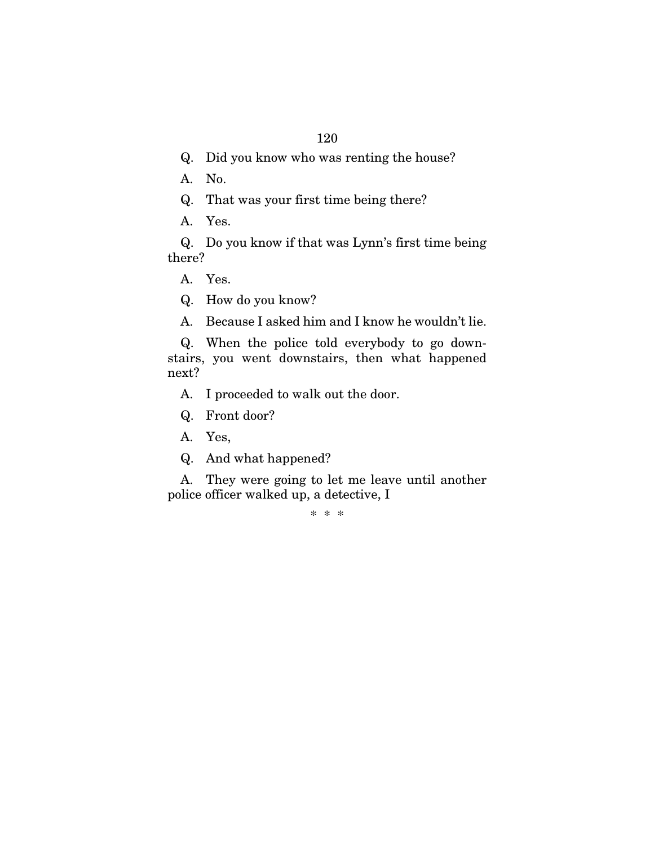- Q. Did you know who was renting the house?
- A. No.
- Q. That was your first time being there?
- A. Yes.

Q. Do you know if that was Lynn's first time being there?

A. Yes.

Q. How do you know?

A. Because I asked him and I know he wouldn't lie.

Q. When the police told everybody to go downstairs, you went downstairs, then what happened next?

A. I proceeded to walk out the door.

- Q. Front door?
- A. Yes,
- Q. And what happened?

A. They were going to let me leave until another police officer walked up, a detective, I

\* \* \*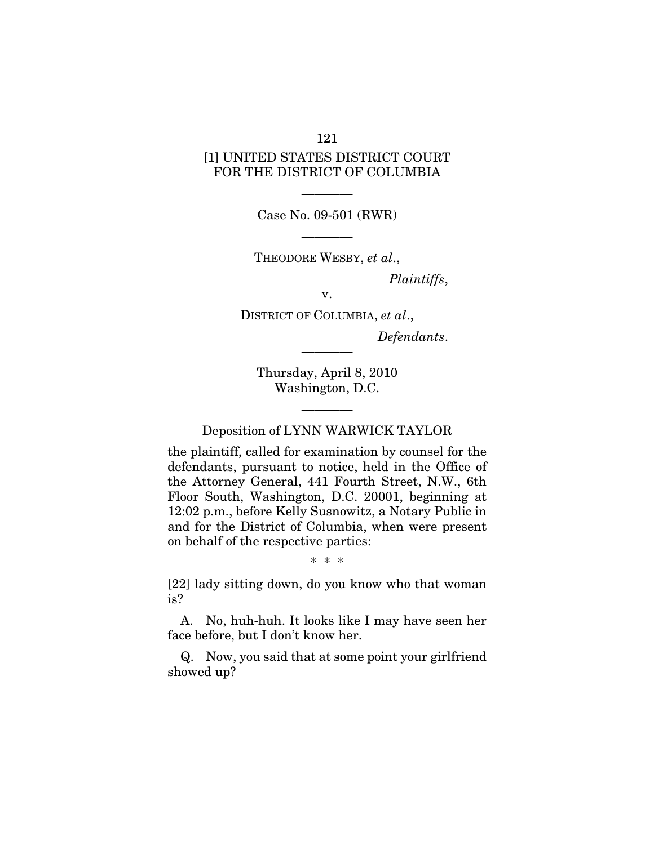# [1] UNITED STATES DISTRICT COURT FOR THE DISTRICT OF COLUMBIA

———— Case No. 09-501 (RWR)

———— THEODORE WESBY, *et al*.,

*Plaintiffs*,

v.

DISTRICT OF COLUMBIA, *et al*., *Defendants*.

Thursday, April 8, 2010 Washington, D.C.

————

———— Deposition of LYNN WARWICK TAYLOR

the plaintiff, called for examination by counsel for the defendants, pursuant to notice, held in the Office of the Attorney General, 441 Fourth Street, N.W., 6th Floor South, Washington, D.C. 20001, beginning at 12:02 p.m., before Kelly Susnowitz, a Notary Public in and for the District of Columbia, when were present on behalf of the respective parties:

\* \* \*

[22] lady sitting down, do you know who that woman is?

A. No, huh-huh. It looks like I may have seen her face before, but I don't know her.

Q. Now, you said that at some point your girlfriend showed up?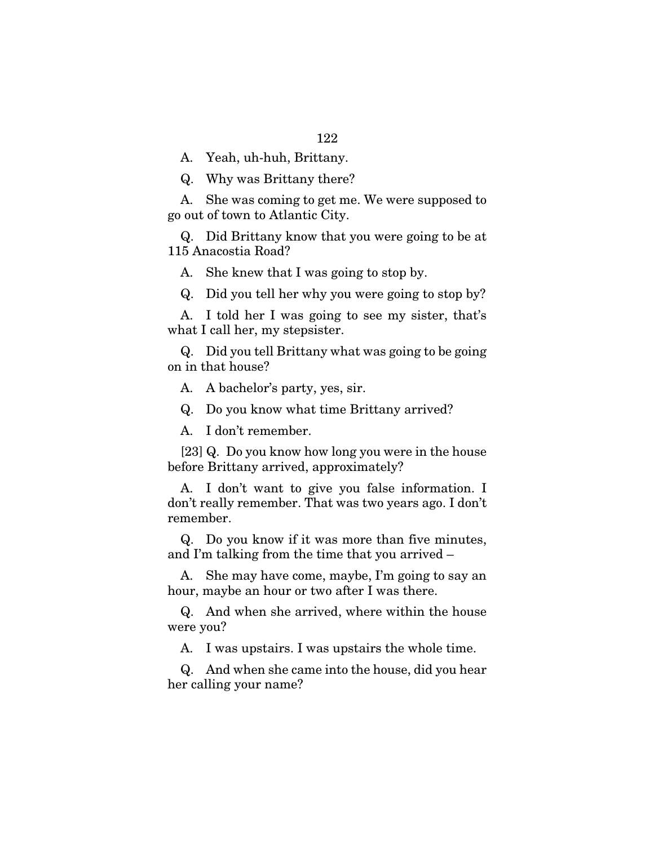A. Yeah, uh-huh, Brittany.

Q. Why was Brittany there?

A. She was coming to get me. We were supposed to go out of town to Atlantic City.

Q. Did Brittany know that you were going to be at 115 Anacostia Road?

A. She knew that I was going to stop by.

Q. Did you tell her why you were going to stop by?

A. I told her I was going to see my sister, that's what I call her, my stepsister.

Q. Did you tell Brittany what was going to be going on in that house?

A. A bachelor's party, yes, sir.

Q. Do you know what time Brittany arrived?

A. I don't remember.

[23] Q. Do you know how long you were in the house before Brittany arrived, approximately?

A. I don't want to give you false information. I don't really remember. That was two years ago. I don't remember.

Q. Do you know if it was more than five minutes, and I'm talking from the time that you arrived –

A. She may have come, maybe, I'm going to say an hour, maybe an hour or two after I was there.

Q. And when she arrived, where within the house were you?

A. I was upstairs. I was upstairs the whole time.

Q. And when she came into the house, did you hear her calling your name?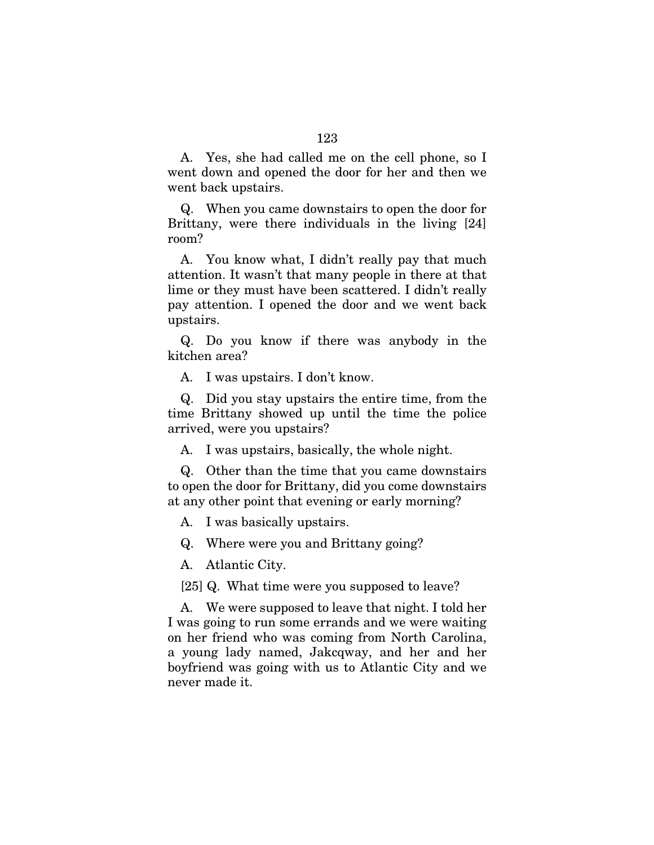A. Yes, she had called me on the cell phone, so I went down and opened the door for her and then we went back upstairs.

Q. When you came downstairs to open the door for Brittany, were there individuals in the living [24] room?

A. You know what, I didn't really pay that much attention. It wasn't that many people in there at that lime or they must have been scattered. I didn't really pay attention. I opened the door and we went back upstairs.

Q. Do you know if there was anybody in the kitchen area?

A. I was upstairs. I don't know.

Q. Did you stay upstairs the entire time, from the time Brittany showed up until the time the police arrived, were you upstairs?

A. I was upstairs, basically, the whole night.

Q. Other than the time that you came downstairs to open the door for Brittany, did you come downstairs at any other point that evening or early morning?

A. I was basically upstairs.

Q. Where were you and Brittany going?

A. Atlantic City.

[25] Q. What time were you supposed to leave?

A. We were supposed to leave that night. I told her I was going to run some errands and we were waiting on her friend who was coming from North Carolina, a young lady named, Jakcqway, and her and her boyfriend was going with us to Atlantic City and we never made it.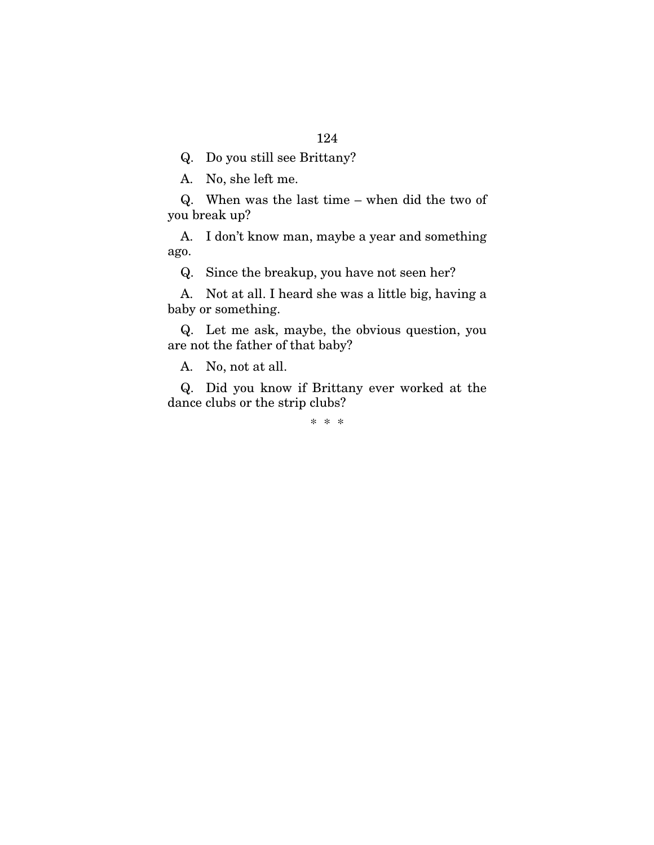Q. Do you still see Brittany?

A. No, she left me.

Q. When was the last time – when did the two of you break up?

A. I don't know man, maybe a year and something ago.

Q. Since the breakup, you have not seen her?

A. Not at all. I heard she was a little big, having a baby or something.

Q. Let me ask, maybe, the obvious question, you are not the father of that baby?

A. No, not at all.

Q. Did you know if Brittany ever worked at the dance clubs or the strip clubs?

\* \* \*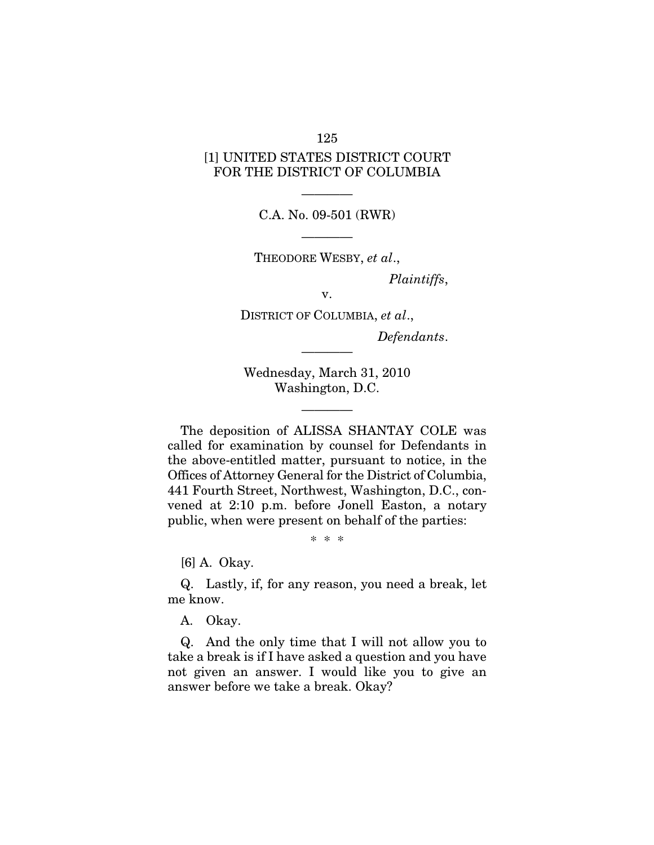# [1] UNITED STATES DISTRICT COURT FOR THE DISTRICT OF COLUMBIA

125

———— C.A. No. 09-501 (RWR)

———— THEODORE WESBY, *et al*.,

*Plaintiffs*,

v.

DISTRICT OF COLUMBIA, *et al*., *Defendants*.

Wednesday, March 31, 2010 Washington, D.C.

————

————

The deposition of ALISSA SHANTAY COLE was called for examination by counsel for Defendants in the above-entitled matter, pursuant to notice, in the Offices of Attorney General for the District of Columbia, 441 Fourth Street, Northwest, Washington, D.C., convened at 2:10 p.m. before Jonell Easton, a notary public, when were present on behalf of the parties:

\* \* \*

[6] A. Okay.

Q. Lastly, if, for any reason, you need a break, let me know.

A. Okay.

Q. And the only time that I will not allow you to take a break is if I have asked a question and you have not given an answer. I would like you to give an answer before we take a break. Okay?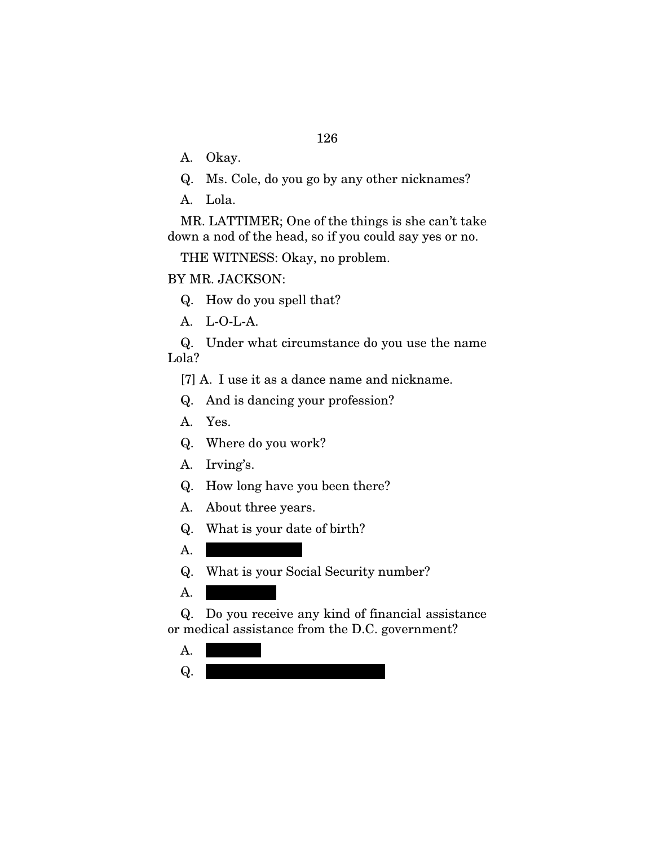A. Okay.

- Q. Ms. Cole, do you go by any other nicknames?
- A. Lola.

MR. LATTIMER; One of the things is she can't take down a nod of the head, so if you could say yes or no.

THE WITNESS: Okay, no problem.

### BY MR. JACKSON:

Q. How do you spell that?

A. L-O-L-A.

Q. Under what circumstance do you use the name Lola?

[7] A. I use it as a dance name and nickname.

Q. And is dancing your profession?

- A. Yes.
- Q. Where do you work?
- A. Irving's.
- Q. How long have you been there?
- A. About three years.
- Q. What is your date of birth?
- $A.$

Q. What is your Social Security number?

 $A.$ 

Q. Do you receive any kind of financial assistance or medical assistance from the D.C. government?

- $A.$
- $Q.$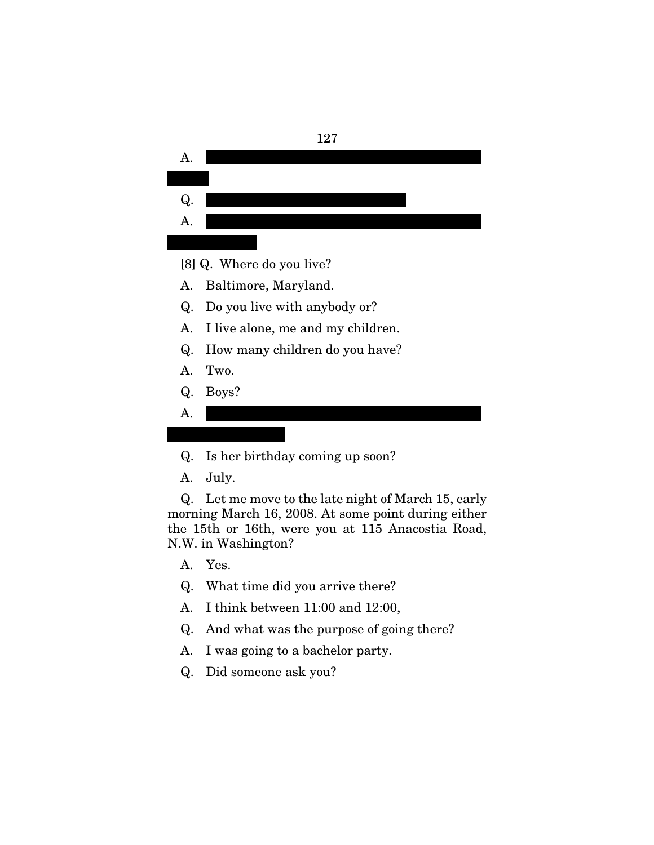

- Q. Is her birthday coming up soon?
- A. July.

Q. Let me move to the late night of March 15, early morning March 16, 2008. At some point during either the 15th or 16th, were you at 115 Anacostia Road, N.W. in Washington?

- A. Yes.
- Q. What time did you arrive there?
- A. I think between 11:00 and 12:00,
- Q. And what was the purpose of going there?
- A. I was going to a bachelor party.
- Q. Did someone ask you?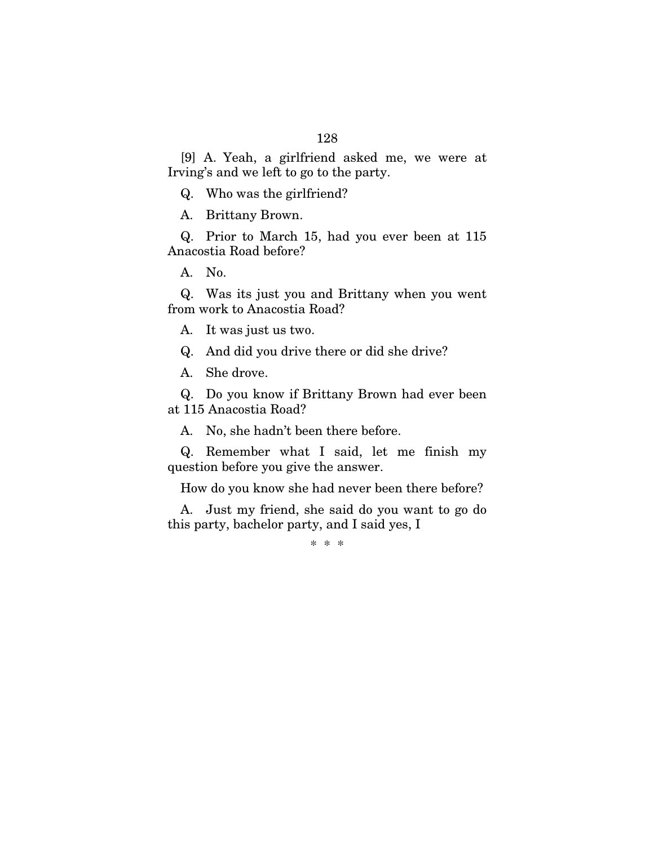[9] A. Yeah, a girlfriend asked me, we were at Irving's and we left to go to the party.

Q. Who was the girlfriend?

A. Brittany Brown.

Q. Prior to March 15, had you ever been at 115 Anacostia Road before?

A. No.

Q. Was its just you and Brittany when you went from work to Anacostia Road?

A. It was just us two.

Q. And did you drive there or did she drive?

A. She drove.

Q. Do you know if Brittany Brown had ever been at 115 Anacostia Road?

A. No, she hadn't been there before.

Q. Remember what I said, let me finish my question before you give the answer.

How do you know she had never been there before?

A. Just my friend, she said do you want to go do this party, bachelor party, and I said yes, I

\* \* \*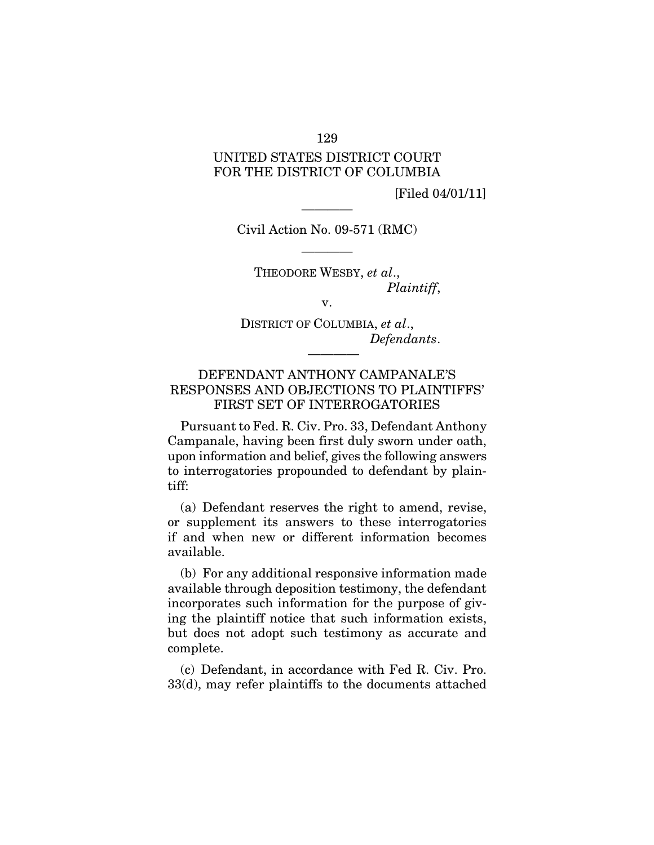## UNITED STATES DISTRICT COURT FOR THE DISTRICT OF COLUMBIA

[Filed 04/01/11]

Civil Action No. 09-571 (RMC)

————

————

THEODORE WESBY, *et al*., *Plaintiff*,

v.

DISTRICT OF COLUMBIA, *et al*., *Defendants*.

————

### DEFENDANT ANTHONY CAMPANALE'S RESPONSES AND OBJECTIONS TO PLAINTIFFS' FIRST SET OF INTERROGATORIES

Pursuant to Fed. R. Civ. Pro. 33, Defendant Anthony Campanale, having been first duly sworn under oath, upon information and belief, gives the following answers to interrogatories propounded to defendant by plaintiff:

(a) Defendant reserves the right to amend, revise, or supplement its answers to these interrogatories if and when new or different information becomes available.

(b) For any additional responsive information made available through deposition testimony, the defendant incorporates such information for the purpose of giving the plaintiff notice that such information exists, but does not adopt such testimony as accurate and complete.

(c) Defendant, in accordance with Fed R. Civ. Pro. 33(d), may refer plaintiffs to the documents attached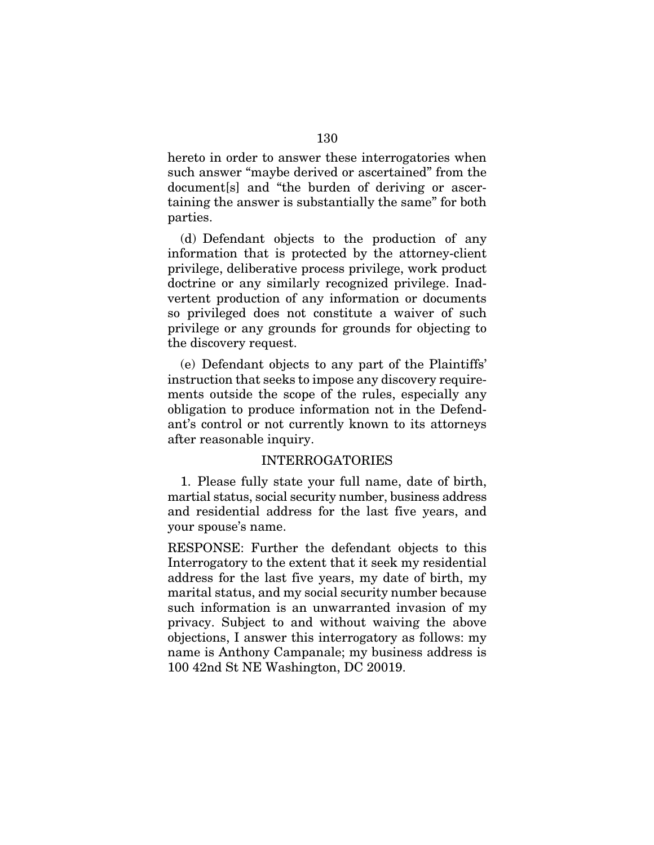hereto in order to answer these interrogatories when such answer "maybe derived or ascertained" from the document[s] and "the burden of deriving or ascertaining the answer is substantially the same" for both parties.

(d) Defendant objects to the production of any information that is protected by the attorney-client privilege, deliberative process privilege, work product doctrine or any similarly recognized privilege. Inadvertent production of any information or documents so privileged does not constitute a waiver of such privilege or any grounds for grounds for objecting to the discovery request.

(e) Defendant objects to any part of the Plaintiffs' instruction that seeks to impose any discovery requirements outside the scope of the rules, especially any obligation to produce information not in the Defendant's control or not currently known to its attorneys after reasonable inquiry.

#### INTERROGATORIES

1. Please fully state your full name, date of birth, martial status, social security number, business address and residential address for the last five years, and your spouse's name.

RESPONSE: Further the defendant objects to this Interrogatory to the extent that it seek my residential address for the last five years, my date of birth, my marital status, and my social security number because such information is an unwarranted invasion of my privacy. Subject to and without waiving the above objections, I answer this interrogatory as follows: my name is Anthony Campanale; my business address is 100 42nd St NE Washington, DC 20019.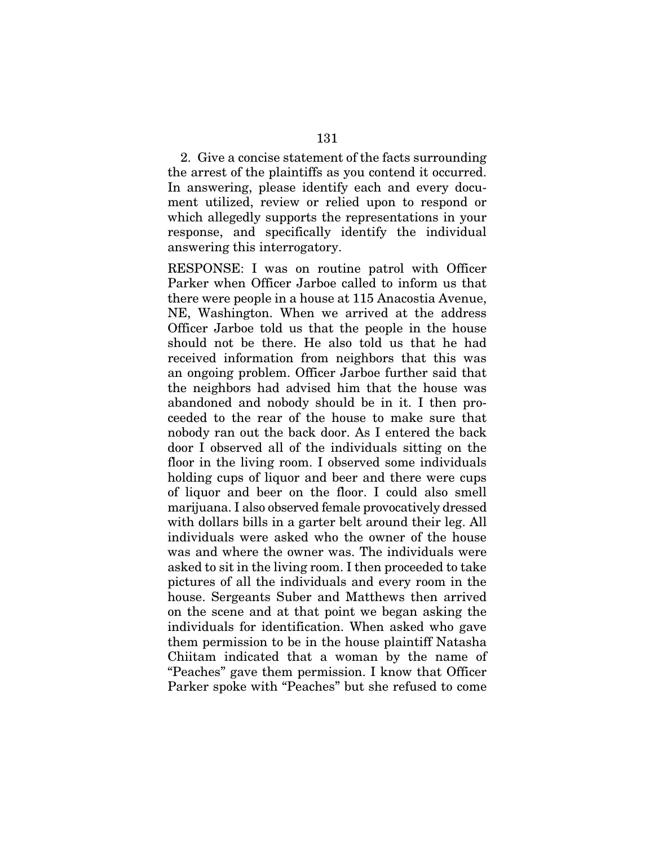2. Give a concise statement of the facts surrounding the arrest of the plaintiffs as you contend it occurred. In answering, please identify each and every document utilized, review or relied upon to respond or which allegedly supports the representations in your response, and specifically identify the individual answering this interrogatory.

RESPONSE: I was on routine patrol with Officer Parker when Officer Jarboe called to inform us that there were people in a house at 115 Anacostia Avenue, NE, Washington. When we arrived at the address Officer Jarboe told us that the people in the house should not be there. He also told us that he had received information from neighbors that this was an ongoing problem. Officer Jarboe further said that the neighbors had advised him that the house was abandoned and nobody should be in it. I then proceeded to the rear of the house to make sure that nobody ran out the back door. As I entered the back door I observed all of the individuals sitting on the floor in the living room. I observed some individuals holding cups of liquor and beer and there were cups of liquor and beer on the floor. I could also smell marijuana. I also observed female provocatively dressed with dollars bills in a garter belt around their leg. All individuals were asked who the owner of the house was and where the owner was. The individuals were asked to sit in the living room. I then proceeded to take pictures of all the individuals and every room in the house. Sergeants Suber and Matthews then arrived on the scene and at that point we began asking the individuals for identification. When asked who gave them permission to be in the house plaintiff Natasha Chiitam indicated that a woman by the name of "Peaches" gave them permission. I know that Officer Parker spoke with "Peaches" but she refused to come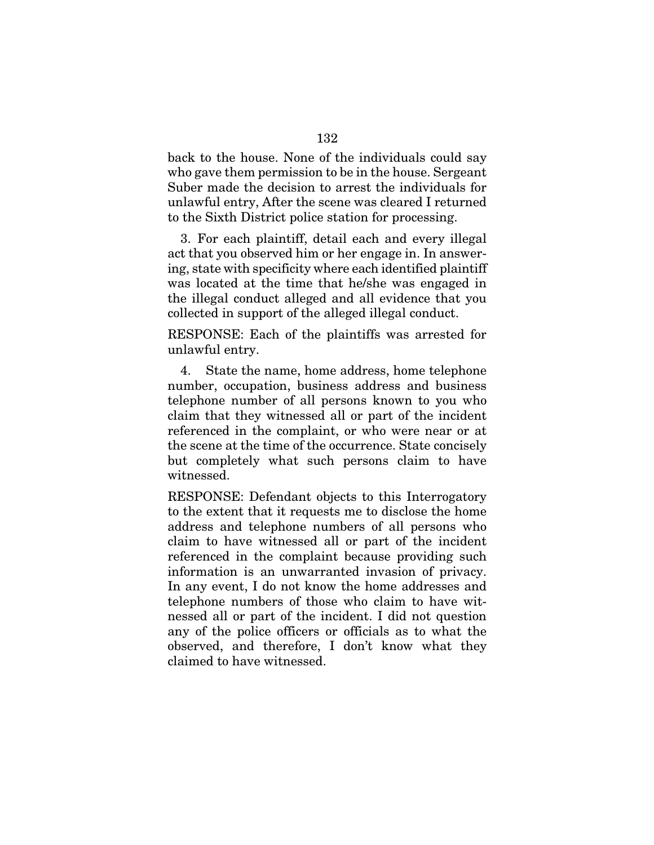back to the house. None of the individuals could say who gave them permission to be in the house. Sergeant Suber made the decision to arrest the individuals for unlawful entry, After the scene was cleared I returned to the Sixth District police station for processing.

3. For each plaintiff, detail each and every illegal act that you observed him or her engage in. In answering, state with specificity where each identified plaintiff was located at the time that he/she was engaged in the illegal conduct alleged and all evidence that you collected in support of the alleged illegal conduct.

RESPONSE: Each of the plaintiffs was arrested for unlawful entry.

4. State the name, home address, home telephone number, occupation, business address and business telephone number of all persons known to you who claim that they witnessed all or part of the incident referenced in the complaint, or who were near or at the scene at the time of the occurrence. State concisely but completely what such persons claim to have witnessed.

RESPONSE: Defendant objects to this Interrogatory to the extent that it requests me to disclose the home address and telephone numbers of all persons who claim to have witnessed all or part of the incident referenced in the complaint because providing such information is an unwarranted invasion of privacy. In any event, I do not know the home addresses and telephone numbers of those who claim to have witnessed all or part of the incident. I did not question any of the police officers or officials as to what the observed, and therefore, I don't know what they claimed to have witnessed.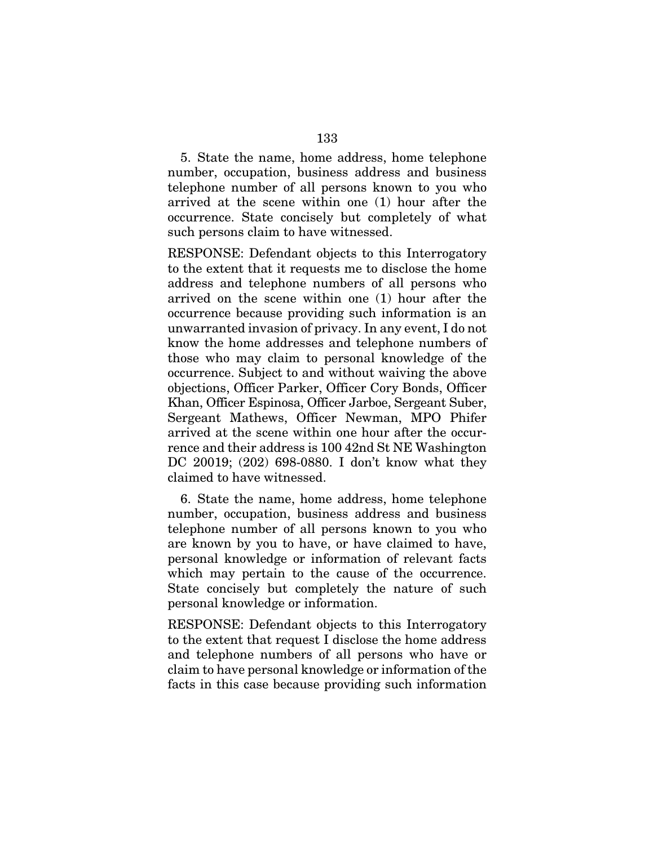5. State the name, home address, home telephone number, occupation, business address and business telephone number of all persons known to you who arrived at the scene within one (1) hour after the occurrence. State concisely but completely of what such persons claim to have witnessed.

RESPONSE: Defendant objects to this Interrogatory to the extent that it requests me to disclose the home address and telephone numbers of all persons who arrived on the scene within one (1) hour after the occurrence because providing such information is an unwarranted invasion of privacy. In any event, I do not know the home addresses and telephone numbers of those who may claim to personal knowledge of the occurrence. Subject to and without waiving the above objections, Officer Parker, Officer Cory Bonds, Officer Khan, Officer Espinosa, Officer Jarboe, Sergeant Suber, Sergeant Mathews, Officer Newman, MPO Phifer arrived at the scene within one hour after the occurrence and their address is 100 42nd St NE Washington DC 20019; (202) 698-0880. I don't know what they claimed to have witnessed.

6. State the name, home address, home telephone number, occupation, business address and business telephone number of all persons known to you who are known by you to have, or have claimed to have, personal knowledge or information of relevant facts which may pertain to the cause of the occurrence. State concisely but completely the nature of such personal knowledge or information.

RESPONSE: Defendant objects to this Interrogatory to the extent that request I disclose the home address and telephone numbers of all persons who have or claim to have personal knowledge or information of the facts in this case because providing such information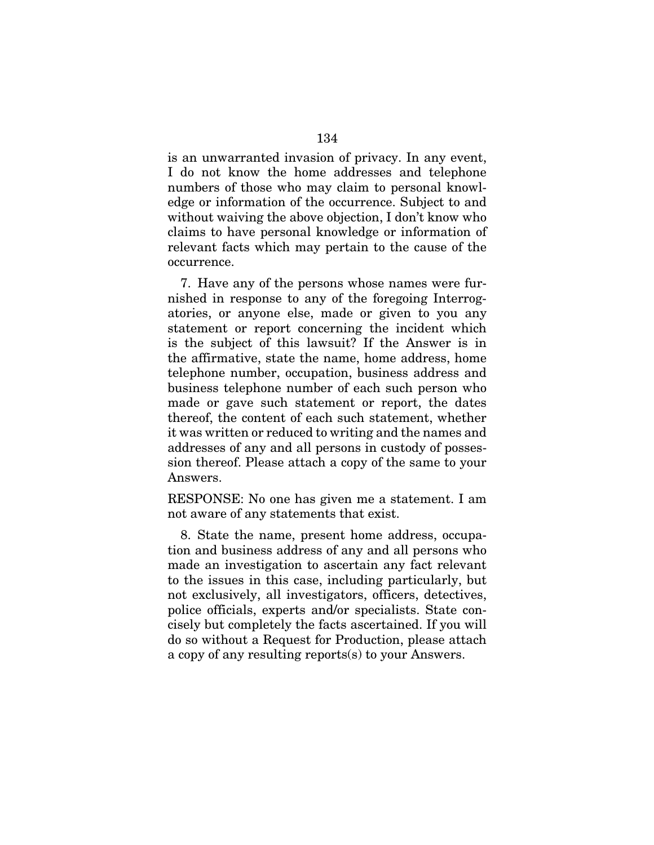is an unwarranted invasion of privacy. In any event, I do not know the home addresses and telephone numbers of those who may claim to personal knowledge or information of the occurrence. Subject to and without waiving the above objection, I don't know who claims to have personal knowledge or information of relevant facts which may pertain to the cause of the occurrence.

7. Have any of the persons whose names were furnished in response to any of the foregoing Interrogatories, or anyone else, made or given to you any statement or report concerning the incident which is the subject of this lawsuit? If the Answer is in the affirmative, state the name, home address, home telephone number, occupation, business address and business telephone number of each such person who made or gave such statement or report, the dates thereof, the content of each such statement, whether it was written or reduced to writing and the names and addresses of any and all persons in custody of possession thereof. Please attach a copy of the same to your Answers.

RESPONSE: No one has given me a statement. I am not aware of any statements that exist.

8. State the name, present home address, occupation and business address of any and all persons who made an investigation to ascertain any fact relevant to the issues in this case, including particularly, but not exclusively, all investigators, officers, detectives, police officials, experts and/or specialists. State concisely but completely the facts ascertained. If you will do so without a Request for Production, please attach a copy of any resulting reports(s) to your Answers.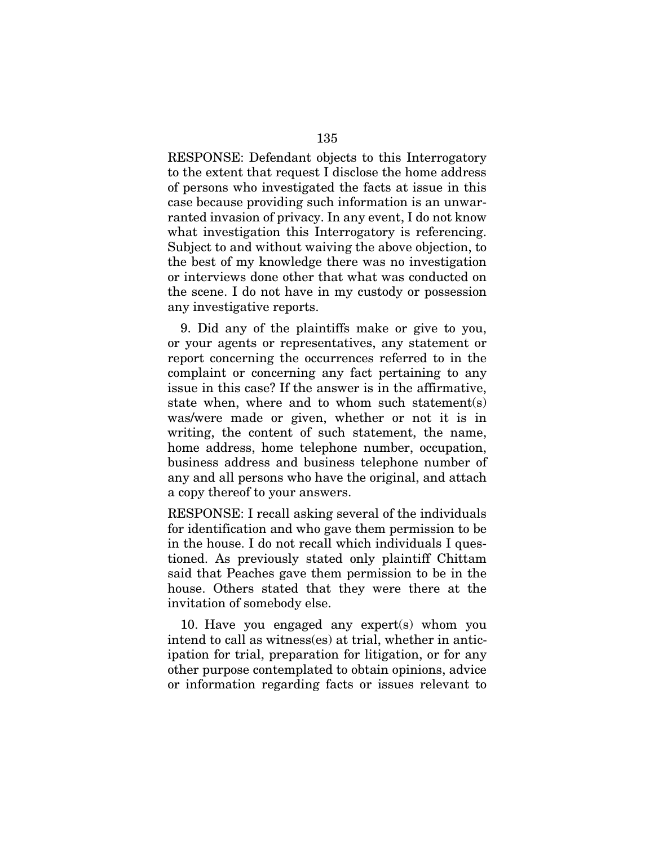RESPONSE: Defendant objects to this Interrogatory to the extent that request I disclose the home address of persons who investigated the facts at issue in this case because providing such information is an unwarranted invasion of privacy. In any event, I do not know what investigation this Interrogatory is referencing. Subject to and without waiving the above objection, to the best of my knowledge there was no investigation or interviews done other that what was conducted on the scene. I do not have in my custody or possession any investigative reports.

9. Did any of the plaintiffs make or give to you, or your agents or representatives, any statement or report concerning the occurrences referred to in the complaint or concerning any fact pertaining to any issue in this case? If the answer is in the affirmative, state when, where and to whom such statement(s) was/were made or given, whether or not it is in writing, the content of such statement, the name, home address, home telephone number, occupation, business address and business telephone number of any and all persons who have the original, and attach a copy thereof to your answers.

RESPONSE: I recall asking several of the individuals for identification and who gave them permission to be in the house. I do not recall which individuals I questioned. As previously stated only plaintiff Chittam said that Peaches gave them permission to be in the house. Others stated that they were there at the invitation of somebody else.

10. Have you engaged any expert(s) whom you intend to call as witness(es) at trial, whether in anticipation for trial, preparation for litigation, or for any other purpose contemplated to obtain opinions, advice or information regarding facts or issues relevant to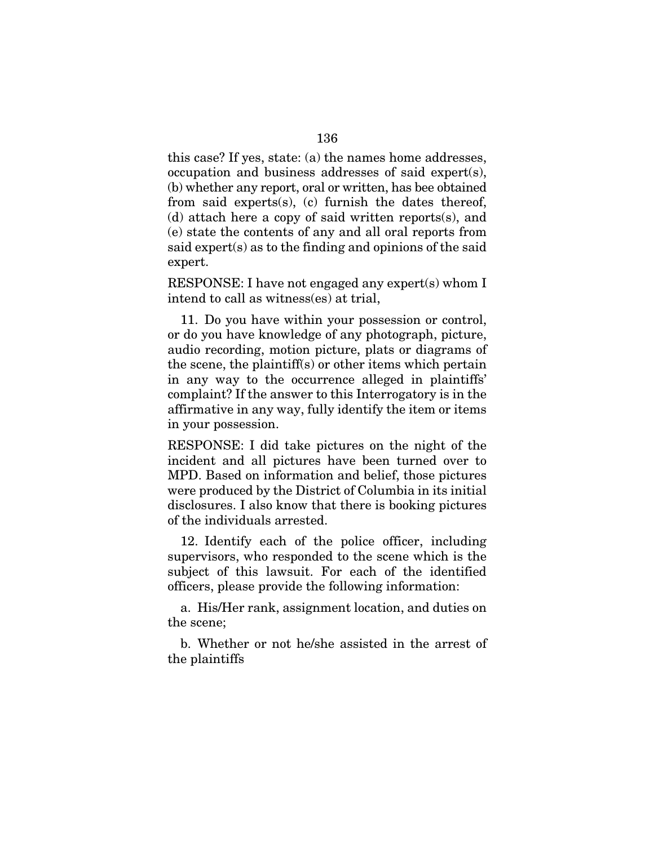this case? If yes, state: (a) the names home addresses, occupation and business addresses of said expert(s), (b) whether any report, oral or written, has bee obtained from said experts(s), (c) furnish the dates thereof, (d) attach here a copy of said written reports(s), and (e) state the contents of any and all oral reports from said expert(s) as to the finding and opinions of the said expert.

RESPONSE: I have not engaged any expert(s) whom I intend to call as witness(es) at trial,

11. Do you have within your possession or control, or do you have knowledge of any photograph, picture, audio recording, motion picture, plats or diagrams of the scene, the plaintiff(s) or other items which pertain in any way to the occurrence alleged in plaintiffs' complaint? If the answer to this Interrogatory is in the affirmative in any way, fully identify the item or items in your possession.

RESPONSE: I did take pictures on the night of the incident and all pictures have been turned over to MPD. Based on information and belief, those pictures were produced by the District of Columbia in its initial disclosures. I also know that there is booking pictures of the individuals arrested.

12. Identify each of the police officer, including supervisors, who responded to the scene which is the subject of this lawsuit. For each of the identified officers, please provide the following information:

a. His/Her rank, assignment location, and duties on the scene;

b. Whether or not he/she assisted in the arrest of the plaintiffs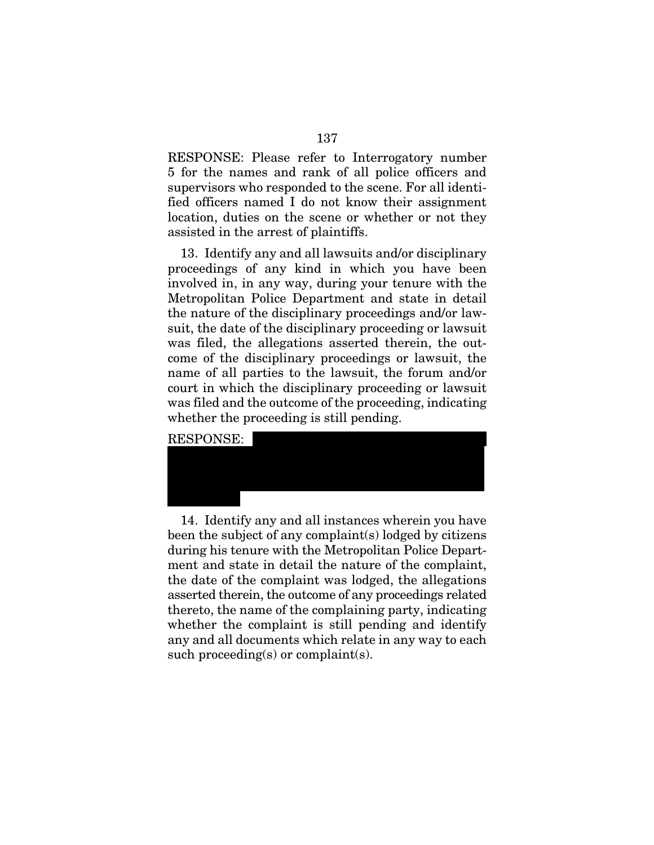RESPONSE: Please refer to Interrogatory number 5 for the names and rank of all police officers and supervisors who responded to the scene. For all identified officers named I do not know their assignment location, duties on the scene or whether or not they assisted in the arrest of plaintiffs.

13. Identify any and all lawsuits and/or disciplinary proceedings of any kind in which you have been involved in, in any way, during your tenure with the Metropolitan Police Department and state in detail the nature of the disciplinary proceedings and/or lawsuit, the date of the disciplinary proceeding or lawsuit was filed, the allegations asserted therein, the outcome of the disciplinary proceedings or lawsuit, the name of all parties to the lawsuit, the forum and/or court in which the disciplinary proceeding or lawsuit was filed and the outcome of the proceeding, indicating whether the proceeding is still pending.





14. Identify any and all instances wherein you have been the subject of any complaint(s) lodged by citizens during his tenure with the Metropolitan Police Department and state in detail the nature of the complaint, the date of the complaint was lodged, the allegations asserted therein, the outcome of any proceedings related thereto, the name of the complaining party, indicating whether the complaint is still pending and identify any and all documents which relate in any way to each such proceeding(s) or complaint(s).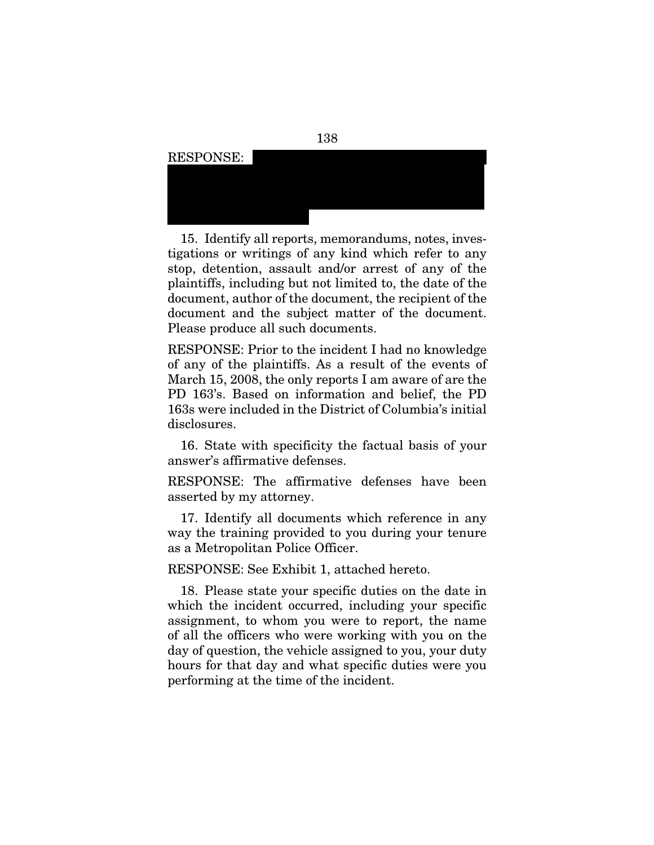

15. Identify all reports, memorandums, notes, investigations or writings of any kind which refer to any stop, detention, assault and/or arrest of any of the plaintiffs, including but not limited to, the date of the document, author of the document, the recipient of the document and the subject matter of the document. Please produce all such documents.

RESPONSE: Prior to the incident I had no knowledge of any of the plaintiffs. As a result of the events of March 15, 2008, the only reports I am aware of are the PD 163's. Based on information and belief, the PD 163s were included in the District of Columbia's initial disclosures.

16. State with specificity the factual basis of your answer's affirmative defenses.

RESPONSE: The affirmative defenses have been asserted by my attorney.

17. Identify all documents which reference in any way the training provided to you during your tenure as a Metropolitan Police Officer.

RESPONSE: See Exhibit 1, attached hereto.

18. Please state your specific duties on the date in which the incident occurred, including your specific assignment, to whom you were to report, the name of all the officers who were working with you on the day of question, the vehicle assigned to you, your duty hours for that day and what specific duties were you performing at the time of the incident.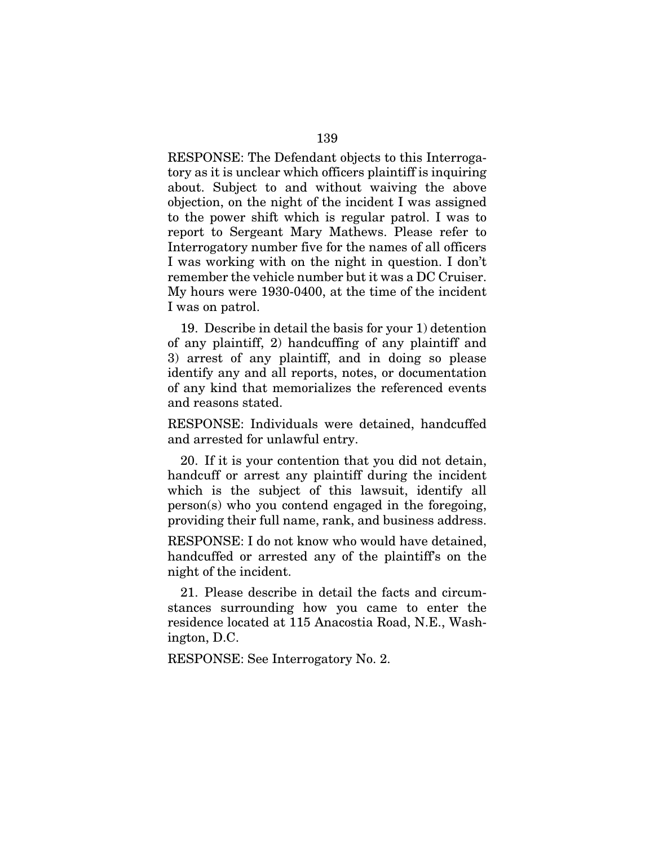RESPONSE: The Defendant objects to this Interrogatory as it is unclear which officers plaintiff is inquiring about. Subject to and without waiving the above objection, on the night of the incident I was assigned to the power shift which is regular patrol. I was to report to Sergeant Mary Mathews. Please refer to Interrogatory number five for the names of all officers I was working with on the night in question. I don't remember the vehicle number but it was a DC Cruiser. My hours were 1930-0400, at the time of the incident I was on patrol.

19. Describe in detail the basis for your 1) detention of any plaintiff, 2) handcuffing of any plaintiff and 3) arrest of any plaintiff, and in doing so please identify any and all reports, notes, or documentation of any kind that memorializes the referenced events and reasons stated.

RESPONSE: Individuals were detained, handcuffed and arrested for unlawful entry.

20. If it is your contention that you did not detain, handcuff or arrest any plaintiff during the incident which is the subject of this lawsuit, identify all person(s) who you contend engaged in the foregoing, providing their full name, rank, and business address.

RESPONSE: I do not know who would have detained, handcuffed or arrested any of the plaintiff's on the night of the incident.

21. Please describe in detail the facts and circumstances surrounding how you came to enter the residence located at 115 Anacostia Road, N.E., Washington, D.C.

RESPONSE: See Interrogatory No. 2.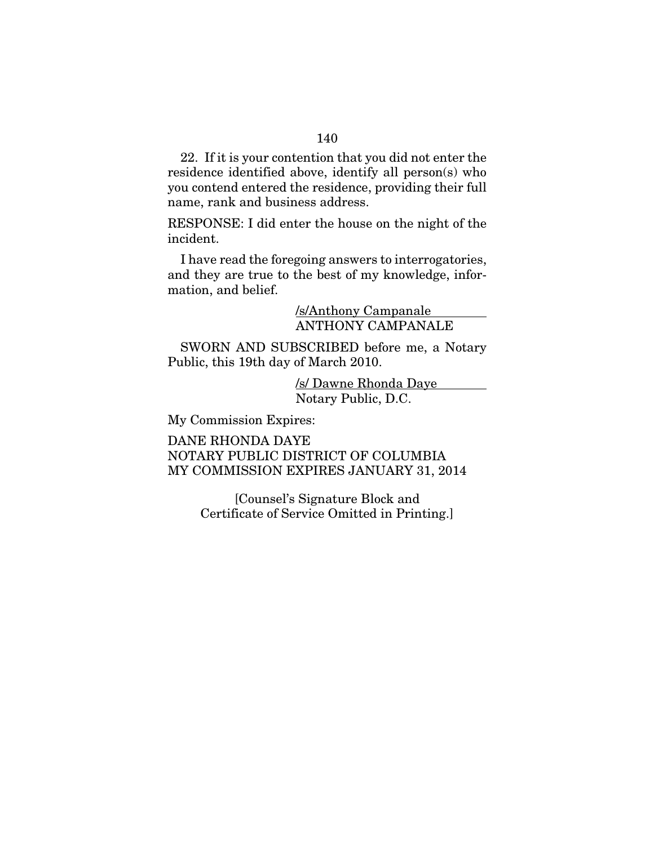22. If it is your contention that you did not enter the residence identified above, identify all person(s) who you contend entered the residence, providing their full name, rank and business address.

RESPONSE: I did enter the house on the night of the incident.

I have read the foregoing answers to interrogatories, and they are true to the best of my knowledge, information, and belief.

> /s/Anthony Campanale ANTHONY CAMPANALE

SWORN AND SUBSCRIBED before me, a Notary Public, this 19th day of March 2010.

> /s/ Dawne Rhonda Daye Notary Public, D.C.

My Commission Expires:

DANE RHONDA DAYE NOTARY PUBLIC DISTRICT OF COLUMBIA MY COMMISSION EXPIRES JANUARY 31, 2014

> [Counsel's Signature Block and Certificate of Service Omitted in Printing.]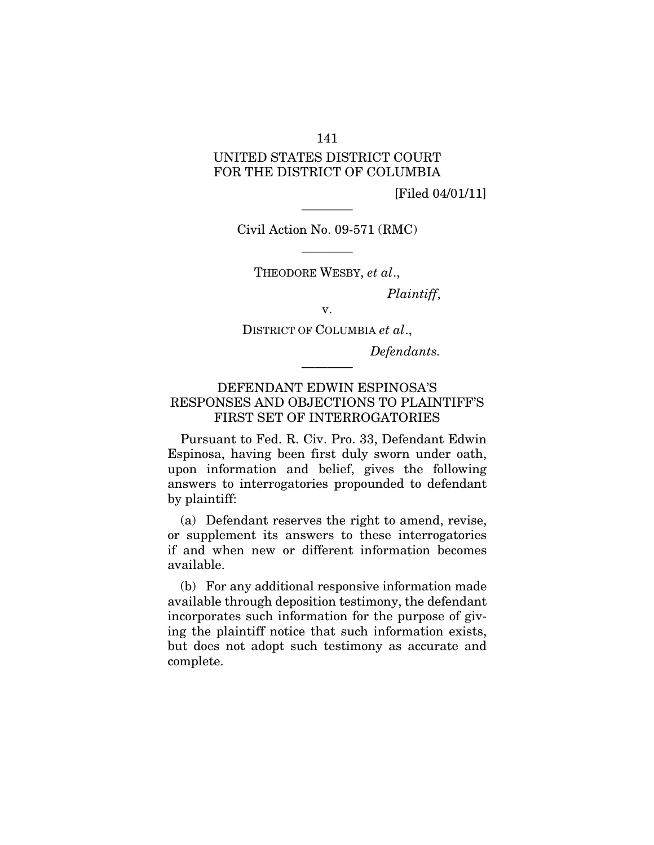## 141

# UNITED STATES DISTRICT COURT FOR THE DISTRICT OF COLUMBIA

[Filed 04/01/11]

———— Civil Action No. 09-571 (RMC)

———— THEODORE WESBY, *et al*.,

*Plaintiff*,

DISTRICT OF COLUMBIA *et al*.,

v.

*Defendants.* 

# DEFENDANT EDWIN ESPINOSA'S RESPONSES AND OBJECTIONS TO PLAINTIFF'S FIRST SET OF INTERROGATORIES

————

Pursuant to Fed. R. Civ. Pro. 33, Defendant Edwin Espinosa, having been first duly sworn under oath, upon information and belief, gives the following answers to interrogatories propounded to defendant by plaintiff:

(a) Defendant reserves the right to amend, revise, or supplement its answers to these interrogatories if and when new or different information becomes available.

(b) For any additional responsive information made available through deposition testimony, the defendant incorporates such information for the purpose of giving the plaintiff notice that such information exists, but does not adopt such testimony as accurate and complete.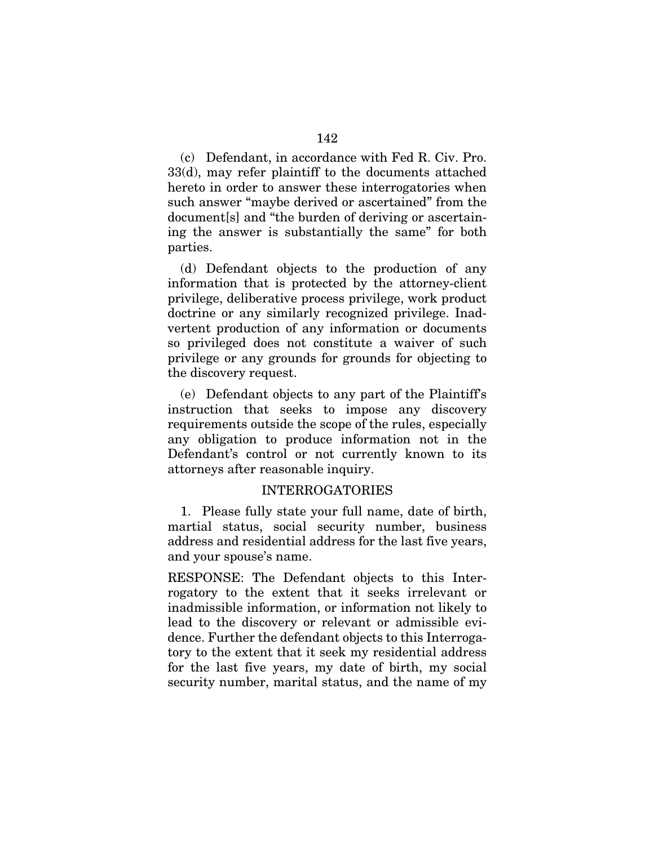(c) Defendant, in accordance with Fed R. Civ. Pro. 33(d), may refer plaintiff to the documents attached hereto in order to answer these interrogatories when such answer "maybe derived or ascertained" from the document[s] and "the burden of deriving or ascertaining the answer is substantially the same" for both parties.

(d) Defendant objects to the production of any information that is protected by the attorney-client privilege, deliberative process privilege, work product doctrine or any similarly recognized privilege. Inadvertent production of any information or documents so privileged does not constitute a waiver of such privilege or any grounds for grounds for objecting to the discovery request.

(e) Defendant objects to any part of the Plaintiff's instruction that seeks to impose any discovery requirements outside the scope of the rules, especially any obligation to produce information not in the Defendant's control or not currently known to its attorneys after reasonable inquiry.

### INTERROGATORIES

1. Please fully state your full name, date of birth, martial status, social security number, business address and residential address for the last five years, and your spouse's name.

RESPONSE: The Defendant objects to this Interrogatory to the extent that it seeks irrelevant or inadmissible information, or information not likely to lead to the discovery or relevant or admissible evidence. Further the defendant objects to this Interrogatory to the extent that it seek my residential address for the last five years, my date of birth, my social security number, marital status, and the name of my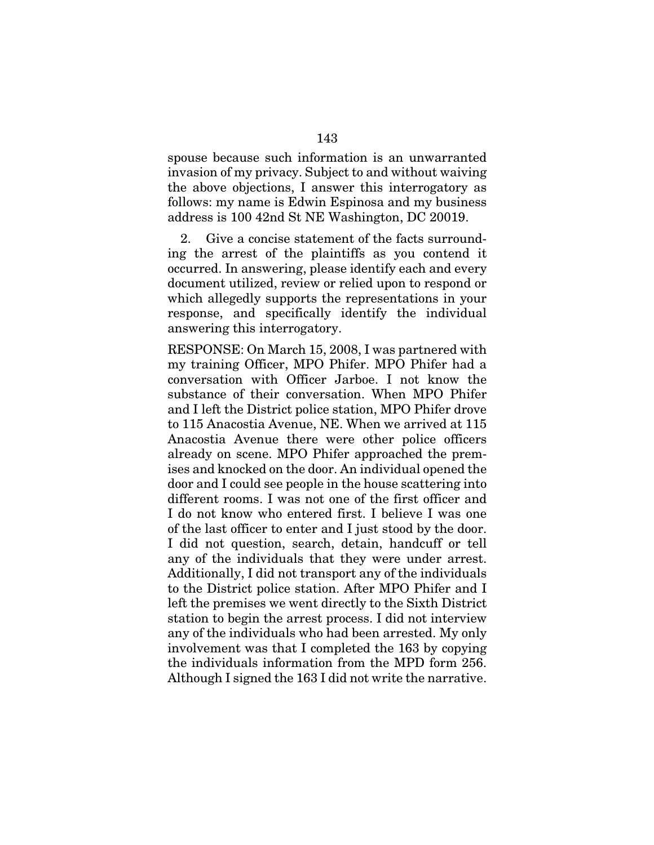spouse because such information is an unwarranted invasion of my privacy. Subject to and without waiving the above objections, I answer this interrogatory as follows: my name is Edwin Espinosa and my business address is 100 42nd St NE Washington, DC 20019.

2. Give a concise statement of the facts surrounding the arrest of the plaintiffs as you contend it occurred. In answering, please identify each and every document utilized, review or relied upon to respond or which allegedly supports the representations in your response, and specifically identify the individual answering this interrogatory.

RESPONSE: On March 15, 2008, I was partnered with my training Officer, MPO Phifer. MPO Phifer had a conversation with Officer Jarboe. I not know the substance of their conversation. When MPO Phifer and I left the District police station, MPO Phifer drove to 115 Anacostia Avenue, NE. When we arrived at 115 Anacostia Avenue there were other police officers already on scene. MPO Phifer approached the premises and knocked on the door. An individual opened the door and I could see people in the house scattering into different rooms. I was not one of the first officer and I do not know who entered first. I believe I was one of the last officer to enter and I just stood by the door. I did not question, search, detain, handcuff or tell any of the individuals that they were under arrest. Additionally, I did not transport any of the individuals to the District police station. After MPO Phifer and I left the premises we went directly to the Sixth District station to begin the arrest process. I did not interview any of the individuals who had been arrested. My only involvement was that I completed the 163 by copying the individuals information from the MPD form 256. Although I signed the 163 I did not write the narrative.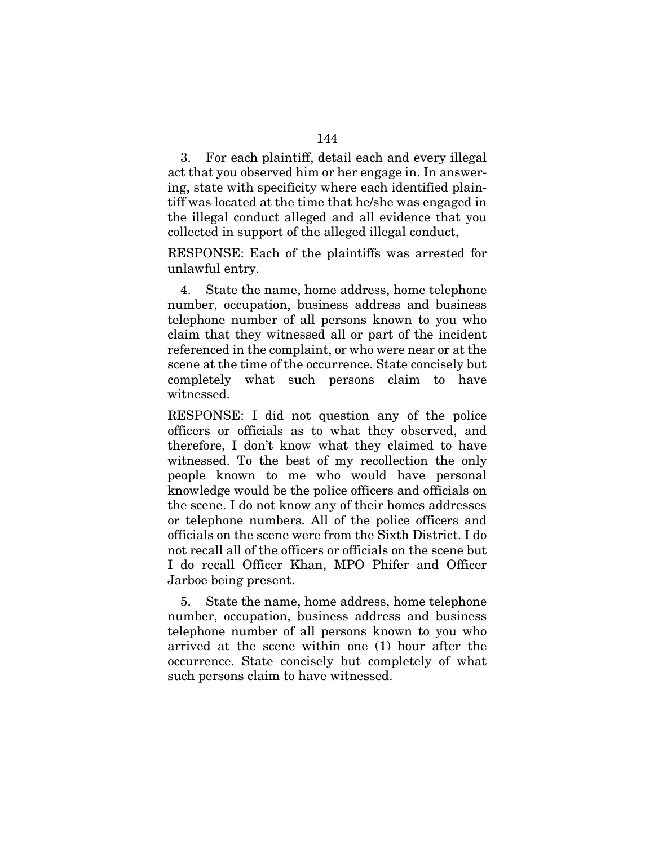3. For each plaintiff, detail each and every illegal act that you observed him or her engage in. In answering, state with specificity where each identified plaintiff was located at the time that he/she was engaged in the illegal conduct alleged and all evidence that you collected in support of the alleged illegal conduct,

RESPONSE: Each of the plaintiffs was arrested for unlawful entry.

4. State the name, home address, home telephone number, occupation, business address and business telephone number of all persons known to you who claim that they witnessed all or part of the incident referenced in the complaint, or who were near or at the scene at the time of the occurrence. State concisely but completely what such persons claim to have witnessed.

RESPONSE: I did not question any of the police officers or officials as to what they observed, and therefore, I don't know what they claimed to have witnessed. To the best of my recollection the only people known to me who would have personal knowledge would be the police officers and officials on the scene. I do not know any of their homes addresses or telephone numbers. All of the police officers and officials on the scene were from the Sixth District. I do not recall all of the officers or officials on the scene but I do recall Officer Khan, MPO Phifer and Officer Jarboe being present.

5. State the name, home address, home telephone number, occupation, business address and business telephone number of all persons known to you who arrived at the scene within one (1) hour after the occurrence. State concisely but completely of what such persons claim to have witnessed.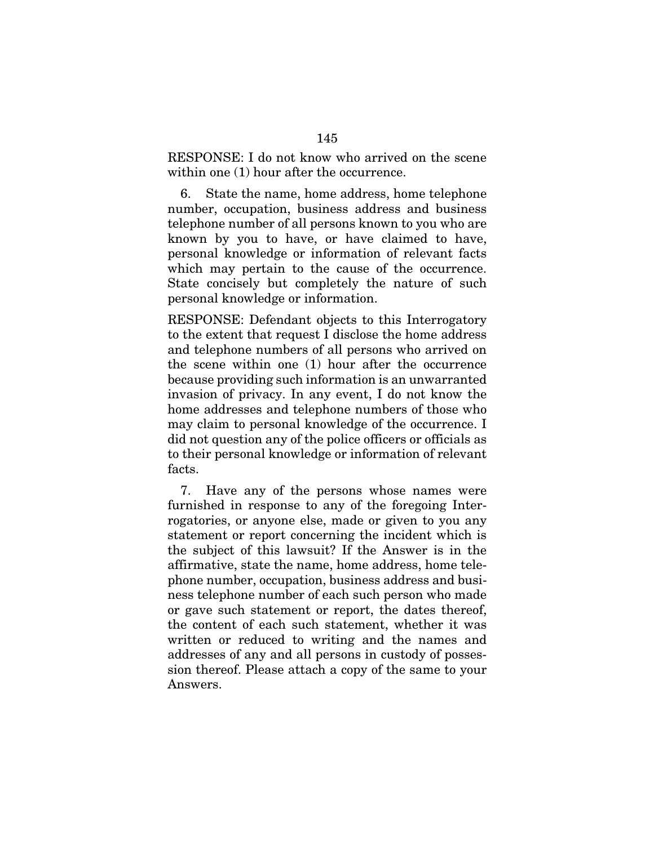RESPONSE: I do not know who arrived on the scene within one (1) hour after the occurrence.

6. State the name, home address, home telephone number, occupation, business address and business telephone number of all persons known to you who are known by you to have, or have claimed to have, personal knowledge or information of relevant facts which may pertain to the cause of the occurrence. State concisely but completely the nature of such personal knowledge or information.

RESPONSE: Defendant objects to this Interrogatory to the extent that request I disclose the home address and telephone numbers of all persons who arrived on the scene within one (1) hour after the occurrence because providing such information is an unwarranted invasion of privacy. In any event, I do not know the home addresses and telephone numbers of those who may claim to personal knowledge of the occurrence. I did not question any of the police officers or officials as to their personal knowledge or information of relevant facts.

7. Have any of the persons whose names were furnished in response to any of the foregoing Interrogatories, or anyone else, made or given to you any statement or report concerning the incident which is the subject of this lawsuit? If the Answer is in the affirmative, state the name, home address, home telephone number, occupation, business address and business telephone number of each such person who made or gave such statement or report, the dates thereof, the content of each such statement, whether it was written or reduced to writing and the names and addresses of any and all persons in custody of possession thereof. Please attach a copy of the same to your Answers.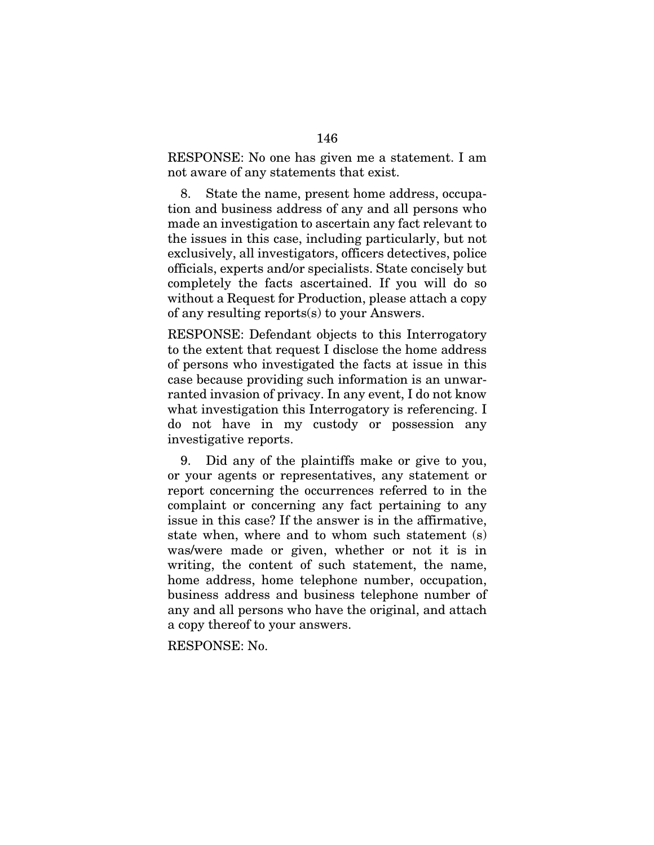RESPONSE: No one has given me a statement. I am not aware of any statements that exist.

8. State the name, present home address, occupation and business address of any and all persons who made an investigation to ascertain any fact relevant to the issues in this case, including particularly, but not exclusively, all investigators, officers detectives, police officials, experts and/or specialists. State concisely but completely the facts ascertained. If you will do so without a Request for Production, please attach a copy of any resulting reports(s) to your Answers.

RESPONSE: Defendant objects to this Interrogatory to the extent that request I disclose the home address of persons who investigated the facts at issue in this case because providing such information is an unwarranted invasion of privacy. In any event, I do not know what investigation this Interrogatory is referencing. I do not have in my custody or possession any investigative reports.

9. Did any of the plaintiffs make or give to you, or your agents or representatives, any statement or report concerning the occurrences referred to in the complaint or concerning any fact pertaining to any issue in this case? If the answer is in the affirmative, state when, where and to whom such statement (s) was/were made or given, whether or not it is in writing, the content of such statement, the name, home address, home telephone number, occupation, business address and business telephone number of any and all persons who have the original, and attach a copy thereof to your answers.

RESPONSE: No.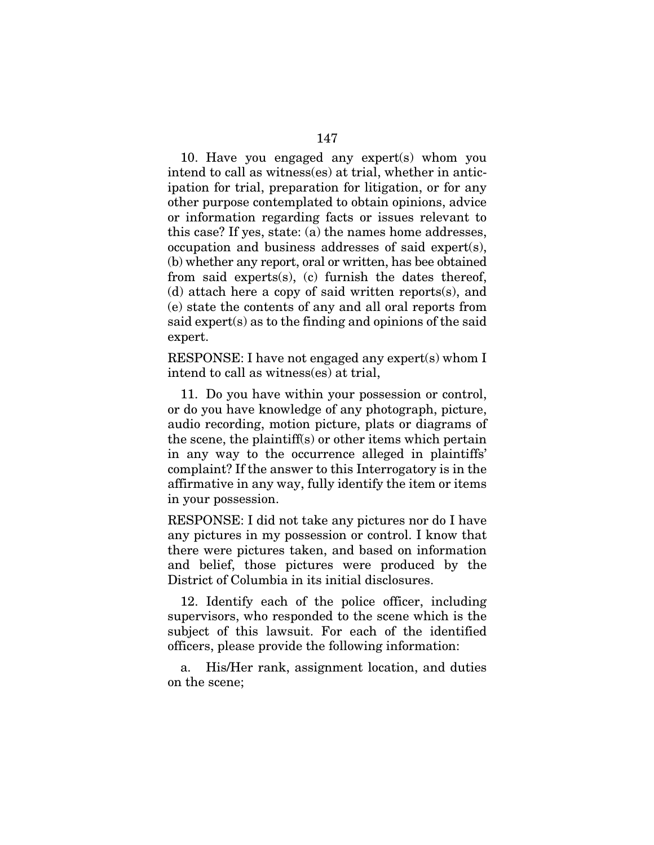10. Have you engaged any expert(s) whom you intend to call as witness(es) at trial, whether in anticipation for trial, preparation for litigation, or for any other purpose contemplated to obtain opinions, advice or information regarding facts or issues relevant to this case? If yes, state: (a) the names home addresses, occupation and business addresses of said expert(s), (b) whether any report, oral or written, has bee obtained from said experts(s), (c) furnish the dates thereof, (d) attach here a copy of said written reports(s), and (e) state the contents of any and all oral reports from said expert(s) as to the finding and opinions of the said expert.

RESPONSE: I have not engaged any expert(s) whom I intend to call as witness(es) at trial,

11. Do you have within your possession or control, or do you have knowledge of any photograph, picture, audio recording, motion picture, plats or diagrams of the scene, the plaintiff(s) or other items which pertain in any way to the occurrence alleged in plaintiffs' complaint? If the answer to this Interrogatory is in the affirmative in any way, fully identify the item or items in your possession.

RESPONSE: I did not take any pictures nor do I have any pictures in my possession or control. I know that there were pictures taken, and based on information and belief, those pictures were produced by the District of Columbia in its initial disclosures.

12. Identify each of the police officer, including supervisors, who responded to the scene which is the subject of this lawsuit. For each of the identified officers, please provide the following information:

a. His/Her rank, assignment location, and duties on the scene;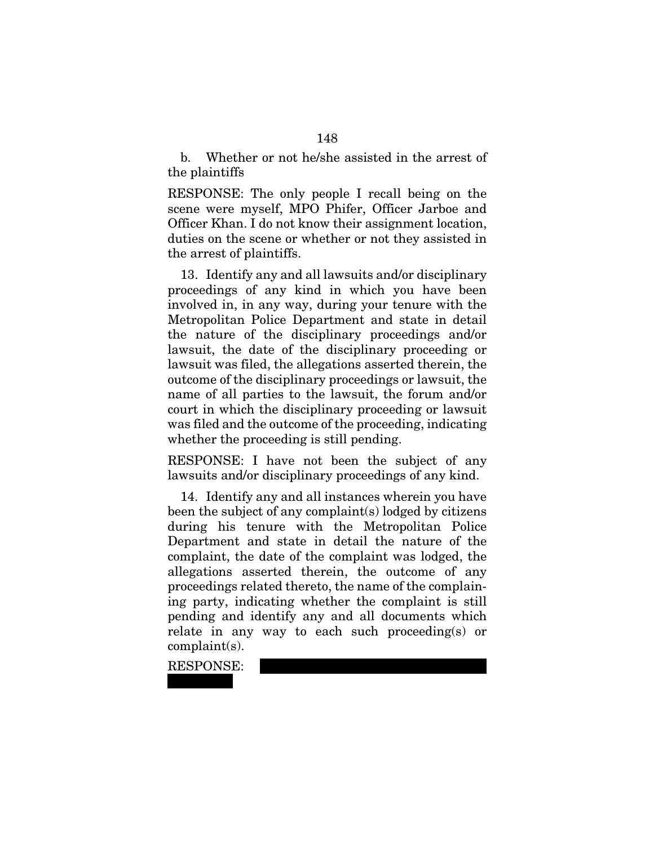b. Whether or not he/she assisted in the arrest of the plaintiffs

RESPONSE: The only people I recall being on the scene were myself, MPO Phifer, Officer Jarboe and Officer Khan. I do not know their assignment location, duties on the scene or whether or not they assisted in the arrest of plaintiffs.

13. Identify any and all lawsuits and/or disciplinary proceedings of any kind in which you have been involved in, in any way, during your tenure with the Metropolitan Police Department and state in detail the nature of the disciplinary proceedings and/or lawsuit, the date of the disciplinary proceeding or lawsuit was filed, the allegations asserted therein, the outcome of the disciplinary proceedings or lawsuit, the name of all parties to the lawsuit, the forum and/or court in which the disciplinary proceeding or lawsuit was filed and the outcome of the proceeding, indicating whether the proceeding is still pending.

RESPONSE: I have not been the subject of any lawsuits and/or disciplinary proceedings of any kind.

14. Identify any and all instances wherein you have been the subject of any complaint(s) lodged by citizens during his tenure with the Metropolitan Police Department and state in detail the nature of the complaint, the date of the complaint was lodged, the allegations asserted therein, the outcome of any proceedings related thereto, the name of the complaining party, indicating whether the complaint is still pending and identify any and all documents which relate in any way to each such proceeding(s) or complaint(s).

RESPONSE:  $x \cdot x \cdot x$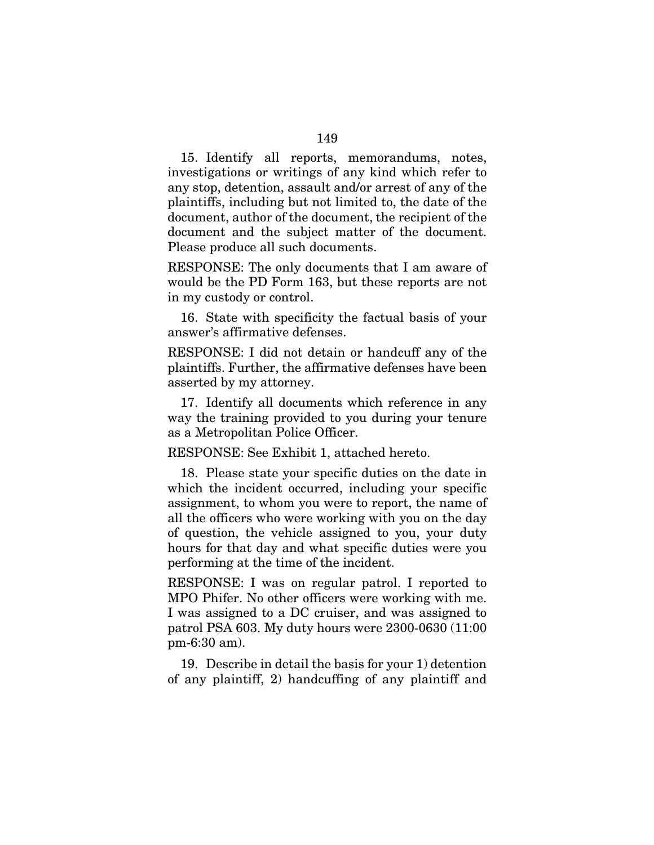15. Identify all reports, memorandums, notes, investigations or writings of any kind which refer to any stop, detention, assault and/or arrest of any of the plaintiffs, including but not limited to, the date of the document, author of the document, the recipient of the document and the subject matter of the document. Please produce all such documents.

RESPONSE: The only documents that I am aware of would be the PD Form 163, but these reports are not in my custody or control.

16. State with specificity the factual basis of your answer's affirmative defenses.

RESPONSE: I did not detain or handcuff any of the plaintiffs. Further, the affirmative defenses have been asserted by my attorney.

17. Identify all documents which reference in any way the training provided to you during your tenure as a Metropolitan Police Officer.

RESPONSE: See Exhibit 1, attached hereto.

18. Please state your specific duties on the date in which the incident occurred, including your specific assignment, to whom you were to report, the name of all the officers who were working with you on the day of question, the vehicle assigned to you, your duty hours for that day and what specific duties were you performing at the time of the incident.

RESPONSE: I was on regular patrol. I reported to MPO Phifer. No other officers were working with me. I was assigned to a DC cruiser, and was assigned to patrol PSA 603. My duty hours were 2300-0630 (11:00 pm-6:30 am).

19. Describe in detail the basis for your 1) detention of any plaintiff, 2) handcuffing of any plaintiff and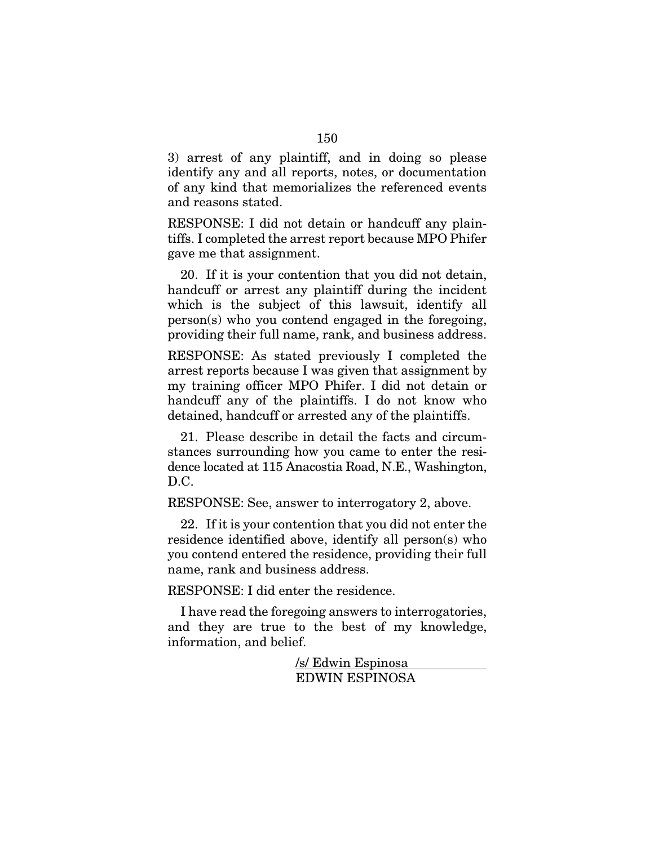3) arrest of any plaintiff, and in doing so please identify any and all reports, notes, or documentation of any kind that memorializes the referenced events and reasons stated.

RESPONSE: I did not detain or handcuff any plaintiffs. I completed the arrest report because MPO Phifer gave me that assignment.

20. If it is your contention that you did not detain, handcuff or arrest any plaintiff during the incident which is the subject of this lawsuit, identify all person(s) who you contend engaged in the foregoing, providing their full name, rank, and business address.

RESPONSE: As stated previously I completed the arrest reports because I was given that assignment by my training officer MPO Phifer. I did not detain or handcuff any of the plaintiffs. I do not know who detained, handcuff or arrested any of the plaintiffs.

21. Please describe in detail the facts and circumstances surrounding how you came to enter the residence located at 115 Anacostia Road, N.E., Washington, D.C.

RESPONSE: See, answer to interrogatory 2, above.

22. If it is your contention that you did not enter the residence identified above, identify all person(s) who you contend entered the residence, providing their full name, rank and business address.

RESPONSE: I did enter the residence.

I have read the foregoing answers to interrogatories, and they are true to the best of my knowledge, information, and belief.

> /s/ Edwin Espinosa EDWIN ESPINOSA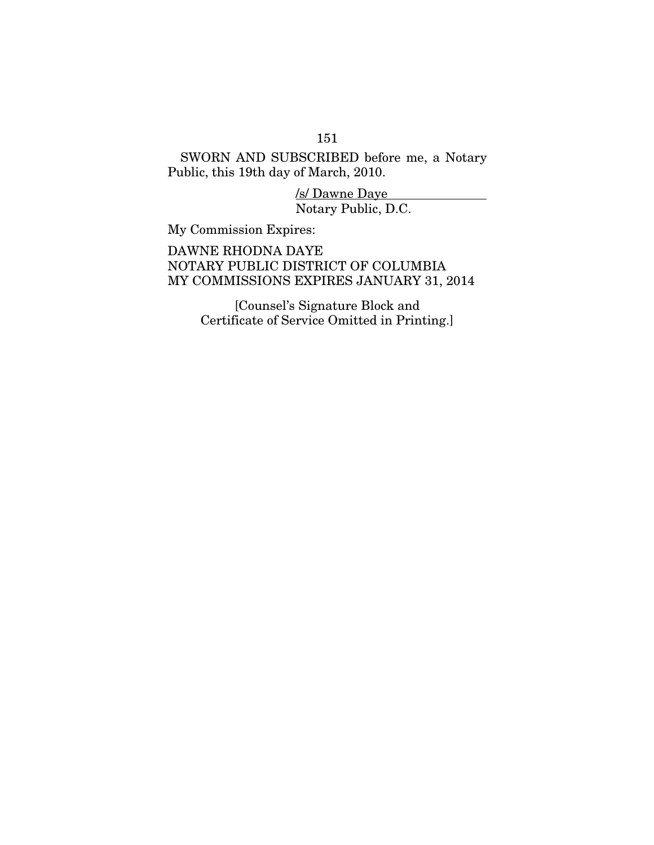# 151

SWORN AND SUBSCRIBED before me, a Notary Public, this 19th day of March, 2010.

> /s/ Dawne Daye Notary Public, D.C.

My Commission Expires:

DAWNE RHODNA DAYE NOTARY PUBLIC DISTRICT OF COLUMBIA MY COMMISSIONS EXPIRES JANUARY 31, 2014

> [Counsel's Signature Block and Certificate of Service Omitted in Printing.]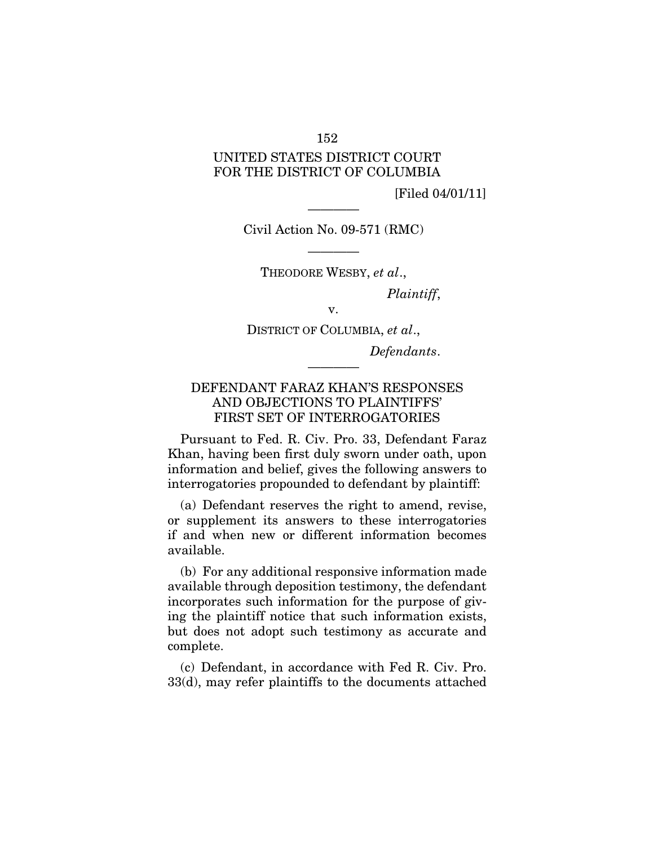### 152

# UNITED STATES DISTRICT COURT FOR THE DISTRICT OF COLUMBIA

[Filed 04/01/11]

———— Civil Action No. 09-571 (RMC)

———— THEODORE WESBY, *et al*.,

*Plaintiff*,

v.

DISTRICT OF COLUMBIA, *et al*.,

————

*Defendants*.

## DEFENDANT FARAZ KHAN'S RESPONSES AND OBJECTIONS TO PLAINTIFFS' FIRST SET OF INTERROGATORIES

Pursuant to Fed. R. Civ. Pro. 33, Defendant Faraz Khan, having been first duly sworn under oath, upon information and belief, gives the following answers to interrogatories propounded to defendant by plaintiff:

(a) Defendant reserves the right to amend, revise, or supplement its answers to these interrogatories if and when new or different information becomes available.

(b) For any additional responsive information made available through deposition testimony, the defendant incorporates such information for the purpose of giving the plaintiff notice that such information exists, but does not adopt such testimony as accurate and complete.

(c) Defendant, in accordance with Fed R. Civ. Pro. 33(d), may refer plaintiffs to the documents attached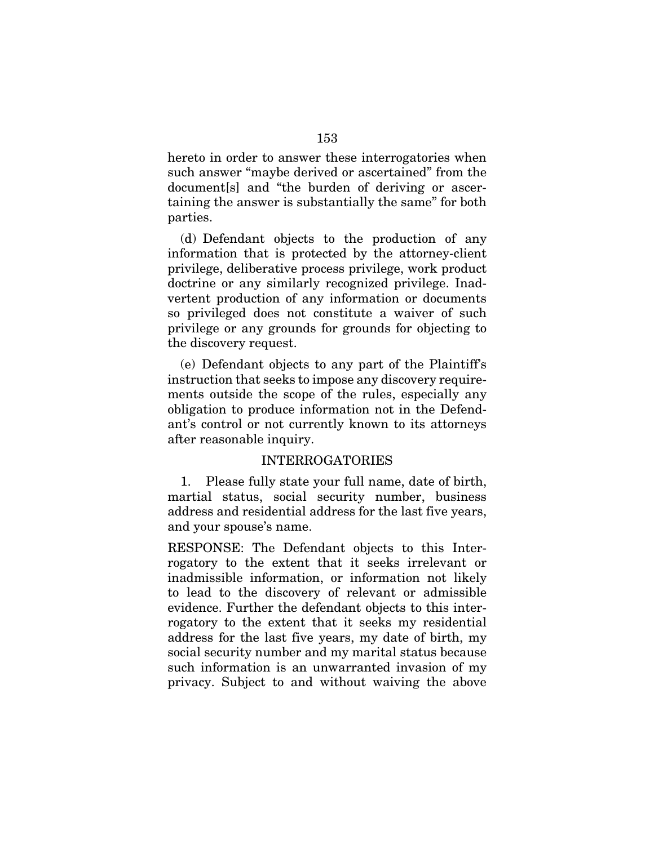hereto in order to answer these interrogatories when such answer "maybe derived or ascertained" from the document[s] and "the burden of deriving or ascertaining the answer is substantially the same" for both parties.

(d) Defendant objects to the production of any information that is protected by the attorney-client privilege, deliberative process privilege, work product doctrine or any similarly recognized privilege. Inadvertent production of any information or documents so privileged does not constitute a waiver of such privilege or any grounds for grounds for objecting to the discovery request.

(e) Defendant objects to any part of the Plaintiff's instruction that seeks to impose any discovery requirements outside the scope of the rules, especially any obligation to produce information not in the Defendant's control or not currently known to its attorneys after reasonable inquiry.

### INTERROGATORIES

1. Please fully state your full name, date of birth, martial status, social security number, business address and residential address for the last five years, and your spouse's name.

RESPONSE: The Defendant objects to this Interrogatory to the extent that it seeks irrelevant or inadmissible information, or information not likely to lead to the discovery of relevant or admissible evidence. Further the defendant objects to this interrogatory to the extent that it seeks my residential address for the last five years, my date of birth, my social security number and my marital status because such information is an unwarranted invasion of my privacy. Subject to and without waiving the above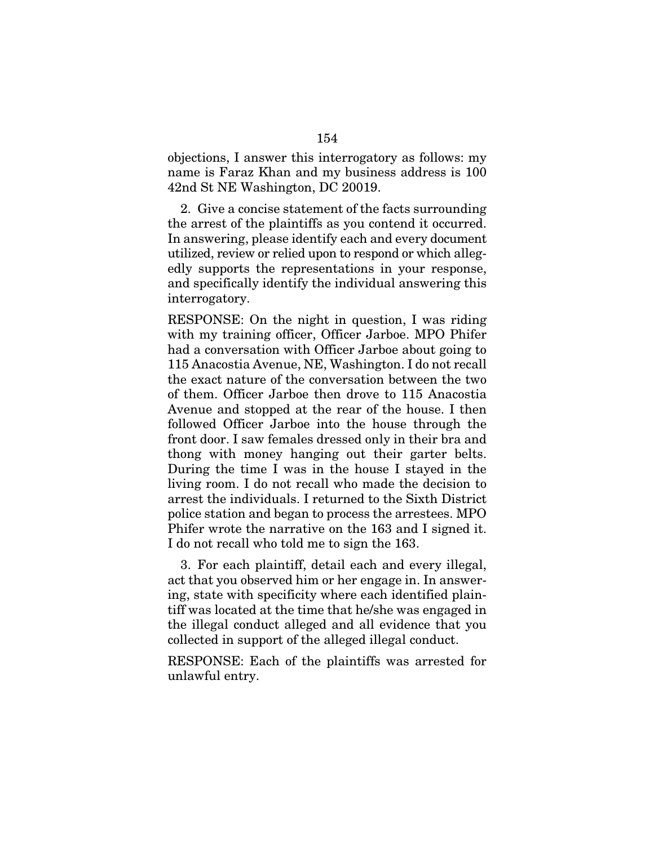objections, I answer this interrogatory as follows: my name is Faraz Khan and my business address is 100 42nd St NE Washington, DC 20019.

2. Give a concise statement of the facts surrounding the arrest of the plaintiffs as you contend it occurred. In answering, please identify each and every document utilized, review or relied upon to respond or which allegedly supports the representations in your response, and specifically identify the individual answering this interrogatory.

RESPONSE: On the night in question, I was riding with my training officer, Officer Jarboe. MPO Phifer had a conversation with Officer Jarboe about going to 115 Anacostia Avenue, NE, Washington. I do not recall the exact nature of the conversation between the two of them. Officer Jarboe then drove to 115 Anacostia Avenue and stopped at the rear of the house. I then followed Officer Jarboe into the house through the front door. I saw females dressed only in their bra and thong with money hanging out their garter belts. During the time I was in the house I stayed in the living room. I do not recall who made the decision to arrest the individuals. I returned to the Sixth District police station and began to process the arrestees. MPO Phifer wrote the narrative on the 163 and I signed it. I do not recall who told me to sign the 163.

3. For each plaintiff, detail each and every illegal, act that you observed him or her engage in. In answering, state with specificity where each identified plaintiff was located at the time that he/she was engaged in the illegal conduct alleged and all evidence that you collected in support of the alleged illegal conduct.

RESPONSE: Each of the plaintiffs was arrested for unlawful entry.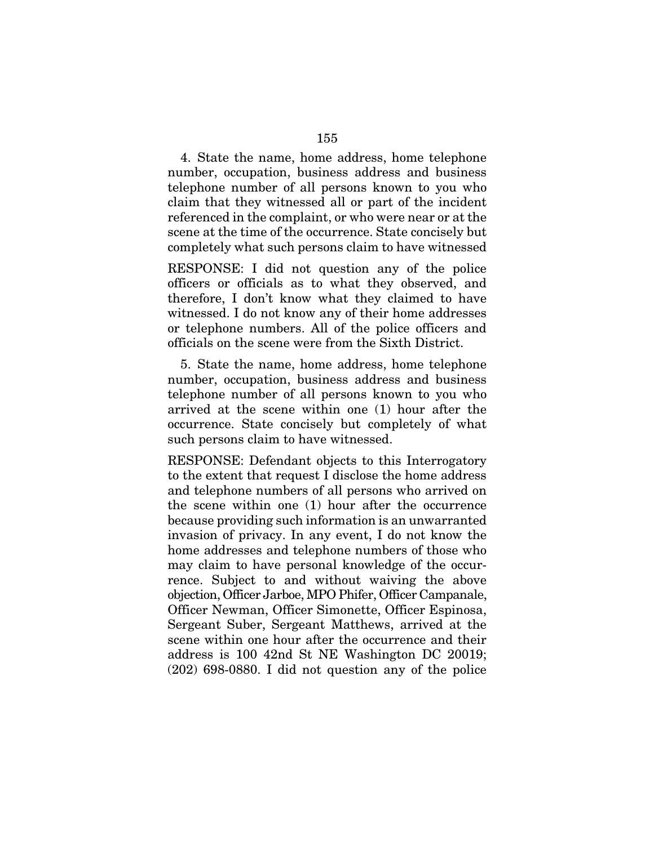4. State the name, home address, home telephone number, occupation, business address and business telephone number of all persons known to you who claim that they witnessed all or part of the incident referenced in the complaint, or who were near or at the scene at the time of the occurrence. State concisely but completely what such persons claim to have witnessed

RESPONSE: I did not question any of the police officers or officials as to what they observed, and therefore, I don't know what they claimed to have witnessed. I do not know any of their home addresses or telephone numbers. All of the police officers and officials on the scene were from the Sixth District.

5. State the name, home address, home telephone number, occupation, business address and business telephone number of all persons known to you who arrived at the scene within one (1) hour after the occurrence. State concisely but completely of what such persons claim to have witnessed.

RESPONSE: Defendant objects to this Interrogatory to the extent that request I disclose the home address and telephone numbers of all persons who arrived on the scene within one (1) hour after the occurrence because providing such information is an unwarranted invasion of privacy. In any event, I do not know the home addresses and telephone numbers of those who may claim to have personal knowledge of the occurrence. Subject to and without waiving the above objection, Officer Jarboe, MPO Phifer, Officer Campanale, Officer Newman, Officer Simonette, Officer Espinosa, Sergeant Suber, Sergeant Matthews, arrived at the scene within one hour after the occurrence and their address is 100 42nd St NE Washington DC 20019; (202) 698-0880. I did not question any of the police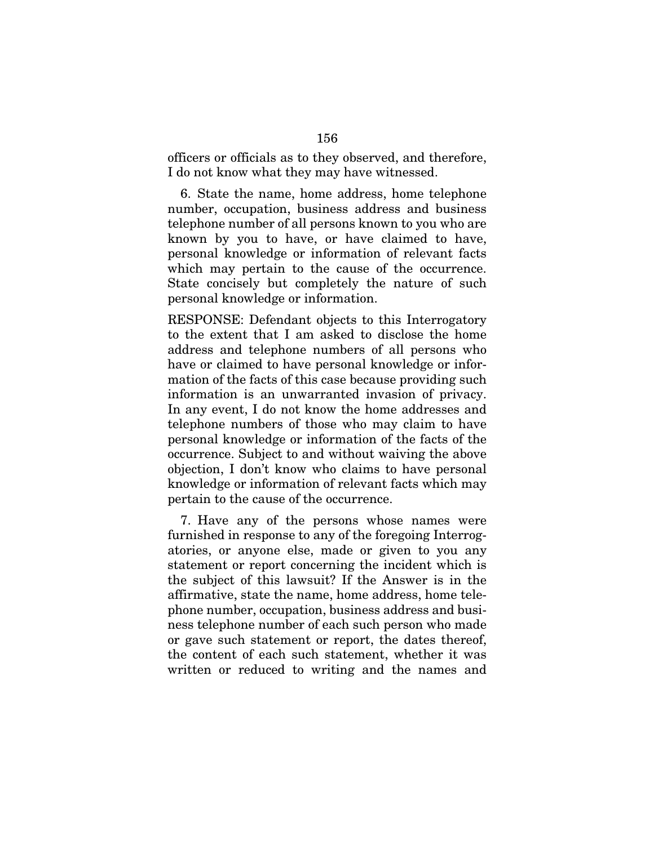officers or officials as to they observed, and therefore, I do not know what they may have witnessed.

6. State the name, home address, home telephone number, occupation, business address and business telephone number of all persons known to you who are known by you to have, or have claimed to have, personal knowledge or information of relevant facts which may pertain to the cause of the occurrence. State concisely but completely the nature of such personal knowledge or information.

RESPONSE: Defendant objects to this Interrogatory to the extent that I am asked to disclose the home address and telephone numbers of all persons who have or claimed to have personal knowledge or information of the facts of this case because providing such information is an unwarranted invasion of privacy. In any event, I do not know the home addresses and telephone numbers of those who may claim to have personal knowledge or information of the facts of the occurrence. Subject to and without waiving the above objection, I don't know who claims to have personal knowledge or information of relevant facts which may pertain to the cause of the occurrence.

7. Have any of the persons whose names were furnished in response to any of the foregoing Interrogatories, or anyone else, made or given to you any statement or report concerning the incident which is the subject of this lawsuit? If the Answer is in the affirmative, state the name, home address, home telephone number, occupation, business address and business telephone number of each such person who made or gave such statement or report, the dates thereof, the content of each such statement, whether it was written or reduced to writing and the names and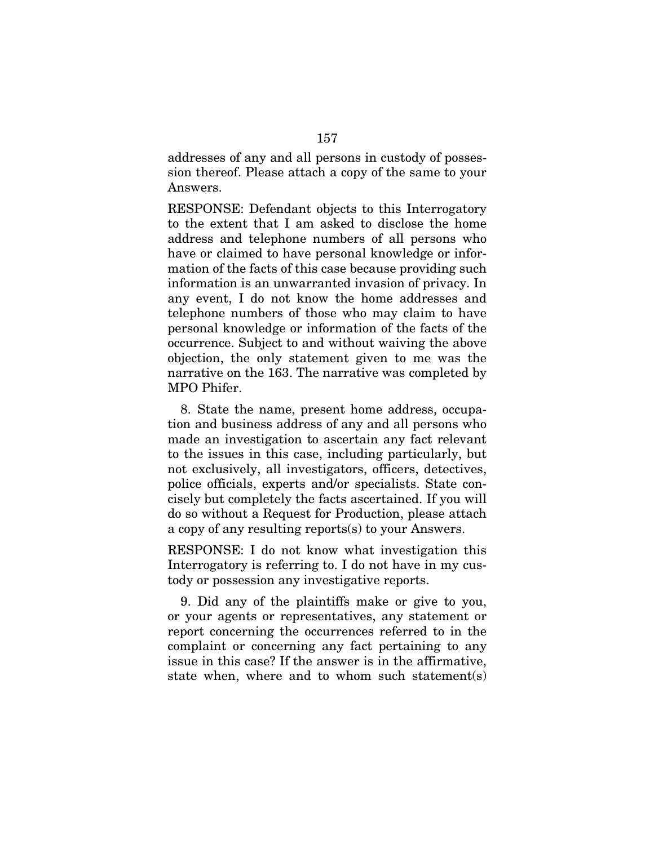addresses of any and all persons in custody of possession thereof. Please attach a copy of the same to your Answers.

RESPONSE: Defendant objects to this Interrogatory to the extent that I am asked to disclose the home address and telephone numbers of all persons who have or claimed to have personal knowledge or information of the facts of this case because providing such information is an unwarranted invasion of privacy. In any event, I do not know the home addresses and telephone numbers of those who may claim to have personal knowledge or information of the facts of the occurrence. Subject to and without waiving the above objection, the only statement given to me was the narrative on the 163. The narrative was completed by MPO Phifer.

8. State the name, present home address, occupation and business address of any and all persons who made an investigation to ascertain any fact relevant to the issues in this case, including particularly, but not exclusively, all investigators, officers, detectives, police officials, experts and/or specialists. State concisely but completely the facts ascertained. If you will do so without a Request for Production, please attach a copy of any resulting reports(s) to your Answers.

RESPONSE: I do not know what investigation this Interrogatory is referring to. I do not have in my custody or possession any investigative reports.

9. Did any of the plaintiffs make or give to you, or your agents or representatives, any statement or report concerning the occurrences referred to in the complaint or concerning any fact pertaining to any issue in this case? If the answer is in the affirmative, state when, where and to whom such statement(s)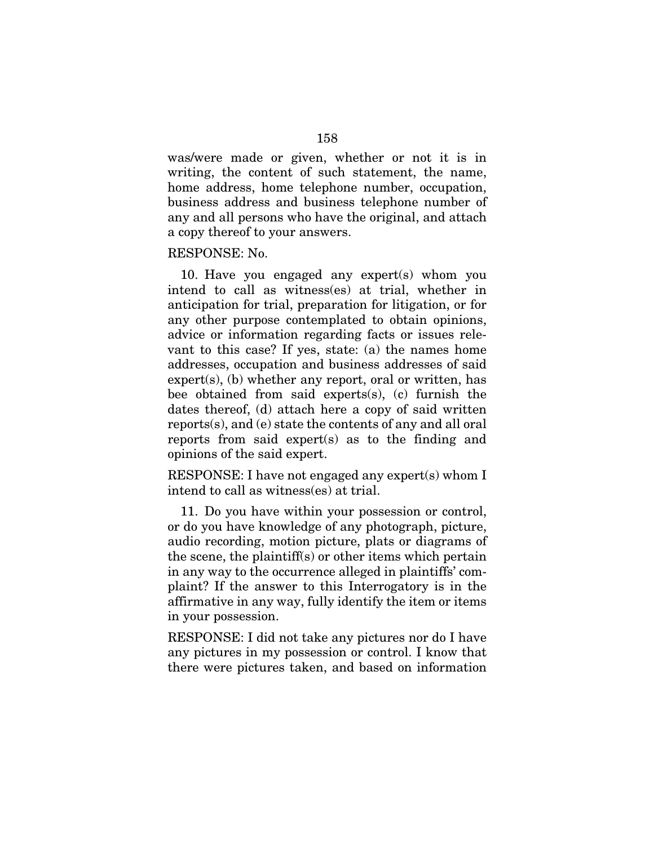was/were made or given, whether or not it is in writing, the content of such statement, the name, home address, home telephone number, occupation, business address and business telephone number of any and all persons who have the original, and attach a copy thereof to your answers.

### RESPONSE: No.

10. Have you engaged any expert(s) whom you intend to call as witness(es) at trial, whether in anticipation for trial, preparation for litigation, or for any other purpose contemplated to obtain opinions, advice or information regarding facts or issues relevant to this case? If yes, state: (a) the names home addresses, occupation and business addresses of said expert(s), (b) whether any report, oral or written, has bee obtained from said experts(s), (c) furnish the dates thereof, (d) attach here a copy of said written reports(s), and (e) state the contents of any and all oral reports from said expert(s) as to the finding and opinions of the said expert.

RESPONSE: I have not engaged any expert(s) whom I intend to call as witness(es) at trial.

11. Do you have within your possession or control, or do you have knowledge of any photograph, picture, audio recording, motion picture, plats or diagrams of the scene, the plaintiff(s) or other items which pertain in any way to the occurrence alleged in plaintiffs' complaint? If the answer to this Interrogatory is in the affirmative in any way, fully identify the item or items in your possession.

RESPONSE: I did not take any pictures nor do I have any pictures in my possession or control. I know that there were pictures taken, and based on information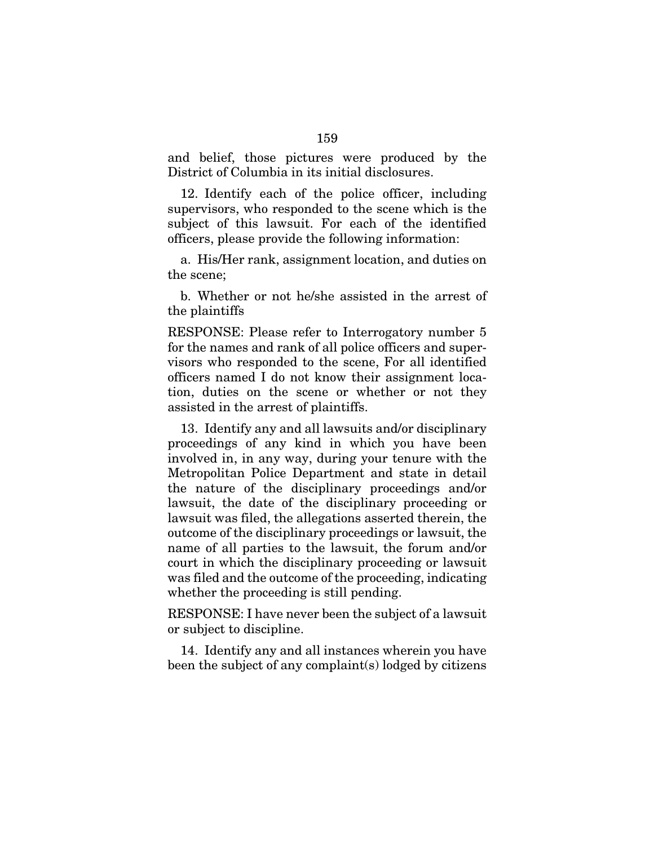and belief, those pictures were produced by the District of Columbia in its initial disclosures.

12. Identify each of the police officer, including supervisors, who responded to the scene which is the subject of this lawsuit. For each of the identified officers, please provide the following information:

a. His/Her rank, assignment location, and duties on the scene;

b. Whether or not he/she assisted in the arrest of the plaintiffs

RESPONSE: Please refer to Interrogatory number 5 for the names and rank of all police officers and supervisors who responded to the scene, For all identified officers named I do not know their assignment location, duties on the scene or whether or not they assisted in the arrest of plaintiffs.

13. Identify any and all lawsuits and/or disciplinary proceedings of any kind in which you have been involved in, in any way, during your tenure with the Metropolitan Police Department and state in detail the nature of the disciplinary proceedings and/or lawsuit, the date of the disciplinary proceeding or lawsuit was filed, the allegations asserted therein, the outcome of the disciplinary proceedings or lawsuit, the name of all parties to the lawsuit, the forum and/or court in which the disciplinary proceeding or lawsuit was filed and the outcome of the proceeding, indicating whether the proceeding is still pending.

RESPONSE: I have never been the subject of a lawsuit or subject to discipline.

14. Identify any and all instances wherein you have been the subject of any complaint(s) lodged by citizens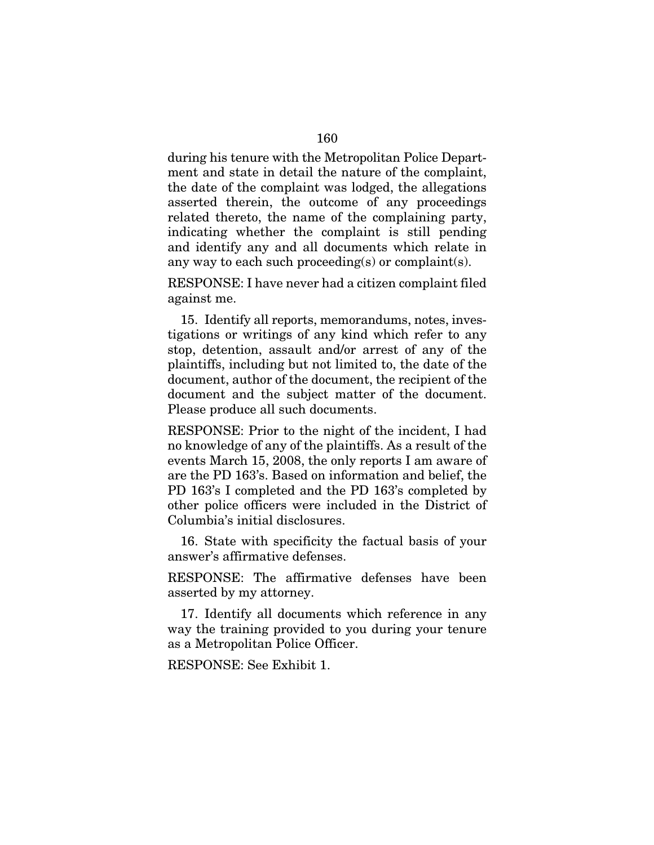during his tenure with the Metropolitan Police Department and state in detail the nature of the complaint, the date of the complaint was lodged, the allegations asserted therein, the outcome of any proceedings related thereto, the name of the complaining party, indicating whether the complaint is still pending and identify any and all documents which relate in any way to each such proceeding(s) or complaint(s).

RESPONSE: I have never had a citizen complaint filed against me.

15. Identify all reports, memorandums, notes, investigations or writings of any kind which refer to any stop, detention, assault and/or arrest of any of the plaintiffs, including but not limited to, the date of the document, author of the document, the recipient of the document and the subject matter of the document. Please produce all such documents.

RESPONSE: Prior to the night of the incident, I had no knowledge of any of the plaintiffs. As a result of the events March 15, 2008, the only reports I am aware of are the PD 163's. Based on information and belief, the PD 163's I completed and the PD 163's completed by other police officers were included in the District of Columbia's initial disclosures.

16. State with specificity the factual basis of your answer's affirmative defenses.

RESPONSE: The affirmative defenses have been asserted by my attorney.

17. Identify all documents which reference in any way the training provided to you during your tenure as a Metropolitan Police Officer.

RESPONSE: See Exhibit 1.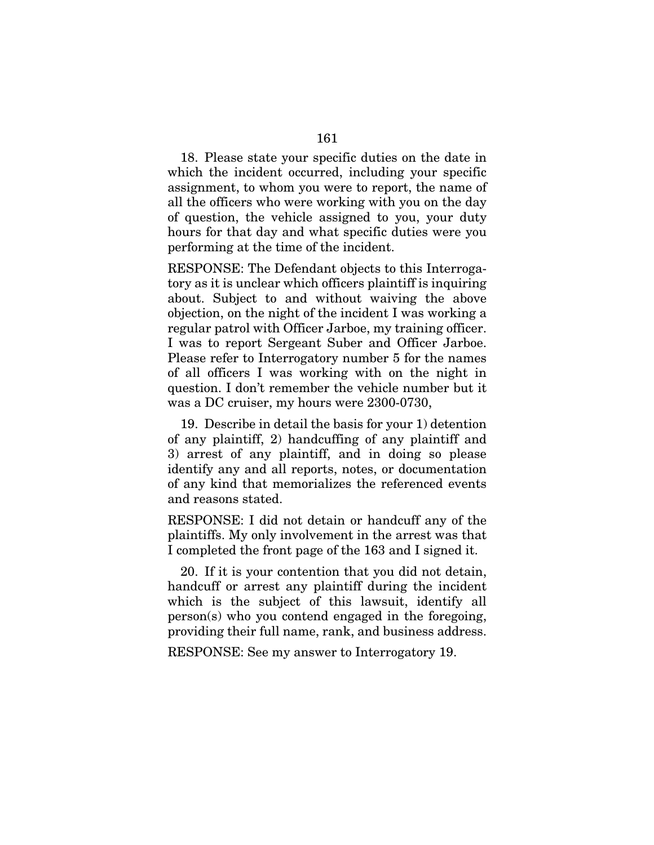18. Please state your specific duties on the date in which the incident occurred, including your specific assignment, to whom you were to report, the name of all the officers who were working with you on the day of question, the vehicle assigned to you, your duty hours for that day and what specific duties were you performing at the time of the incident.

RESPONSE: The Defendant objects to this Interrogatory as it is unclear which officers plaintiff is inquiring about. Subject to and without waiving the above objection, on the night of the incident I was working a regular patrol with Officer Jarboe, my training officer. I was to report Sergeant Suber and Officer Jarboe. Please refer to Interrogatory number 5 for the names of all officers I was working with on the night in question. I don't remember the vehicle number but it was a DC cruiser, my hours were 2300-0730,

19. Describe in detail the basis for your 1) detention of any plaintiff, 2) handcuffing of any plaintiff and 3) arrest of any plaintiff, and in doing so please identify any and all reports, notes, or documentation of any kind that memorializes the referenced events and reasons stated.

RESPONSE: I did not detain or handcuff any of the plaintiffs. My only involvement in the arrest was that I completed the front page of the 163 and I signed it.

20. If it is your contention that you did not detain, handcuff or arrest any plaintiff during the incident which is the subject of this lawsuit, identify all person(s) who you contend engaged in the foregoing, providing their full name, rank, and business address.

RESPONSE: See my answer to Interrogatory 19.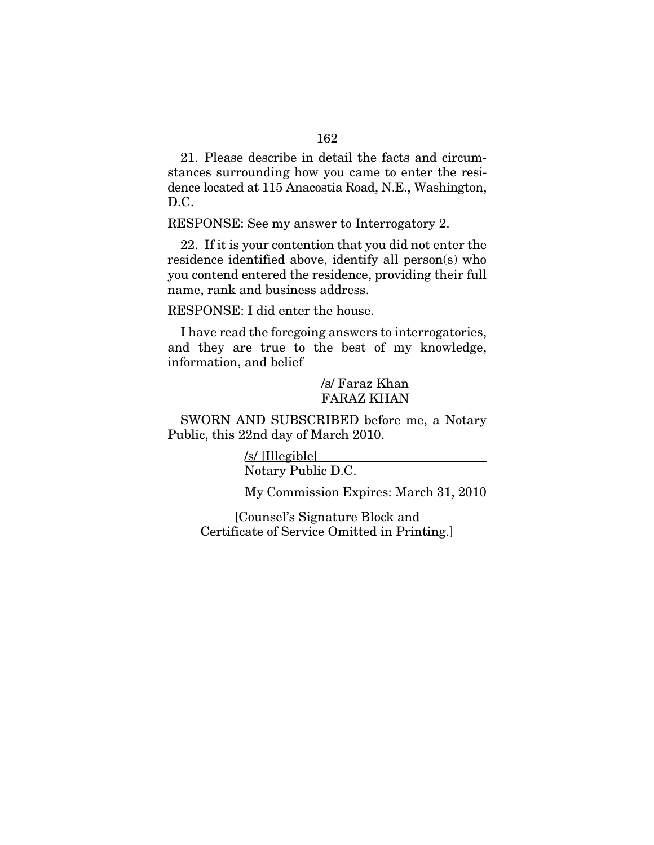21. Please describe in detail the facts and circumstances surrounding how you came to enter the residence located at 115 Anacostia Road, N.E., Washington, D.C.

RESPONSE: See my answer to Interrogatory 2.

22. If it is your contention that you did not enter the residence identified above, identify all person(s) who you contend entered the residence, providing their full name, rank and business address.

RESPONSE: I did enter the house.

I have read the foregoing answers to interrogatories, and they are true to the best of my knowledge, information, and belief

> /s/ Faraz Khan FARAZ KHAN

SWORN AND SUBSCRIBED before me, a Notary Public, this 22nd day of March 2010.

> /s/ [Illegible] Notary Public D.C.

My Commission Expires: March 31, 2010

[Counsel's Signature Block and Certificate of Service Omitted in Printing.]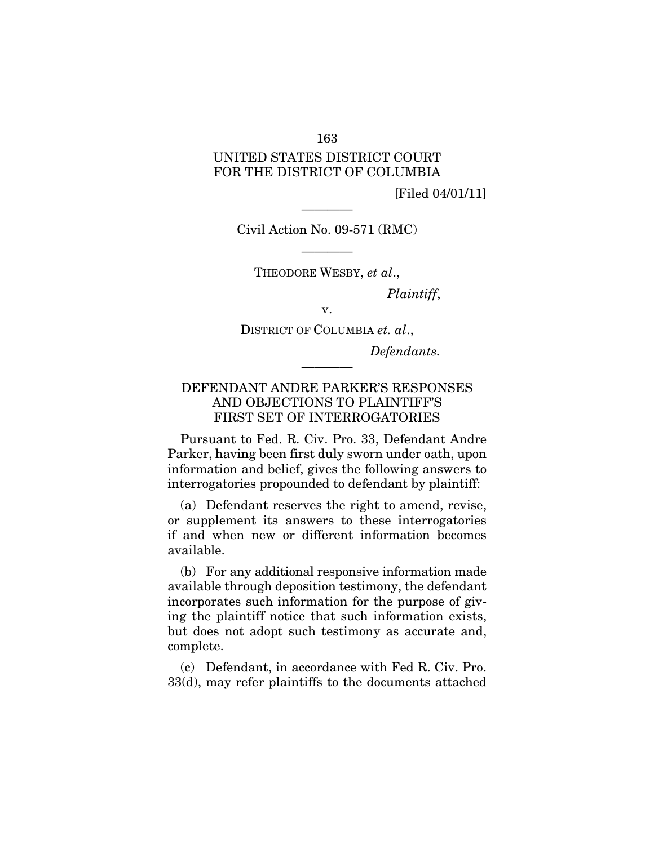### 163

# UNITED STATES DISTRICT COURT FOR THE DISTRICT OF COLUMBIA

[Filed 04/01/11]

Civil Action No. 09-571 (RMC)

————

———— THEODORE WESBY, *et al*.,

*Plaintiff*,

v.

DISTRICT OF COLUMBIA *et. al*.,

*Defendants.* 

# DEFENDANT ANDRE PARKER'S RESPONSES AND OBJECTIONS TO PLAINTIFF'S FIRST SET OF INTERROGATORIES

————

Pursuant to Fed. R. Civ. Pro. 33, Defendant Andre Parker, having been first duly sworn under oath, upon information and belief, gives the following answers to interrogatories propounded to defendant by plaintiff:

(a) Defendant reserves the right to amend, revise, or supplement its answers to these interrogatories if and when new or different information becomes available.

(b) For any additional responsive information made available through deposition testimony, the defendant incorporates such information for the purpose of giving the plaintiff notice that such information exists, but does not adopt such testimony as accurate and, complete.

(c) Defendant, in accordance with Fed R. Civ. Pro. 33(d), may refer plaintiffs to the documents attached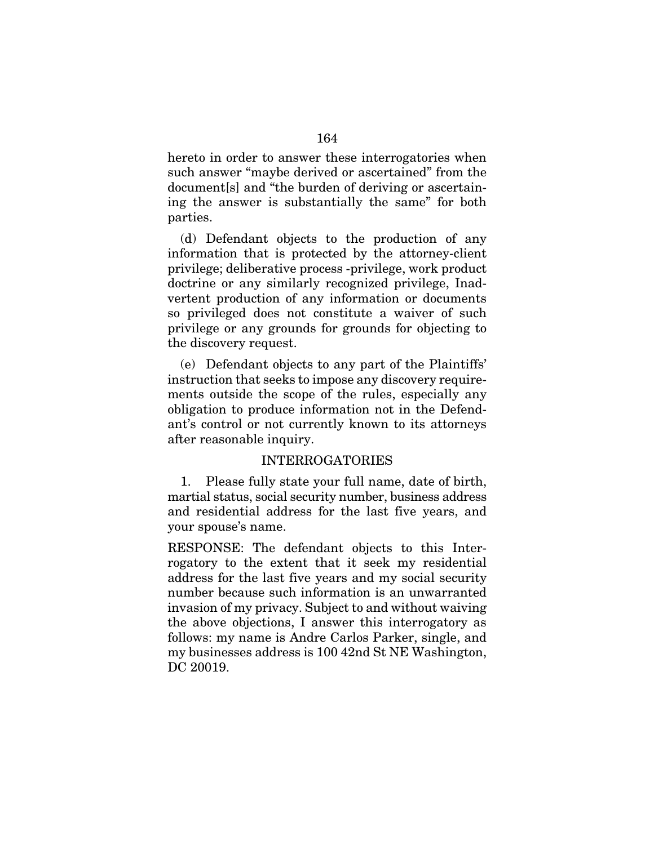hereto in order to answer these interrogatories when such answer "maybe derived or ascertained" from the document[s] and "the burden of deriving or ascertaining the answer is substantially the same" for both parties.

(d) Defendant objects to the production of any information that is protected by the attorney-client privilege; deliberative process -privilege, work product doctrine or any similarly recognized privilege, Inadvertent production of any information or documents so privileged does not constitute a waiver of such privilege or any grounds for grounds for objecting to the discovery request.

(e) Defendant objects to any part of the Plaintiffs' instruction that seeks to impose any discovery requirements outside the scope of the rules, especially any obligation to produce information not in the Defendant's control or not currently known to its attorneys after reasonable inquiry.

### INTERROGATORIES

1. Please fully state your full name, date of birth, martial status, social security number, business address and residential address for the last five years, and your spouse's name.

RESPONSE: The defendant objects to this Interrogatory to the extent that it seek my residential address for the last five years and my social security number because such information is an unwarranted invasion of my privacy. Subject to and without waiving the above objections, I answer this interrogatory as follows: my name is Andre Carlos Parker, single, and my businesses address is 100 42nd St NE Washington, DC 20019.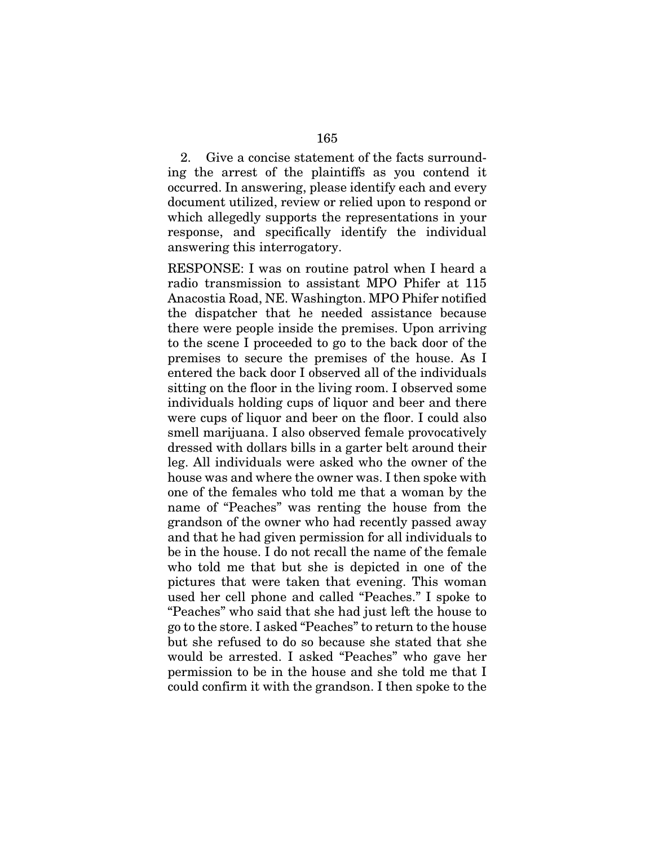2. Give a concise statement of the facts surrounding the arrest of the plaintiffs as you contend it occurred. In answering, please identify each and every document utilized, review or relied upon to respond or which allegedly supports the representations in your response, and specifically identify the individual answering this interrogatory.

RESPONSE: I was on routine patrol when I heard a radio transmission to assistant MPO Phifer at 115 Anacostia Road, NE. Washington. MPO Phifer notified the dispatcher that he needed assistance because there were people inside the premises. Upon arriving to the scene I proceeded to go to the back door of the premises to secure the premises of the house. As I entered the back door I observed all of the individuals sitting on the floor in the living room. I observed some individuals holding cups of liquor and beer and there were cups of liquor and beer on the floor. I could also smell marijuana. I also observed female provocatively dressed with dollars bills in a garter belt around their leg. All individuals were asked who the owner of the house was and where the owner was. I then spoke with one of the females who told me that a woman by the name of "Peaches" was renting the house from the grandson of the owner who had recently passed away and that he had given permission for all individuals to be in the house. I do not recall the name of the female who told me that but she is depicted in one of the pictures that were taken that evening. This woman used her cell phone and called "Peaches." I spoke to "Peaches" who said that she had just left the house to go to the store. I asked "Peaches" to return to the house but she refused to do so because she stated that she would be arrested. I asked "Peaches" who gave her permission to be in the house and she told me that I could confirm it with the grandson. I then spoke to the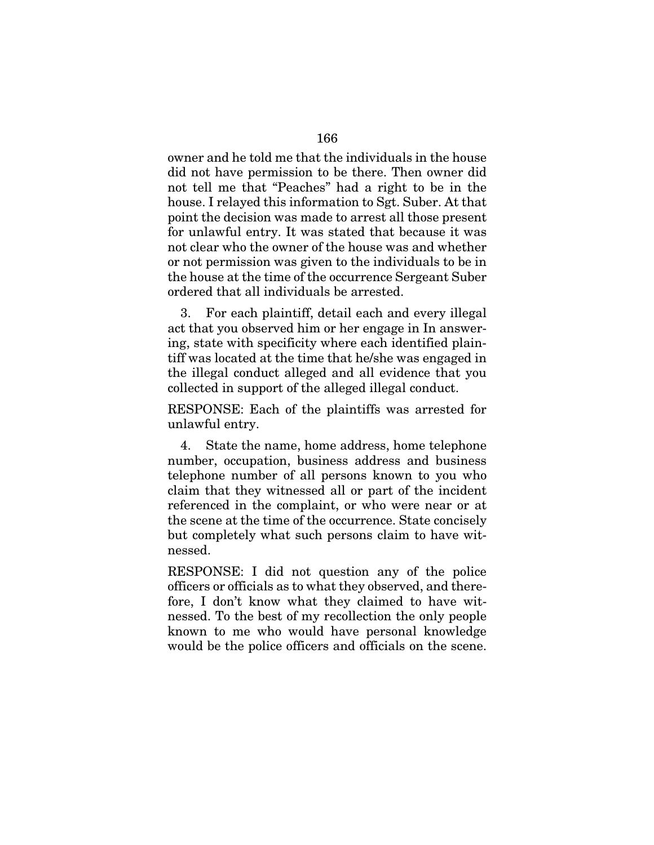owner and he told me that the individuals in the house did not have permission to be there. Then owner did not tell me that "Peaches" had a right to be in the house. I relayed this information to Sgt. Suber. At that point the decision was made to arrest all those present for unlawful entry. It was stated that because it was not clear who the owner of the house was and whether or not permission was given to the individuals to be in the house at the time of the occurrence Sergeant Suber ordered that all individuals be arrested.

3. For each plaintiff, detail each and every illegal act that you observed him or her engage in In answering, state with specificity where each identified plaintiff was located at the time that he/she was engaged in the illegal conduct alleged and all evidence that you collected in support of the alleged illegal conduct.

RESPONSE: Each of the plaintiffs was arrested for unlawful entry.

4. State the name, home address, home telephone number, occupation, business address and business telephone number of all persons known to you who claim that they witnessed all or part of the incident referenced in the complaint, or who were near or at the scene at the time of the occurrence. State concisely but completely what such persons claim to have witnessed.

RESPONSE: I did not question any of the police officers or officials as to what they observed, and therefore, I don't know what they claimed to have witnessed. To the best of my recollection the only people known to me who would have personal knowledge would be the police officers and officials on the scene.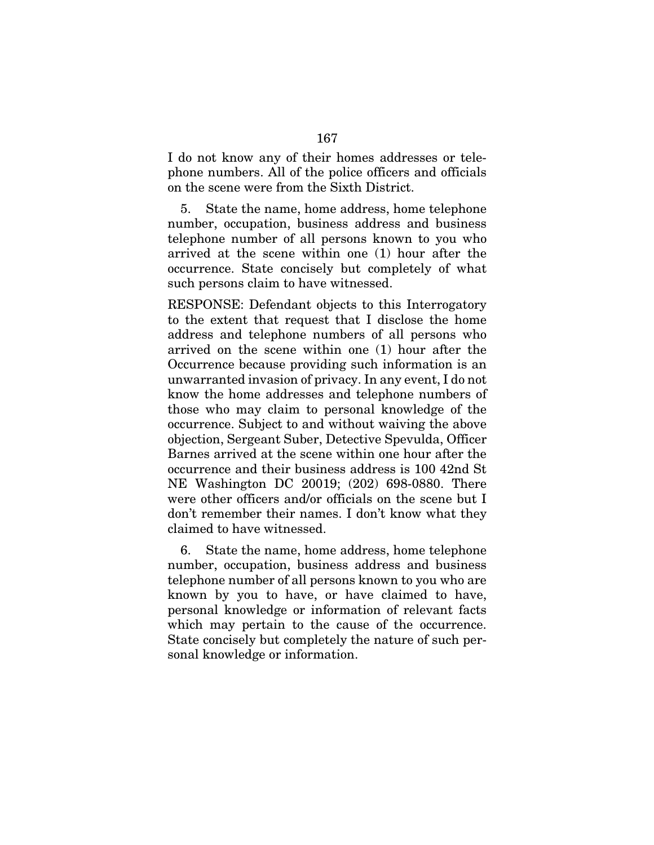I do not know any of their homes addresses or telephone numbers. All of the police officers and officials on the scene were from the Sixth District.

5. State the name, home address, home telephone number, occupation, business address and business telephone number of all persons known to you who arrived at the scene within one (1) hour after the occurrence. State concisely but completely of what such persons claim to have witnessed.

RESPONSE: Defendant objects to this Interrogatory to the extent that request that I disclose the home address and telephone numbers of all persons who arrived on the scene within one (1) hour after the Occurrence because providing such information is an unwarranted invasion of privacy. In any event, I do not know the home addresses and telephone numbers of those who may claim to personal knowledge of the occurrence. Subject to and without waiving the above objection, Sergeant Suber, Detective Spevulda, Officer Barnes arrived at the scene within one hour after the occurrence and their business address is 100 42nd St NE Washington DC 20019; (202) 698-0880. There were other officers and/or officials on the scene but I don't remember their names. I don't know what they claimed to have witnessed.

6. State the name, home address, home telephone number, occupation, business address and business telephone number of all persons known to you who are known by you to have, or have claimed to have, personal knowledge or information of relevant facts which may pertain to the cause of the occurrence. State concisely but completely the nature of such personal knowledge or information.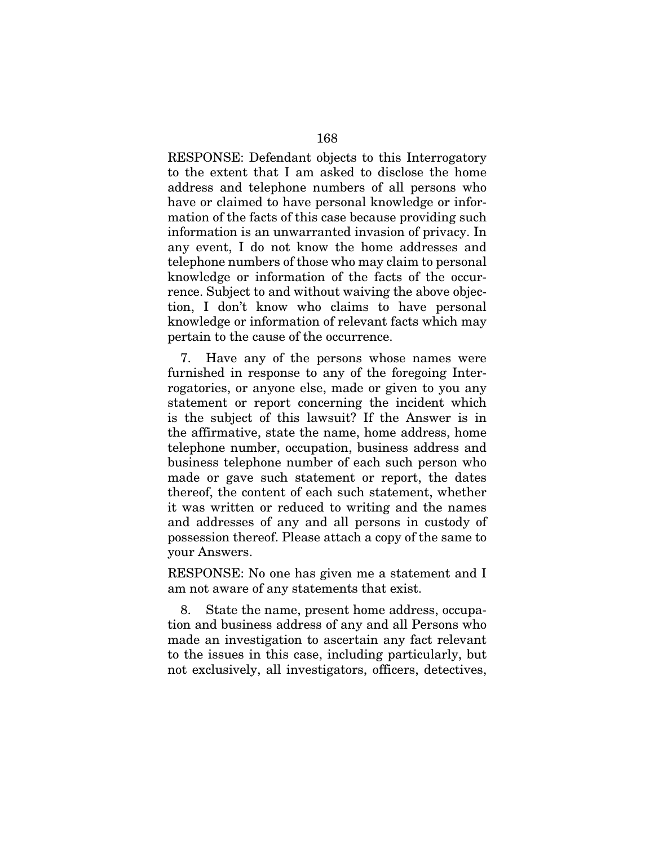RESPONSE: Defendant objects to this Interrogatory to the extent that I am asked to disclose the home address and telephone numbers of all persons who have or claimed to have personal knowledge or information of the facts of this case because providing such information is an unwarranted invasion of privacy. In any event, I do not know the home addresses and telephone numbers of those who may claim to personal knowledge or information of the facts of the occurrence. Subject to and without waiving the above objection, I don't know who claims to have personal knowledge or information of relevant facts which may pertain to the cause of the occurrence.

7. Have any of the persons whose names were furnished in response to any of the foregoing Interrogatories, or anyone else, made or given to you any statement or report concerning the incident which is the subject of this lawsuit? If the Answer is in the affirmative, state the name, home address, home telephone number, occupation, business address and business telephone number of each such person who made or gave such statement or report, the dates thereof, the content of each such statement, whether it was written or reduced to writing and the names and addresses of any and all persons in custody of possession thereof. Please attach a copy of the same to your Answers.

RESPONSE: No one has given me a statement and I am not aware of any statements that exist.

8. State the name, present home address, occupation and business address of any and all Persons who made an investigation to ascertain any fact relevant to the issues in this case, including particularly, but not exclusively, all investigators, officers, detectives,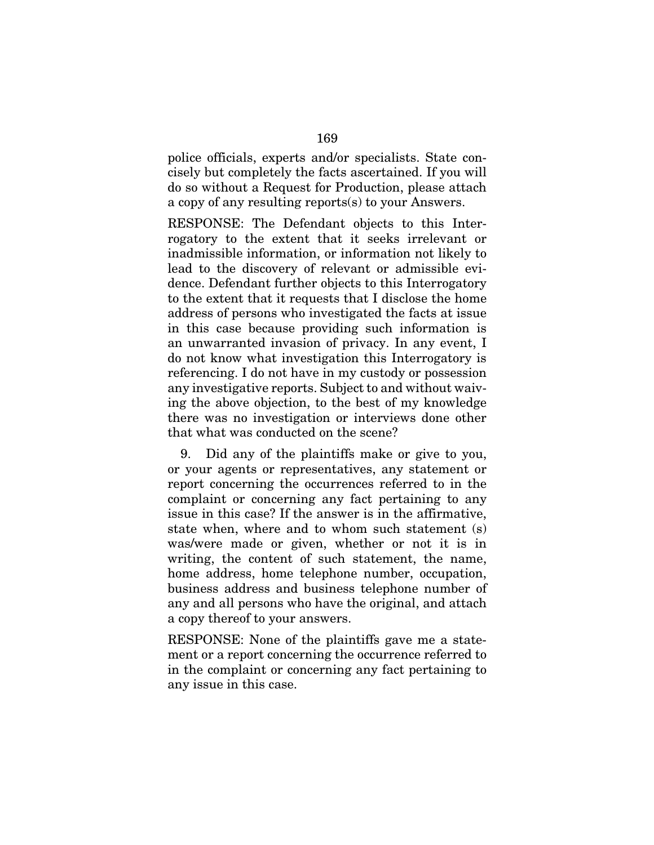police officials, experts and/or specialists. State concisely but completely the facts ascertained. If you will do so without a Request for Production, please attach a copy of any resulting reports(s) to your Answers.

RESPONSE: The Defendant objects to this Interrogatory to the extent that it seeks irrelevant or inadmissible information, or information not likely to lead to the discovery of relevant or admissible evidence. Defendant further objects to this Interrogatory to the extent that it requests that I disclose the home address of persons who investigated the facts at issue in this case because providing such information is an unwarranted invasion of privacy. In any event, I do not know what investigation this Interrogatory is referencing. I do not have in my custody or possession any investigative reports. Subject to and without waiving the above objection, to the best of my knowledge there was no investigation or interviews done other that what was conducted on the scene?

9. Did any of the plaintiffs make or give to you, or your agents or representatives, any statement or report concerning the occurrences referred to in the complaint or concerning any fact pertaining to any issue in this case? If the answer is in the affirmative, state when, where and to whom such statement (s) was/were made or given, whether or not it is in writing, the content of such statement, the name, home address, home telephone number, occupation, business address and business telephone number of any and all persons who have the original, and attach a copy thereof to your answers.

RESPONSE: None of the plaintiffs gave me a statement or a report concerning the occurrence referred to in the complaint or concerning any fact pertaining to any issue in this case.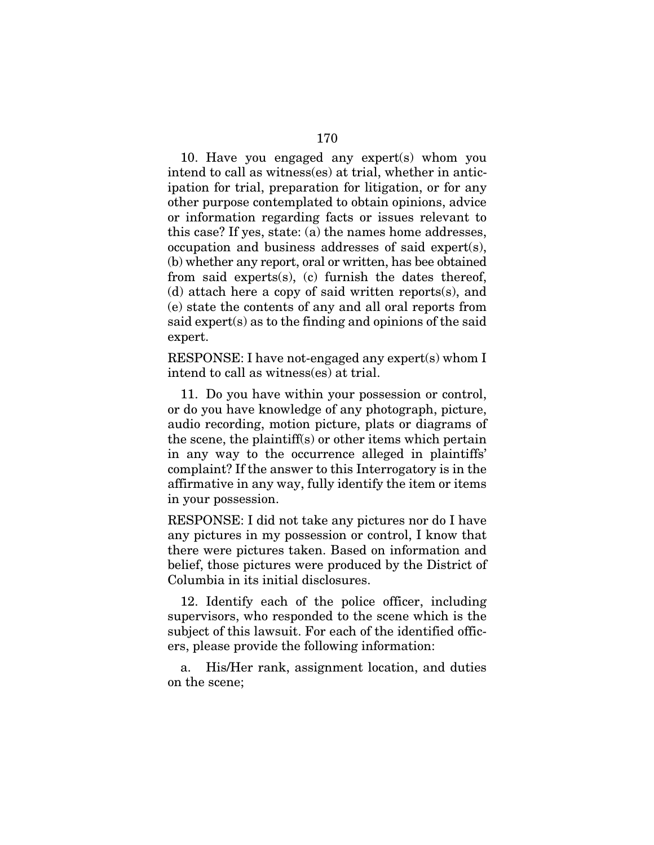10. Have you engaged any expert(s) whom you intend to call as witness(es) at trial, whether in anticipation for trial, preparation for litigation, or for any other purpose contemplated to obtain opinions, advice or information regarding facts or issues relevant to this case? If yes, state: (a) the names home addresses, occupation and business addresses of said expert(s), (b) whether any report, oral or written, has bee obtained from said experts(s), (c) furnish the dates thereof, (d) attach here a copy of said written reports(s), and (e) state the contents of any and all oral reports from said expert(s) as to the finding and opinions of the said expert.

RESPONSE: I have not-engaged any expert(s) whom I intend to call as witness(es) at trial.

11. Do you have within your possession or control, or do you have knowledge of any photograph, picture, audio recording, motion picture, plats or diagrams of the scene, the plaintiff(s) or other items which pertain in any way to the occurrence alleged in plaintiffs' complaint? If the answer to this Interrogatory is in the affirmative in any way, fully identify the item or items in your possession.

RESPONSE: I did not take any pictures nor do I have any pictures in my possession or control, I know that there were pictures taken. Based on information and belief, those pictures were produced by the District of Columbia in its initial disclosures.

12. Identify each of the police officer, including supervisors, who responded to the scene which is the subject of this lawsuit. For each of the identified officers, please provide the following information:

a. His/Her rank, assignment location, and duties on the scene;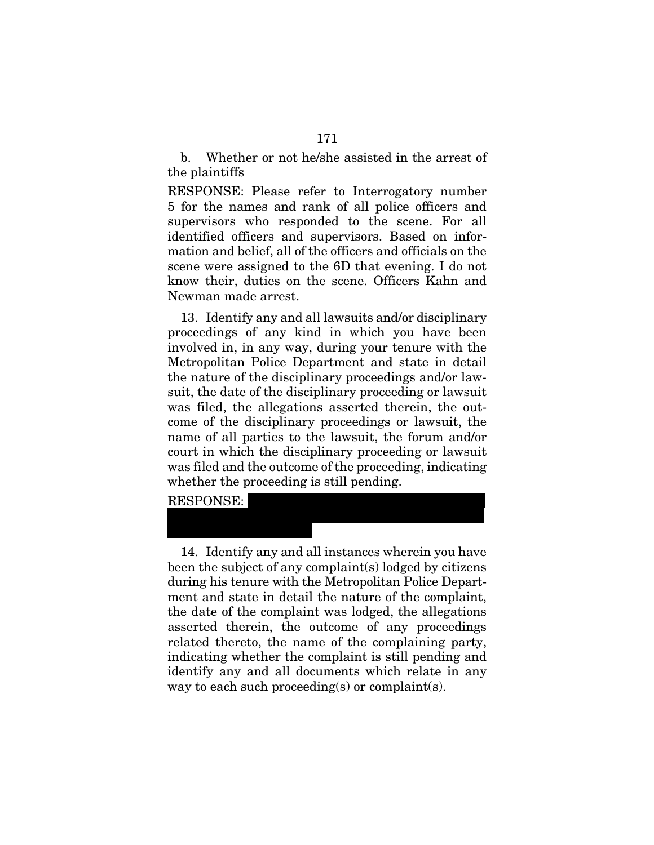b. Whether or not he/she assisted in the arrest of the plaintiffs

RESPONSE: Please refer to Interrogatory number 5 for the names and rank of all police officers and supervisors who responded to the scene. For all identified officers and supervisors. Based on information and belief, all of the officers and officials on the scene were assigned to the 6D that evening. I do not know their, duties on the scene. Officers Kahn and Newman made arrest.

13. Identify any and all lawsuits and/or disciplinary proceedings of any kind in which you have been involved in, in any way, during your tenure with the Metropolitan Police Department and state in detail the nature of the disciplinary proceedings and/or lawsuit, the date of the disciplinary proceeding or lawsuit was filed, the allegations asserted therein, the outcome of the disciplinary proceedings or lawsuit, the name of all parties to the lawsuit, the forum and/or court in which the disciplinary proceeding or lawsuit was filed and the outcome of the proceeding, indicating whether the proceeding is still pending.

RESPONSE:

xxxxxxxxxxxxxxxxxx

14. Identify any and all instances wherein you have been the subject of any complaint(s) lodged by citizens during his tenure with the Metropolitan Police Department and state in detail the nature of the complaint, the date of the complaint was lodged, the allegations asserted therein, the outcome of any proceedings related thereto, the name of the complaining party, indicating whether the complaint is still pending and identify any and all documents which relate in any way to each such proceeding(s) or complaint(s).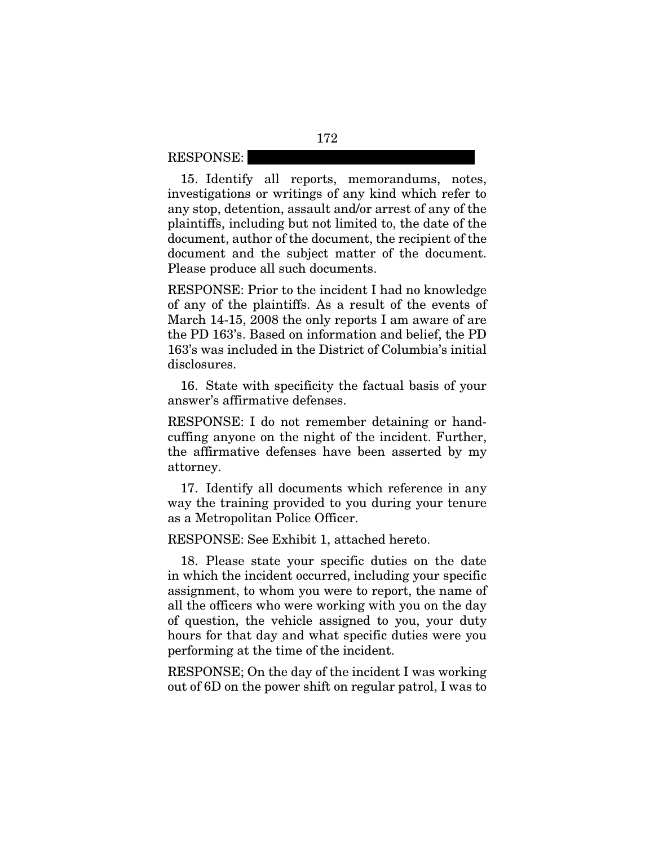RESPONSE:

15. Identify all reports, memorandums, notes, investigations or writings of any kind which refer to any stop, detention, assault and/or arrest of any of the plaintiffs, including but not limited to, the date of the document, author of the document, the recipient of the document and the subject matter of the document. Please produce all such documents.

RESPONSE: Prior to the incident I had no knowledge of any of the plaintiffs. As a result of the events of March 14-15, 2008 the only reports I am aware of are the PD 163's. Based on information and belief, the PD 163's was included in the District of Columbia's initial disclosures.

16. State with specificity the factual basis of your answer's affirmative defenses.

RESPONSE: I do not remember detaining or handcuffing anyone on the night of the incident. Further, the affirmative defenses have been asserted by my attorney.

17. Identify all documents which reference in any way the training provided to you during your tenure as a Metropolitan Police Officer.

RESPONSE: See Exhibit 1, attached hereto.

18. Please state your specific duties on the date in which the incident occurred, including your specific assignment, to whom you were to report, the name of all the officers who were working with you on the day of question, the vehicle assigned to you, your duty hours for that day and what specific duties were you performing at the time of the incident.

RESPONSE; On the day of the incident I was working out of 6D on the power shift on regular patrol, I was to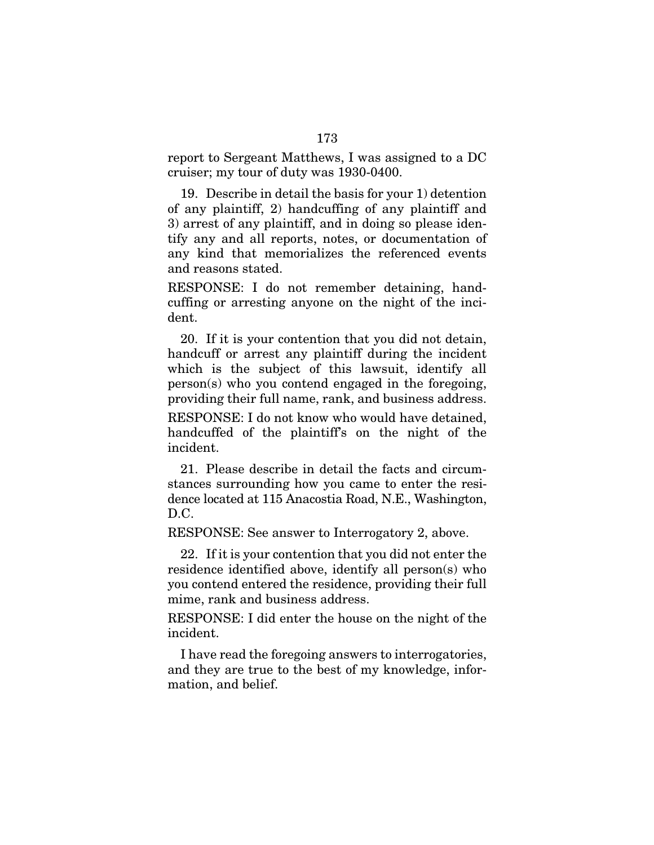report to Sergeant Matthews, I was assigned to a DC cruiser; my tour of duty was 1930-0400.

19. Describe in detail the basis for your 1) detention of any plaintiff, 2) handcuffing of any plaintiff and 3) arrest of any plaintiff, and in doing so please identify any and all reports, notes, or documentation of any kind that memorializes the referenced events and reasons stated.

RESPONSE: I do not remember detaining, handcuffing or arresting anyone on the night of the incident.

20. If it is your contention that you did not detain, handcuff or arrest any plaintiff during the incident which is the subject of this lawsuit, identify all person(s) who you contend engaged in the foregoing, providing their full name, rank, and business address.

RESPONSE: I do not know who would have detained, handcuffed of the plaintiff's on the night of the incident.

21. Please describe in detail the facts and circumstances surrounding how you came to enter the residence located at 115 Anacostia Road, N.E., Washington, D.C.

RESPONSE: See answer to Interrogatory 2, above.

22. If it is your contention that you did not enter the residence identified above, identify all person(s) who you contend entered the residence, providing their full mime, rank and business address.

RESPONSE: I did enter the house on the night of the incident.

I have read the foregoing answers to interrogatories, and they are true to the best of my knowledge, information, and belief.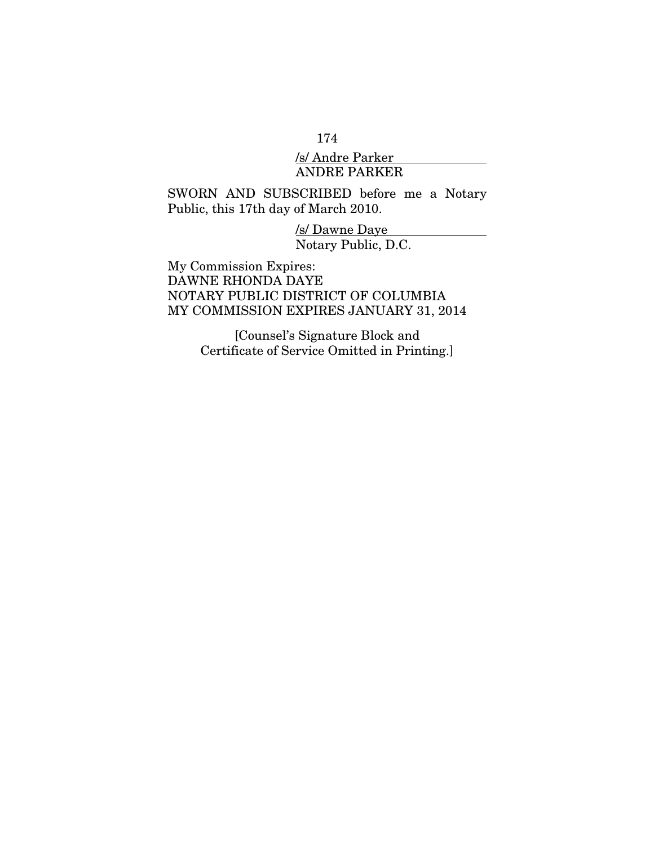### 174

## /s/ Andre Parker ANDRE PARKER

# SWORN AND SUBSCRIBED before me a Notary Public, this 17th day of March 2010.

/s/ Dawne Daye Notary Public, D.C.

My Commission Expires: DAWNE RHONDA DAYE NOTARY PUBLIC DISTRICT OF COLUMBIA MY COMMISSION EXPIRES JANUARY 31, 2014

> [Counsel's Signature Block and Certificate of Service Omitted in Printing.]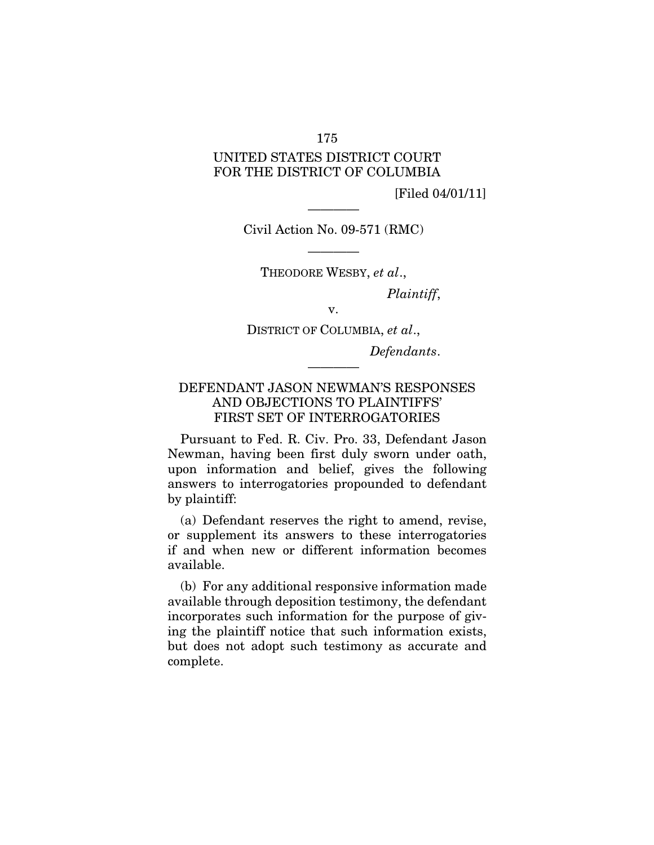### 175

# UNITED STATES DISTRICT COURT FOR THE DISTRICT OF COLUMBIA

[Filed 04/01/11]

———— Civil Action No. 09-571 (RMC)

———— THEODORE WESBY, *et al*.,

*Plaintiff*,

v.

DISTRICT OF COLUMBIA, *et al*.,

————

*Defendants*.

# DEFENDANT JASON NEWMAN'S RESPONSES AND OBJECTIONS TO PLAINTIFFS' FIRST SET OF INTERROGATORIES

Pursuant to Fed. R. Civ. Pro. 33, Defendant Jason Newman, having been first duly sworn under oath, upon information and belief, gives the following answers to interrogatories propounded to defendant by plaintiff:

(a) Defendant reserves the right to amend, revise, or supplement its answers to these interrogatories if and when new or different information becomes available.

(b) For any additional responsive information made available through deposition testimony, the defendant incorporates such information for the purpose of giving the plaintiff notice that such information exists, but does not adopt such testimony as accurate and complete.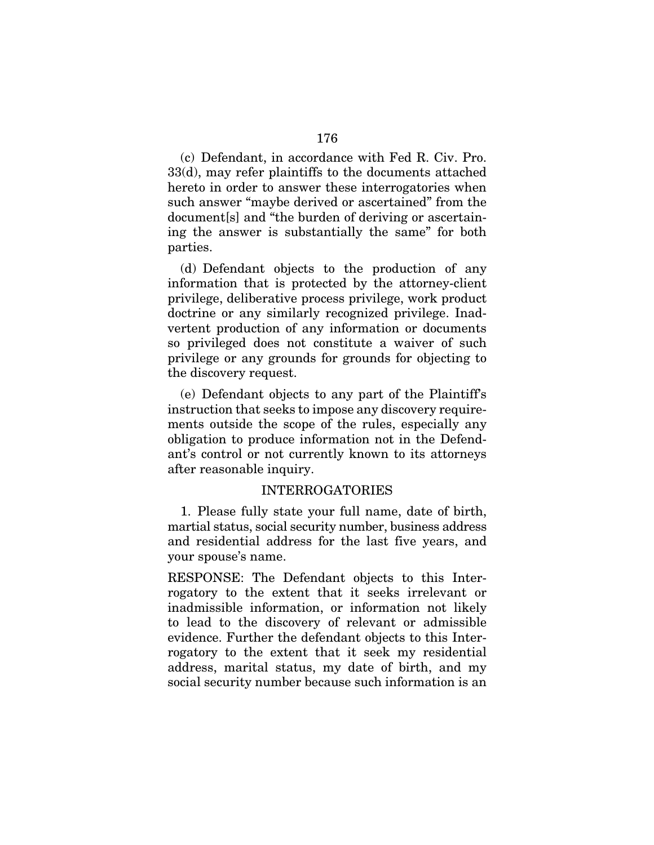(c) Defendant, in accordance with Fed R. Civ. Pro. 33(d), may refer plaintiffs to the documents attached hereto in order to answer these interrogatories when such answer "maybe derived or ascertained" from the document[s] and "the burden of deriving or ascertaining the answer is substantially the same" for both parties.

(d) Defendant objects to the production of any information that is protected by the attorney-client privilege, deliberative process privilege, work product doctrine or any similarly recognized privilege. Inadvertent production of any information or documents so privileged does not constitute a waiver of such privilege or any grounds for grounds for objecting to the discovery request.

(e) Defendant objects to any part of the Plaintiff's instruction that seeks to impose any discovery requirements outside the scope of the rules, especially any obligation to produce information not in the Defendant's control or not currently known to its attorneys after reasonable inquiry.

### INTERROGATORIES

1. Please fully state your full name, date of birth, martial status, social security number, business address and residential address for the last five years, and your spouse's name.

RESPONSE: The Defendant objects to this Interrogatory to the extent that it seeks irrelevant or inadmissible information, or information not likely to lead to the discovery of relevant or admissible evidence. Further the defendant objects to this Interrogatory to the extent that it seek my residential address, marital status, my date of birth, and my social security number because such information is an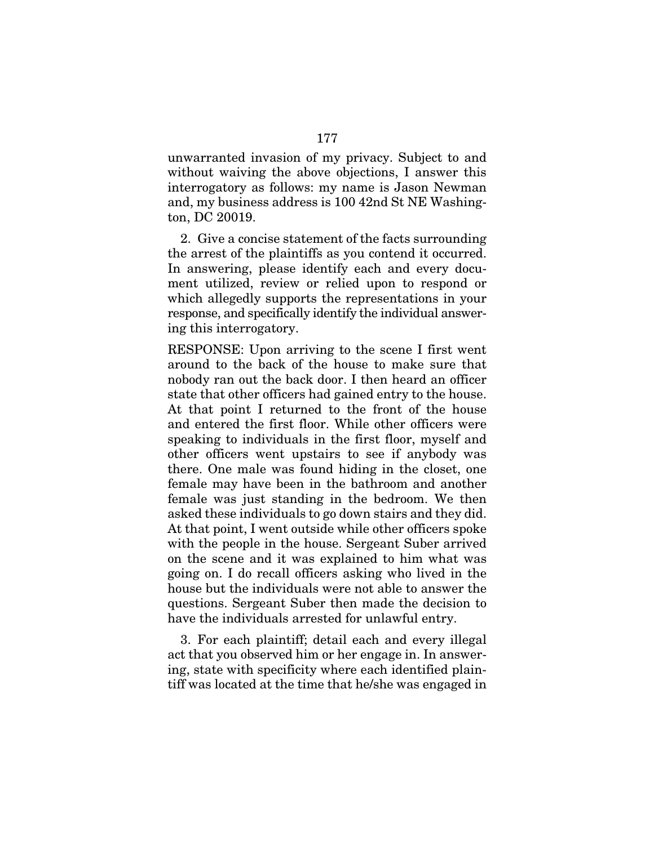unwarranted invasion of my privacy. Subject to and without waiving the above objections, I answer this interrogatory as follows: my name is Jason Newman and, my business address is 100 42nd St NE Washington, DC 20019.

2. Give a concise statement of the facts surrounding the arrest of the plaintiffs as you contend it occurred. In answering, please identify each and every document utilized, review or relied upon to respond or which allegedly supports the representations in your response, and specifically identify the individual answering this interrogatory.

RESPONSE: Upon arriving to the scene I first went around to the back of the house to make sure that nobody ran out the back door. I then heard an officer state that other officers had gained entry to the house. At that point I returned to the front of the house and entered the first floor. While other officers were speaking to individuals in the first floor, myself and other officers went upstairs to see if anybody was there. One male was found hiding in the closet, one female may have been in the bathroom and another female was just standing in the bedroom. We then asked these individuals to go down stairs and they did. At that point, I went outside while other officers spoke with the people in the house. Sergeant Suber arrived on the scene and it was explained to him what was going on. I do recall officers asking who lived in the house but the individuals were not able to answer the questions. Sergeant Suber then made the decision to have the individuals arrested for unlawful entry.

3. For each plaintiff; detail each and every illegal act that you observed him or her engage in. In answering, state with specificity where each identified plaintiff was located at the time that he/she was engaged in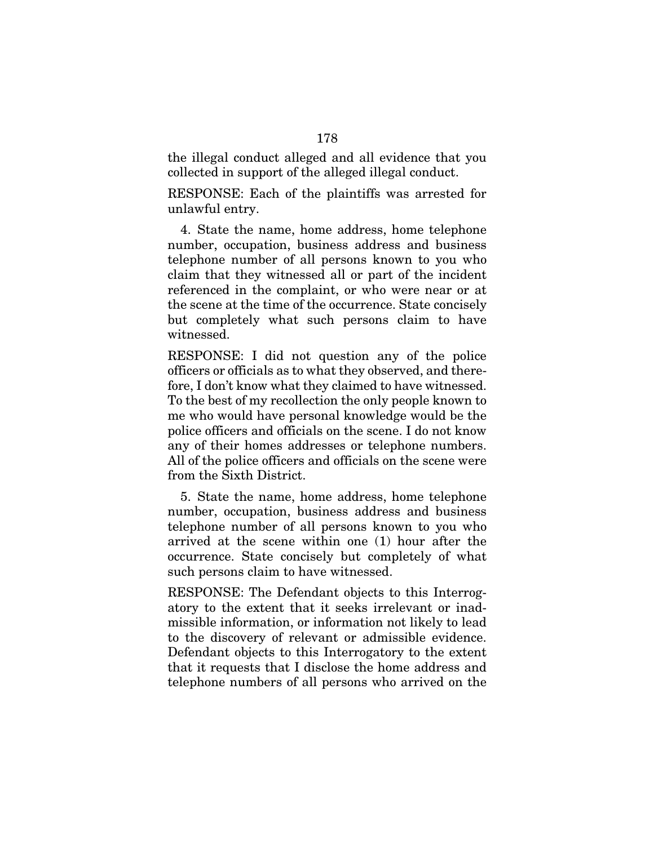the illegal conduct alleged and all evidence that you collected in support of the alleged illegal conduct.

RESPONSE: Each of the plaintiffs was arrested for unlawful entry.

4. State the name, home address, home telephone number, occupation, business address and business telephone number of all persons known to you who claim that they witnessed all or part of the incident referenced in the complaint, or who were near or at the scene at the time of the occurrence. State concisely but completely what such persons claim to have witnessed.

RESPONSE: I did not question any of the police officers or officials as to what they observed, and therefore, I don't know what they claimed to have witnessed. To the best of my recollection the only people known to me who would have personal knowledge would be the police officers and officials on the scene. I do not know any of their homes addresses or telephone numbers. All of the police officers and officials on the scene were from the Sixth District.

5. State the name, home address, home telephone number, occupation, business address and business telephone number of all persons known to you who arrived at the scene within one (1) hour after the occurrence. State concisely but completely of what such persons claim to have witnessed.

RESPONSE: The Defendant objects to this Interrogatory to the extent that it seeks irrelevant or inadmissible information, or information not likely to lead to the discovery of relevant or admissible evidence. Defendant objects to this Interrogatory to the extent that it requests that I disclose the home address and telephone numbers of all persons who arrived on the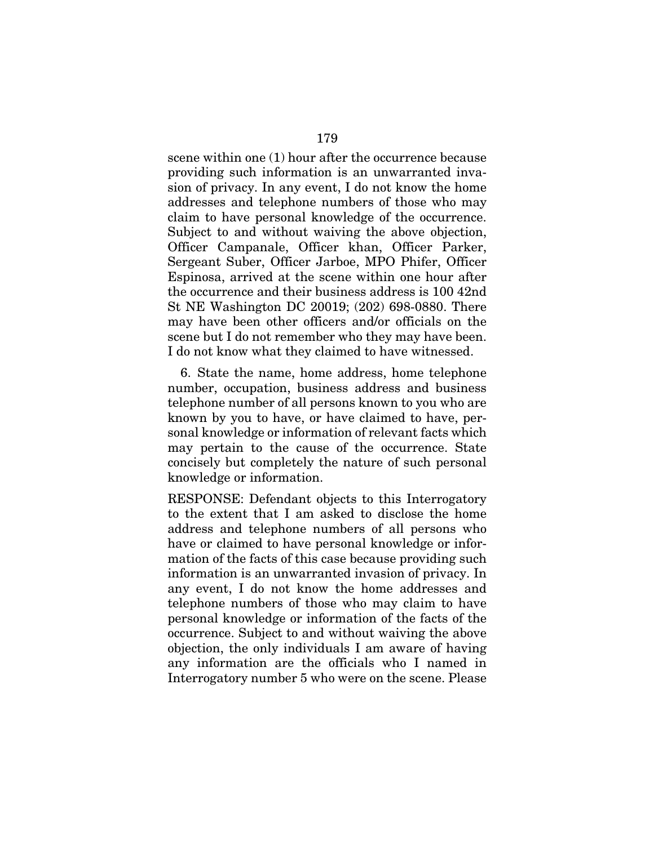scene within one (1) hour after the occurrence because providing such information is an unwarranted invasion of privacy. In any event, I do not know the home addresses and telephone numbers of those who may claim to have personal knowledge of the occurrence. Subject to and without waiving the above objection, Officer Campanale, Officer khan, Officer Parker, Sergeant Suber, Officer Jarboe, MPO Phifer, Officer Espinosa, arrived at the scene within one hour after the occurrence and their business address is 100 42nd St NE Washington DC 20019; (202) 698-0880. There may have been other officers and/or officials on the scene but I do not remember who they may have been. I do not know what they claimed to have witnessed.

6. State the name, home address, home telephone number, occupation, business address and business telephone number of all persons known to you who are known by you to have, or have claimed to have, personal knowledge or information of relevant facts which may pertain to the cause of the occurrence. State concisely but completely the nature of such personal knowledge or information.

RESPONSE: Defendant objects to this Interrogatory to the extent that I am asked to disclose the home address and telephone numbers of all persons who have or claimed to have personal knowledge or information of the facts of this case because providing such information is an unwarranted invasion of privacy. In any event, I do not know the home addresses and telephone numbers of those who may claim to have personal knowledge or information of the facts of the occurrence. Subject to and without waiving the above objection, the only individuals I am aware of having any information are the officials who I named in Interrogatory number 5 who were on the scene. Please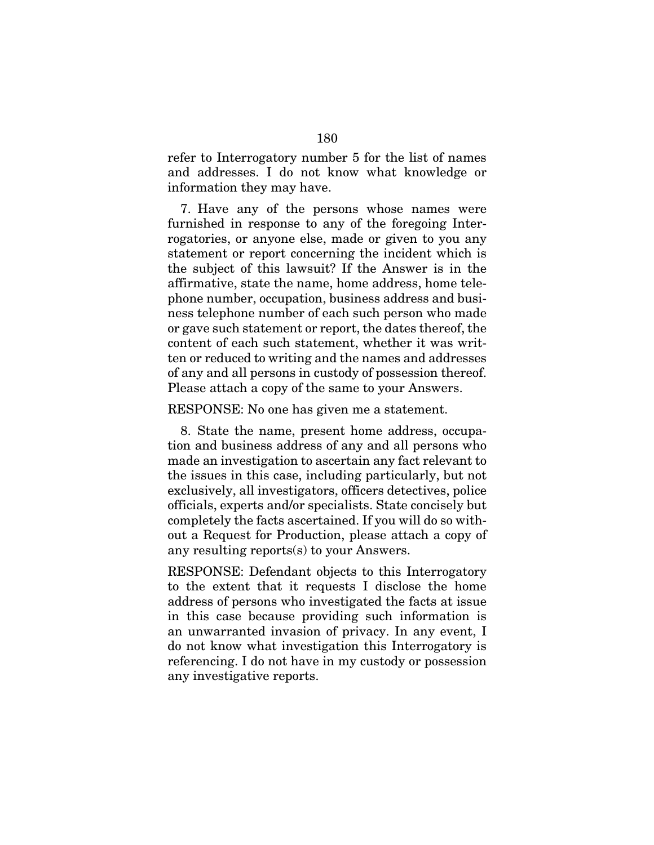refer to Interrogatory number 5 for the list of names and addresses. I do not know what knowledge or information they may have.

7. Have any of the persons whose names were furnished in response to any of the foregoing Interrogatories, or anyone else, made or given to you any statement or report concerning the incident which is the subject of this lawsuit? If the Answer is in the affirmative, state the name, home address, home telephone number, occupation, business address and business telephone number of each such person who made or gave such statement or report, the dates thereof, the content of each such statement, whether it was written or reduced to writing and the names and addresses of any and all persons in custody of possession thereof. Please attach a copy of the same to your Answers.

RESPONSE: No one has given me a statement.

8. State the name, present home address, occupation and business address of any and all persons who made an investigation to ascertain any fact relevant to the issues in this case, including particularly, but not exclusively, all investigators, officers detectives, police officials, experts and/or specialists. State concisely but completely the facts ascertained. If you will do so without a Request for Production, please attach a copy of any resulting reports(s) to your Answers.

RESPONSE: Defendant objects to this Interrogatory to the extent that it requests I disclose the home address of persons who investigated the facts at issue in this case because providing such information is an unwarranted invasion of privacy. In any event, I do not know what investigation this Interrogatory is referencing. I do not have in my custody or possession any investigative reports.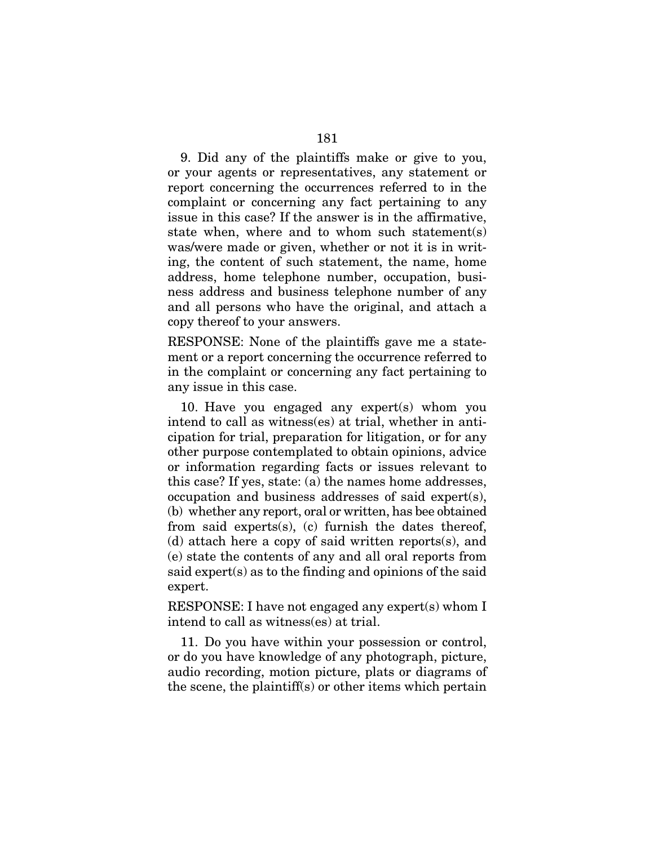9. Did any of the plaintiffs make or give to you, or your agents or representatives, any statement or report concerning the occurrences referred to in the complaint or concerning any fact pertaining to any issue in this case? If the answer is in the affirmative, state when, where and to whom such statement(s) was/were made or given, whether or not it is in writing, the content of such statement, the name, home address, home telephone number, occupation, business address and business telephone number of any and all persons who have the original, and attach a copy thereof to your answers.

RESPONSE: None of the plaintiffs gave me a statement or a report concerning the occurrence referred to in the complaint or concerning any fact pertaining to any issue in this case.

10. Have you engaged any expert(s) whom you intend to call as witness(es) at trial, whether in anticipation for trial, preparation for litigation, or for any other purpose contemplated to obtain opinions, advice or information regarding facts or issues relevant to this case? If yes, state: (a) the names home addresses, occupation and business addresses of said expert(s), (b) whether any report, oral or written, has bee obtained from said experts(s), (c) furnish the dates thereof, (d) attach here a copy of said written reports(s), and (e) state the contents of any and all oral reports from said expert(s) as to the finding and opinions of the said expert.

RESPONSE: I have not engaged any expert(s) whom I intend to call as witness(es) at trial.

11. Do you have within your possession or control, or do you have knowledge of any photograph, picture, audio recording, motion picture, plats or diagrams of the scene, the plaintiff(s) or other items which pertain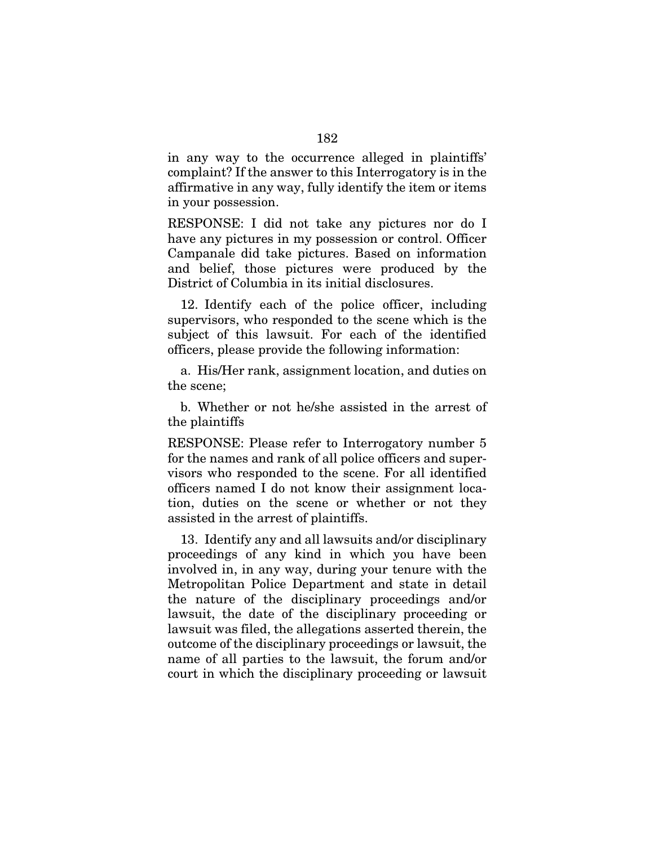in any way to the occurrence alleged in plaintiffs' complaint? If the answer to this Interrogatory is in the affirmative in any way, fully identify the item or items in your possession.

RESPONSE: I did not take any pictures nor do I have any pictures in my possession or control. Officer Campanale did take pictures. Based on information and belief, those pictures were produced by the District of Columbia in its initial disclosures.

12. Identify each of the police officer, including supervisors, who responded to the scene which is the subject of this lawsuit. For each of the identified officers, please provide the following information:

a. His/Her rank, assignment location, and duties on the scene;

b. Whether or not he/she assisted in the arrest of the plaintiffs

RESPONSE: Please refer to Interrogatory number 5 for the names and rank of all police officers and supervisors who responded to the scene. For all identified officers named I do not know their assignment location, duties on the scene or whether or not they assisted in the arrest of plaintiffs.

13. Identify any and all lawsuits and/or disciplinary proceedings of any kind in which you have been involved in, in any way, during your tenure with the Metropolitan Police Department and state in detail the nature of the disciplinary proceedings and/or lawsuit, the date of the disciplinary proceeding or lawsuit was filed, the allegations asserted therein, the outcome of the disciplinary proceedings or lawsuit, the name of all parties to the lawsuit, the forum and/or court in which the disciplinary proceeding or lawsuit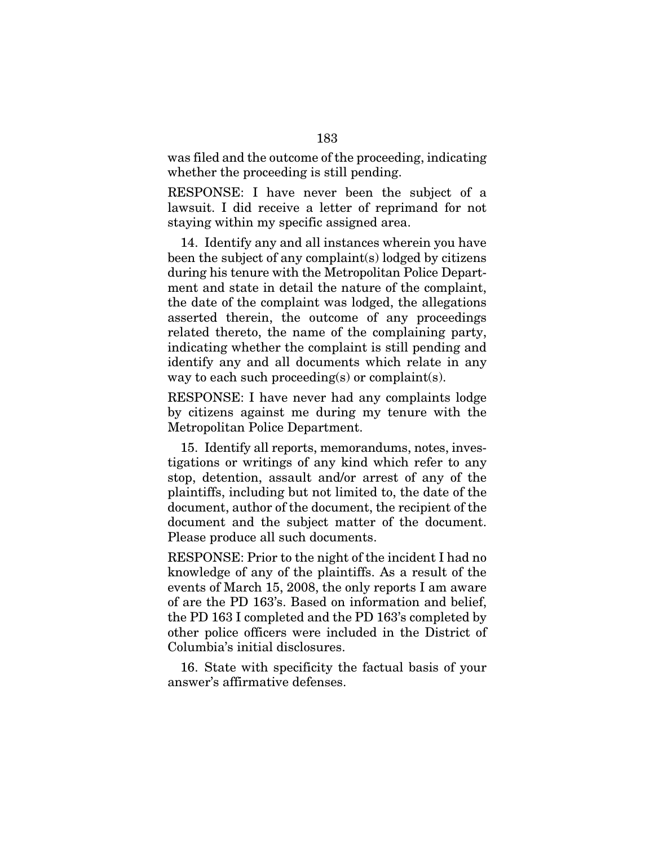was filed and the outcome of the proceeding, indicating whether the proceeding is still pending.

RESPONSE: I have never been the subject of a lawsuit. I did receive a letter of reprimand for not staying within my specific assigned area.

14. Identify any and all instances wherein you have been the subject of any complaint(s) lodged by citizens during his tenure with the Metropolitan Police Department and state in detail the nature of the complaint, the date of the complaint was lodged, the allegations asserted therein, the outcome of any proceedings related thereto, the name of the complaining party, indicating whether the complaint is still pending and identify any and all documents which relate in any way to each such proceeding(s) or complaint(s).

RESPONSE: I have never had any complaints lodge by citizens against me during my tenure with the Metropolitan Police Department.

15. Identify all reports, memorandums, notes, investigations or writings of any kind which refer to any stop, detention, assault and/or arrest of any of the plaintiffs, including but not limited to, the date of the document, author of the document, the recipient of the document and the subject matter of the document. Please produce all such documents.

RESPONSE: Prior to the night of the incident I had no knowledge of any of the plaintiffs. As a result of the events of March 15, 2008, the only reports I am aware of are the PD 163's. Based on information and belief, the PD 163 I completed and the PD 163's completed by other police officers were included in the District of Columbia's initial disclosures.

16. State with specificity the factual basis of your answer's affirmative defenses.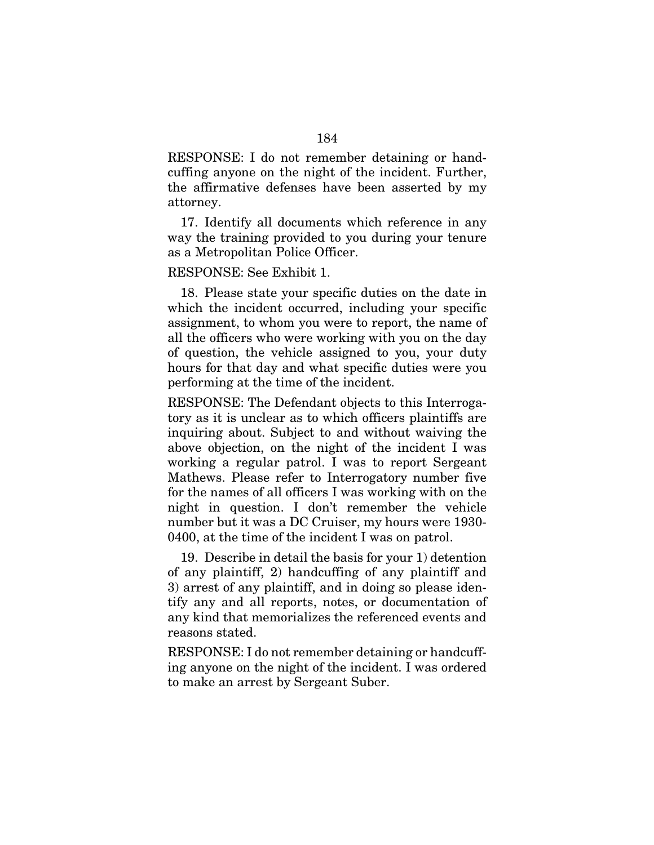RESPONSE: I do not remember detaining or handcuffing anyone on the night of the incident. Further, the affirmative defenses have been asserted by my attorney.

17. Identify all documents which reference in any way the training provided to you during your tenure as a Metropolitan Police Officer.

RESPONSE: See Exhibit 1.

18. Please state your specific duties on the date in which the incident occurred, including your specific assignment, to whom you were to report, the name of all the officers who were working with you on the day of question, the vehicle assigned to you, your duty hours for that day and what specific duties were you performing at the time of the incident.

RESPONSE: The Defendant objects to this Interrogatory as it is unclear as to which officers plaintiffs are inquiring about. Subject to and without waiving the above objection, on the night of the incident I was working a regular patrol. I was to report Sergeant Mathews. Please refer to Interrogatory number five for the names of all officers I was working with on the night in question. I don't remember the vehicle number but it was a DC Cruiser, my hours were 1930- 0400, at the time of the incident I was on patrol.

19. Describe in detail the basis for your 1) detention of any plaintiff, 2) handcuffing of any plaintiff and 3) arrest of any plaintiff, and in doing so please identify any and all reports, notes, or documentation of any kind that memorializes the referenced events and reasons stated.

RESPONSE: I do not remember detaining or handcuffing anyone on the night of the incident. I was ordered to make an arrest by Sergeant Suber.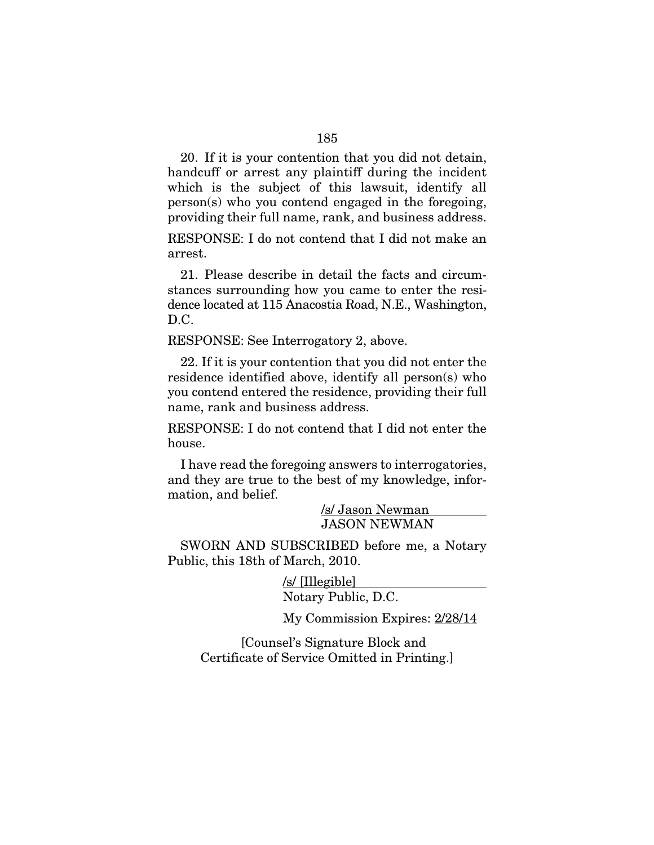20. If it is your contention that you did not detain, handcuff or arrest any plaintiff during the incident which is the subject of this lawsuit, identify all person(s) who you contend engaged in the foregoing, providing their full name, rank, and business address.

RESPONSE: I do not contend that I did not make an arrest.

21. Please describe in detail the facts and circumstances surrounding how you came to enter the residence located at 115 Anacostia Road, N.E., Washington, D.C.

RESPONSE: See Interrogatory 2, above.

22. If it is your contention that you did not enter the residence identified above, identify all person(s) who you contend entered the residence, providing their full name, rank and business address.

RESPONSE: I do not contend that I did not enter the house.

I have read the foregoing answers to interrogatories, and they are true to the best of my knowledge, information, and belief.

> /s/ Jason Newman JASON NEWMAN

SWORN AND SUBSCRIBED before me, a Notary Public, this 18th of March, 2010.

> /s/ [Illegible] Notary Public, D.C.

My Commission Expires: 2/28/14

[Counsel's Signature Block and Certificate of Service Omitted in Printing.]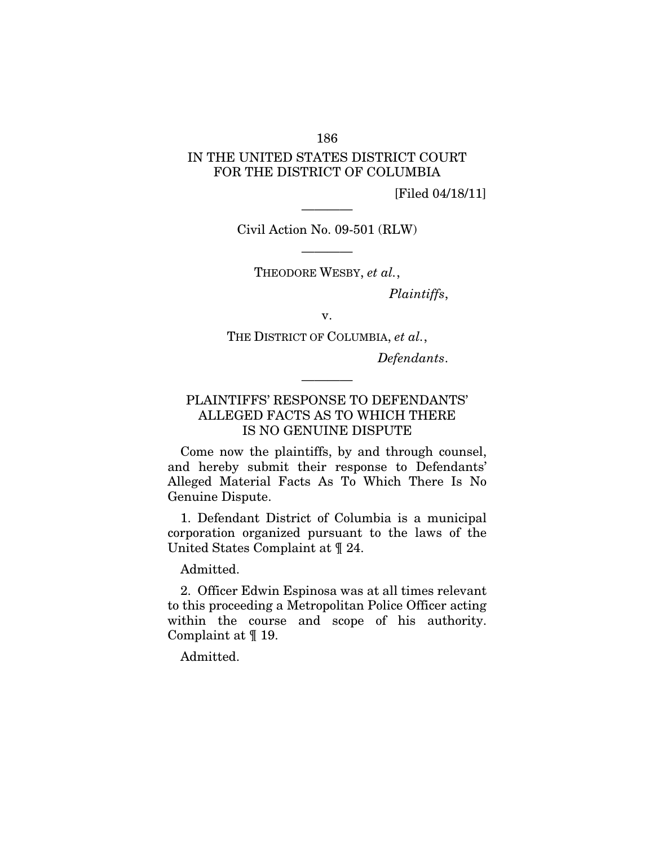## 186

## IN THE UNITED STATES DISTRICT COURT FOR THE DISTRICT OF COLUMBIA

[Filed 04/18/11]

Civil Action No. 09-501 (RLW)

————

———— THEODORE WESBY, *et al.*,

*Plaintiffs*,

v.

THE DISTRICT OF COLUMBIA, *et al.*,

*Defendants*.

## PLAINTIFFS' RESPONSE TO DEFENDANTS' ALLEGED FACTS AS TO WHICH THERE IS NO GENUINE DISPUTE

————

Come now the plaintiffs, by and through counsel, and hereby submit their response to Defendants' Alleged Material Facts As To Which There Is No Genuine Dispute.

1. Defendant District of Columbia is a municipal corporation organized pursuant to the laws of the United States Complaint at ¶ 24.

Admitted.

2. Officer Edwin Espinosa was at all times relevant to this proceeding a Metropolitan Police Officer acting within the course and scope of his authority. Complaint at ¶ 19.

Admitted.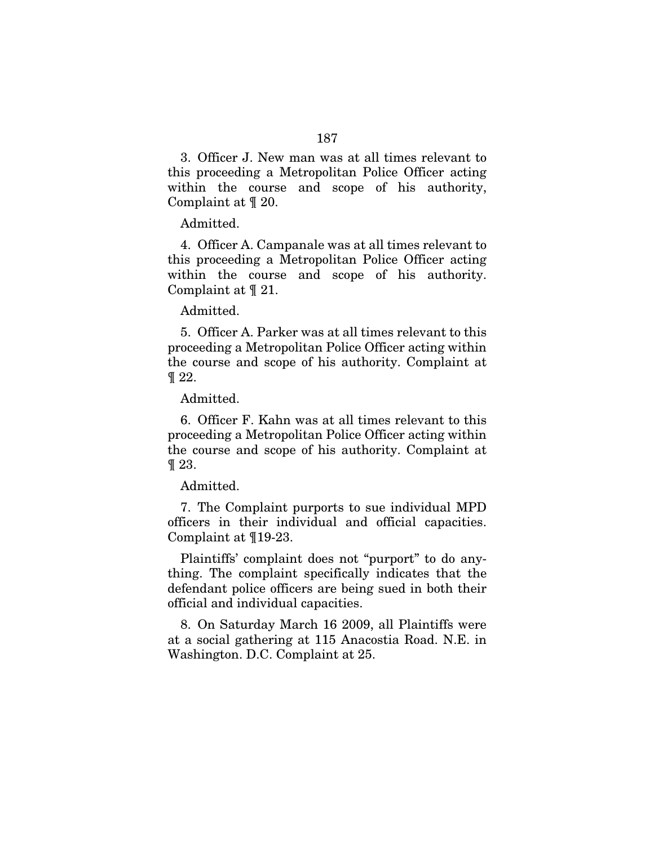3. Officer J. New man was at all times relevant to this proceeding a Metropolitan Police Officer acting within the course and scope of his authority, Complaint at ¶ 20.

Admitted.

4. Officer A. Campanale was at all times relevant to this proceeding a Metropolitan Police Officer acting within the course and scope of his authority. Complaint at ¶ 21.

Admitted.

5. Officer A. Parker was at all times relevant to this proceeding a Metropolitan Police Officer acting within the course and scope of his authority. Complaint at  $\P$  22.

Admitted.

6. Officer F. Kahn was at all times relevant to this proceeding a Metropolitan Police Officer acting within the course and scope of his authority. Complaint at ¶ 23.

Admitted.

7. The Complaint purports to sue individual MPD officers in their individual and official capacities. Complaint at ¶19-23.

Plaintiffs' complaint does not "purport" to do anything. The complaint specifically indicates that the defendant police officers are being sued in both their official and individual capacities.

8. On Saturday March 16 2009, all Plaintiffs were at a social gathering at 115 Anacostia Road. N.E. in Washington. D.C. Complaint at 25.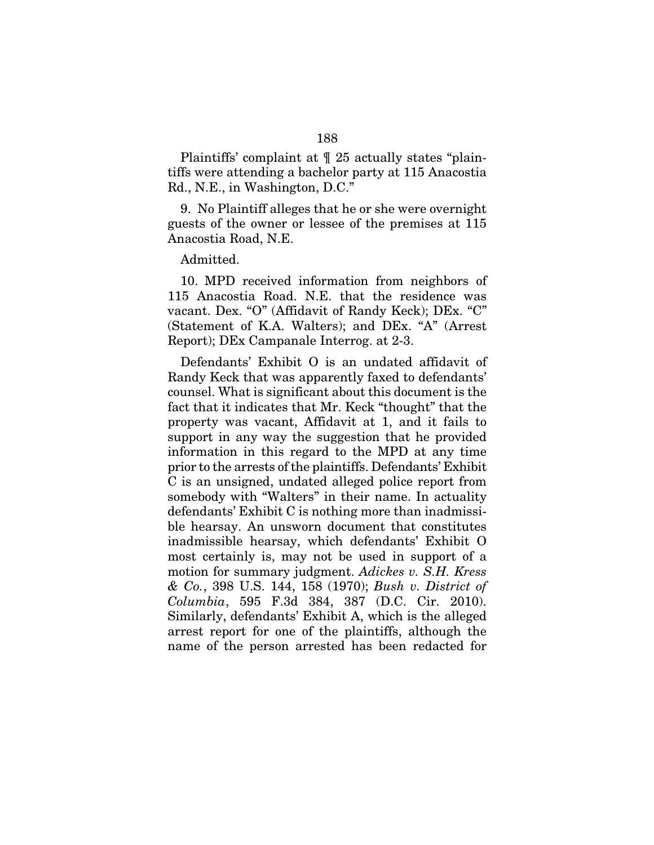Plaintiffs' complaint at ¶ 25 actually states "plaintiffs were attending a bachelor party at 115 Anacostia Rd., N.E., in Washington, D.C."

9. No Plaintiff alleges that he or she were overnight guests of the owner or lessee of the premises at 115 Anacostia Road, N.E.

Admitted.

10. MPD received information from neighbors of 115 Anacostia Road. N.E. that the residence was vacant. Dex. "O" (Affidavit of Randy Keck); DEx. "C" (Statement of K.A. Walters); and DEx. "A" (Arrest Report); DEx Campanale Interrog. at 2-3.

Defendants' Exhibit O is an undated affidavit of Randy Keck that was apparently faxed to defendants' counsel. What is significant about this document is the fact that it indicates that Mr. Keck "thought" that the property was vacant, Affidavit at 1, and it fails to support in any way the suggestion that he provided information in this regard to the MPD at any time prior to the arrests of the plaintiffs. Defendants' Exhibit C is an unsigned, undated alleged police report from somebody with "Walters" in their name. In actuality defendants' Exhibit C is nothing more than inadmissible hearsay. An unsworn document that constitutes inadmissible hearsay, which defendants' Exhibit O most certainly is, may not be used in support of a motion for summary judgment. *Adickes v. S.H. Kress & Co.*, 398 U.S. 144, 158 (1970); *Bush v. District of Columbia*, 595 F.3d 384, 387 (D.C. Cir. 2010). Similarly, defendants' Exhibit A, which is the alleged arrest report for one of the plaintiffs, although the name of the person arrested has been redacted for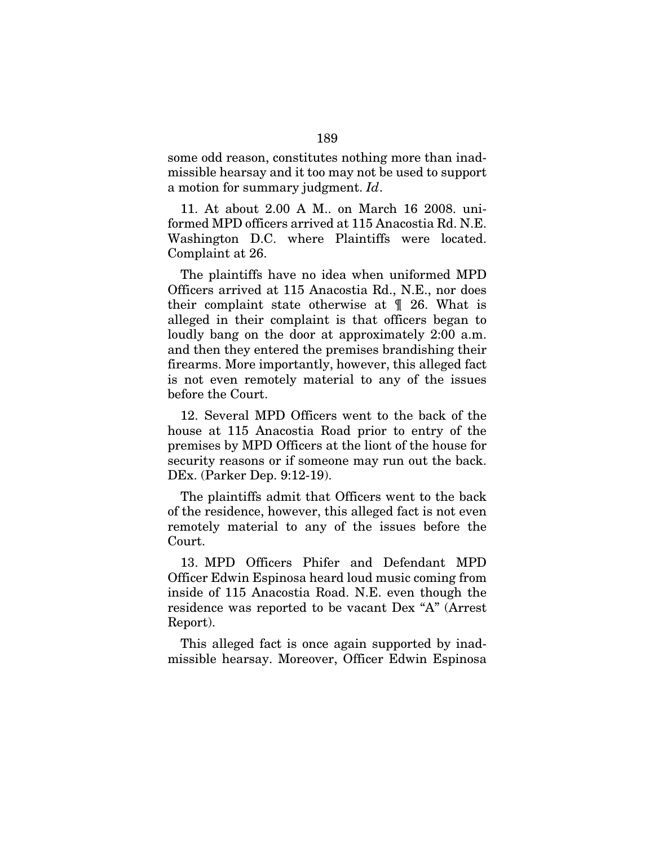some odd reason, constitutes nothing more than inadmissible hearsay and it too may not be used to support a motion for summary judgment. *Id*.

11. At about 2.00 A M.. on March 16 2008. uniformed MPD officers arrived at 115 Anacostia Rd. N.E. Washington D.C. where Plaintiffs were located. Complaint at 26.

The plaintiffs have no idea when uniformed MPD Officers arrived at 115 Anacostia Rd., N.E., nor does their complaint state otherwise at ¶ 26. What is alleged in their complaint is that officers began to loudly bang on the door at approximately 2:00 a.m. and then they entered the premises brandishing their firearms. More importantly, however, this alleged fact is not even remotely material to any of the issues before the Court.

12. Several MPD Officers went to the back of the house at 115 Anacostia Road prior to entry of the premises by MPD Officers at the liont of the house for security reasons or if someone may run out the back. DEx. (Parker Dep. 9:12-19).

The plaintiffs admit that Officers went to the back of the residence, however, this alleged fact is not even remotely material to any of the issues before the Court.

13. MPD Officers Phifer and Defendant MPD Officer Edwin Espinosa heard loud music coming from inside of 115 Anacostia Road. N.E. even though the residence was reported to be vacant Dex "A" (Arrest Report).

This alleged fact is once again supported by inadmissible hearsay. Moreover, Officer Edwin Espinosa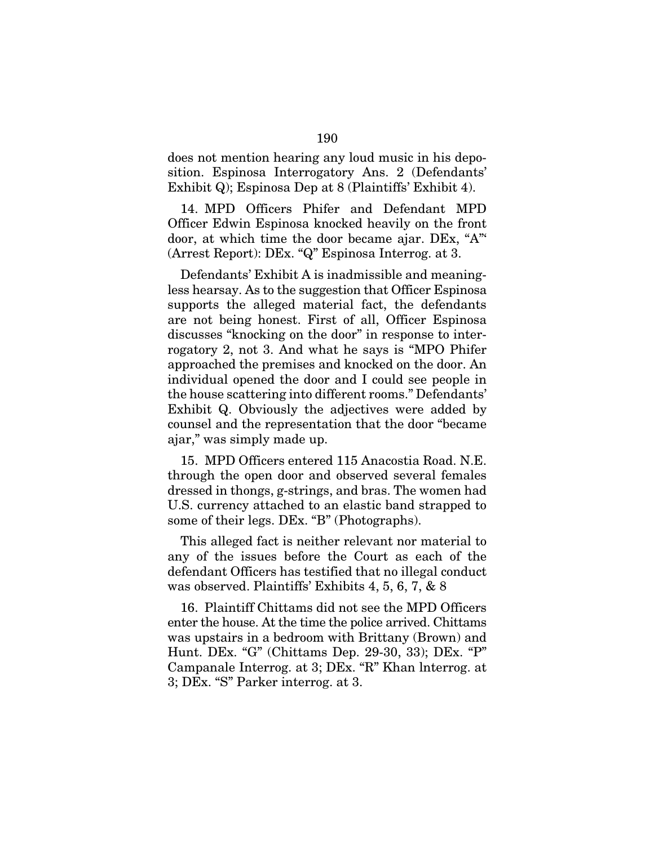does not mention hearing any loud music in his deposition. Espinosa Interrogatory Ans. 2 (Defendants' Exhibit Q); Espinosa Dep at 8 (Plaintiffs' Exhibit 4).

14. MPD Officers Phifer and Defendant MPD Officer Edwin Espinosa knocked heavily on the front door, at which time the door became ajar. DEx, "A"' (Arrest Report): DEx. "Q" Espinosa Interrog. at 3.

Defendants' Exhibit A is inadmissible and meaningless hearsay. As to the suggestion that Officer Espinosa supports the alleged material fact, the defendants are not being honest. First of all, Officer Espinosa discusses "knocking on the door" in response to interrogatory 2, not 3. And what he says is "MPO Phifer approached the premises and knocked on the door. An individual opened the door and I could see people in the house scattering into different rooms." Defendants' Exhibit Q. Obviously the adjectives were added by counsel and the representation that the door "became ajar," was simply made up.

15. MPD Officers entered 115 Anacostia Road. N.E. through the open door and observed several females dressed in thongs, g-strings, and bras. The women had U.S. currency attached to an elastic band strapped to some of their legs. DEx. "B" (Photographs).

This alleged fact is neither relevant nor material to any of the issues before the Court as each of the defendant Officers has testified that no illegal conduct was observed. Plaintiffs' Exhibits 4, 5, 6, 7, & 8

16. Plaintiff Chittams did not see the MPD Officers enter the house. At the time the police arrived. Chittams was upstairs in a bedroom with Brittany (Brown) and Hunt. DEx. "G" (Chittams Dep. 29-30, 33); DEx. "P" Campanale Interrog. at 3; DEx. "R" Khan lnterrog. at 3; DEx. "S" Parker interrog. at 3.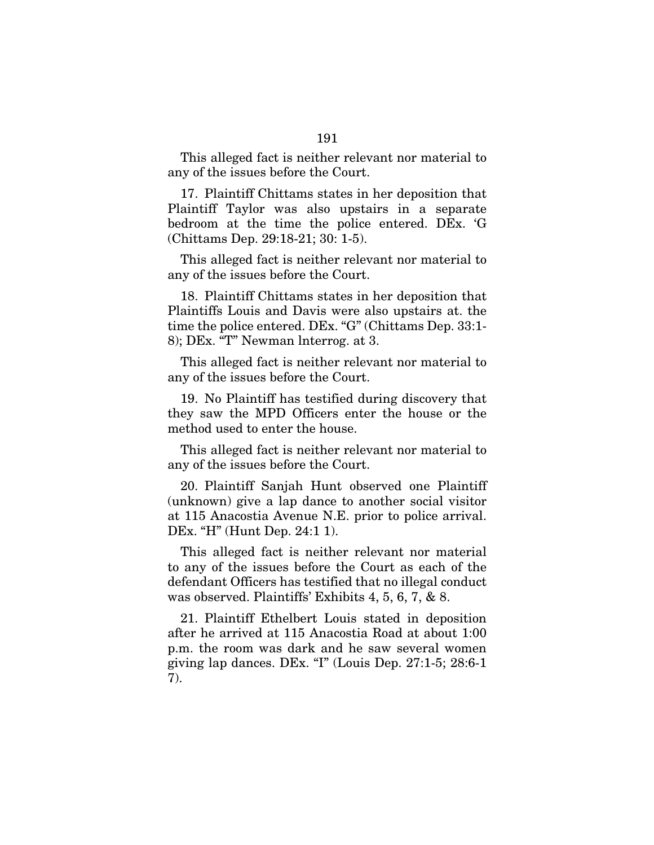This alleged fact is neither relevant nor material to any of the issues before the Court.

17. Plaintiff Chittams states in her deposition that Plaintiff Taylor was also upstairs in a separate bedroom at the time the police entered. DEx. 'G (Chittams Dep. 29:18-21; 30: 1-5).

This alleged fact is neither relevant nor material to any of the issues before the Court.

18. Plaintiff Chittams states in her deposition that Plaintiffs Louis and Davis were also upstairs at. the time the police entered. DEx. "G" (Chittams Dep. 33:1- 8); DEx. "T" Newman lnterrog. at 3.

This alleged fact is neither relevant nor material to any of the issues before the Court.

19. No Plaintiff has testified during discovery that they saw the MPD Officers enter the house or the method used to enter the house.

This alleged fact is neither relevant nor material to any of the issues before the Court.

20. Plaintiff Sanjah Hunt observed one Plaintiff (unknown) give a lap dance to another social visitor at 115 Anacostia Avenue N.E. prior to police arrival. DEx. "H" (Hunt Dep. 24:1 1).

This alleged fact is neither relevant nor material to any of the issues before the Court as each of the defendant Officers has testified that no illegal conduct was observed. Plaintiffs' Exhibits 4, 5, 6, 7, & 8.

21. Plaintiff Ethelbert Louis stated in deposition after he arrived at 115 Anacostia Road at about 1:00 p.m. the room was dark and he saw several women giving lap dances. DEx. "I" (Louis Dep. 27:1-5; 28:6-1 7).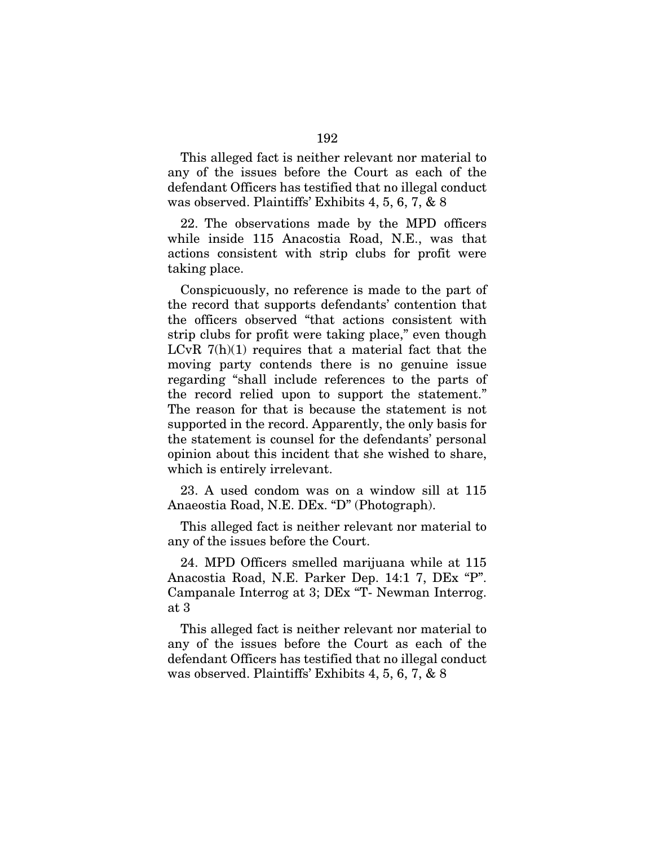This alleged fact is neither relevant nor material to any of the issues before the Court as each of the defendant Officers has testified that no illegal conduct was observed. Plaintiffs' Exhibits 4, 5, 6, 7, & 8

22. The observations made by the MPD officers while inside 115 Anacostia Road, N.E., was that actions consistent with strip clubs for profit were taking place.

Conspicuously, no reference is made to the part of the record that supports defendants' contention that the officers observed "that actions consistent with strip clubs for profit were taking place," even though LCvR  $7(h)(1)$  requires that a material fact that the moving party contends there is no genuine issue regarding "shall include references to the parts of the record relied upon to support the statement." The reason for that is because the statement is not supported in the record. Apparently, the only basis for the statement is counsel for the defendants' personal opinion about this incident that she wished to share, which is entirely irrelevant.

23. A used condom was on a window sill at 115 Anaeostia Road, N.E. DEx. "D" (Photograph).

This alleged fact is neither relevant nor material to any of the issues before the Court.

24. MPD Officers smelled marijuana while at 115 Anacostia Road, N.E. Parker Dep. 14:1 7, DEx "P". Campanale Interrog at 3; DEx "T- Newman Interrog. at 3

This alleged fact is neither relevant nor material to any of the issues before the Court as each of the defendant Officers has testified that no illegal conduct was observed. Plaintiffs' Exhibits 4, 5, 6, 7, & 8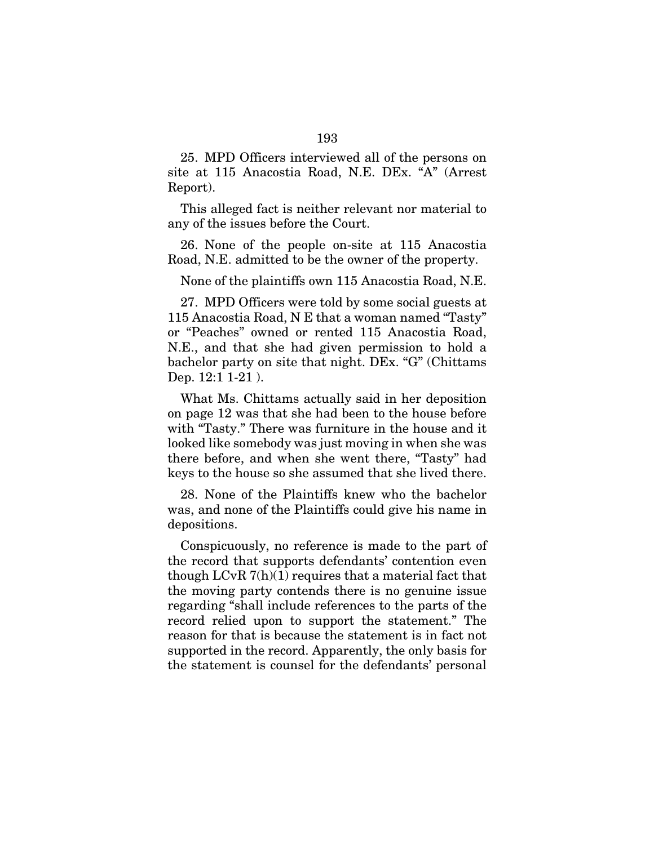25. MPD Officers interviewed all of the persons on site at 115 Anacostia Road, N.E. DEx. "A" (Arrest Report).

This alleged fact is neither relevant nor material to any of the issues before the Court.

26. None of the people on-site at 115 Anacostia Road, N.E. admitted to be the owner of the property.

None of the plaintiffs own 115 Anacostia Road, N.E.

27. MPD Officers were told by some social guests at 115 Anacostia Road, N E that a woman named "Tasty" or "Peaches" owned or rented 115 Anacostia Road, N.E., and that she had given permission to hold a bachelor party on site that night. DEx. "G" (Chittams Dep. 12:1 1-21 ).

What Ms. Chittams actually said in her deposition on page 12 was that she had been to the house before with "Tasty." There was furniture in the house and it looked like somebody was just moving in when she was there before, and when she went there, "Tasty" had keys to the house so she assumed that she lived there.

28. None of the Plaintiffs knew who the bachelor was, and none of the Plaintiffs could give his name in depositions.

Conspicuously, no reference is made to the part of the record that supports defendants' contention even though LCvR 7(h)(1) requires that a material fact that the moving party contends there is no genuine issue regarding "shall include references to the parts of the record relied upon to support the statement." The reason for that is because the statement is in fact not supported in the record. Apparently, the only basis for the statement is counsel for the defendants' personal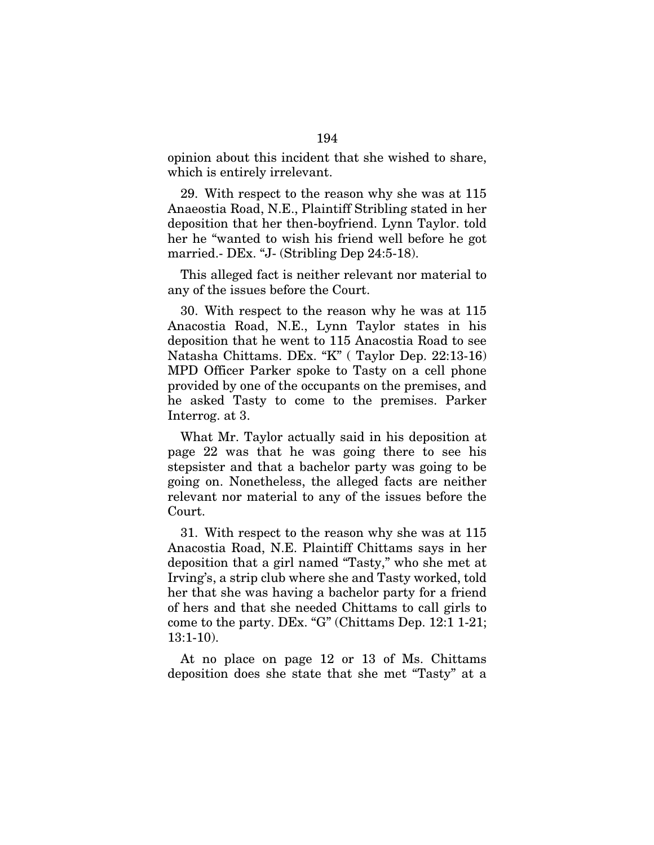opinion about this incident that she wished to share, which is entirely irrelevant.

29. With respect to the reason why she was at 115 Anaeostia Road, N.E., Plaintiff Stribling stated in her deposition that her then-boyfriend. Lynn Taylor. told her he "wanted to wish his friend well before he got married.- DEx. "J- (Stribling Dep 24:5-18).

This alleged fact is neither relevant nor material to any of the issues before the Court.

30. With respect to the reason why he was at 115 Anacostia Road, N.E., Lynn Taylor states in his deposition that he went to 115 Anacostia Road to see Natasha Chittams. DEx. "K" ( Taylor Dep. 22:13-16) MPD Officer Parker spoke to Tasty on a cell phone provided by one of the occupants on the premises, and he asked Tasty to come to the premises. Parker Interrog. at 3.

What Mr. Taylor actually said in his deposition at page 22 was that he was going there to see his stepsister and that a bachelor party was going to be going on. Nonetheless, the alleged facts are neither relevant nor material to any of the issues before the Court.

31. With respect to the reason why she was at 115 Anacostia Road, N.E. Plaintiff Chittams says in her deposition that a girl named "Tasty," who she met at Irving's, a strip club where she and Tasty worked, told her that she was having a bachelor party for a friend of hers and that she needed Chittams to call girls to come to the party. DEx. "G" (Chittams Dep. 12:1 1-21; 13:1-10).

At no place on page 12 or 13 of Ms. Chittams deposition does she state that she met "Tasty" at a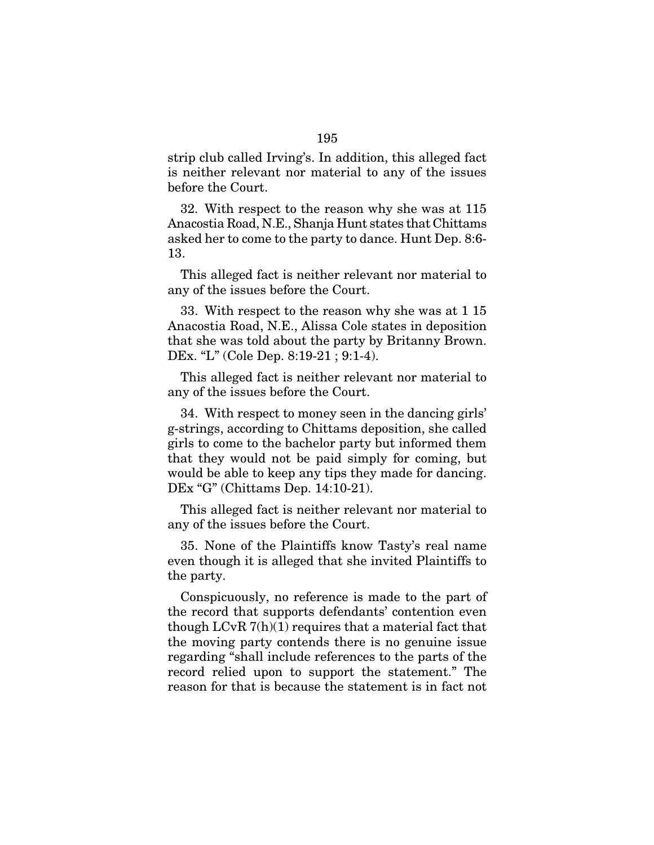strip club called Irving's. In addition, this alleged fact is neither relevant nor material to any of the issues before the Court.

32. With respect to the reason why she was at 115 Anacostia Road, N.E., Shanja Hunt states that Chittams asked her to come to the party to dance. Hunt Dep. 8:6- 13.

This alleged fact is neither relevant nor material to any of the issues before the Court.

33. With respect to the reason why she was at 1 15 Anacostia Road, N.E., Alissa Cole states in deposition that she was told about the party by Britanny Brown. DEx. "L" (Cole Dep. 8:19-21 ; 9:1-4).

This alleged fact is neither relevant nor material to any of the issues before the Court.

34. With respect to money seen in the dancing girls' g-strings, according to Chittams deposition, she called girls to come to the bachelor party but informed them that they would not be paid simply for coming, but would be able to keep any tips they made for dancing. DEx "G" (Chittams Dep. 14:10-21).

This alleged fact is neither relevant nor material to any of the issues before the Court.

35. None of the Plaintiffs know Tasty's real name even though it is alleged that she invited Plaintiffs to the party.

Conspicuously, no reference is made to the part of the record that supports defendants' contention even though  $LCvR 7(h)(1)$  requires that a material fact that the moving party contends there is no genuine issue regarding "shall include references to the parts of the record relied upon to support the statement." The reason for that is because the statement is in fact not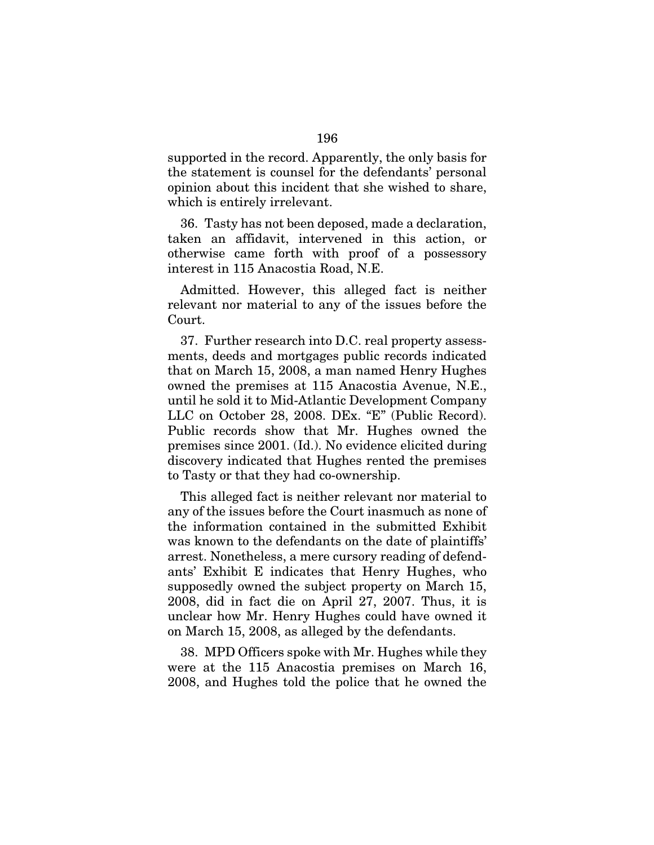supported in the record. Apparently, the only basis for the statement is counsel for the defendants' personal opinion about this incident that she wished to share, which is entirely irrelevant.

36. Tasty has not been deposed, made a declaration, taken an affidavit, intervened in this action, or otherwise came forth with proof of a possessory interest in 115 Anacostia Road, N.E.

Admitted. However, this alleged fact is neither relevant nor material to any of the issues before the Court.

37. Further research into D.C. real property assessments, deeds and mortgages public records indicated that on March 15, 2008, a man named Henry Hughes owned the premises at 115 Anacostia Avenue, N.E., until he sold it to Mid-Atlantic Development Company LLC on October 28, 2008. DEx. "E" (Public Record). Public records show that Mr. Hughes owned the premises since 2001. (Id.). No evidence elicited during discovery indicated that Hughes rented the premises to Tasty or that they had co-ownership.

This alleged fact is neither relevant nor material to any of the issues before the Court inasmuch as none of the information contained in the submitted Exhibit was known to the defendants on the date of plaintiffs' arrest. Nonetheless, a mere cursory reading of defendants' Exhibit E indicates that Henry Hughes, who supposedly owned the subject property on March 15, 2008, did in fact die on April 27, 2007. Thus, it is unclear how Mr. Henry Hughes could have owned it on March 15, 2008, as alleged by the defendants.

38. MPD Officers spoke with Mr. Hughes while they were at the 115 Anacostia premises on March 16, 2008, and Hughes told the police that he owned the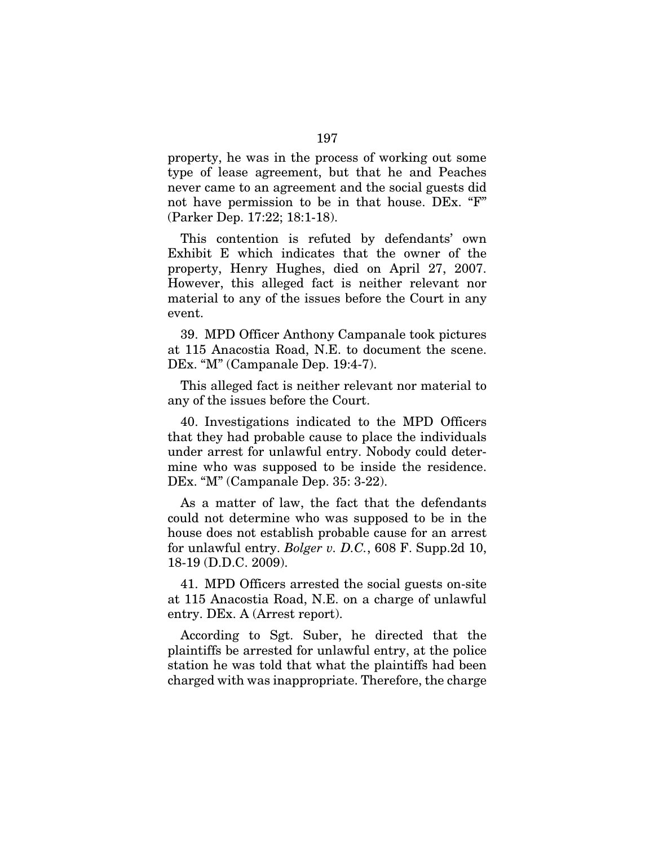property, he was in the process of working out some type of lease agreement, but that he and Peaches never came to an agreement and the social guests did not have permission to be in that house. DEx. "F" (Parker Dep. 17:22; 18:1-18).

This contention is refuted by defendants' own Exhibit E which indicates that the owner of the property, Henry Hughes, died on April 27, 2007. However, this alleged fact is neither relevant nor material to any of the issues before the Court in any event.

39. MPD Officer Anthony Campanale took pictures at 115 Anacostia Road, N.E. to document the scene. DEx. "M" (Campanale Dep. 19:4-7).

This alleged fact is neither relevant nor material to any of the issues before the Court.

40. Investigations indicated to the MPD Officers that they had probable cause to place the individuals under arrest for unlawful entry. Nobody could determine who was supposed to be inside the residence. DEx. "M" (Campanale Dep. 35: 3-22).

As a matter of law, the fact that the defendants could not determine who was supposed to be in the house does not establish probable cause for an arrest for unlawful entry. *Bolger v. D.C.*, 608 F. Supp.2d 10, 18-19 (D.D.C. 2009).

41. MPD Officers arrested the social guests on-site at 115 Anacostia Road, N.E. on a charge of unlawful entry. DEx. A (Arrest report).

According to Sgt. Suber, he directed that the plaintiffs be arrested for unlawful entry, at the police station he was told that what the plaintiffs had been charged with was inappropriate. Therefore, the charge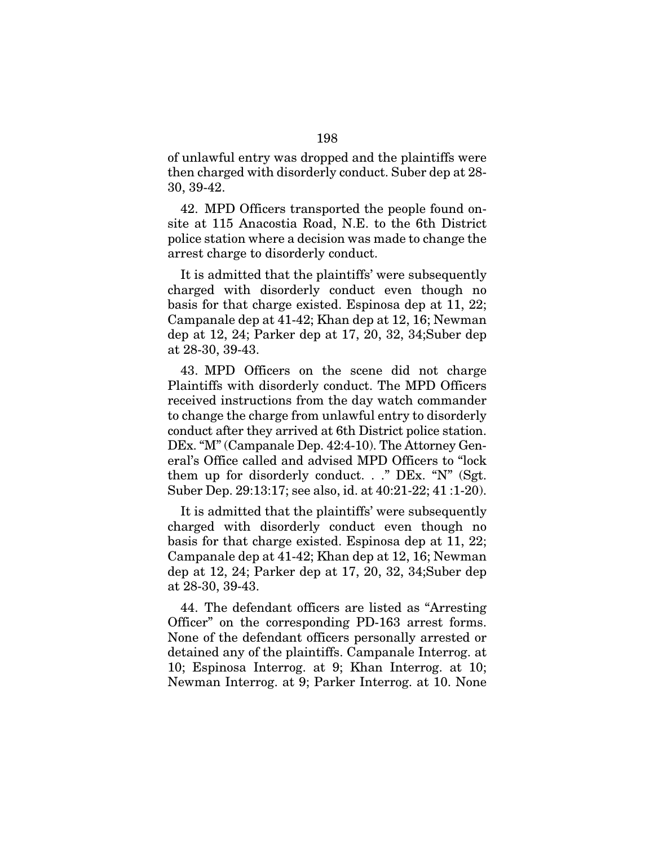of unlawful entry was dropped and the plaintiffs were then charged with disorderly conduct. Suber dep at 28- 30, 39-42.

42. MPD Officers transported the people found onsite at 115 Anacostia Road, N.E. to the 6th District police station where a decision was made to change the arrest charge to disorderly conduct.

It is admitted that the plaintiffs' were subsequently charged with disorderly conduct even though no basis for that charge existed. Espinosa dep at 11, 22; Campanale dep at 41-42; Khan dep at 12, 16; Newman dep at 12, 24; Parker dep at 17, 20, 32, 34;Suber dep at 28-30, 39-43.

43. MPD Officers on the scene did not charge Plaintiffs with disorderly conduct. The MPD Officers received instructions from the day watch commander to change the charge from unlawful entry to disorderly conduct after they arrived at 6th District police station. DEx. "M" (Campanale Dep. 42:4-10). The Attorney General's Office called and advised MPD Officers to "lock them up for disorderly conduct.  $\therefore$  "DEx. "N" (Sgt. Suber Dep. 29:13:17; see also, id. at 40:21-22; 41 :1-20).

It is admitted that the plaintiffs' were subsequently charged with disorderly conduct even though no basis for that charge existed. Espinosa dep at 11, 22; Campanale dep at 41-42; Khan dep at 12, 16; Newman dep at 12, 24; Parker dep at 17, 20, 32, 34;Suber dep at 28-30, 39-43.

44. The defendant officers are listed as "Arresting Officer" on the corresponding PD-163 arrest forms. None of the defendant officers personally arrested or detained any of the plaintiffs. Campanale Interrog. at 10; Espinosa Interrog. at 9; Khan Interrog. at 10; Newman Interrog. at 9; Parker Interrog. at 10. None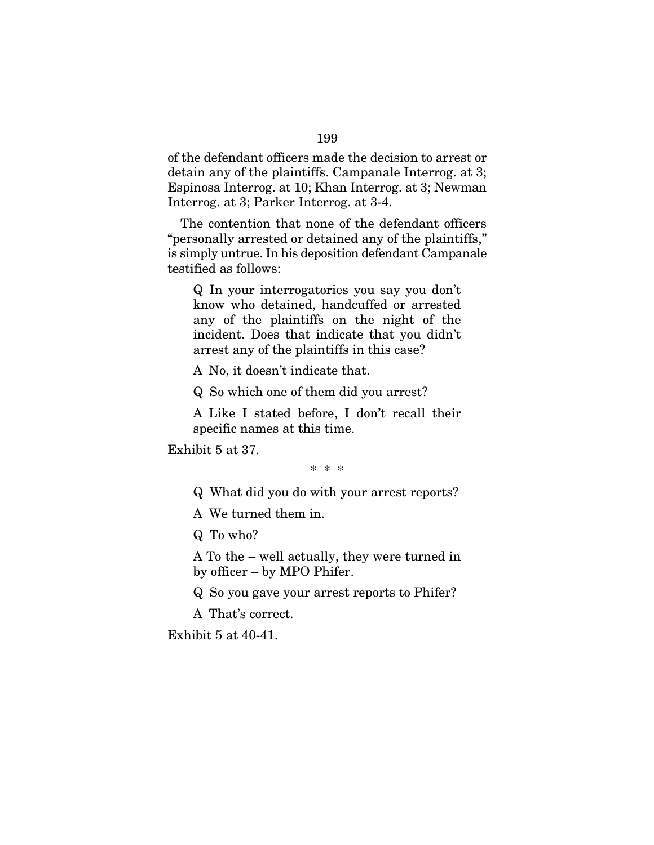of the defendant officers made the decision to arrest or detain any of the plaintiffs. Campanale Interrog. at 3; Espinosa Interrog. at 10; Khan Interrog. at 3; Newman Interrog. at 3; Parker Interrog. at 3-4.

The contention that none of the defendant officers "personally arrested or detained any of the plaintiffs," is simply untrue. In his deposition defendant Campanale testified as follows:

Q In your interrogatories you say you don't know who detained, handcuffed or arrested any of the plaintiffs on the night of the incident. Does that indicate that you didn't arrest any of the plaintiffs in this case?

A No, it doesn't indicate that.

Q So which one of them did you arrest?

A Like I stated before, I don't recall their specific names at this time.

Exhibit 5 at 37.

\* \* \*

Q What did you do with your arrest reports?

A We turned them in.

Q To who?

A To the – well actually, they were turned in by officer – by MPO Phifer.

Q So you gave your arrest reports to Phifer?

A That's correct.

Exhibit 5 at 40-41.